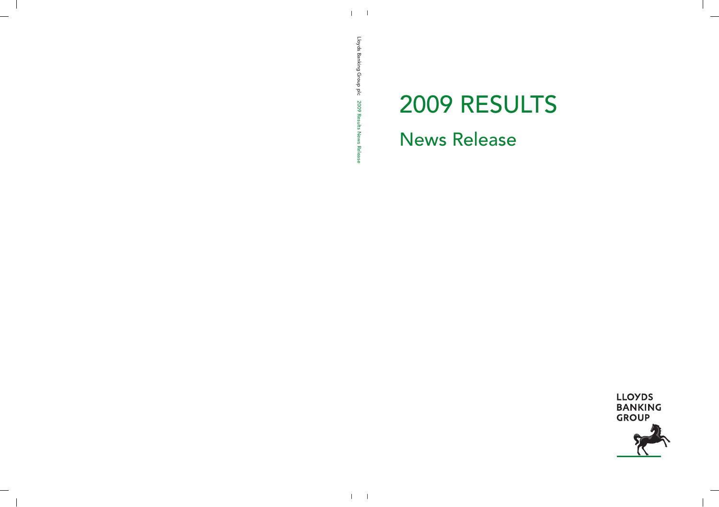# 2009 RESULTS News Release

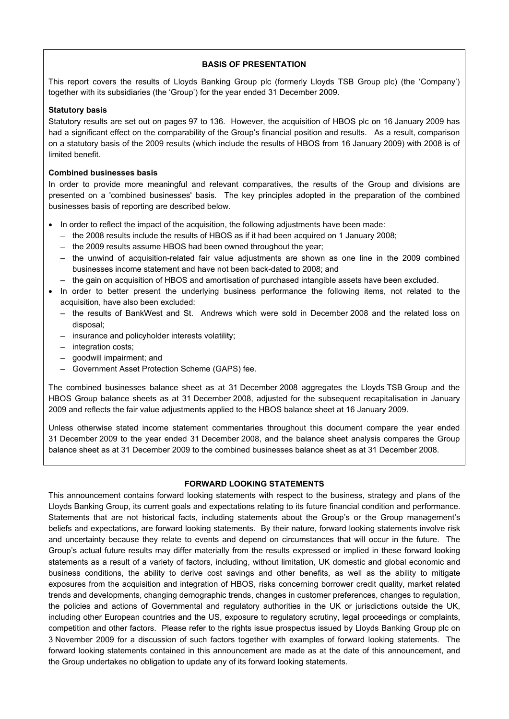# **BASIS OF PRESENTATION**

This report covers the results of Lloyds Banking Group plc (formerly Lloyds TSB Group plc) (the 'Company') together with its subsidiaries (the 'Group') for the year ended 31 December 2009.

## **Statutory basis**

Statutory results are set out on pages 97 to 136. However, the acquisition of HBOS plc on 16 January 2009 has had a significant effect on the comparability of the Group's financial position and results. As a result, comparison on a statutory basis of the 2009 results (which include the results of HBOS from 16 January 2009) with 2008 is of limited benefit.

## **Combined businesses basis**

In order to provide more meaningful and relevant comparatives, the results of the Group and divisions are presented on a 'combined businesses' basis. The key principles adopted in the preparation of the combined businesses basis of reporting are described below.

- In order to reflect the impact of the acquisition, the following adjustments have been made:
	- the 2008 results include the results of HBOS as if it had been acquired on 1 January 2008;
	- the 2009 results assume HBOS had been owned throughout the year;
	- the unwind of acquisition-related fair value adjustments are shown as one line in the 2009 combined businesses income statement and have not been back-dated to 2008; and
	- the gain on acquisition of HBOS and amortisation of purchased intangible assets have been excluded.
- In order to better present the underlying business performance the following items, not related to the acquisition, have also been excluded:
	- the results of BankWest and St. Andrews which were sold in December 2008 and the related loss on disposal;
	- insurance and policyholder interests volatility;
	- integration costs;
	- goodwill impairment; and
	- Government Asset Protection Scheme (GAPS) fee.

The combined businesses balance sheet as at 31 December 2008 aggregates the Lloyds TSB Group and the HBOS Group balance sheets as at 31 December 2008, adjusted for the subsequent recapitalisation in January 2009 and reflects the fair value adjustments applied to the HBOS balance sheet at 16 January 2009.

Unless otherwise stated income statement commentaries throughout this document compare the year ended 31 December 2009 to the year ended 31 December 2008, and the balance sheet analysis compares the Group balance sheet as at 31 December 2009 to the combined businesses balance sheet as at 31 December 2008.

# **FORWARD LOOKING STATEMENTS**

This announcement contains forward looking statements with respect to the business, strategy and plans of the Lloyds Banking Group, its current goals and expectations relating to its future financial condition and performance. Statements that are not historical facts, including statements about the Group's or the Group management's beliefs and expectations, are forward looking statements. By their nature, forward looking statements involve risk and uncertainty because they relate to events and depend on circumstances that will occur in the future. The Group's actual future results may differ materially from the results expressed or implied in these forward looking statements as a result of a variety of factors, including, without limitation, UK domestic and global economic and business conditions, the ability to derive cost savings and other benefits, as well as the ability to mitigate exposures from the acquisition and integration of HBOS, risks concerning borrower credit quality, market related trends and developments, changing demographic trends, changes in customer preferences, changes to regulation, the policies and actions of Governmental and regulatory authorities in the UK or jurisdictions outside the UK, including other European countries and the US, exposure to regulatory scrutiny, legal proceedings or complaints, competition and other factors. Please refer to the rights issue prospectus issued by Lloyds Banking Group plc on 3 November 2009 for a discussion of such factors together with examples of forward looking statements. The forward looking statements contained in this announcement are made as at the date of this announcement, and the Group undertakes no obligation to update any of its forward looking statements.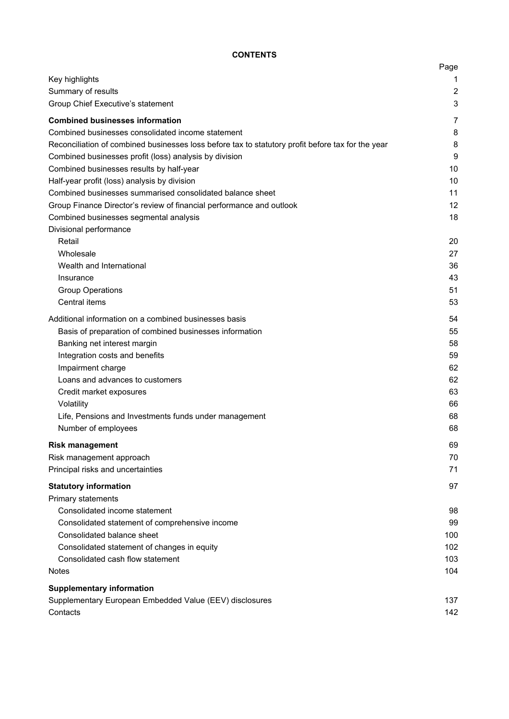# **CONTENTS**

|                                                                                                   | Page           |
|---------------------------------------------------------------------------------------------------|----------------|
| Key highlights                                                                                    | 1              |
| Summary of results                                                                                | $\overline{2}$ |
| Group Chief Executive's statement                                                                 | 3              |
| <b>Combined businesses information</b>                                                            | 7              |
| Combined businesses consolidated income statement                                                 | 8              |
| Reconciliation of combined businesses loss before tax to statutory profit before tax for the year | 8              |
| Combined businesses profit (loss) analysis by division                                            | 9              |
| Combined businesses results by half-year                                                          | 10             |
| Half-year profit (loss) analysis by division                                                      | 10             |
| Combined businesses summarised consolidated balance sheet                                         | 11             |
| Group Finance Director's review of financial performance and outlook                              | 12             |
| Combined businesses segmental analysis                                                            | 18             |
| Divisional performance                                                                            |                |
| Retail                                                                                            | 20             |
| Wholesale                                                                                         | 27             |
| Wealth and International                                                                          | 36             |
| Insurance                                                                                         | 43             |
| <b>Group Operations</b>                                                                           | 51             |
| Central items                                                                                     | 53             |
| Additional information on a combined businesses basis                                             | 54             |
| Basis of preparation of combined businesses information                                           | 55             |
| Banking net interest margin                                                                       | 58             |
| Integration costs and benefits                                                                    | 59             |
| Impairment charge                                                                                 | 62             |
| Loans and advances to customers                                                                   | 62             |
| Credit market exposures                                                                           | 63             |
| Volatility                                                                                        | 66             |
| Life, Pensions and Investments funds under management                                             | 68             |
| Number of employees                                                                               | 68             |
| <b>Risk management</b>                                                                            | 69             |
| Risk management approach                                                                          | 70             |
| Principal risks and uncertainties                                                                 | 71             |
| <b>Statutory information</b>                                                                      | 97             |
| Primary statements                                                                                |                |
| Consolidated income statement                                                                     | 98             |
| Consolidated statement of comprehensive income                                                    | 99             |
| Consolidated balance sheet                                                                        | 100            |
| Consolidated statement of changes in equity                                                       | 102            |
| Consolidated cash flow statement                                                                  | 103            |
| <b>Notes</b>                                                                                      | 104            |
| <b>Supplementary information</b>                                                                  |                |
| Supplementary European Embedded Value (EEV) disclosures                                           | 137            |
| Contacts                                                                                          | 142            |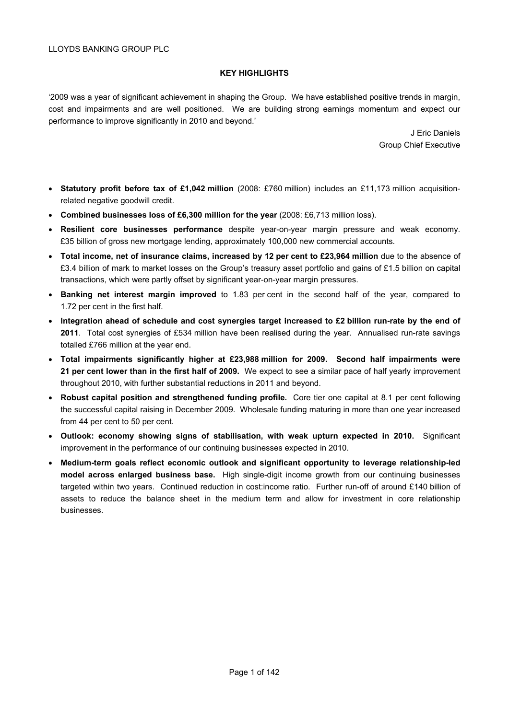# **KEY HIGHLIGHTS**

'2009 was a year of significant achievement in shaping the Group. We have established positive trends in margin, cost and impairments and are well positioned. We are building strong earnings momentum and expect our performance to improve significantly in 2010 and beyond.'

> J Eric Daniels Group Chief Executive

- **Statutory profit before tax of £1,042 million** (2008: £760 million) includes an £11,173 million acquisitionrelated negative goodwill credit.
- **Combined businesses loss of £6,300 million for the year** (2008: £6,713 million loss).
- **Resilient core businesses performance** despite year-on-year margin pressure and weak economy. £35 billion of gross new mortgage lending, approximately 100,000 new commercial accounts.
- **Total income, net of insurance claims, increased by 12 per cent to £23,964 million** due to the absence of £3.4 billion of mark to market losses on the Group's treasury asset portfolio and gains of £1.5 billion on capital transactions, which were partly offset by significant year-on-year margin pressures.
- **Banking net interest margin improved** to 1.83 per cent in the second half of the year, compared to 1.72 per cent in the first half.
- **Integration ahead of schedule and cost synergies target increased to £2 billion run-rate by the end of 2011**. Total cost synergies of £534 million have been realised during the year. Annualised run-rate savings totalled £766 million at the year end.
- **Total impairments significantly higher at £23,988 million for 2009. Second half impairments were 21 per cent lower than in the first half of 2009.** We expect to see a similar pace of half yearly improvement throughout 2010, with further substantial reductions in 2011 and beyond.
- **Robust capital position and strengthened funding profile.** Core tier one capital at 8.1 per cent following the successful capital raising in December 2009. Wholesale funding maturing in more than one year increased from 44 per cent to 50 per cent.
- **Outlook: economy showing signs of stabilisation, with weak upturn expected in 2010.** Significant improvement in the performance of our continuing businesses expected in 2010.
- **Medium-term goals reflect economic outlook and significant opportunity to leverage relationship-led model across enlarged business base.** High single-digit income growth from our continuing businesses targeted within two years. Continued reduction in cost:income ratio. Further run-off of around £140 billion of assets to reduce the balance sheet in the medium term and allow for investment in core relationship businesses.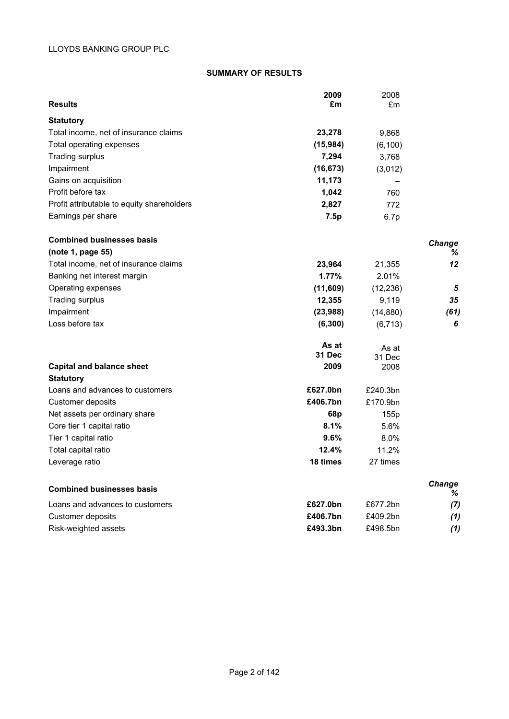# **SUMMARY OF RESULTS**

| <b>Results</b>                                            | 2009<br>£m             | 2008<br>£m     |             |
|-----------------------------------------------------------|------------------------|----------------|-------------|
|                                                           |                        |                |             |
| <b>Statutory</b><br>Total income, net of insurance claims | 23,278                 | 9,868          |             |
| Total operating expenses                                  | (15,984)               | (6, 100)       |             |
| Trading surplus                                           | 7,294                  | 3,768          |             |
| Impairment                                                | (16, 673)              | (3,012)        |             |
| Gains on acquisition                                      | 11,173                 |                |             |
| Profit before tax                                         | 1,042                  | 760            |             |
| Profit attributable to equity shareholders                | 2,827                  | 772            |             |
| Earnings per share                                        | 7.5p                   | 6.7p           |             |
| <b>Combined businesses basis</b>                          |                        |                | Change      |
| (note 1, page 55)                                         |                        |                | %           |
| Total income, net of insurance claims                     | 23,964                 | 21,355         | 12          |
| Banking net interest margin                               | 1.77%                  | 2.01%          |             |
| Operating expenses                                        | (11,609)               | (12, 236)      | 5           |
| Trading surplus                                           | 12,355                 | 9,119          | 35          |
| Impairment                                                | (23, 988)              | (14, 880)      | (61)        |
| Loss before tax                                           | (6, 300)               | (6, 713)       | 6           |
|                                                           | As at<br><b>31 Dec</b> | As at          |             |
| <b>Capital and balance sheet</b>                          | 2009                   | 31 Dec<br>2008 |             |
| <b>Statutory</b>                                          |                        |                |             |
| Loans and advances to customers                           | £627.0bn               | £240.3bn       |             |
| Customer deposits                                         | £406.7bn               | £170.9bn       |             |
| Net assets per ordinary share                             | 68p                    | 155p           |             |
| Core tier 1 capital ratio                                 | 8.1%                   | 5.6%           |             |
| Tier 1 capital ratio                                      | 9.6%                   | 8.0%           |             |
| Total capital ratio                                       | 12.4%                  | 11.2%          |             |
| Leverage ratio                                            | 18 times               | 27 times       |             |
| <b>Combined businesses basis</b>                          |                        |                | Change<br>% |
| Loans and advances to customers                           | £627.0bn               | £677.2bn       | (7)         |
| Customer deposits                                         | £406.7bn               | £409.2bn       | (1)         |

Risk-weighted assets **£493.3bn** £498.5bn *(1)*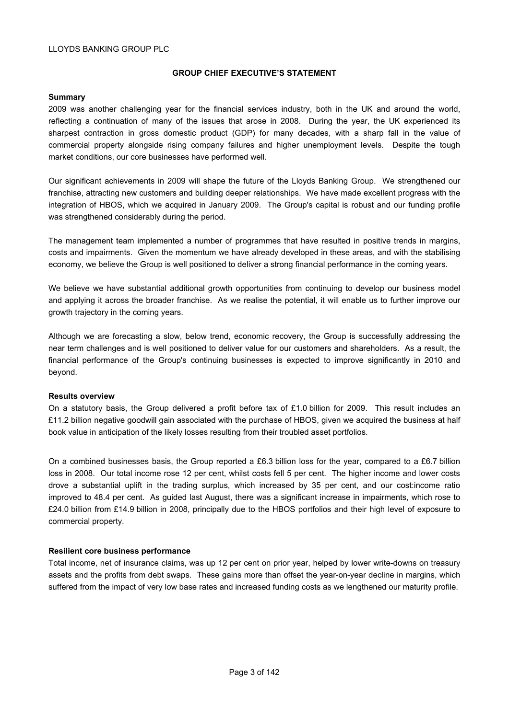#### **GROUP CHIEF EXECUTIVE'S STATEMENT**

## **Summary**

2009 was another challenging year for the financial services industry, both in the UK and around the world, reflecting a continuation of many of the issues that arose in 2008. During the year, the UK experienced its sharpest contraction in gross domestic product (GDP) for many decades, with a sharp fall in the value of commercial property alongside rising company failures and higher unemployment levels. Despite the tough market conditions, our core businesses have performed well.

Our significant achievements in 2009 will shape the future of the Lloyds Banking Group. We strengthened our franchise, attracting new customers and building deeper relationships. We have made excellent progress with the integration of HBOS, which we acquired in January 2009. The Group's capital is robust and our funding profile was strengthened considerably during the period.

The management team implemented a number of programmes that have resulted in positive trends in margins, costs and impairments. Given the momentum we have already developed in these areas, and with the stabilising economy, we believe the Group is well positioned to deliver a strong financial performance in the coming years.

We believe we have substantial additional growth opportunities from continuing to develop our business model and applying it across the broader franchise. As we realise the potential, it will enable us to further improve our growth trajectory in the coming years.

Although we are forecasting a slow, below trend, economic recovery, the Group is successfully addressing the near term challenges and is well positioned to deliver value for our customers and shareholders. As a result, the financial performance of the Group's continuing businesses is expected to improve significantly in 2010 and beyond.

#### **Results overview**

On a statutory basis, the Group delivered a profit before tax of £1.0 billion for 2009. This result includes an £11.2 billion negative goodwill gain associated with the purchase of HBOS, given we acquired the business at half book value in anticipation of the likely losses resulting from their troubled asset portfolios.

On a combined businesses basis, the Group reported a £6.3 billion loss for the year, compared to a £6.7 billion loss in 2008. Our total income rose 12 per cent, whilst costs fell 5 per cent. The higher income and lower costs drove a substantial uplift in the trading surplus, which increased by 35 per cent, and our cost:income ratio improved to 48.4 per cent. As guided last August, there was a significant increase in impairments, which rose to £24.0 billion from £14.9 billion in 2008, principally due to the HBOS portfolios and their high level of exposure to commercial property.

## **Resilient core business performance**

Total income, net of insurance claims, was up 12 per cent on prior year, helped by lower write-downs on treasury assets and the profits from debt swaps. These gains more than offset the year-on-year decline in margins, which suffered from the impact of very low base rates and increased funding costs as we lengthened our maturity profile.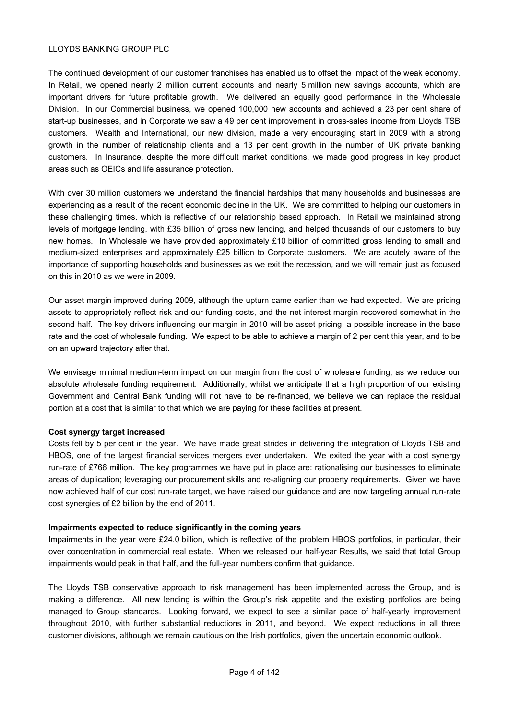The continued development of our customer franchises has enabled us to offset the impact of the weak economy. In Retail, we opened nearly 2 million current accounts and nearly 5 million new savings accounts, which are important drivers for future profitable growth. We delivered an equally good performance in the Wholesale Division. In our Commercial business, we opened 100,000 new accounts and achieved a 23 per cent share of start-up businesses, and in Corporate we saw a 49 per cent improvement in cross-sales income from Lloyds TSB customers. Wealth and International, our new division, made a very encouraging start in 2009 with a strong growth in the number of relationship clients and a 13 per cent growth in the number of UK private banking customers. In Insurance, despite the more difficult market conditions, we made good progress in key product areas such as OEICs and life assurance protection.

With over 30 million customers we understand the financial hardships that many households and businesses are experiencing as a result of the recent economic decline in the UK. We are committed to helping our customers in these challenging times, which is reflective of our relationship based approach. In Retail we maintained strong levels of mortgage lending, with £35 billion of gross new lending, and helped thousands of our customers to buy new homes. In Wholesale we have provided approximately £10 billion of committed gross lending to small and medium-sized enterprises and approximately £25 billion to Corporate customers. We are acutely aware of the importance of supporting households and businesses as we exit the recession, and we will remain just as focused on this in 2010 as we were in 2009.

Our asset margin improved during 2009, although the upturn came earlier than we had expected. We are pricing assets to appropriately reflect risk and our funding costs, and the net interest margin recovered somewhat in the second half. The key drivers influencing our margin in 2010 will be asset pricing, a possible increase in the base rate and the cost of wholesale funding. We expect to be able to achieve a margin of 2 per cent this year, and to be on an upward trajectory after that.

We envisage minimal medium-term impact on our margin from the cost of wholesale funding, as we reduce our absolute wholesale funding requirement. Additionally, whilst we anticipate that a high proportion of our existing Government and Central Bank funding will not have to be re-financed, we believe we can replace the residual portion at a cost that is similar to that which we are paying for these facilities at present.

# **Cost synergy target increased**

Costs fell by 5 per cent in the year. We have made great strides in delivering the integration of Lloyds TSB and HBOS, one of the largest financial services mergers ever undertaken. We exited the year with a cost synergy run-rate of £766 million. The key programmes we have put in place are: rationalising our businesses to eliminate areas of duplication; leveraging our procurement skills and re-aligning our property requirements. Given we have now achieved half of our cost run-rate target, we have raised our guidance and are now targeting annual run-rate cost synergies of £2 billion by the end of 2011.

## **Impairments expected to reduce significantly in the coming years**

Impairments in the year were £24.0 billion, which is reflective of the problem HBOS portfolios, in particular, their over concentration in commercial real estate. When we released our half-year Results, we said that total Group impairments would peak in that half, and the full-year numbers confirm that guidance.

The Lloyds TSB conservative approach to risk management has been implemented across the Group, and is making a difference. All new lending is within the Group's risk appetite and the existing portfolios are being managed to Group standards. Looking forward, we expect to see a similar pace of half-yearly improvement throughout 2010, with further substantial reductions in 2011, and beyond. We expect reductions in all three customer divisions, although we remain cautious on the Irish portfolios, given the uncertain economic outlook.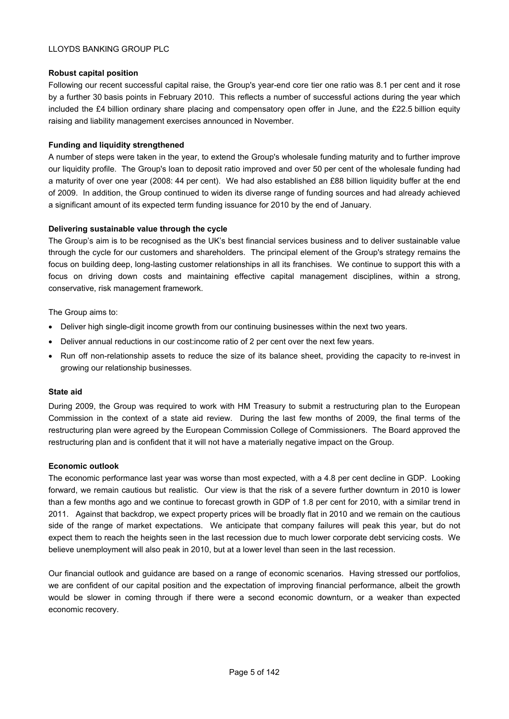# **Robust capital position**

Following our recent successful capital raise, the Group's year-end core tier one ratio was 8.1 per cent and it rose by a further 30 basis points in February 2010. This reflects a number of successful actions during the year which included the £4 billion ordinary share placing and compensatory open offer in June, and the £22.5 billion equity raising and liability management exercises announced in November.

# **Funding and liquidity strengthened**

A number of steps were taken in the year, to extend the Group's wholesale funding maturity and to further improve our liquidity profile. The Group's loan to deposit ratio improved and over 50 per cent of the wholesale funding had a maturity of over one year (2008: 44 per cent). We had also established an £88 billion liquidity buffer at the end of 2009. In addition, the Group continued to widen its diverse range of funding sources and had already achieved a significant amount of its expected term funding issuance for 2010 by the end of January.

# **Delivering sustainable value through the cycle**

The Group's aim is to be recognised as the UK's best financial services business and to deliver sustainable value through the cycle for our customers and shareholders. The principal element of the Group's strategy remains the focus on building deep, long-lasting customer relationships in all its franchises. We continue to support this with a focus on driving down costs and maintaining effective capital management disciplines, within a strong, conservative, risk management framework.

The Group aims to:

- Deliver high single-digit income growth from our continuing businesses within the next two years.
- Deliver annual reductions in our cost: income ratio of 2 per cent over the next few years.
- Run off non-relationship assets to reduce the size of its balance sheet, providing the capacity to re-invest in growing our relationship businesses.

## **State aid**

During 2009, the Group was required to work with HM Treasury to submit a restructuring plan to the European Commission in the context of a state aid review. During the last few months of 2009, the final terms of the restructuring plan were agreed by the European Commission College of Commissioners. The Board approved the restructuring plan and is confident that it will not have a materially negative impact on the Group.

## **Economic outlook**

The economic performance last year was worse than most expected, with a 4.8 per cent decline in GDP. Looking forward, we remain cautious but realistic. Our view is that the risk of a severe further downturn in 2010 is lower than a few months ago and we continue to forecast growth in GDP of 1.8 per cent for 2010, with a similar trend in 2011. Against that backdrop, we expect property prices will be broadly flat in 2010 and we remain on the cautious side of the range of market expectations. We anticipate that company failures will peak this year, but do not expect them to reach the heights seen in the last recession due to much lower corporate debt servicing costs. We believe unemployment will also peak in 2010, but at a lower level than seen in the last recession.

Our financial outlook and guidance are based on a range of economic scenarios. Having stressed our portfolios, we are confident of our capital position and the expectation of improving financial performance, albeit the growth would be slower in coming through if there were a second economic downturn, or a weaker than expected economic recovery.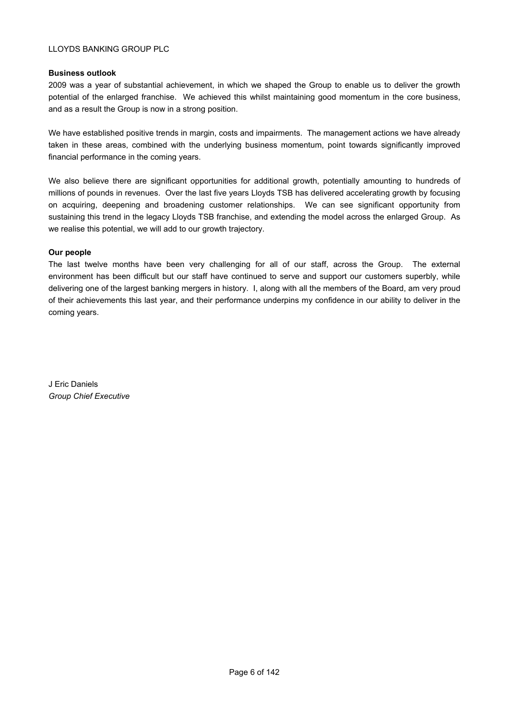## **Business outlook**

2009 was a year of substantial achievement, in which we shaped the Group to enable us to deliver the growth potential of the enlarged franchise. We achieved this whilst maintaining good momentum in the core business, and as a result the Group is now in a strong position.

We have established positive trends in margin, costs and impairments. The management actions we have already taken in these areas, combined with the underlying business momentum, point towards significantly improved financial performance in the coming years.

We also believe there are significant opportunities for additional growth, potentially amounting to hundreds of millions of pounds in revenues. Over the last five years Lloyds TSB has delivered accelerating growth by focusing on acquiring, deepening and broadening customer relationships. We can see significant opportunity from sustaining this trend in the legacy Lloyds TSB franchise, and extending the model across the enlarged Group. As we realise this potential, we will add to our growth trajectory.

# **Our people**

The last twelve months have been very challenging for all of our staff, across the Group. The external environment has been difficult but our staff have continued to serve and support our customers superbly, while delivering one of the largest banking mergers in history. I, along with all the members of the Board, am very proud of their achievements this last year, and their performance underpins my confidence in our ability to deliver in the coming years.

J Eric Daniels *Group Chief Executive*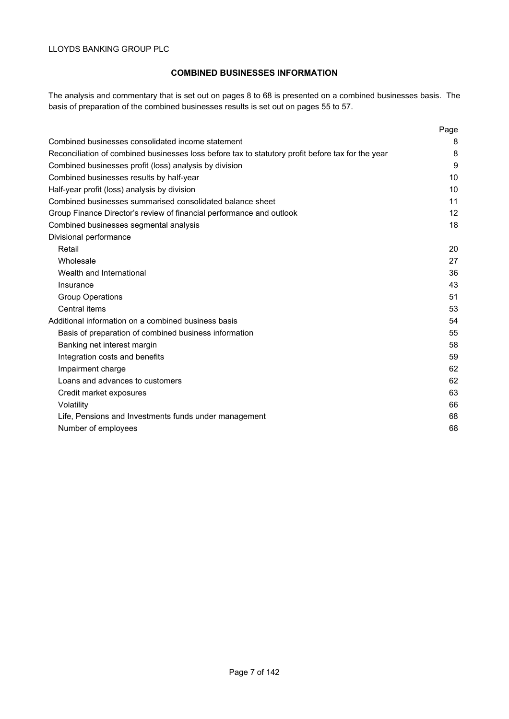# **COMBINED BUSINESSES INFORMATION**

The analysis and commentary that is set out on pages 8 to 68 is presented on a combined businesses basis. The basis of preparation of the combined businesses results is set out on pages 55 to 57.

|                                                                                                   | Page |
|---------------------------------------------------------------------------------------------------|------|
| Combined businesses consolidated income statement                                                 | 8    |
| Reconciliation of combined businesses loss before tax to statutory profit before tax for the year | 8    |
| Combined businesses profit (loss) analysis by division                                            | 9    |
| Combined businesses results by half-year                                                          | 10   |
| Half-year profit (loss) analysis by division                                                      | 10   |
| Combined businesses summarised consolidated balance sheet                                         | 11   |
| Group Finance Director's review of financial performance and outlook                              | 12   |
| Combined businesses segmental analysis                                                            | 18   |
| Divisional performance                                                                            |      |
| Retail                                                                                            | 20   |
| Wholesale                                                                                         | 27   |
| Wealth and International                                                                          | 36   |
| Insurance                                                                                         | 43   |
| <b>Group Operations</b>                                                                           | 51   |
| Central items                                                                                     | 53   |
| Additional information on a combined business basis                                               | 54   |
| Basis of preparation of combined business information                                             | 55   |
| Banking net interest margin                                                                       | 58   |
| Integration costs and benefits                                                                    | 59   |
| Impairment charge                                                                                 | 62   |
| Loans and advances to customers                                                                   | 62   |
| Credit market exposures                                                                           | 63   |
| Volatility                                                                                        | 66   |
| Life, Pensions and Investments funds under management                                             | 68   |
| Number of employees                                                                               | 68   |
|                                                                                                   |      |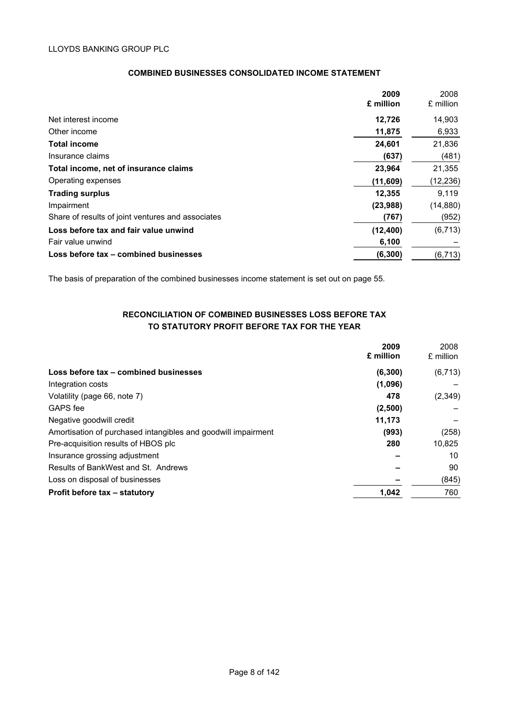| <b>COMBINED BUSINESSES CONSOLIDATED INCOME STATEMENT</b> |
|----------------------------------------------------------|
|----------------------------------------------------------|

| 2009      | 2008      |
|-----------|-----------|
| £ million | £ million |
| 12,726    | 14,903    |
| 11,875    | 6,933     |
| 24,601    | 21,836    |
| (637)     | (481)     |
| 23,964    | 21,355    |
| (11,609)  | (12, 236) |
| 12,355    | 9.119     |
| (23,988)  | (14, 880) |
| (767)     | (952)     |
| (12, 400) | (6, 713)  |
| 6,100     |           |
| (6, 300)  | (6, 713)  |
|           |           |

The basis of preparation of the combined businesses income statement is set out on page 55.

# **RECONCILIATION OF COMBINED BUSINESSES LOSS BEFORE TAX TO STATUTORY PROFIT BEFORE TAX FOR THE YEAR**

|                                                               | 2009      | 2008      |
|---------------------------------------------------------------|-----------|-----------|
|                                                               | £ million | £ million |
| Loss before tax - combined businesses                         | (6, 300)  | (6, 713)  |
| Integration costs                                             | (1,096)   |           |
| Volatility (page 66, note 7)                                  | 478       | (2, 349)  |
| GAPS fee                                                      | (2,500)   |           |
| Negative goodwill credit                                      | 11.173    |           |
| Amortisation of purchased intangibles and goodwill impairment | (993)     | (258)     |
| Pre-acquisition results of HBOS plc                           | 280       | 10,825    |
| Insurance grossing adjustment                                 |           | 10        |
| Results of BankWest and St. Andrews                           |           | 90        |
| Loss on disposal of businesses                                |           | (845)     |
| Profit before tax - statutory                                 | 1,042     | 760       |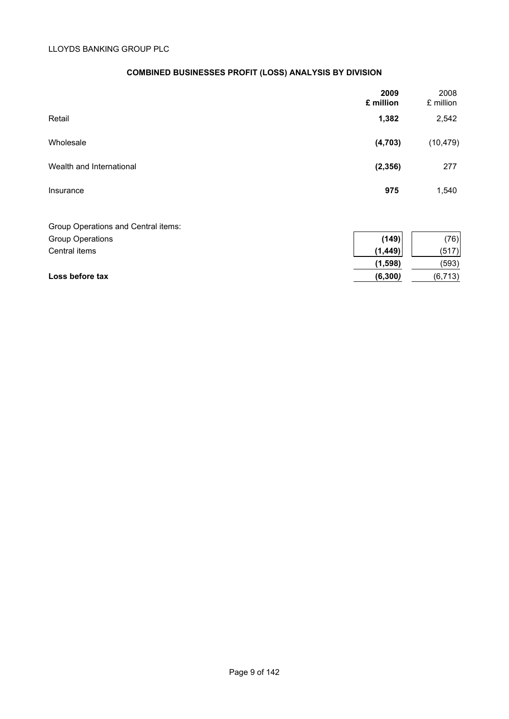# **COMBINED BUSINESSES PROFIT (LOSS) ANALYSIS BY DIVISION**

|                                     | 2009<br>£ million | 2008<br>£ million |
|-------------------------------------|-------------------|-------------------|
| Retail                              | 1,382             | 2,542             |
| Wholesale                           | (4, 703)          | (10, 479)         |
| Wealth and International            | (2, 356)          | 277               |
| Insurance                           | 975               | 1,540             |
| Group Operations and Central items: |                   |                   |
| <b>Group Operations</b>             | (149)             | (76)              |

| Central items   | (1.449)  | (517)    |
|-----------------|----------|----------|
|                 | (1,598)  | (593)    |
| Loss before tax | (6, 300) | (6, 713) |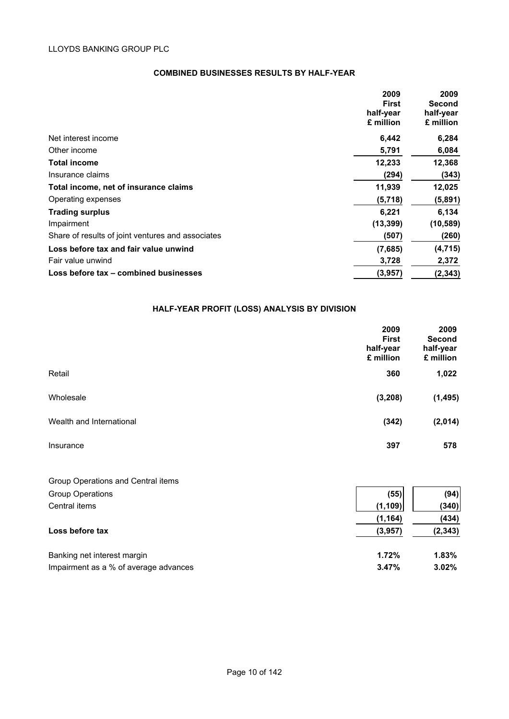# **COMBINED BUSINESSES RESULTS BY HALF-YEAR**

|                                                   | 2009<br>2009                  |
|---------------------------------------------------|-------------------------------|
|                                                   | <b>First</b><br><b>Second</b> |
| half-year                                         | half-year                     |
| £ million                                         | £ million                     |
| Net interest income                               | 6,284<br>6,442                |
| Other income                                      | 5,791<br>6,084                |
| <b>Total income</b>                               | 12,368<br>12,233              |
| Insurance claims                                  | (294)<br>(343)                |
| Total income, net of insurance claims             | 11,939<br>12,025              |
| Operating expenses                                | (5,891)<br>(5,718)            |
| <b>Trading surplus</b>                            | 6,134<br>6,221                |
| Impairment                                        | (10, 589)<br>(13, 399)        |
| Share of results of joint ventures and associates | (260)<br>(507)                |
| Loss before tax and fair value unwind             | (4, 715)<br>(7,685)           |
| Fair value unwind                                 | 3,728<br>2,372                |
| Loss before tax - combined businesses             | (3,957)<br>(2, 343)           |

# **HALF-YEAR PROFIT (LOSS) ANALYSIS BY DIVISION**

|                          | 2009<br><b>First</b><br>half-year<br>£ million | 2009<br><b>Second</b><br>half-year<br>£ million |
|--------------------------|------------------------------------------------|-------------------------------------------------|
| Retail                   | 360                                            | 1,022                                           |
| Wholesale                | (3, 208)                                       | (1, 495)                                        |
| Wealth and International | (342)                                          | (2,014)                                         |
| Insurance                | 397                                            | 578                                             |

| Group Operations and Central items    |          |          |
|---------------------------------------|----------|----------|
| <b>Group Operations</b>               | (55)     | (94)     |
| Central items                         | (1, 109) | (340)    |
|                                       | (1, 164) | (434)    |
| Loss before tax                       | (3,957)  | (2, 343) |
| Banking net interest margin           | 1.72%    | $1.83\%$ |
| Impairment as a % of average advances | 3.47%    | $3.02\%$ |
|                                       |          |          |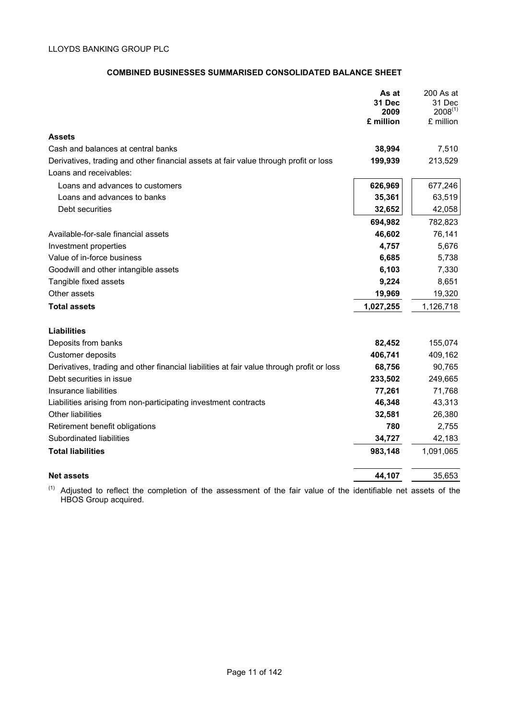# **COMBINED BUSINESSES SUMMARISED CONSOLIDATED BALANCE SHEET**

| £ million                                                                                                      | As at<br><b>31 Dec</b><br>2009 | 200 As at<br>31 Dec<br>$2008^{(1)}$<br>£ million |
|----------------------------------------------------------------------------------------------------------------|--------------------------------|--------------------------------------------------|
| <b>Assets</b>                                                                                                  |                                |                                                  |
| Cash and balances at central banks                                                                             | 38,994                         | 7,510                                            |
| Derivatives, trading and other financial assets at fair value through profit or loss<br>Loans and receivables: | 199,939                        | 213,529                                          |
| Loans and advances to customers                                                                                | 626,969                        | 677,246                                          |
| Loans and advances to banks                                                                                    | 35,361                         | 63,519                                           |
| Debt securities                                                                                                | 32,652                         | 42,058                                           |
|                                                                                                                | 694,982                        | 782,823                                          |
| Available-for-sale financial assets                                                                            | 46,602                         | 76,141                                           |
| Investment properties                                                                                          | 4,757                          | 5,676                                            |
| Value of in-force business                                                                                     | 6,685                          | 5,738                                            |
| Goodwill and other intangible assets                                                                           | 6,103                          | 7,330                                            |
| Tangible fixed assets                                                                                          | 9,224                          | 8,651                                            |
| Other assets                                                                                                   | 19,969                         | 19,320                                           |
| <b>Total assets</b><br>1,027,255                                                                               |                                | 1,126,718                                        |
| <b>Liabilities</b>                                                                                             |                                |                                                  |
| Deposits from banks                                                                                            | 82,452                         | 155,074                                          |
| <b>Customer deposits</b>                                                                                       | 406,741                        | 409,162                                          |
| Derivatives, trading and other financial liabilities at fair value through profit or loss                      | 68,756                         | 90,765                                           |
| Debt securities in issue                                                                                       | 233,502                        | 249,665                                          |
| Insurance liabilities                                                                                          | 77,261                         | 71,768                                           |
| Liabilities arising from non-participating investment contracts                                                | 46,348                         | 43,313                                           |
| Other liabilities                                                                                              | 32,581                         | 26,380                                           |
| Retirement benefit obligations                                                                                 | 780                            | 2,755                                            |
| Subordinated liabilities                                                                                       | 34,727                         | 42,183                                           |
| <b>Total liabilities</b>                                                                                       | 983,148                        | 1,091,065                                        |
| <b>Net assets</b>                                                                                              | 44,107                         | 35,653                                           |

 $(1)$  Adjusted to reflect the completion of the assessment of the fair value of the identifiable net assets of the HBOS Group acquired.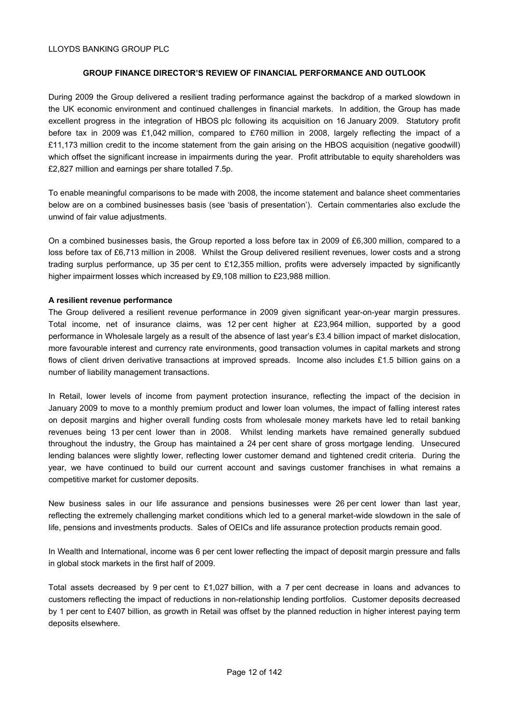# **GROUP FINANCE DIRECTOR'S REVIEW OF FINANCIAL PERFORMANCE AND OUTLOOK**

During 2009 the Group delivered a resilient trading performance against the backdrop of a marked slowdown in the UK economic environment and continued challenges in financial markets. In addition, the Group has made excellent progress in the integration of HBOS plc following its acquisition on 16 January 2009. Statutory profit before tax in 2009 was £1,042 million, compared to £760 million in 2008, largely reflecting the impact of a £11,173 million credit to the income statement from the gain arising on the HBOS acquisition (negative goodwill) which offset the significant increase in impairments during the year. Profit attributable to equity shareholders was £2,827 million and earnings per share totalled 7.5p.

To enable meaningful comparisons to be made with 2008, the income statement and balance sheet commentaries below are on a combined businesses basis (see 'basis of presentation'). Certain commentaries also exclude the unwind of fair value adjustments.

On a combined businesses basis, the Group reported a loss before tax in 2009 of £6,300 million, compared to a loss before tax of £6,713 million in 2008. Whilst the Group delivered resilient revenues, lower costs and a strong trading surplus performance, up 35 per cent to £12,355 million, profits were adversely impacted by significantly higher impairment losses which increased by £9,108 million to £23,988 million.

## **A resilient revenue performance**

The Group delivered a resilient revenue performance in 2009 given significant year-on-year margin pressures. Total income, net of insurance claims, was 12 per cent higher at £23,964 million, supported by a good performance in Wholesale largely as a result of the absence of last year's £3.4 billion impact of market dislocation, more favourable interest and currency rate environments, good transaction volumes in capital markets and strong flows of client driven derivative transactions at improved spreads. Income also includes £1.5 billion gains on a number of liability management transactions.

In Retail, lower levels of income from payment protection insurance, reflecting the impact of the decision in January 2009 to move to a monthly premium product and lower loan volumes, the impact of falling interest rates on deposit margins and higher overall funding costs from wholesale money markets have led to retail banking revenues being 13 per cent lower than in 2008. Whilst lending markets have remained generally subdued throughout the industry, the Group has maintained a 24 per cent share of gross mortgage lending. Unsecured lending balances were slightly lower, reflecting lower customer demand and tightened credit criteria. During the year, we have continued to build our current account and savings customer franchises in what remains a competitive market for customer deposits.

New business sales in our life assurance and pensions businesses were 26 per cent lower than last year, reflecting the extremely challenging market conditions which led to a general market-wide slowdown in the sale of life, pensions and investments products. Sales of OEICs and life assurance protection products remain good.

In Wealth and International, income was 6 per cent lower reflecting the impact of deposit margin pressure and falls in global stock markets in the first half of 2009.

Total assets decreased by 9 per cent to £1,027 billion, with a 7 per cent decrease in loans and advances to customers reflecting the impact of reductions in non-relationship lending portfolios. Customer deposits decreased by 1 per cent to £407 billion, as growth in Retail was offset by the planned reduction in higher interest paying term deposits elsewhere.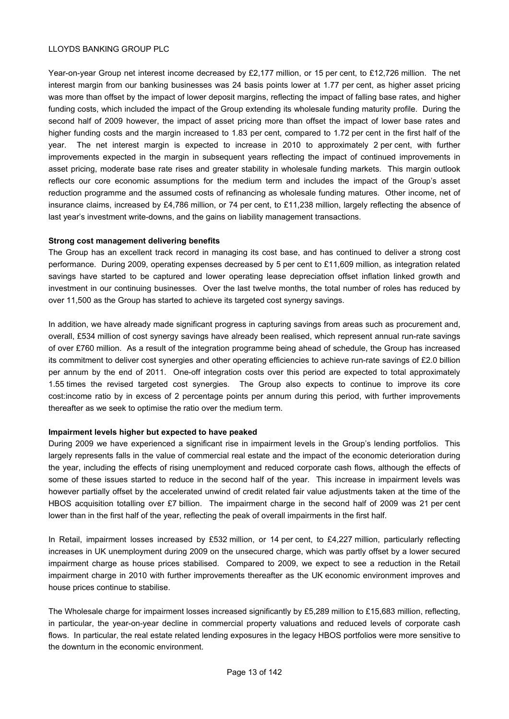Year-on-year Group net interest income decreased by £2,177 million, or 15 per cent, to £12,726 million. The net interest margin from our banking businesses was 24 basis points lower at 1.77 per cent, as higher asset pricing was more than offset by the impact of lower deposit margins, reflecting the impact of falling base rates, and higher funding costs, which included the impact of the Group extending its wholesale funding maturity profile. During the second half of 2009 however, the impact of asset pricing more than offset the impact of lower base rates and higher funding costs and the margin increased to 1.83 per cent, compared to 1.72 per cent in the first half of the year. The net interest margin is expected to increase in 2010 to approximately 2 per cent, with further improvements expected in the margin in subsequent years reflecting the impact of continued improvements in asset pricing, moderate base rate rises and greater stability in wholesale funding markets. This margin outlook reflects our core economic assumptions for the medium term and includes the impact of the Group's asset reduction programme and the assumed costs of refinancing as wholesale funding matures. Other income, net of insurance claims, increased by £4,786 million, or 74 per cent, to £11,238 million, largely reflecting the absence of last year's investment write-downs, and the gains on liability management transactions.

# **Strong cost management delivering benefits**

The Group has an excellent track record in managing its cost base, and has continued to deliver a strong cost performance. During 2009, operating expenses decreased by 5 per cent to £11,609 million, as integration related savings have started to be captured and lower operating lease depreciation offset inflation linked growth and investment in our continuing businesses. Over the last twelve months, the total number of roles has reduced by over 11,500 as the Group has started to achieve its targeted cost synergy savings.

In addition, we have already made significant progress in capturing savings from areas such as procurement and, overall, £534 million of cost synergy savings have already been realised, which represent annual run-rate savings of over £760 million. As a result of the integration programme being ahead of schedule, the Group has increased its commitment to deliver cost synergies and other operating efficiencies to achieve run-rate savings of £2.0 billion per annum by the end of 2011. One-off integration costs over this period are expected to total approximately 1.55 times the revised targeted cost synergies. The Group also expects to continue to improve its core cost:income ratio by in excess of 2 percentage points per annum during this period, with further improvements thereafter as we seek to optimise the ratio over the medium term.

## **Impairment levels higher but expected to have peaked**

During 2009 we have experienced a significant rise in impairment levels in the Group's lending portfolios. This largely represents falls in the value of commercial real estate and the impact of the economic deterioration during the year, including the effects of rising unemployment and reduced corporate cash flows, although the effects of some of these issues started to reduce in the second half of the year. This increase in impairment levels was however partially offset by the accelerated unwind of credit related fair value adjustments taken at the time of the HBOS acquisition totalling over £7 billion. The impairment charge in the second half of 2009 was 21 per cent lower than in the first half of the year, reflecting the peak of overall impairments in the first half.

In Retail, impairment losses increased by £532 million, or 14 per cent, to £4,227 million, particularly reflecting increases in UK unemployment during 2009 on the unsecured charge, which was partly offset by a lower secured impairment charge as house prices stabilised. Compared to 2009, we expect to see a reduction in the Retail impairment charge in 2010 with further improvements thereafter as the UK economic environment improves and house prices continue to stabilise.

The Wholesale charge for impairment losses increased significantly by £5,289 million to £15,683 million, reflecting, in particular, the year-on-year decline in commercial property valuations and reduced levels of corporate cash flows. In particular, the real estate related lending exposures in the legacy HBOS portfolios were more sensitive to the downturn in the economic environment.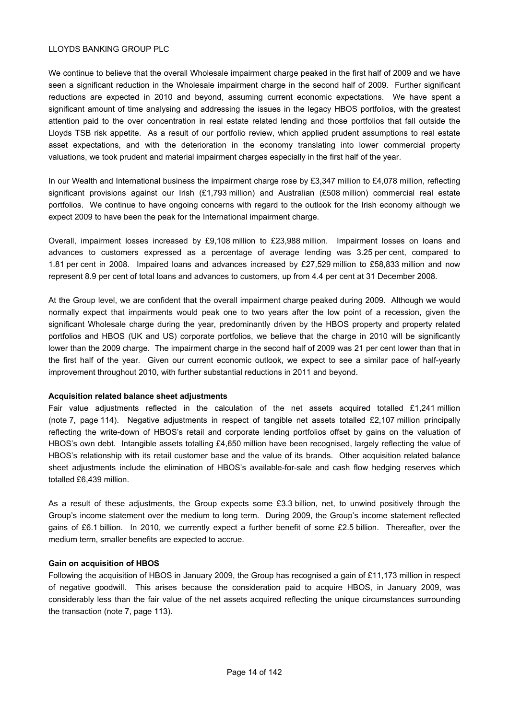We continue to believe that the overall Wholesale impairment charge peaked in the first half of 2009 and we have seen a significant reduction in the Wholesale impairment charge in the second half of 2009. Further significant reductions are expected in 2010 and beyond, assuming current economic expectations. We have spent a significant amount of time analysing and addressing the issues in the legacy HBOS portfolios, with the greatest attention paid to the over concentration in real estate related lending and those portfolios that fall outside the Lloyds TSB risk appetite. As a result of our portfolio review, which applied prudent assumptions to real estate asset expectations, and with the deterioration in the economy translating into lower commercial property valuations, we took prudent and material impairment charges especially in the first half of the year.

In our Wealth and International business the impairment charge rose by £3,347 million to £4,078 million, reflecting significant provisions against our Irish (£1,793 million) and Australian (£508 million) commercial real estate portfolios. We continue to have ongoing concerns with regard to the outlook for the Irish economy although we expect 2009 to have been the peak for the International impairment charge.

Overall, impairment losses increased by £9,108 million to £23,988 million. Impairment losses on loans and advances to customers expressed as a percentage of average lending was 3.25 per cent, compared to 1.81 per cent in 2008. Impaired loans and advances increased by £27,529 million to £58,833 million and now represent 8.9 per cent of total loans and advances to customers, up from 4.4 per cent at 31 December 2008.

At the Group level, we are confident that the overall impairment charge peaked during 2009. Although we would normally expect that impairments would peak one to two years after the low point of a recession, given the significant Wholesale charge during the year, predominantly driven by the HBOS property and property related portfolios and HBOS (UK and US) corporate portfolios, we believe that the charge in 2010 will be significantly lower than the 2009 charge. The impairment charge in the second half of 2009 was 21 per cent lower than that in the first half of the year. Given our current economic outlook, we expect to see a similar pace of half-yearly improvement throughout 2010, with further substantial reductions in 2011 and beyond.

## **Acquisition related balance sheet adjustments**

Fair value adjustments reflected in the calculation of the net assets acquired totalled £1,241 million (note 7, page 114). Negative adjustments in respect of tangible net assets totalled £2,107 million principally reflecting the write-down of HBOS's retail and corporate lending portfolios offset by gains on the valuation of HBOS's own debt. Intangible assets totalling £4,650 million have been recognised, largely reflecting the value of HBOS's relationship with its retail customer base and the value of its brands. Other acquisition related balance sheet adjustments include the elimination of HBOS's available-for-sale and cash flow hedging reserves which totalled £6,439 million.

As a result of these adjustments, the Group expects some £3.3 billion, net, to unwind positively through the Group's income statement over the medium to long term. During 2009, the Group's income statement reflected gains of £6.1 billion. In 2010, we currently expect a further benefit of some £2.5 billion. Thereafter, over the medium term, smaller benefits are expected to accrue.

# **Gain on acquisition of HBOS**

Following the acquisition of HBOS in January 2009, the Group has recognised a gain of £11,173 million in respect of negative goodwill. This arises because the consideration paid to acquire HBOS, in January 2009, was considerably less than the fair value of the net assets acquired reflecting the unique circumstances surrounding the transaction (note 7, page 113).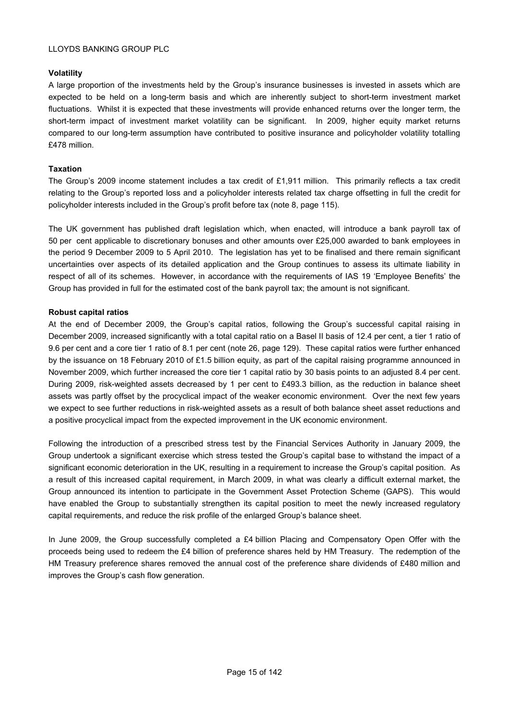# **Volatility**

A large proportion of the investments held by the Group's insurance businesses is invested in assets which are expected to be held on a long-term basis and which are inherently subject to short-term investment market fluctuations. Whilst it is expected that these investments will provide enhanced returns over the longer term, the short-term impact of investment market volatility can be significant. In 2009, higher equity market returns compared to our long-term assumption have contributed to positive insurance and policyholder volatility totalling £478 million.

# **Taxation**

The Group's 2009 income statement includes a tax credit of £1,911 million. This primarily reflects a tax credit relating to the Group's reported loss and a policyholder interests related tax charge offsetting in full the credit for policyholder interests included in the Group's profit before tax (note 8, page 115).

The UK government has published draft legislation which, when enacted, will introduce a bank payroll tax of 50 per cent applicable to discretionary bonuses and other amounts over £25,000 awarded to bank employees in the period 9 December 2009 to 5 April 2010. The legislation has yet to be finalised and there remain significant uncertainties over aspects of its detailed application and the Group continues to assess its ultimate liability in respect of all of its schemes. However, in accordance with the requirements of IAS 19 'Employee Benefits' the Group has provided in full for the estimated cost of the bank payroll tax; the amount is not significant.

# **Robust capital ratios**

At the end of December 2009, the Group's capital ratios, following the Group's successful capital raising in December 2009, increased significantly with a total capital ratio on a Basel II basis of 12.4 per cent, a tier 1 ratio of 9.6 per cent and a core tier 1 ratio of 8.1 per cent (note 26, page 129). These capital ratios were further enhanced by the issuance on 18 February 2010 of £1.5 billion equity, as part of the capital raising programme announced in November 2009, which further increased the core tier 1 capital ratio by 30 basis points to an adjusted 8.4 per cent. During 2009, risk-weighted assets decreased by 1 per cent to £493.3 billion, as the reduction in balance sheet assets was partly offset by the procyclical impact of the weaker economic environment. Over the next few years we expect to see further reductions in risk-weighted assets as a result of both balance sheet asset reductions and a positive procyclical impact from the expected improvement in the UK economic environment.

Following the introduction of a prescribed stress test by the Financial Services Authority in January 2009, the Group undertook a significant exercise which stress tested the Group's capital base to withstand the impact of a significant economic deterioration in the UK, resulting in a requirement to increase the Group's capital position. As a result of this increased capital requirement, in March 2009, in what was clearly a difficult external market, the Group announced its intention to participate in the Government Asset Protection Scheme (GAPS). This would have enabled the Group to substantially strengthen its capital position to meet the newly increased regulatory capital requirements, and reduce the risk profile of the enlarged Group's balance sheet.

In June 2009, the Group successfully completed a £4 billion Placing and Compensatory Open Offer with the proceeds being used to redeem the £4 billion of preference shares held by HM Treasury. The redemption of the HM Treasury preference shares removed the annual cost of the preference share dividends of £480 million and improves the Group's cash flow generation.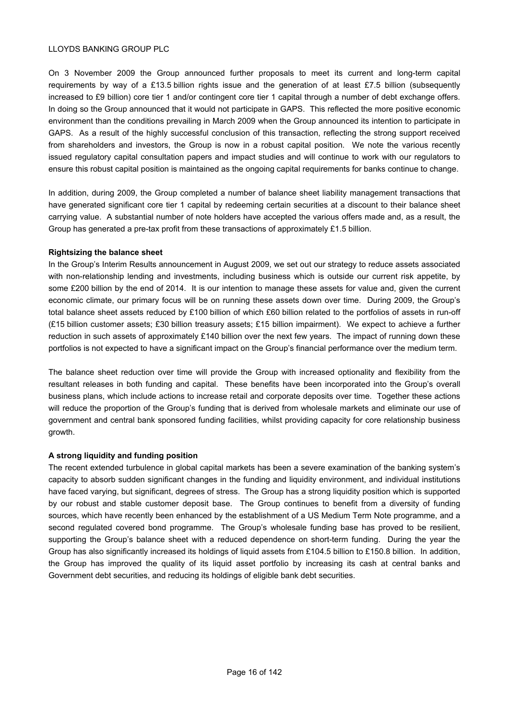On 3 November 2009 the Group announced further proposals to meet its current and long-term capital requirements by way of a £13.5 billion rights issue and the generation of at least £7.5 billion (subsequently increased to £9 billion) core tier 1 and/or contingent core tier 1 capital through a number of debt exchange offers. In doing so the Group announced that it would not participate in GAPS. This reflected the more positive economic environment than the conditions prevailing in March 2009 when the Group announced its intention to participate in GAPS. As a result of the highly successful conclusion of this transaction, reflecting the strong support received from shareholders and investors, the Group is now in a robust capital position. We note the various recently issued regulatory capital consultation papers and impact studies and will continue to work with our regulators to ensure this robust capital position is maintained as the ongoing capital requirements for banks continue to change.

In addition, during 2009, the Group completed a number of balance sheet liability management transactions that have generated significant core tier 1 capital by redeeming certain securities at a discount to their balance sheet carrying value. A substantial number of note holders have accepted the various offers made and, as a result, the Group has generated a pre-tax profit from these transactions of approximately £1.5 billion.

# **Rightsizing the balance sheet**

In the Group's Interim Results announcement in August 2009, we set out our strategy to reduce assets associated with non-relationship lending and investments, including business which is outside our current risk appetite, by some £200 billion by the end of 2014. It is our intention to manage these assets for value and, given the current economic climate, our primary focus will be on running these assets down over time. During 2009, the Group's total balance sheet assets reduced by £100 billion of which £60 billion related to the portfolios of assets in run-off (£15 billion customer assets; £30 billion treasury assets; £15 billion impairment). We expect to achieve a further reduction in such assets of approximately £140 billion over the next few years. The impact of running down these portfolios is not expected to have a significant impact on the Group's financial performance over the medium term.

The balance sheet reduction over time will provide the Group with increased optionality and flexibility from the resultant releases in both funding and capital. These benefits have been incorporated into the Group's overall business plans, which include actions to increase retail and corporate deposits over time. Together these actions will reduce the proportion of the Group's funding that is derived from wholesale markets and eliminate our use of government and central bank sponsored funding facilities, whilst providing capacity for core relationship business growth.

# **A strong liquidity and funding position**

The recent extended turbulence in global capital markets has been a severe examination of the banking system's capacity to absorb sudden significant changes in the funding and liquidity environment, and individual institutions have faced varying, but significant, degrees of stress. The Group has a strong liquidity position which is supported by our robust and stable customer deposit base. The Group continues to benefit from a diversity of funding sources, which have recently been enhanced by the establishment of a US Medium Term Note programme, and a second regulated covered bond programme. The Group's wholesale funding base has proved to be resilient, supporting the Group's balance sheet with a reduced dependence on short-term funding. During the year the Group has also significantly increased its holdings of liquid assets from £104.5 billion to £150.8 billion. In addition, the Group has improved the quality of its liquid asset portfolio by increasing its cash at central banks and Government debt securities, and reducing its holdings of eligible bank debt securities.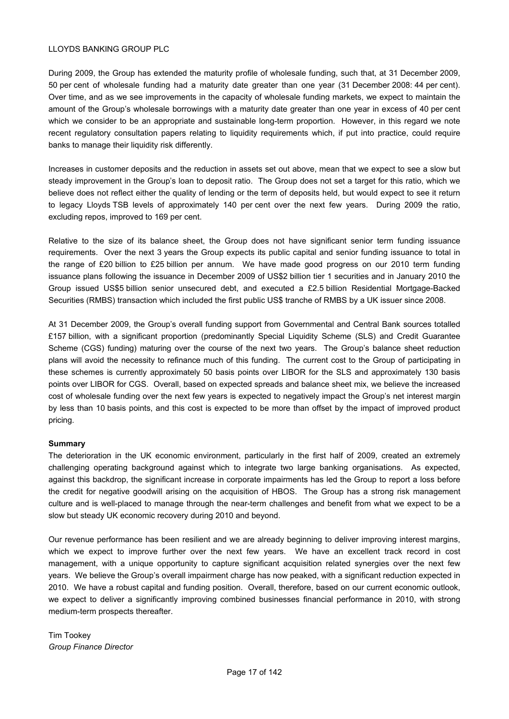During 2009, the Group has extended the maturity profile of wholesale funding, such that, at 31 December 2009, 50 per cent of wholesale funding had a maturity date greater than one year (31 December 2008: 44 per cent). Over time, and as we see improvements in the capacity of wholesale funding markets, we expect to maintain the amount of the Group's wholesale borrowings with a maturity date greater than one year in excess of 40 per cent which we consider to be an appropriate and sustainable long-term proportion. However, in this regard we note recent regulatory consultation papers relating to liquidity requirements which, if put into practice, could require banks to manage their liquidity risk differently.

Increases in customer deposits and the reduction in assets set out above, mean that we expect to see a slow but steady improvement in the Group's loan to deposit ratio. The Group does not set a target for this ratio, which we believe does not reflect either the quality of lending or the term of deposits held, but would expect to see it return to legacy Lloyds TSB levels of approximately 140 per cent over the next few years. During 2009 the ratio, excluding repos, improved to 169 per cent.

Relative to the size of its balance sheet, the Group does not have significant senior term funding issuance requirements. Over the next 3 years the Group expects its public capital and senior funding issuance to total in the range of £20 billion to £25 billion per annum. We have made good progress on our 2010 term funding issuance plans following the issuance in December 2009 of US\$2 billion tier 1 securities and in January 2010 the Group issued US\$5 billion senior unsecured debt, and executed a £2.5 billion Residential Mortgage-Backed Securities (RMBS) transaction which included the first public US\$ tranche of RMBS by a UK issuer since 2008.

At 31 December 2009, the Group's overall funding support from Governmental and Central Bank sources totalled £157 billion, with a significant proportion (predominantly Special Liquidity Scheme (SLS) and Credit Guarantee Scheme (CGS) funding) maturing over the course of the next two years. The Group's balance sheet reduction plans will avoid the necessity to refinance much of this funding. The current cost to the Group of participating in these schemes is currently approximately 50 basis points over LIBOR for the SLS and approximately 130 basis points over LIBOR for CGS. Overall, based on expected spreads and balance sheet mix, we believe the increased cost of wholesale funding over the next few years is expected to negatively impact the Group's net interest margin by less than 10 basis points, and this cost is expected to be more than offset by the impact of improved product pricing.

# **Summary**

The deterioration in the UK economic environment, particularly in the first half of 2009, created an extremely challenging operating background against which to integrate two large banking organisations. As expected, against this backdrop, the significant increase in corporate impairments has led the Group to report a loss before the credit for negative goodwill arising on the acquisition of HBOS. The Group has a strong risk management culture and is well-placed to manage through the near-term challenges and benefit from what we expect to be a slow but steady UK economic recovery during 2010 and beyond.

Our revenue performance has been resilient and we are already beginning to deliver improving interest margins, which we expect to improve further over the next few years. We have an excellent track record in cost management, with a unique opportunity to capture significant acquisition related synergies over the next few years. We believe the Group's overall impairment charge has now peaked, with a significant reduction expected in 2010. We have a robust capital and funding position. Overall, therefore, based on our current economic outlook, we expect to deliver a significantly improving combined businesses financial performance in 2010, with strong medium-term prospects thereafter.

Tim Tookey *Group Finance Director*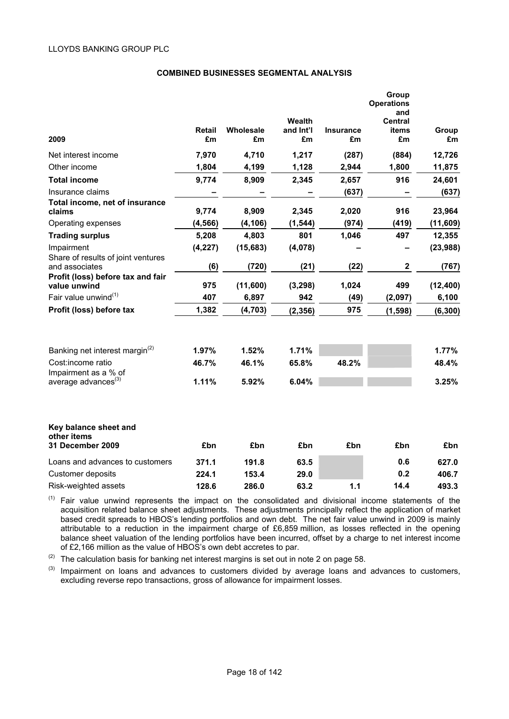# **COMBINED BUSINESSES SEGMENTAL ANALYSIS**

|                                                   |              |                 |                 |                        | Group<br><b>Operations</b><br>and |             |
|---------------------------------------------------|--------------|-----------------|-----------------|------------------------|-----------------------------------|-------------|
|                                                   |              |                 | Wealth          |                        | Central                           |             |
| 2009                                              | Retail<br>£m | Wholesale<br>£m | and Int'l<br>£m | <b>Insurance</b><br>£m | items<br>£m                       | Group<br>£m |
| Net interest income                               | 7,970        | 4,710           | 1,217           | (287)                  | (884)                             | 12,726      |
| Other income                                      | 1,804        | 4,199           | 1,128           | 2,944                  | 1,800                             | 11,875      |
| <b>Total income</b>                               | 9,774        | 8,909           | 2,345           | 2,657                  | 916                               | 24,601      |
| Insurance claims                                  |              |                 |                 | (637)                  |                                   | (637)       |
| Total income, net of insurance<br>claims          | 9,774        | 8,909           | 2,345           | 2,020                  | 916                               | 23,964      |
| Operating expenses                                | (4, 566)     | (4, 106)        | (1, 544)        | (974)                  | (419)                             | (11, 609)   |
| <b>Trading surplus</b>                            | 5,208        | 4,803           | 801             | 1,046                  | 497                               | 12,355      |
| Impairment<br>Share of results of joint ventures  | (4, 227)     | (15, 683)       | (4,078)         |                        |                                   | (23, 988)   |
| and associates                                    | (6)          | (720)           | (21)            | (22)                   | $\mathbf 2$                       | (767)       |
| Profit (loss) before tax and fair<br>value unwind | 975          | (11,600)        | (3, 298)        | 1,024                  | 499                               | (12, 400)   |
| Fair value unwind $(1)$                           | 407          | 6,897           | 942             | (49)                   | (2,097)                           | 6,100       |
| Profit (loss) before tax                          | 1,382        | (4, 703)        | (2, 356)        | 975                    | (1, 598)                          | (6, 300)    |
|                                                   |              |                 |                 |                        |                                   |             |
| Banking net interest margin <sup>(2)</sup>        | 1.97%        | 1.52%           | 1.71%           |                        |                                   | 1.77%       |
| Cost:income ratio<br>Impairment as a % of         | 46.7%        | 46.1%           | 65.8%           | 48.2%                  |                                   | 48.4%       |
| average advances <sup>(3)</sup>                   | 1.11%        | 5.92%           | 6.04%           |                        |                                   | 3.25%       |
| Key balance sheet and<br>other items              |              |                 |                 |                        |                                   |             |
| 31 December 2009                                  | £bn          | £bn             | £bn             | £bn                    | £bn                               | £bn         |
| Loans and advances to customers                   | 371.1        | 191.8           | 63.5            |                        | 0.6                               | 627.0       |
| Customer deposits                                 | 224.1        | 153.4           | 29.0            |                        | 0.2                               | 406.7       |
| Risk-weighted assets                              | 128.6        | 286.0           | 63.2            | 1.1                    | 14.4                              | 493.3       |

 $(1)$  Fair value unwind represents the impact on the consolidated and divisional income statements of the acquisition related balance sheet adjustments. These adjustments principally reflect the application of market based credit spreads to HBOS's lending portfolios and own debt. The net fair value unwind in 2009 is mainly attributable to a reduction in the impairment charge of £6,859 million, as losses reflected in the opening balance sheet valuation of the lending portfolios have been incurred, offset by a charge to net interest income of £2,166 million as the value of HBOS's own debt accretes to par.

 $(2)$  The calculation basis for banking net interest margins is set out in note 2 on page 58.

(3) Impairment on loans and advances to customers divided by average loans and advances to customers, excluding reverse repo transactions, gross of allowance for impairment losses.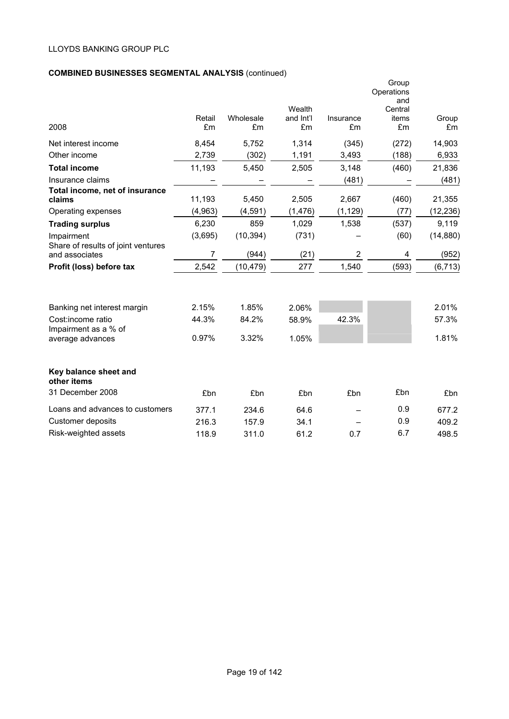# **COMBINED BUSINESSES SEGMENTAL ANALYSIS** (continued)

|                                                  | Retail  | Wholesale | Wealth<br>and Int'l | Insurance      | Group<br>Operations<br>and<br>Central<br>items | Group           |
|--------------------------------------------------|---------|-----------|---------------------|----------------|------------------------------------------------|-----------------|
| 2008                                             | £m      | £m        | £m                  | £m             | £m                                             | £m              |
| Net interest income                              | 8,454   | 5,752     | 1,314               | (345)          | (272)                                          | 14,903          |
| Other income                                     | 2,739   | (302)     | 1,191               | 3,493          | (188)                                          | 6,933           |
| <b>Total income</b>                              | 11,193  | 5,450     | 2,505               | 3,148          | (460)                                          | 21,836          |
| Insurance claims                                 |         |           |                     | (481)          |                                                | (481)           |
| Total income, net of insurance<br>claims         | 11,193  | 5,450     | 2,505               | 2,667          | (460)                                          | 21,355          |
| Operating expenses                               | (4,963) | (4, 591)  | (1, 476)            | (1, 129)       | (77)                                           | (12, 236)       |
| <b>Trading surplus</b>                           | 6,230   | 859       | 1,029               | 1,538          | (537)                                          | 9,119           |
| Impairment<br>Share of results of joint ventures | (3,695) | (10, 394) | (731)               |                | (60)                                           | (14, 880)       |
| and associates                                   | 7       | (944)     | (21)                | $\overline{2}$ | 4                                              | (952)           |
| Profit (loss) before tax                         | 2,542   | (10, 479) | 277                 | 1,540          | (593)                                          | (6, 713)        |
| Banking net interest margin                      | 2.15%   | 1.85%     | 2.06%               |                |                                                | 2.01%           |
| Cost:income ratio<br>Impairment as a % of        | 44.3%   | 84.2%     | 58.9%               | 42.3%          |                                                | 57.3%           |
| average advances                                 | 0.97%   | 3.32%     | 1.05%               |                |                                                | 1.81%           |
| Key balance sheet and<br>other items             |         |           |                     |                |                                                |                 |
| 31 December 2008                                 | £bn     | £bn       | £bn                 | £bn            | £bn                                            | £ <sub>bn</sub> |
| Loans and advances to customers                  | 377.1   | 234.6     | 64.6                |                | 0.9                                            | 677.2           |
| Customer deposits                                | 216.3   | 157.9     | 34.1                |                | 0.9                                            | 409.2           |
| Risk-weighted assets                             | 118.9   | 311.0     | 61.2                | 0.7            | 6.7                                            | 498.5           |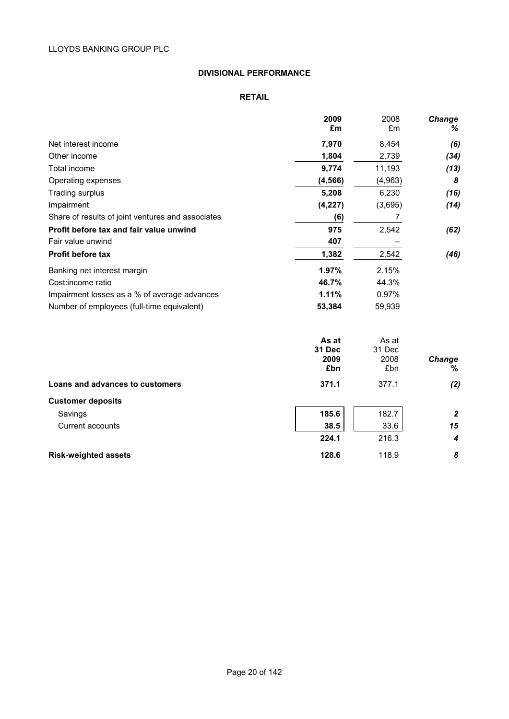# **DIVISIONAL PERFORMANCE**

# **RETAIL**

|                                                   | 2009<br>£m                     | 2008<br>£m                     | <b>Change</b><br>% |
|---------------------------------------------------|--------------------------------|--------------------------------|--------------------|
| Net interest income                               | 7,970                          | 8,454                          | (6)                |
| Other income                                      | 1,804                          | 2,739                          | (34)               |
| Total income                                      | 9,774                          | 11,193                         | (13)               |
| Operating expenses                                | (4, 566)                       | (4,963)                        | 8                  |
| Trading surplus                                   | 5,208                          | 6,230                          | (16)               |
| Impairment                                        | (4,227)                        | (3,695)                        | (14)               |
| Share of results of joint ventures and associates | (6)                            | $\overline{7}$                 |                    |
| Profit before tax and fair value unwind           | 975                            | 2,542                          | (62)               |
| Fair value unwind                                 | 407                            |                                |                    |
| <b>Profit before tax</b>                          | 1,382                          | 2,542                          | (46)               |
| Banking net interest margin                       | 1.97%                          | 2.15%                          |                    |
| Cost:income ratio                                 | 46.7%                          | 44.3%                          |                    |
| Impairment losses as a % of average advances      | 1.11%                          | 0.97%                          |                    |
| Number of employees (full-time equivalent)        | 53,384                         | 59,939                         |                    |
|                                                   | As at<br>31 Dec<br>2009<br>£bn | As at<br>31 Dec<br>2008<br>£bn | Change<br>%        |
| Loans and advances to customers                   | 371.1                          | 377.1                          | (2)                |
| <b>Customer deposits</b>                          |                                |                                |                    |
| Savings                                           | 185.6                          | 182.7                          | $\boldsymbol{2}$   |
| Current accounts                                  | 38.5                           | 33.6                           | 15                 |

| Current accounts            | 38.5  | 33.6  | 15 |
|-----------------------------|-------|-------|----|
|                             | 224.1 | 216.3 |    |
| <b>Risk-weighted assets</b> | 128.6 | 118.9 | 8  |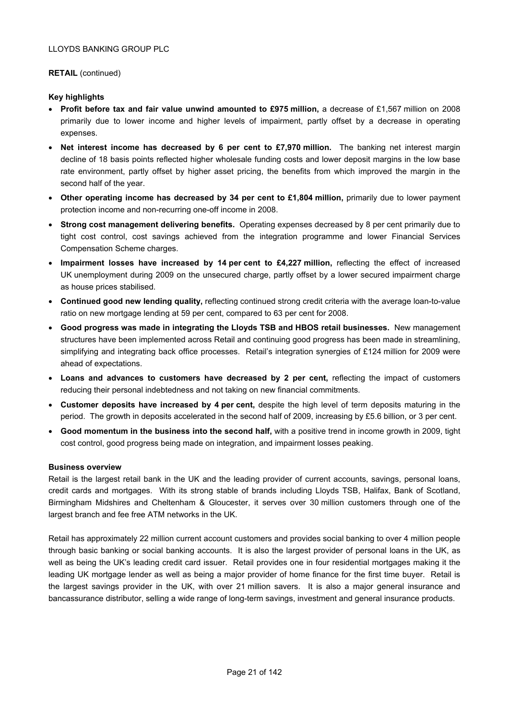# **RETAIL** (continued)

# **Key highlights**

- **Profit before tax and fair value unwind amounted to £975 million,** a decrease of £1,567 million on 2008 primarily due to lower income and higher levels of impairment, partly offset by a decrease in operating expenses.
- **Net interest income has decreased by 6 per cent to £7,970 million.** The banking net interest margin decline of 18 basis points reflected higher wholesale funding costs and lower deposit margins in the low base rate environment, partly offset by higher asset pricing, the benefits from which improved the margin in the second half of the year.
- Other operating income has decreased by 34 per cent to £1,804 million, primarily due to lower payment protection income and non-recurring one-off income in 2008.
- **Strong cost management delivering benefits.** Operating expenses decreased by 8 per cent primarily due to tight cost control, cost savings achieved from the integration programme and lower Financial Services Compensation Scheme charges.
- Impairment losses have increased by 14 per cent to £4,227 million, reflecting the effect of increased UK unemployment during 2009 on the unsecured charge, partly offset by a lower secured impairment charge as house prices stabilised.
- **Continued good new lending quality,** reflecting continued strong credit criteria with the average loan-to-value ratio on new mortgage lending at 59 per cent, compared to 63 per cent for 2008.
- **Good progress was made in integrating the Lloyds TSB and HBOS retail businesses.** New management structures have been implemented across Retail and continuing good progress has been made in streamlining, simplifying and integrating back office processes. Retail's integration synergies of £124 million for 2009 were ahead of expectations.
- **Loans and advances to customers have decreased by 2 per cent,** reflecting the impact of customers reducing their personal indebtedness and not taking on new financial commitments.
- **Customer deposits have increased by 4 per cent,** despite the high level of term deposits maturing in the period. The growth in deposits accelerated in the second half of 2009, increasing by £5.6 billion, or 3 per cent.
- **Good momentum in the business into the second half,** with a positive trend in income growth in 2009, tight cost control, good progress being made on integration, and impairment losses peaking.

# **Business overview**

Retail is the largest retail bank in the UK and the leading provider of current accounts, savings, personal loans, credit cards and mortgages. With its strong stable of brands including Lloyds TSB, Halifax, Bank of Scotland, Birmingham Midshires and Cheltenham & Gloucester, it serves over 30 million customers through one of the largest branch and fee free ATM networks in the UK.

Retail has approximately 22 million current account customers and provides social banking to over 4 million people through basic banking or social banking accounts. It is also the largest provider of personal loans in the UK, as well as being the UK's leading credit card issuer. Retail provides one in four residential mortgages making it the leading UK mortgage lender as well as being a major provider of home finance for the first time buyer. Retail is the largest savings provider in the UK, with over 21 million savers. It is also a major general insurance and bancassurance distributor, selling a wide range of long-term savings, investment and general insurance products.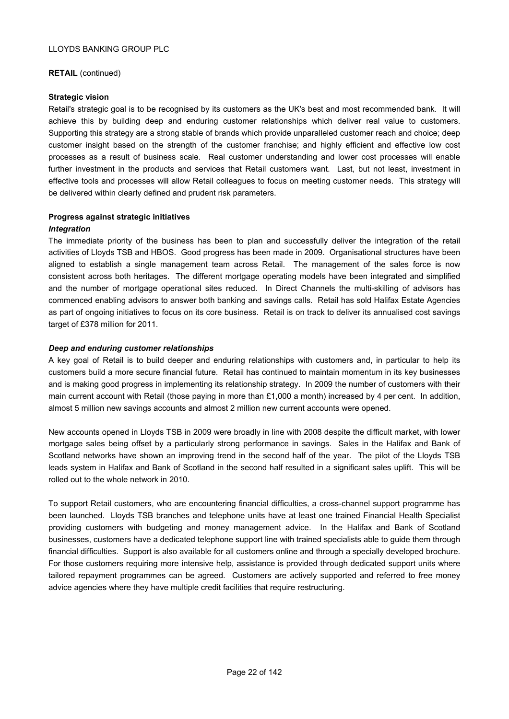# **RETAIL** (continued)

# **Strategic vision**

Retail's strategic goal is to be recognised by its customers as the UK's best and most recommended bank. It will achieve this by building deep and enduring customer relationships which deliver real value to customers. Supporting this strategy are a strong stable of brands which provide unparalleled customer reach and choice; deep customer insight based on the strength of the customer franchise; and highly efficient and effective low cost processes as a result of business scale. Real customer understanding and lower cost processes will enable further investment in the products and services that Retail customers want. Last, but not least, investment in effective tools and processes will allow Retail colleagues to focus on meeting customer needs. This strategy will be delivered within clearly defined and prudent risk parameters.

# **Progress against strategic initiatives**

# *Integration*

The immediate priority of the business has been to plan and successfully deliver the integration of the retail activities of Lloyds TSB and HBOS. Good progress has been made in 2009. Organisational structures have been aligned to establish a single management team across Retail. The management of the sales force is now consistent across both heritages. The different mortgage operating models have been integrated and simplified and the number of mortgage operational sites reduced. In Direct Channels the multi-skilling of advisors has commenced enabling advisors to answer both banking and savings calls. Retail has sold Halifax Estate Agencies as part of ongoing initiatives to focus on its core business. Retail is on track to deliver its annualised cost savings target of £378 million for 2011.

# *Deep and enduring customer relationships*

A key goal of Retail is to build deeper and enduring relationships with customers and, in particular to help its customers build a more secure financial future. Retail has continued to maintain momentum in its key businesses and is making good progress in implementing its relationship strategy. In 2009 the number of customers with their main current account with Retail (those paying in more than £1,000 a month) increased by 4 per cent. In addition, almost 5 million new savings accounts and almost 2 million new current accounts were opened.

New accounts opened in Lloyds TSB in 2009 were broadly in line with 2008 despite the difficult market, with lower mortgage sales being offset by a particularly strong performance in savings. Sales in the Halifax and Bank of Scotland networks have shown an improving trend in the second half of the year. The pilot of the Lloyds TSB leads system in Halifax and Bank of Scotland in the second half resulted in a significant sales uplift. This will be rolled out to the whole network in 2010.

To support Retail customers, who are encountering financial difficulties, a cross-channel support programme has been launched. Lloyds TSB branches and telephone units have at least one trained Financial Health Specialist providing customers with budgeting and money management advice. In the Halifax and Bank of Scotland businesses, customers have a dedicated telephone support line with trained specialists able to guide them through financial difficulties. Support is also available for all customers online and through a specially developed brochure. For those customers requiring more intensive help, assistance is provided through dedicated support units where tailored repayment programmes can be agreed. Customers are actively supported and referred to free money advice agencies where they have multiple credit facilities that require restructuring.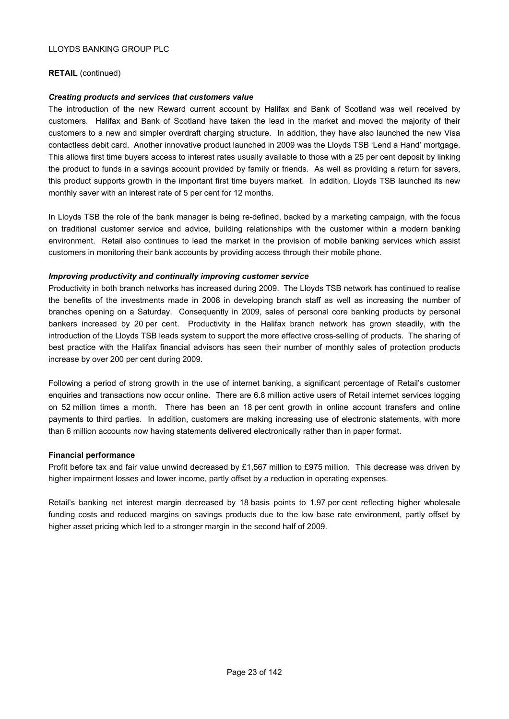# **RETAIL** (continued)

# *Creating products and services that customers value*

The introduction of the new Reward current account by Halifax and Bank of Scotland was well received by customers. Halifax and Bank of Scotland have taken the lead in the market and moved the majority of their customers to a new and simpler overdraft charging structure. In addition, they have also launched the new Visa contactless debit card. Another innovative product launched in 2009 was the Lloyds TSB 'Lend a Hand' mortgage. This allows first time buyers access to interest rates usually available to those with a 25 per cent deposit by linking the product to funds in a savings account provided by family or friends. As well as providing a return for savers, this product supports growth in the important first time buyers market. In addition, Lloyds TSB launched its new monthly saver with an interest rate of 5 per cent for 12 months.

In Lloyds TSB the role of the bank manager is being re-defined, backed by a marketing campaign, with the focus on traditional customer service and advice, building relationships with the customer within a modern banking environment. Retail also continues to lead the market in the provision of mobile banking services which assist customers in monitoring their bank accounts by providing access through their mobile phone.

# *Improving productivity and continually improving customer service*

Productivity in both branch networks has increased during 2009. The Lloyds TSB network has continued to realise the benefits of the investments made in 2008 in developing branch staff as well as increasing the number of branches opening on a Saturday. Consequently in 2009, sales of personal core banking products by personal bankers increased by 20 per cent. Productivity in the Halifax branch network has grown steadily, with the introduction of the Lloyds TSB leads system to support the more effective cross-selling of products. The sharing of best practice with the Halifax financial advisors has seen their number of monthly sales of protection products increase by over 200 per cent during 2009.

Following a period of strong growth in the use of internet banking, a significant percentage of Retail's customer enquiries and transactions now occur online. There are 6.8 million active users of Retail internet services logging on 52 million times a month. There has been an 18 per cent growth in online account transfers and online payments to third parties. In addition, customers are making increasing use of electronic statements, with more than 6 million accounts now having statements delivered electronically rather than in paper format.

## **Financial performance**

Profit before tax and fair value unwind decreased by £1,567 million to £975 million. This decrease was driven by higher impairment losses and lower income, partly offset by a reduction in operating expenses.

Retail's banking net interest margin decreased by 18 basis points to 1.97 per cent reflecting higher wholesale funding costs and reduced margins on savings products due to the low base rate environment, partly offset by higher asset pricing which led to a stronger margin in the second half of 2009.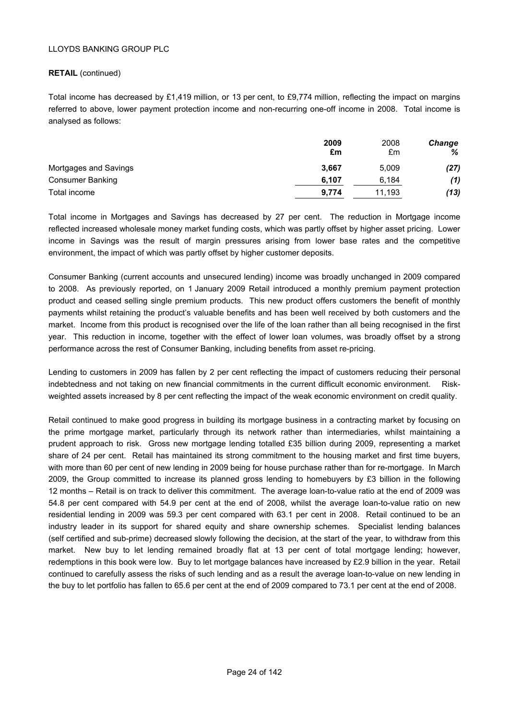# **RETAIL** (continued)

Total income has decreased by £1,419 million, or 13 per cent, to £9,774 million, reflecting the impact on margins referred to above, lower payment protection income and non-recurring one-off income in 2008. Total income is analysed as follows:

|                         | 2009<br>£m | 2008<br>£m | <b>Change</b><br>% |
|-------------------------|------------|------------|--------------------|
| Mortgages and Savings   | 3,667      | 5.009      | (27)               |
| <b>Consumer Banking</b> | 6.107      | 6.184      | (1)                |
| Total income            | 9,774      | 11,193     | (13)               |

Total income in Mortgages and Savings has decreased by 27 per cent. The reduction in Mortgage income reflected increased wholesale money market funding costs, which was partly offset by higher asset pricing. Lower income in Savings was the result of margin pressures arising from lower base rates and the competitive environment, the impact of which was partly offset by higher customer deposits.

Consumer Banking (current accounts and unsecured lending) income was broadly unchanged in 2009 compared to 2008. As previously reported, on 1 January 2009 Retail introduced a monthly premium payment protection product and ceased selling single premium products. This new product offers customers the benefit of monthly payments whilst retaining the product's valuable benefits and has been well received by both customers and the market. Income from this product is recognised over the life of the loan rather than all being recognised in the first year. This reduction in income, together with the effect of lower loan volumes, was broadly offset by a strong performance across the rest of Consumer Banking, including benefits from asset re-pricing.

Lending to customers in 2009 has fallen by 2 per cent reflecting the impact of customers reducing their personal indebtedness and not taking on new financial commitments in the current difficult economic environment. Riskweighted assets increased by 8 per cent reflecting the impact of the weak economic environment on credit quality.

Retail continued to make good progress in building its mortgage business in a contracting market by focusing on the prime mortgage market, particularly through its network rather than intermediaries, whilst maintaining a prudent approach to risk. Gross new mortgage lending totalled £35 billion during 2009, representing a market share of 24 per cent. Retail has maintained its strong commitment to the housing market and first time buyers, with more than 60 per cent of new lending in 2009 being for house purchase rather than for re-mortgage. In March 2009, the Group committed to increase its planned gross lending to homebuyers by £3 billion in the following 12 months – Retail is on track to deliver this commitment. The average loan-to-value ratio at the end of 2009 was 54.8 per cent compared with 54.9 per cent at the end of 2008, whilst the average loan-to-value ratio on new residential lending in 2009 was 59.3 per cent compared with 63.1 per cent in 2008. Retail continued to be an industry leader in its support for shared equity and share ownership schemes. Specialist lending balances (self certified and sub-prime) decreased slowly following the decision, at the start of the year, to withdraw from this market. New buy to let lending remained broadly flat at 13 per cent of total mortgage lending; however, redemptions in this book were low. Buy to let mortgage balances have increased by £2.9 billion in the year. Retail continued to carefully assess the risks of such lending and as a result the average loan-to-value on new lending in the buy to let portfolio has fallen to 65.6 per cent at the end of 2009 compared to 73.1 per cent at the end of 2008.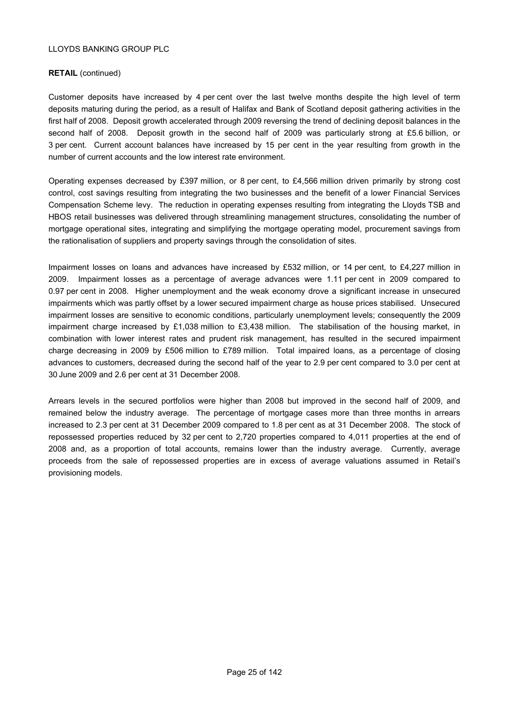# **RETAIL** (continued)

Customer deposits have increased by 4 per cent over the last twelve months despite the high level of term deposits maturing during the period, as a result of Halifax and Bank of Scotland deposit gathering activities in the first half of 2008. Deposit growth accelerated through 2009 reversing the trend of declining deposit balances in the second half of 2008. Deposit growth in the second half of 2009 was particularly strong at £5.6 billion, or 3 per cent. Current account balances have increased by 15 per cent in the year resulting from growth in the number of current accounts and the low interest rate environment.

Operating expenses decreased by £397 million, or 8 per cent, to £4,566 million driven primarily by strong cost control, cost savings resulting from integrating the two businesses and the benefit of a lower Financial Services Compensation Scheme levy. The reduction in operating expenses resulting from integrating the Lloyds TSB and HBOS retail businesses was delivered through streamlining management structures, consolidating the number of mortgage operational sites, integrating and simplifying the mortgage operating model, procurement savings from the rationalisation of suppliers and property savings through the consolidation of sites.

Impairment losses on loans and advances have increased by £532 million, or 14 per cent, to £4,227 million in 2009. Impairment losses as a percentage of average advances were 1.11 per cent in 2009 compared to 0.97 per cent in 2008. Higher unemployment and the weak economy drove a significant increase in unsecured impairments which was partly offset by a lower secured impairment charge as house prices stabilised. Unsecured impairment losses are sensitive to economic conditions, particularly unemployment levels; consequently the 2009 impairment charge increased by £1,038 million to £3,438 million. The stabilisation of the housing market, in combination with lower interest rates and prudent risk management, has resulted in the secured impairment charge decreasing in 2009 by £506 million to £789 million. Total impaired loans, as a percentage of closing advances to customers, decreased during the second half of the year to 2.9 per cent compared to 3.0 per cent at 30 June 2009 and 2.6 per cent at 31 December 2008.

Arrears levels in the secured portfolios were higher than 2008 but improved in the second half of 2009, and remained below the industry average. The percentage of mortgage cases more than three months in arrears increased to 2.3 per cent at 31 December 2009 compared to 1.8 per cent as at 31 December 2008. The stock of repossessed properties reduced by 32 per cent to 2,720 properties compared to 4,011 properties at the end of 2008 and, as a proportion of total accounts, remains lower than the industry average. Currently, average proceeds from the sale of repossessed properties are in excess of average valuations assumed in Retail's provisioning models.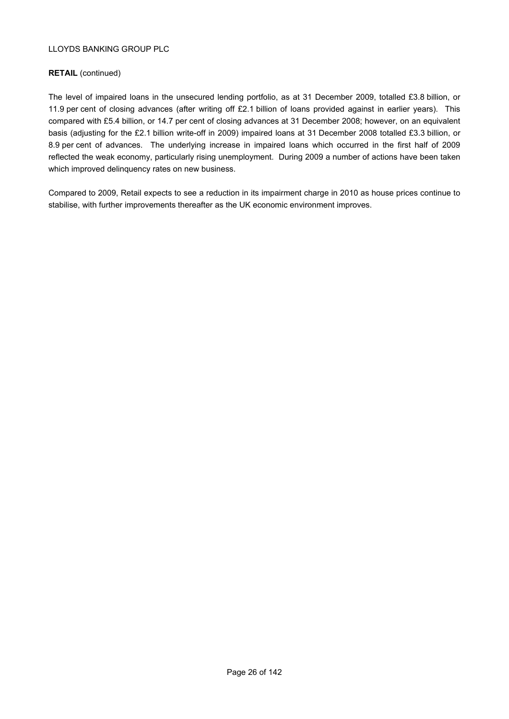# **RETAIL** (continued)

The level of impaired loans in the unsecured lending portfolio, as at 31 December 2009, totalled £3.8 billion, or 11.9 per cent of closing advances (after writing off £2.1 billion of loans provided against in earlier years). This compared with £5.4 billion, or 14.7 per cent of closing advances at 31 December 2008; however, on an equivalent basis (adjusting for the £2.1 billion write-off in 2009) impaired loans at 31 December 2008 totalled £3.3 billion, or 8.9 per cent of advances. The underlying increase in impaired loans which occurred in the first half of 2009 reflected the weak economy, particularly rising unemployment. During 2009 a number of actions have been taken which improved delinquency rates on new business.

Compared to 2009, Retail expects to see a reduction in its impairment charge in 2010 as house prices continue to stabilise, with further improvements thereafter as the UK economic environment improves.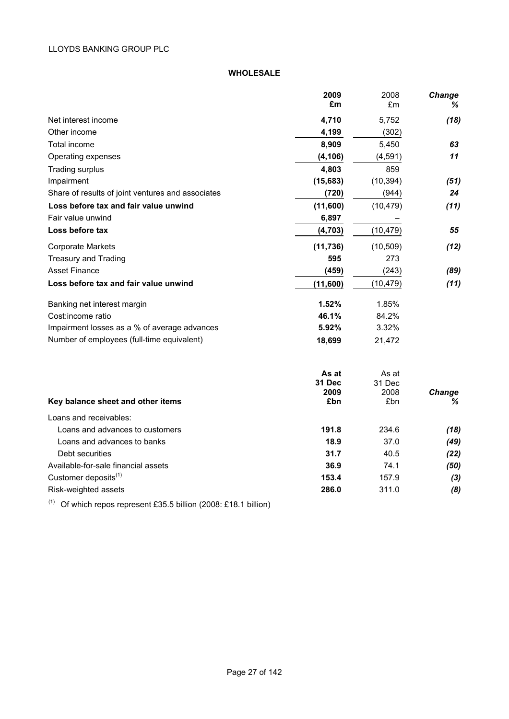# **WHOLESALE**

|                                                   | 2009            | 2008            | Change        |
|---------------------------------------------------|-----------------|-----------------|---------------|
|                                                   | £m              | £m              | ℅             |
| Net interest income                               | 4,710           | 5,752           | (18)          |
| Other income                                      | 4,199           | (302)           |               |
| Total income                                      | 8,909           | 5,450           | 63            |
| Operating expenses                                | (4, 106)        | (4, 591)        | 11            |
| <b>Trading surplus</b>                            | 4,803           | 859             |               |
| Impairment                                        | (15,683)        | (10, 394)       | (51)          |
| Share of results of joint ventures and associates | (720)           | (944)           | 24            |
| Loss before tax and fair value unwind             | (11,600)        | (10, 479)       | (11)          |
| Fair value unwind                                 | 6,897           |                 |               |
| Loss before tax                                   | (4, 703)        | (10, 479)       | 55            |
| <b>Corporate Markets</b>                          | (11, 736)       | (10, 509)       | (12)          |
| <b>Treasury and Trading</b>                       | 595             | 273             |               |
| <b>Asset Finance</b>                              | (459)           | (243)           | (89)          |
| Loss before tax and fair value unwind             | (11,600)        | (10, 479)       | (11)          |
| Banking net interest margin                       | 1.52%           | 1.85%           |               |
| Cost:income ratio                                 | 46.1%           | 84.2%           |               |
| Impairment losses as a % of average advances      | 5.92%           | 3.32%           |               |
| Number of employees (full-time equivalent)        | 18,699          | 21,472          |               |
|                                                   | As at<br>31 Dec | As at<br>31 Dec |               |
|                                                   | 2009            | 2008            | <b>Change</b> |
| Key balance sheet and other items                 | £bn             | £bn             | ℅             |
| Loans and receivables:                            |                 |                 |               |
| Loans and advances to customers                   | 191.8           | 234.6           | (18)          |
| Loans and advances to banks                       | 18.9            | 37.0            | (49)          |
| Debt securities                                   | 31.7            | 40.5            | (22)          |
| Available-for-sale financial assets               | 36.9            | 74.1            | (50)          |
| Customer deposits <sup>(1)</sup>                  | 153.4           | 157.9           | $(3)$         |
| Risk-weighted assets                              | 286.0           | 311.0           | (8)           |

(1) Of which repos represent £35.5 billion (2008: £18.1 billion)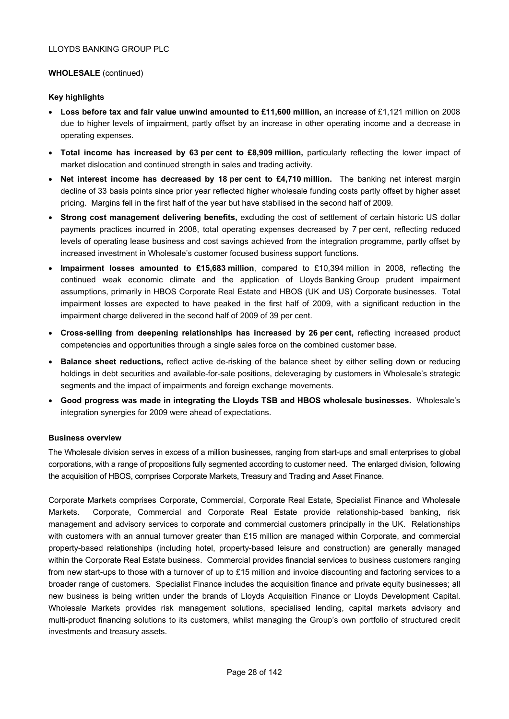# **WHOLESALE** (continued)

# **Key highlights**

- **Loss before tax and fair value unwind amounted to £11,600 million,** an increase of £1,121 million on 2008 due to higher levels of impairment, partly offset by an increase in other operating income and a decrease in operating expenses.
- **Total income has increased by 63 per cent to £8,909 million,** particularly reflecting the lower impact of market dislocation and continued strength in sales and trading activity.
- **Net interest income has decreased by 18 per cent to £4,710 million.** The banking net interest margin decline of 33 basis points since prior year reflected higher wholesale funding costs partly offset by higher asset pricing. Margins fell in the first half of the year but have stabilised in the second half of 2009.
- **Strong cost management delivering benefits,** excluding the cost of settlement of certain historic US dollar payments practices incurred in 2008, total operating expenses decreased by 7 per cent, reflecting reduced levels of operating lease business and cost savings achieved from the integration programme, partly offset by increased investment in Wholesale's customer focused business support functions.
- **Impairment losses amounted to £15,683 million**, compared to £10,394 million in 2008, reflecting the continued weak economic climate and the application of Lloyds Banking Group prudent impairment assumptions, primarily in HBOS Corporate Real Estate and HBOS (UK and US) Corporate businesses. Total impairment losses are expected to have peaked in the first half of 2009, with a significant reduction in the impairment charge delivered in the second half of 2009 of 39 per cent.
- **Cross-selling from deepening relationships has increased by 26 per cent, reflecting increased product** competencies and opportunities through a single sales force on the combined customer base.
- **Balance sheet reductions,** reflect active de-risking of the balance sheet by either selling down or reducing holdings in debt securities and available-for-sale positions, deleveraging by customers in Wholesale's strategic segments and the impact of impairments and foreign exchange movements.
- **Good progress was made in integrating the Lloyds TSB and HBOS wholesale businesses.** Wholesale's integration synergies for 2009 were ahead of expectations.

## **Business overview**

The Wholesale division serves in excess of a million businesses, ranging from start-ups and small enterprises to global corporations, with a range of propositions fully segmented according to customer need. The enlarged division, following the acquisition of HBOS, comprises Corporate Markets, Treasury and Trading and Asset Finance.

Corporate Markets comprises Corporate, Commercial, Corporate Real Estate, Specialist Finance and Wholesale Markets. Corporate, Commercial and Corporate Real Estate provide relationship-based banking, risk management and advisory services to corporate and commercial customers principally in the UK. Relationships with customers with an annual turnover greater than £15 million are managed within Corporate, and commercial property-based relationships (including hotel, property-based leisure and construction) are generally managed within the Corporate Real Estate business. Commercial provides financial services to business customers ranging from new start-ups to those with a turnover of up to £15 million and invoice discounting and factoring services to a broader range of customers. Specialist Finance includes the acquisition finance and private equity businesses; all new business is being written under the brands of Lloyds Acquisition Finance or Lloyds Development Capital. Wholesale Markets provides risk management solutions, specialised lending, capital markets advisory and multi-product financing solutions to its customers, whilst managing the Group's own portfolio of structured credit investments and treasury assets.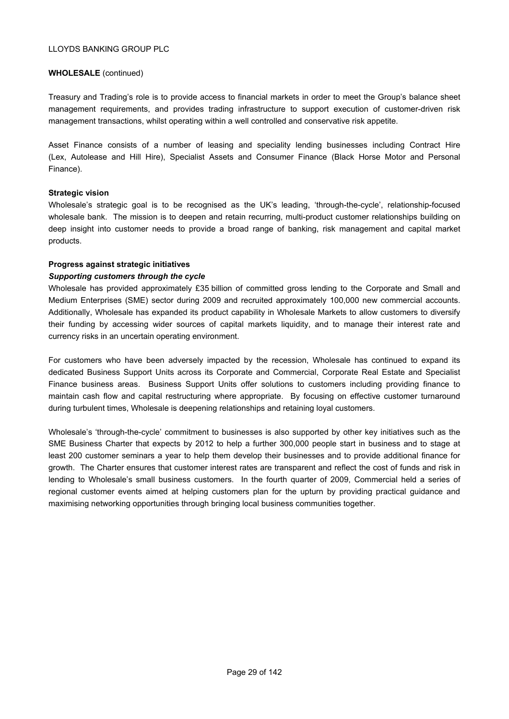# **WHOLESALE** (continued)

Treasury and Trading's role is to provide access to financial markets in order to meet the Group's balance sheet management requirements, and provides trading infrastructure to support execution of customer-driven risk management transactions, whilst operating within a well controlled and conservative risk appetite.

Asset Finance consists of a number of leasing and speciality lending businesses including Contract Hire (Lex, Autolease and Hill Hire), Specialist Assets and Consumer Finance (Black Horse Motor and Personal Finance).

# **Strategic vision**

Wholesale's strategic goal is to be recognised as the UK's leading, 'through-the-cycle', relationship-focused wholesale bank. The mission is to deepen and retain recurring, multi-product customer relationships building on deep insight into customer needs to provide a broad range of banking, risk management and capital market products.

# **Progress against strategic initiatives**

# *Supporting customers through the cycle*

Wholesale has provided approximately £35 billion of committed gross lending to the Corporate and Small and Medium Enterprises (SME) sector during 2009 and recruited approximately 100,000 new commercial accounts. Additionally, Wholesale has expanded its product capability in Wholesale Markets to allow customers to diversify their funding by accessing wider sources of capital markets liquidity, and to manage their interest rate and currency risks in an uncertain operating environment.

For customers who have been adversely impacted by the recession, Wholesale has continued to expand its dedicated Business Support Units across its Corporate and Commercial, Corporate Real Estate and Specialist Finance business areas. Business Support Units offer solutions to customers including providing finance to maintain cash flow and capital restructuring where appropriate. By focusing on effective customer turnaround during turbulent times, Wholesale is deepening relationships and retaining loyal customers.

Wholesale's 'through-the-cycle' commitment to businesses is also supported by other key initiatives such as the SME Business Charter that expects by 2012 to help a further 300,000 people start in business and to stage at least 200 customer seminars a year to help them develop their businesses and to provide additional finance for growth. The Charter ensures that customer interest rates are transparent and reflect the cost of funds and risk in lending to Wholesale's small business customers. In the fourth quarter of 2009, Commercial held a series of regional customer events aimed at helping customers plan for the upturn by providing practical guidance and maximising networking opportunities through bringing local business communities together.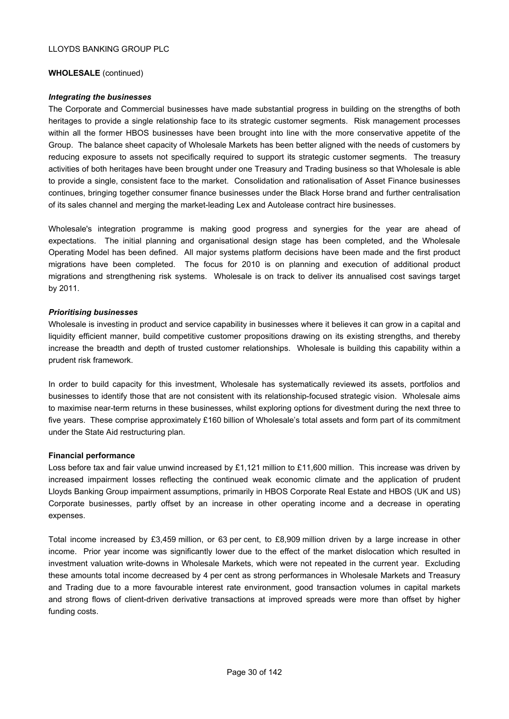## **WHOLESALE** (continued)

## *Integrating the businesses*

The Corporate and Commercial businesses have made substantial progress in building on the strengths of both heritages to provide a single relationship face to its strategic customer segments. Risk management processes within all the former HBOS businesses have been brought into line with the more conservative appetite of the Group. The balance sheet capacity of Wholesale Markets has been better aligned with the needs of customers by reducing exposure to assets not specifically required to support its strategic customer segments. The treasury activities of both heritages have been brought under one Treasury and Trading business so that Wholesale is able to provide a single, consistent face to the market. Consolidation and rationalisation of Asset Finance businesses continues, bringing together consumer finance businesses under the Black Horse brand and further centralisation of its sales channel and merging the market-leading Lex and Autolease contract hire businesses.

Wholesale's integration programme is making good progress and synergies for the year are ahead of expectations. The initial planning and organisational design stage has been completed, and the Wholesale Operating Model has been defined. All major systems platform decisions have been made and the first product migrations have been completed. The focus for 2010 is on planning and execution of additional product migrations and strengthening risk systems. Wholesale is on track to deliver its annualised cost savings target by 2011.

# *Prioritising businesses*

Wholesale is investing in product and service capability in businesses where it believes it can grow in a capital and liquidity efficient manner, build competitive customer propositions drawing on its existing strengths, and thereby increase the breadth and depth of trusted customer relationships. Wholesale is building this capability within a prudent risk framework.

In order to build capacity for this investment, Wholesale has systematically reviewed its assets, portfolios and businesses to identify those that are not consistent with its relationship-focused strategic vision. Wholesale aims to maximise near-term returns in these businesses, whilst exploring options for divestment during the next three to five years. These comprise approximately £160 billion of Wholesale's total assets and form part of its commitment under the State Aid restructuring plan.

## **Financial performance**

Loss before tax and fair value unwind increased by £1,121 million to £11,600 million. This increase was driven by increased impairment losses reflecting the continued weak economic climate and the application of prudent Lloyds Banking Group impairment assumptions, primarily in HBOS Corporate Real Estate and HBOS (UK and US) Corporate businesses, partly offset by an increase in other operating income and a decrease in operating expenses.

Total income increased by £3,459 million, or 63 per cent, to £8,909 million driven by a large increase in other income. Prior year income was significantly lower due to the effect of the market dislocation which resulted in investment valuation write-downs in Wholesale Markets, which were not repeated in the current year. Excluding these amounts total income decreased by 4 per cent as strong performances in Wholesale Markets and Treasury and Trading due to a more favourable interest rate environment, good transaction volumes in capital markets and strong flows of client-driven derivative transactions at improved spreads were more than offset by higher funding costs.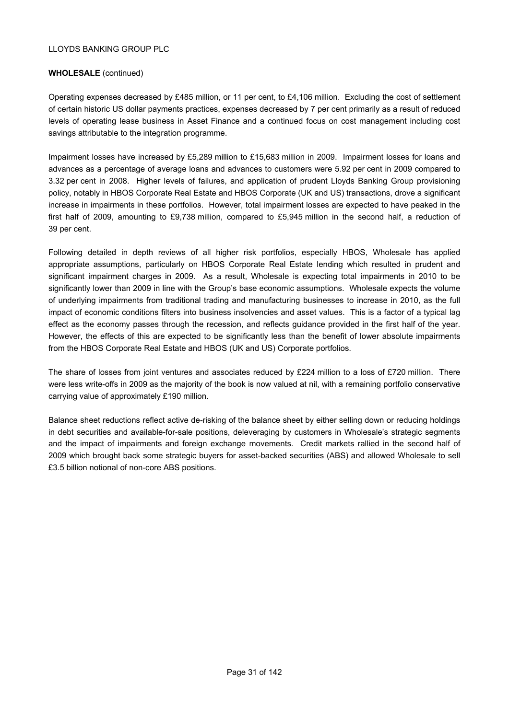# **WHOLESALE** (continued)

Operating expenses decreased by £485 million, or 11 per cent, to £4,106 million. Excluding the cost of settlement of certain historic US dollar payments practices, expenses decreased by 7 per cent primarily as a result of reduced levels of operating lease business in Asset Finance and a continued focus on cost management including cost savings attributable to the integration programme.

Impairment losses have increased by £5,289 million to £15,683 million in 2009. Impairment losses for loans and advances as a percentage of average loans and advances to customers were 5.92 per cent in 2009 compared to 3.32 per cent in 2008. Higher levels of failures, and application of prudent Lloyds Banking Group provisioning policy, notably in HBOS Corporate Real Estate and HBOS Corporate (UK and US) transactions, drove a significant increase in impairments in these portfolios. However, total impairment losses are expected to have peaked in the first half of 2009, amounting to £9,738 million, compared to £5,945 million in the second half, a reduction of 39 per cent.

Following detailed in depth reviews of all higher risk portfolios, especially HBOS, Wholesale has applied appropriate assumptions, particularly on HBOS Corporate Real Estate lending which resulted in prudent and significant impairment charges in 2009. As a result, Wholesale is expecting total impairments in 2010 to be significantly lower than 2009 in line with the Group's base economic assumptions. Wholesale expects the volume of underlying impairments from traditional trading and manufacturing businesses to increase in 2010, as the full impact of economic conditions filters into business insolvencies and asset values. This is a factor of a typical lag effect as the economy passes through the recession, and reflects guidance provided in the first half of the year. However, the effects of this are expected to be significantly less than the benefit of lower absolute impairments from the HBOS Corporate Real Estate and HBOS (UK and US) Corporate portfolios.

The share of losses from joint ventures and associates reduced by £224 million to a loss of £720 million. There were less write-offs in 2009 as the majority of the book is now valued at nil, with a remaining portfolio conservative carrying value of approximately £190 million.

Balance sheet reductions reflect active de-risking of the balance sheet by either selling down or reducing holdings in debt securities and available-for-sale positions, deleveraging by customers in Wholesale's strategic segments and the impact of impairments and foreign exchange movements. Credit markets rallied in the second half of 2009 which brought back some strategic buyers for asset-backed securities (ABS) and allowed Wholesale to sell £3.5 billion notional of non-core ABS positions.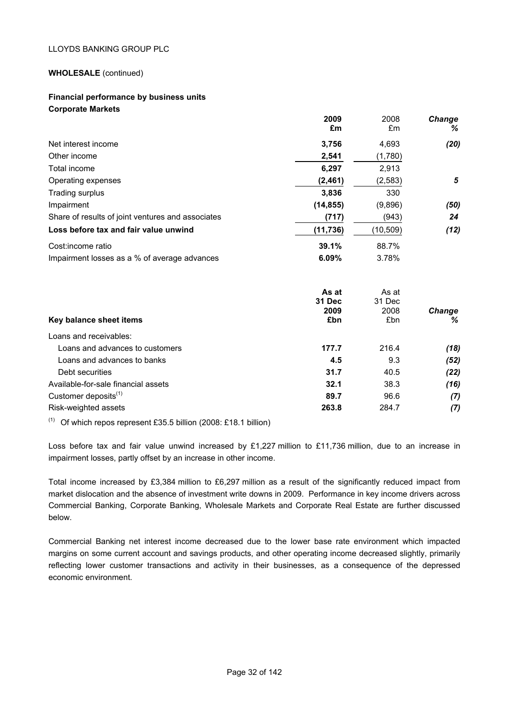# **WHOLESALE** (continued)

# **Financial performance by business units Corporate Markets**

|                                                   | 2009<br>£m    | 2008<br>£m  | Change<br>%        |
|---------------------------------------------------|---------------|-------------|--------------------|
| Net interest income                               | 3,756         | 4,693       | (20)               |
| Other income                                      | 2,541         | (1,780)     |                    |
| Total income                                      | 6,297         | 2,913       |                    |
| Operating expenses                                | (2, 461)      | (2, 583)    | 5                  |
| Trading surplus                                   | 3,836         | 330         |                    |
| Impairment                                        | (14, 855)     | (9,896)     | (50)               |
| Share of results of joint ventures and associates | (717)         | (943)       | 24                 |
| Loss before tax and fair value unwind             | (11, 736)     | (10, 509)   | (12)               |
| Cost: income ratio                                | 39.1%         | 88.7%       |                    |
| Impairment losses as a % of average advances      | 6.09%         | 3.78%       |                    |
|                                                   | As at         | As at       |                    |
|                                                   | <b>31 Dec</b> | 31 Dec      |                    |
| Key balance sheet items                           | 2009<br>£bn   | 2008<br>£bn | <b>Change</b><br>℅ |
| Loans and receivables:                            |               |             |                    |
| Loans and advances to customers                   | 177.7         | 216.4       | (18)               |
| Loans and advances to banks                       | 4.5           | 9.3         | (52)               |
| Debt securities                                   | 31.7          | 40.5        | (22)               |
| Available-for-sale financial assets               | 32.1          | 38.3        | (16)               |
| Customer deposits <sup>(1)</sup>                  | 89.7          | 96.6        | (7)                |
| Risk-weighted assets                              | 263.8         | 284.7       | (7)                |

 $(1)$  Of which repos represent £35.5 billion (2008: £18.1 billion)

Loss before tax and fair value unwind increased by £1,227 million to £11,736 million, due to an increase in impairment losses, partly offset by an increase in other income.

Total income increased by £3,384 million to £6,297 million as a result of the significantly reduced impact from market dislocation and the absence of investment write downs in 2009. Performance in key income drivers across Commercial Banking, Corporate Banking, Wholesale Markets and Corporate Real Estate are further discussed below.

Commercial Banking net interest income decreased due to the lower base rate environment which impacted margins on some current account and savings products, and other operating income decreased slightly, primarily reflecting lower customer transactions and activity in their businesses, as a consequence of the depressed economic environment.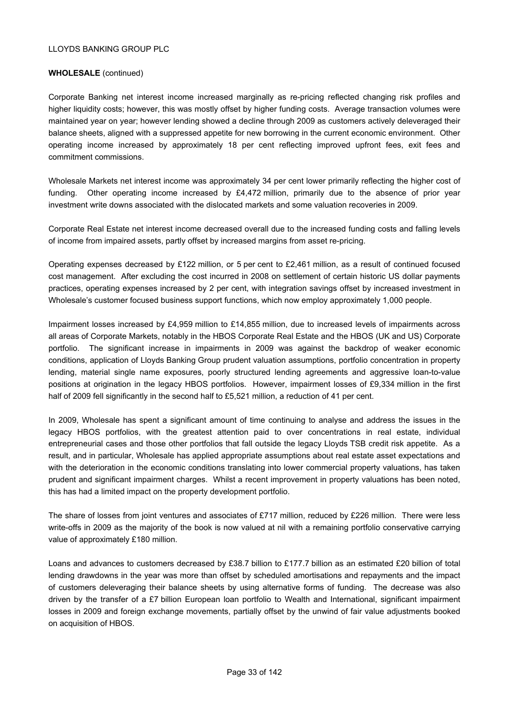# **WHOLESALE** (continued)

Corporate Banking net interest income increased marginally as re-pricing reflected changing risk profiles and higher liquidity costs; however, this was mostly offset by higher funding costs. Average transaction volumes were maintained year on year; however lending showed a decline through 2009 as customers actively deleveraged their balance sheets, aligned with a suppressed appetite for new borrowing in the current economic environment. Other operating income increased by approximately 18 per cent reflecting improved upfront fees, exit fees and commitment commissions.

Wholesale Markets net interest income was approximately 34 per cent lower primarily reflecting the higher cost of funding. Other operating income increased by £4,472 million, primarily due to the absence of prior year investment write downs associated with the dislocated markets and some valuation recoveries in 2009.

Corporate Real Estate net interest income decreased overall due to the increased funding costs and falling levels of income from impaired assets, partly offset by increased margins from asset re-pricing.

Operating expenses decreased by £122 million, or 5 per cent to £2,461 million, as a result of continued focused cost management. After excluding the cost incurred in 2008 on settlement of certain historic US dollar payments practices, operating expenses increased by 2 per cent, with integration savings offset by increased investment in Wholesale's customer focused business support functions, which now employ approximately 1,000 people.

Impairment losses increased by £4,959 million to £14,855 million, due to increased levels of impairments across all areas of Corporate Markets, notably in the HBOS Corporate Real Estate and the HBOS (UK and US) Corporate portfolio. The significant increase in impairments in 2009 was against the backdrop of weaker economic conditions, application of Lloyds Banking Group prudent valuation assumptions, portfolio concentration in property lending, material single name exposures, poorly structured lending agreements and aggressive loan-to-value positions at origination in the legacy HBOS portfolios. However, impairment losses of £9,334 million in the first half of 2009 fell significantly in the second half to £5,521 million, a reduction of 41 per cent.

In 2009, Wholesale has spent a significant amount of time continuing to analyse and address the issues in the legacy HBOS portfolios, with the greatest attention paid to over concentrations in real estate, individual entrepreneurial cases and those other portfolios that fall outside the legacy Lloyds TSB credit risk appetite. As a result, and in particular, Wholesale has applied appropriate assumptions about real estate asset expectations and with the deterioration in the economic conditions translating into lower commercial property valuations, has taken prudent and significant impairment charges. Whilst a recent improvement in property valuations has been noted, this has had a limited impact on the property development portfolio.

The share of losses from joint ventures and associates of £717 million, reduced by £226 million. There were less write-offs in 2009 as the majority of the book is now valued at nil with a remaining portfolio conservative carrying value of approximately £180 million.

Loans and advances to customers decreased by £38.7 billion to £177.7 billion as an estimated £20 billion of total lending drawdowns in the year was more than offset by scheduled amortisations and repayments and the impact of customers deleveraging their balance sheets by using alternative forms of funding. The decrease was also driven by the transfer of a £7 billion European loan portfolio to Wealth and International, significant impairment losses in 2009 and foreign exchange movements, partially offset by the unwind of fair value adjustments booked on acquisition of HBOS.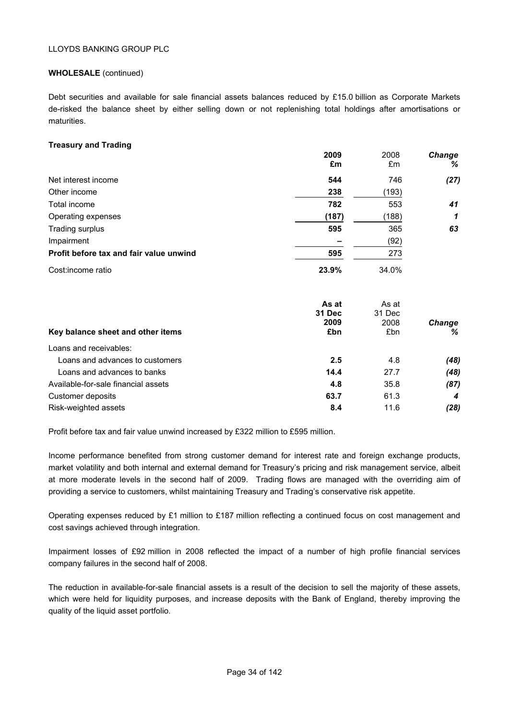# **WHOLESALE** (continued)

Debt securities and available for sale financial assets balances reduced by £15.0 billion as Corporate Markets de-risked the balance sheet by either selling down or not replenishing total holdings after amortisations or maturities.

# **Treasury and Trading**

|                                         | 2009<br>£m | 2008<br>£m | <b>Change</b><br>% |
|-----------------------------------------|------------|------------|--------------------|
| Net interest income                     | 544        | 746        | (27)               |
| Other income                            | 238        | (193)      |                    |
| Total income                            | 782        | 553        | 41                 |
| Operating expenses                      | (187)      | (188)      | 1                  |
| Trading surplus                         | 595        | 365        | 63                 |
| Impairment                              |            | (92)       |                    |
| Profit before tax and fair value unwind | 595        | 273        |                    |
| Cost: income ratio                      | 23.9%      | 34.0%      |                    |

| Key balance sheet and other items   | As at<br><b>31 Dec</b><br>2009<br>£bn | As at<br>31 Dec<br>2008<br>£bn | <b>Change</b><br>℅ |
|-------------------------------------|---------------------------------------|--------------------------------|--------------------|
| Loans and receivables:              |                                       |                                |                    |
| Loans and advances to customers     | 2.5                                   | 4.8                            | (48)               |
| Loans and advances to banks         | 14.4                                  | 27.7                           | (48)               |
| Available-for-sale financial assets | 4.8                                   | 35.8                           | (87)               |
| Customer deposits                   | 63.7                                  | 61.3                           | 4                  |
| Risk-weighted assets                | 8.4                                   | 11.6                           | (28)               |

Profit before tax and fair value unwind increased by £322 million to £595 million.

Income performance benefited from strong customer demand for interest rate and foreign exchange products, market volatility and both internal and external demand for Treasury's pricing and risk management service, albeit at more moderate levels in the second half of 2009. Trading flows are managed with the overriding aim of providing a service to customers, whilst maintaining Treasury and Trading's conservative risk appetite.

Operating expenses reduced by £1 million to £187 million reflecting a continued focus on cost management and cost savings achieved through integration.

Impairment losses of £92 million in 2008 reflected the impact of a number of high profile financial services company failures in the second half of 2008.

The reduction in available-for-sale financial assets is a result of the decision to sell the majority of these assets, which were held for liquidity purposes, and increase deposits with the Bank of England, thereby improving the quality of the liquid asset portfolio.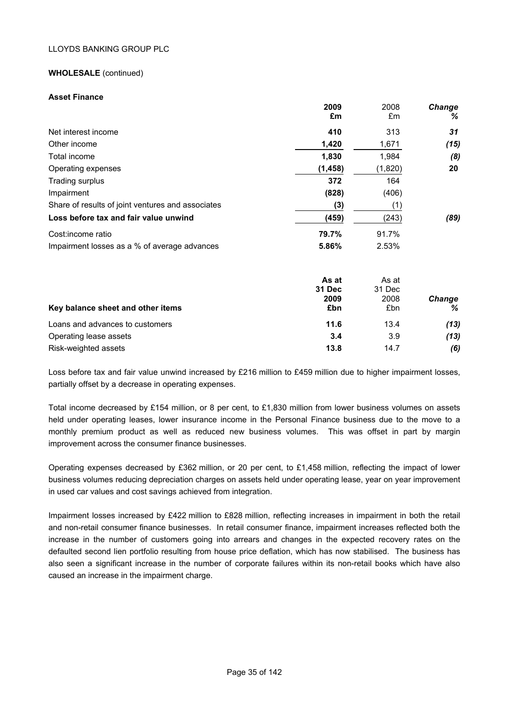# **WHOLESALE** (continued)

#### **Asset Finance**

|                                                   | 2009<br>£m  | 2008<br>£m  | Change<br>%        |
|---------------------------------------------------|-------------|-------------|--------------------|
| Net interest income                               | 410         | 313         | 31                 |
| Other income                                      | 1,420       | 1,671       | (15)               |
| Total income                                      | 1,830       | 1,984       | (8)                |
| Operating expenses                                | (1, 458)    | (1,820)     | 20                 |
| Trading surplus                                   | 372         | 164         |                    |
| Impairment                                        | (828)       | (406)       |                    |
| Share of results of joint ventures and associates | (3)         | (1)         |                    |
| Loss before tax and fair value unwind             | (459)       | (243)       | (89)               |
| Cost: income ratio                                | 79.7%       | 91.7%       |                    |
| Impairment losses as a % of average advances      | 5.86%       | 2.53%       |                    |
|                                                   | As at       | As at       |                    |
|                                                   | 31 Dec      | 31 Dec      |                    |
| Key balance sheet and other items                 | 2009<br>£bn | 2008<br>£bn | <b>Change</b><br>℅ |
| Loans and advances to customers                   | 11.6        | 13.4        | (13)               |

Operating lease assets **3.4** 3.9 *(13)* Risk-weighted assets **13.8** 14.7 *(6)*

Loss before tax and fair value unwind increased by £216 million to £459 million due to higher impairment losses, partially offset by a decrease in operating expenses.

Total income decreased by £154 million, or 8 per cent, to £1,830 million from lower business volumes on assets held under operating leases, lower insurance income in the Personal Finance business due to the move to a monthly premium product as well as reduced new business volumes. This was offset in part by margin improvement across the consumer finance businesses.

Operating expenses decreased by £362 million, or 20 per cent, to £1,458 million, reflecting the impact of lower business volumes reducing depreciation charges on assets held under operating lease, year on year improvement in used car values and cost savings achieved from integration.

Impairment losses increased by £422 million to £828 million, reflecting increases in impairment in both the retail and non-retail consumer finance businesses. In retail consumer finance, impairment increases reflected both the increase in the number of customers going into arrears and changes in the expected recovery rates on the defaulted second lien portfolio resulting from house price deflation, which has now stabilised. The business has also seen a significant increase in the number of corporate failures within its non-retail books which have also caused an increase in the impairment charge.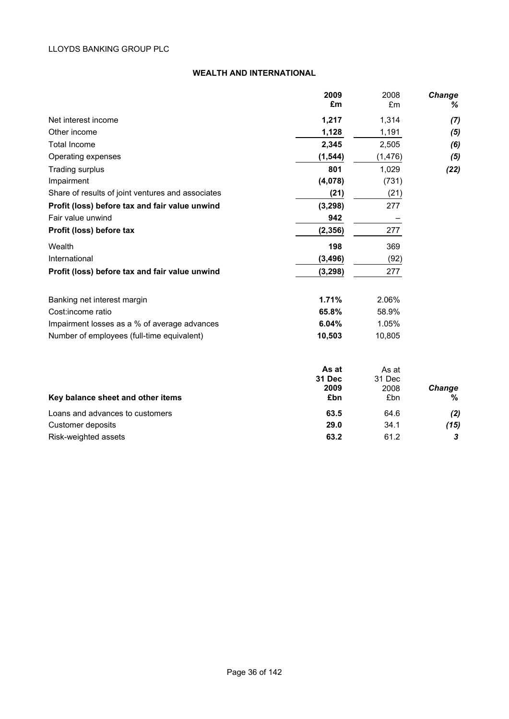# **WEALTH AND INTERNATIONAL**

|                                                   | 2009        | 2008        | <b>Change</b>      |
|---------------------------------------------------|-------------|-------------|--------------------|
|                                                   | £m          | £m          | %                  |
| Net interest income                               | 1,217       | 1,314       | (7)                |
| Other income                                      | 1,128       | 1,191       | (5)                |
| <b>Total Income</b>                               | 2,345       | 2,505       | (6)                |
| Operating expenses                                | (1, 544)    | (1, 476)    | (5)                |
| Trading surplus                                   | 801         | 1,029       | (22)               |
| Impairment                                        | (4,078)     | (731)       |                    |
| Share of results of joint ventures and associates | (21)        | (21)        |                    |
| Profit (loss) before tax and fair value unwind    | (3, 298)    | 277         |                    |
| Fair value unwind                                 | 942         |             |                    |
| Profit (loss) before tax                          | (2, 356)    | 277         |                    |
| Wealth                                            | 198         | 369         |                    |
| International                                     | (3, 496)    | (92)        |                    |
| Profit (loss) before tax and fair value unwind    | (3, 298)    | 277         |                    |
| Banking net interest margin                       | 1.71%       | 2.06%       |                    |
| Cost:income ratio                                 | 65.8%       | 58.9%       |                    |
| Impairment losses as a % of average advances      | 6.04%       | 1.05%       |                    |
| Number of employees (full-time equivalent)        | 10,503      | 10,805      |                    |
|                                                   | As at       | As at       |                    |
|                                                   | 31 Dec      | 31 Dec      |                    |
| Key balance sheet and other items                 | 2009<br>£bn | 2008<br>£bn | <b>Change</b><br>% |
| Loans and advances to customers                   | 63.5        | 64.6        | (2)                |
| <b>Customer deposits</b>                          | 29.0        | 34.1        | (15)               |
| Risk-weighted assets                              | 63.2        | 61.2        | 3                  |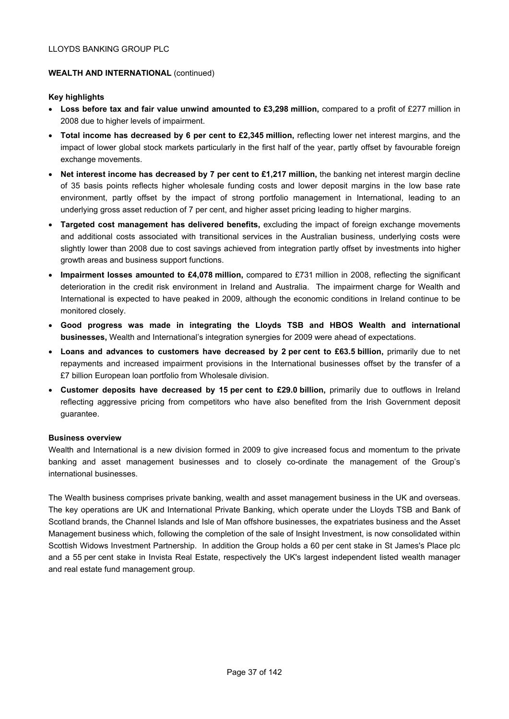# **WEALTH AND INTERNATIONAL (continued)**

# **Key highlights**

- **Loss before tax and fair value unwind amounted to £3,298 million,** compared to a profit of £277 million in 2008 due to higher levels of impairment.
- **Total income has decreased by 6 per cent to £2,345 million, reflecting lower net interest margins, and the** impact of lower global stock markets particularly in the first half of the year, partly offset by favourable foreign exchange movements.
- Net interest income has decreased by 7 per cent to £1.217 million, the banking net interest margin decline of 35 basis points reflects higher wholesale funding costs and lower deposit margins in the low base rate environment, partly offset by the impact of strong portfolio management in International, leading to an underlying gross asset reduction of 7 per cent, and higher asset pricing leading to higher margins.
- **Targeted cost management has delivered benefits,** excluding the impact of foreign exchange movements and additional costs associated with transitional services in the Australian business, underlying costs were slightly lower than 2008 due to cost savings achieved from integration partly offset by investments into higher growth areas and business support functions.
- **Impairment losses amounted to £4,078 million,** compared to £731 million in 2008, reflecting the significant deterioration in the credit risk environment in Ireland and Australia. The impairment charge for Wealth and International is expected to have peaked in 2009, although the economic conditions in Ireland continue to be monitored closely.
- **Good progress was made in integrating the Lloyds TSB and HBOS Wealth and international businesses,** Wealth and International's integration synergies for 2009 were ahead of expectations.
- **Loans and advances to customers have decreased by 2 per cent to £63.5 billion,** primarily due to net repayments and increased impairment provisions in the International businesses offset by the transfer of a £7 billion European loan portfolio from Wholesale division.
- **Customer deposits have decreased by 15 per cent to £29.0 billion,** primarily due to outflows in Ireland reflecting aggressive pricing from competitors who have also benefited from the Irish Government deposit guarantee.

#### **Business overview**

Wealth and International is a new division formed in 2009 to give increased focus and momentum to the private banking and asset management businesses and to closely co-ordinate the management of the Group's international businesses.

The Wealth business comprises private banking, wealth and asset management business in the UK and overseas. The key operations are UK and International Private Banking, which operate under the Lloyds TSB and Bank of Scotland brands, the Channel Islands and Isle of Man offshore businesses, the expatriates business and the Asset Management business which, following the completion of the sale of Insight Investment, is now consolidated within Scottish Widows Investment Partnership. In addition the Group holds a 60 per cent stake in St James's Place plc and a 55 per cent stake in Invista Real Estate, respectively the UK's largest independent listed wealth manager and real estate fund management group.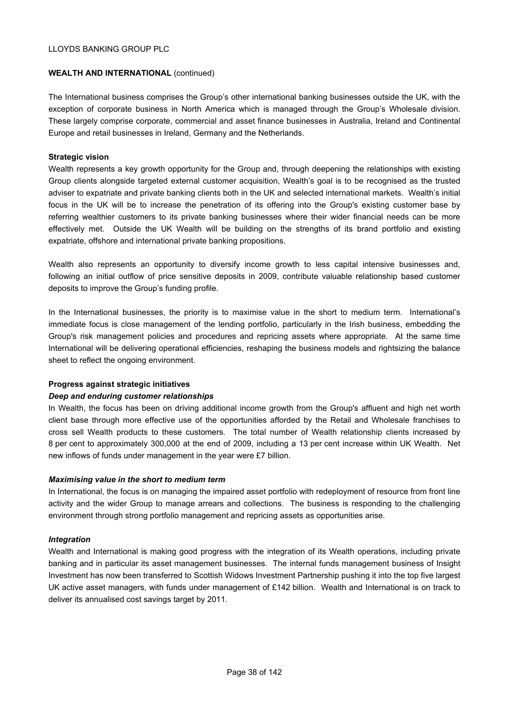# **WEALTH AND INTERNATIONAL (continued)**

The International business comprises the Group's other international banking businesses outside the UK, with the exception of corporate business in North America which is managed through the Group's Wholesale division. These largely comprise corporate, commercial and asset finance businesses in Australia, Ireland and Continental Europe and retail businesses in Ireland, Germany and the Netherlands.

# **Strategic vision**

Wealth represents a key growth opportunity for the Group and, through deepening the relationships with existing Group clients alongside targeted external customer acquisition, Wealth's goal is to be recognised as the trusted adviser to expatriate and private banking clients both in the UK and selected international markets. Wealth's initial focus in the UK will be to increase the penetration of its offering into the Group's existing customer base by referring wealthier customers to its private banking businesses where their wider financial needs can be more effectively met. Outside the UK Wealth will be building on the strengths of its brand portfolio and existing expatriate, offshore and international private banking propositions.

Wealth also represents an opportunity to diversify income growth to less capital intensive businesses and, following an initial outflow of price sensitive deposits in 2009, contribute valuable relationship based customer deposits to improve the Group's funding profile.

In the International businesses, the priority is to maximise value in the short to medium term. International's immediate focus is close management of the lending portfolio, particularly in the Irish business, embedding the Group's risk management policies and procedures and repricing assets where appropriate. At the same time International will be delivering operational efficiencies, reshaping the business models and rightsizing the balance sheet to reflect the ongoing environment.

#### **Progress against strategic initiatives**

# *Deep and enduring customer relationships*

In Wealth, the focus has been on driving additional income growth from the Group's affluent and high net worth client base through more effective use of the opportunities afforded by the Retail and Wholesale franchises to cross sell Wealth products to these customers. The total number of Wealth relationship clients increased by 8 per cent to approximately 300,000 at the end of 2009, including a 13 per cent increase within UK Wealth. Net new inflows of funds under management in the year were £7 billion.

#### *Maximising value in the short to medium term*

In International, the focus is on managing the impaired asset portfolio with redeployment of resource from front line activity and the wider Group to manage arrears and collections. The business is responding to the challenging environment through strong portfolio management and repricing assets as opportunities arise.

# *Integration*

Wealth and International is making good progress with the integration of its Wealth operations, including private banking and in particular its asset management businesses. The internal funds management business of Insight Investment has now been transferred to Scottish Widows Investment Partnership pushing it into the top five largest UK active asset managers, with funds under management of £142 billion. Wealth and International is on track to deliver its annualised cost savings target by 2011.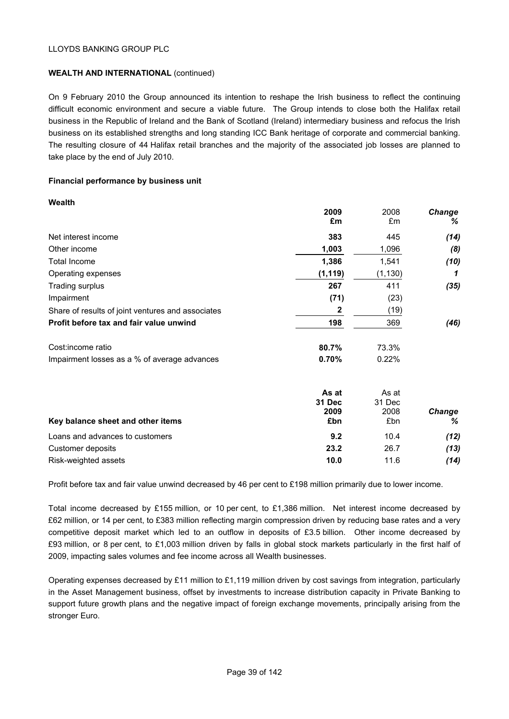# **WEALTH AND INTERNATIONAL** (continued)

On 9 February 2010 the Group announced its intention to reshape the Irish business to reflect the continuing difficult economic environment and secure a viable future. The Group intends to close both the Halifax retail business in the Republic of Ireland and the Bank of Scotland (Ireland) intermediary business and refocus the Irish business on its established strengths and long standing ICC Bank heritage of corporate and commercial banking. The resulting closure of 44 Halifax retail branches and the majority of the associated job losses are planned to take place by the end of July 2010.

# **Financial performance by business unit**

| Wealth                                            |                 |                 |               |
|---------------------------------------------------|-----------------|-----------------|---------------|
|                                                   | 2009            | 2008            | <b>Change</b> |
|                                                   | £m              | £m              | ℅             |
| Net interest income                               | 383             | 445             | (14)          |
| Other income                                      | 1,003           | 1,096           | (8)           |
| <b>Total Income</b>                               | 1,386           | 1,541           | (10)          |
| Operating expenses                                | (1, 119)        | (1, 130)        | 1             |
| Trading surplus                                   | 267             | 411             | (35)          |
| Impairment                                        | (71)            | (23)            |               |
| Share of results of joint ventures and associates | $\mathbf{2}$    | (19)            |               |
| Profit before tax and fair value unwind           | 198             | 369             | (46)          |
| Cost: income ratio                                | 80.7%           | 73.3%           |               |
| Impairment losses as a % of average advances      | 0.70%           | 0.22%           |               |
|                                                   | As at<br>31 Dec | As at<br>31 Dec |               |
|                                                   | 2009            | 2008            | <b>Change</b> |
| Key balance sheet and other items                 | £bn             | £bn             | %             |
| Loans and advances to customers                   | 9.2             | 10.4            | (12)          |
| Customer deposits                                 | 23.2            | 26.7            | (13)          |
| Risk-weighted assets                              | 10.0            | 11.6            | (14)          |

Profit before tax and fair value unwind decreased by 46 per cent to £198 million primarily due to lower income.

Total income decreased by £155 million, or 10 per cent, to £1,386 million. Net interest income decreased by £62 million, or 14 per cent, to £383 million reflecting margin compression driven by reducing base rates and a very competitive deposit market which led to an outflow in deposits of £3.5 billion. Other income decreased by £93 million, or 8 per cent, to £1,003 million driven by falls in global stock markets particularly in the first half of 2009, impacting sales volumes and fee income across all Wealth businesses.

Operating expenses decreased by £11 million to £1,119 million driven by cost savings from integration, particularly in the Asset Management business, offset by investments to increase distribution capacity in Private Banking to support future growth plans and the negative impact of foreign exchange movements, principally arising from the stronger Euro.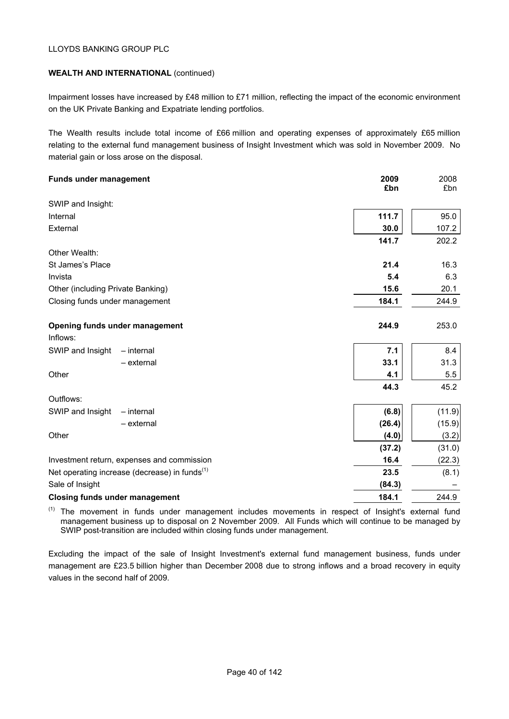# **WEALTH AND INTERNATIONAL** (continued)

Impairment losses have increased by £48 million to £71 million, reflecting the impact of the economic environment on the UK Private Banking and Expatriate lending portfolios.

The Wealth results include total income of £66 million and operating expenses of approximately £65 million relating to the external fund management business of Insight Investment which was sold in November 2009. No material gain or loss arose on the disposal.

| <b>Funds under management</b>                             | 2009<br>£bn | 2008<br>£bn |
|-----------------------------------------------------------|-------------|-------------|
| SWIP and Insight:                                         |             |             |
|                                                           |             |             |
| Internal                                                  | 111.7       | 95.0        |
| External                                                  | 30.0        | 107.2       |
|                                                           | 141.7       | 202.2       |
| Other Wealth:                                             |             |             |
| St James's Place                                          | 21.4        | 16.3        |
| Invista                                                   | 5.4         | 6.3         |
| Other (including Private Banking)                         | 15.6        | 20.1        |
| Closing funds under management                            | 184.1       | 244.9       |
|                                                           |             |             |
| Opening funds under management                            | 244.9       | 253.0       |
| Inflows:                                                  |             |             |
| SWIP and Insight<br>$-$ internal                          | 7.1         | 8.4         |
| - external                                                | 33.1        | 31.3        |
| Other                                                     | 4.1         | 5.5         |
|                                                           | 44.3        | 45.2        |
| Outflows:                                                 |             |             |
| SWIP and Insight<br>$-$ internal                          | (6.8)       | (11.9)      |
| - external                                                | (26.4)      | (15.9)      |
| Other                                                     | (4.0)       | (3.2)       |
|                                                           | (37.2)      | (31.0)      |
| Investment return, expenses and commission                | 16.4        | (22.3)      |
| Net operating increase (decrease) in funds <sup>(1)</sup> | 23.5        | (8.1)       |
| Sale of Insight                                           | (84.3)      |             |
| <b>Closing funds under management</b>                     | 184.1       | 244.9       |

(1) The movement in funds under management includes movements in respect of Insight's external fund management business up to disposal on 2 November 2009. All Funds which will continue to be managed by SWIP post-transition are included within closing funds under management.

Excluding the impact of the sale of Insight Investment's external fund management business, funds under management are £23.5 billion higher than December 2008 due to strong inflows and a broad recovery in equity values in the second half of 2009.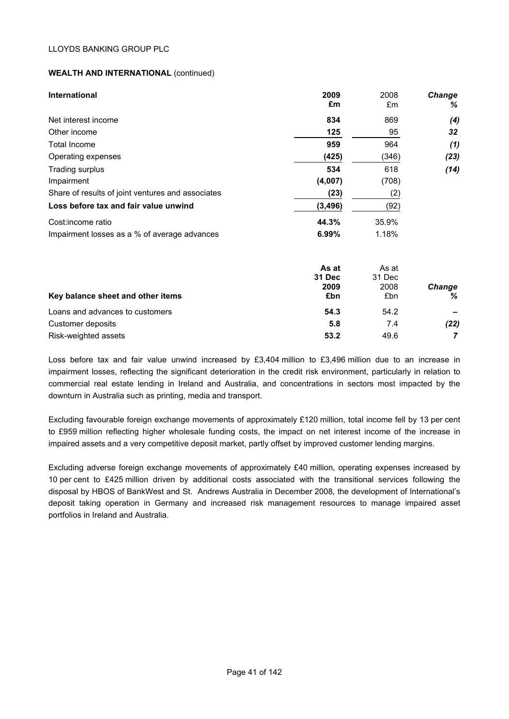# **WEALTH AND INTERNATIONAL** (continued)

| International                                     | 2009<br>£m           | 2008<br>£m | <b>Change</b><br>% |
|---------------------------------------------------|----------------------|------------|--------------------|
| Net interest income                               | 834                  | 869        | (4)                |
| Other income                                      | 125                  | 95         | 32                 |
| Total Income                                      | 959                  | 964        | (1)                |
| Operating expenses                                | (425)                | (346)      | (23)               |
| Trading surplus                                   | 534                  | 618        | (14)               |
| Impairment                                        | (4,007)              | (708)      |                    |
| Share of results of joint ventures and associates | (23)                 | (2)        |                    |
| Loss before tax and fair value unwind             | (3, 496)             | (92)       |                    |
| Cost: income ratio                                | 44.3%                | 35.9%      |                    |
| Impairment losses as a % of average advances      | 6.99%                | 1.18%      |                    |
|                                                   | As at                | As at      |                    |
|                                                   | $24$ D <sub>22</sub> | $24$ Dee   |                    |

|                                   | <b>31 Dec</b> | 31 Dec |               |  |
|-----------------------------------|---------------|--------|---------------|--|
|                                   | 2009          | 2008   | <b>Change</b> |  |
| Key balance sheet and other items | £bn           | £bn    | %             |  |
| Loans and advances to customers   | 54.3          | 54.2   |               |  |
| Customer deposits                 | 5.8           | 7.4    | (22)          |  |
| Risk-weighted assets              | 53.2          | 49.6   |               |  |

Loss before tax and fair value unwind increased by £3,404 million to £3,496 million due to an increase in impairment losses, reflecting the significant deterioration in the credit risk environment, particularly in relation to commercial real estate lending in Ireland and Australia, and concentrations in sectors most impacted by the downturn in Australia such as printing, media and transport.

Excluding favourable foreign exchange movements of approximately £120 million, total income fell by 13 per cent to £959 million reflecting higher wholesale funding costs, the impact on net interest income of the increase in impaired assets and a very competitive deposit market, partly offset by improved customer lending margins.

Excluding adverse foreign exchange movements of approximately £40 million, operating expenses increased by 10 per cent to £425 million driven by additional costs associated with the transitional services following the disposal by HBOS of BankWest and St. Andrews Australia in December 2008, the development of International's deposit taking operation in Germany and increased risk management resources to manage impaired asset portfolios in Ireland and Australia.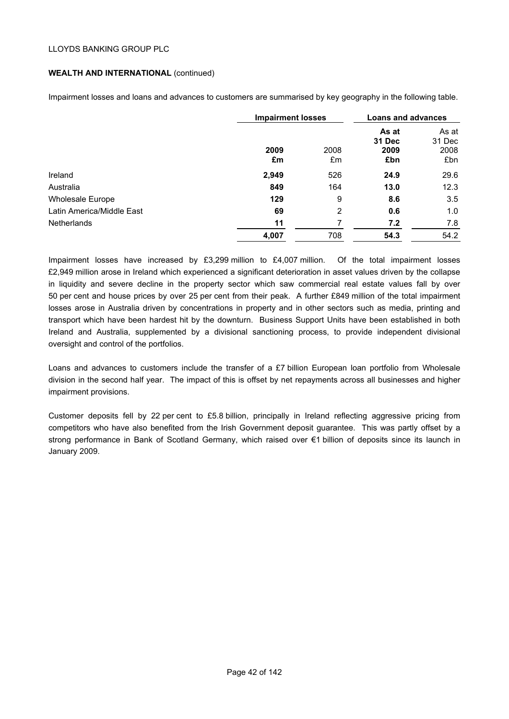# **WEALTH AND INTERNATIONAL** (continued)

Impairment losses and loans and advances to customers are summarised by key geography in the following table.

|                           | <b>Impairment losses</b> |            | <b>Loans and advances</b>             |                                |
|---------------------------|--------------------------|------------|---------------------------------------|--------------------------------|
|                           | 2009<br>£m               | 2008<br>£m | As at<br><b>31 Dec</b><br>2009<br>£bn | As at<br>31 Dec<br>2008<br>£bn |
| Ireland                   | 2,949                    | 526        | 24.9                                  | 29.6                           |
| Australia                 | 849                      | 164        | 13.0                                  | 12.3                           |
| <b>Wholesale Europe</b>   | 129                      | 9          | 8.6                                   | 3.5                            |
| Latin America/Middle East | 69                       | 2          | 0.6                                   | 1.0                            |
| <b>Netherlands</b>        | 11                       |            | 7.2                                   | 7.8                            |
|                           | 4,007                    | 708        | 54.3                                  | 54.2                           |

Impairment losses have increased by £3,299 million to £4,007 million. Of the total impairment losses £2,949 million arose in Ireland which experienced a significant deterioration in asset values driven by the collapse in liquidity and severe decline in the property sector which saw commercial real estate values fall by over 50 per cent and house prices by over 25 per cent from their peak. A further £849 million of the total impairment losses arose in Australia driven by concentrations in property and in other sectors such as media, printing and transport which have been hardest hit by the downturn. Business Support Units have been established in both Ireland and Australia, supplemented by a divisional sanctioning process, to provide independent divisional oversight and control of the portfolios.

Loans and advances to customers include the transfer of a £7 billion European loan portfolio from Wholesale division in the second half year. The impact of this is offset by net repayments across all businesses and higher impairment provisions.

Customer deposits fell by 22 per cent to £5.8 billion, principally in Ireland reflecting aggressive pricing from competitors who have also benefited from the Irish Government deposit guarantee. This was partly offset by a strong performance in Bank of Scotland Germany, which raised over €1 billion of deposits since its launch in January 2009.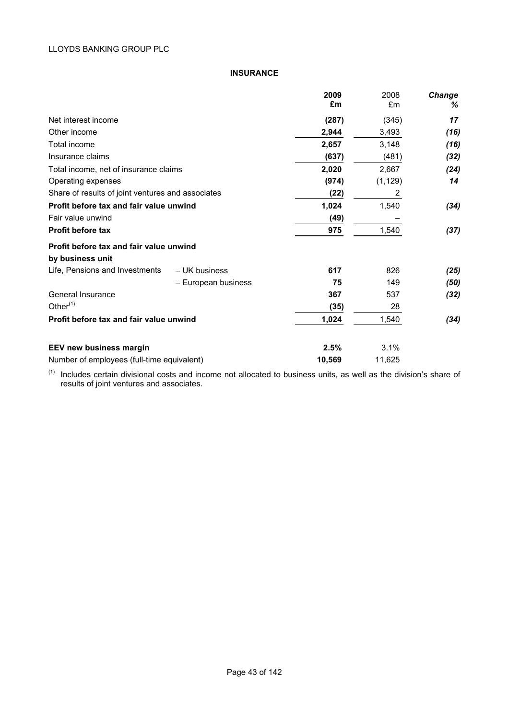# **INSURANCE**

|                                                             |                     | 2009<br>£m | 2008<br>£m | Change<br>% |
|-------------------------------------------------------------|---------------------|------------|------------|-------------|
| Net interest income                                         |                     | (287)      | (345)      | 17          |
| Other income                                                |                     | 2,944      | 3,493      | (16)        |
| Total income                                                |                     | 2,657      | 3,148      | (16)        |
| Insurance claims                                            |                     | (637)      | (481)      | (32)        |
| Total income, net of insurance claims                       |                     | 2,020      | 2,667      | (24)        |
| Operating expenses                                          |                     | (974)      | (1, 129)   | 14          |
| Share of results of joint ventures and associates           |                     | (22)       | 2          |             |
| Profit before tax and fair value unwind                     |                     | 1,024      | 1,540      | (34)        |
| Fair value unwind                                           |                     | (49)       |            |             |
| <b>Profit before tax</b>                                    |                     | 975        | 1,540      | (37)        |
| Profit before tax and fair value unwind<br>by business unit |                     |            |            |             |
| Life, Pensions and Investments                              | - UK business       | 617        | 826        | (25)        |
|                                                             | - European business | 75         | 149        | (50)        |
| General Insurance                                           |                     | 367        | 537        | (32)        |
| Other $(1)$                                                 |                     | (35)       | 28         |             |
| Profit before tax and fair value unwind                     |                     | 1,024      | 1,540      | (34)        |
| EEV new business margin                                     |                     | 2.5%       | 3.1%       |             |
| Number of employees (full-time equivalent)                  |                     | 10,569     | 11,625     |             |

 $(1)$  Includes certain divisional costs and income not allocated to business units, as well as the division's share of results of joint ventures and associates.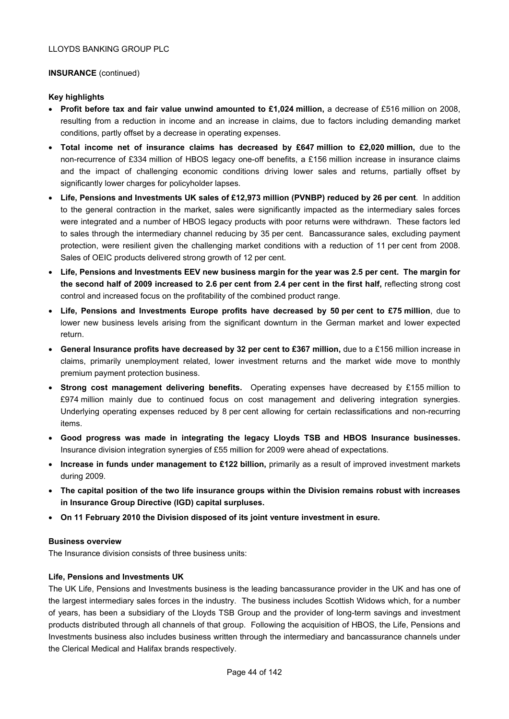# **INSURANCE** (continued)

# **Key highlights**

- **Profit before tax and fair value unwind amounted to £1,024 million,** a decrease of £516 million on 2008, resulting from a reduction in income and an increase in claims, due to factors including demanding market conditions, partly offset by a decrease in operating expenses.
- **Total income net of insurance claims has decreased by £647 million to £2,020 million,** due to the non-recurrence of £334 million of HBOS legacy one-off benefits, a £156 million increase in insurance claims and the impact of challenging economic conditions driving lower sales and returns, partially offset by significantly lower charges for policyholder lapses.
- **Life, Pensions and Investments UK sales of £12,973 million (PVNBP) reduced by 26 per cent**. In addition to the general contraction in the market, sales were significantly impacted as the intermediary sales forces were integrated and a number of HBOS legacy products with poor returns were withdrawn. These factors led to sales through the intermediary channel reducing by 35 per cent. Bancassurance sales, excluding payment protection, were resilient given the challenging market conditions with a reduction of 11 per cent from 2008. Sales of OEIC products delivered strong growth of 12 per cent.
- **Life, Pensions and Investments EEV new business margin for the year was 2.5 per cent. The margin for**  the second half of 2009 increased to 2.6 per cent from 2.4 per cent in the first half, reflecting strong cost control and increased focus on the profitability of the combined product range.
- **Life, Pensions and Investments Europe profits have decreased by 50 per cent to £75 million**, due to lower new business levels arising from the significant downturn in the German market and lower expected return.
- **General Insurance profits have decreased by 32 per cent to £367 million,** due to a £156 million increase in claims, primarily unemployment related, lower investment returns and the market wide move to monthly premium payment protection business.
- **Strong cost management delivering benefits.** Operating expenses have decreased by £155 million to £974 million mainly due to continued focus on cost management and delivering integration synergies. Underlying operating expenses reduced by 8 per cent allowing for certain reclassifications and non-recurring items.
- **Good progress was made in integrating the legacy Lloyds TSB and HBOS Insurance businesses.**  Insurance division integration synergies of £55 million for 2009 were ahead of expectations.
- **Increase in funds under management to £122 billion,** primarily as a result of improved investment markets during 2009.
- **The capital position of the two life insurance groups within the Division remains robust with increases in Insurance Group Directive (IGD) capital surpluses.**
- **On 11 February 2010 the Division disposed of its joint venture investment in esure.**

#### **Business overview**

The Insurance division consists of three business units:

# **Life, Pensions and Investments UK**

The UK Life, Pensions and Investments business is the leading bancassurance provider in the UK and has one of the largest intermediary sales forces in the industry. The business includes Scottish Widows which, for a number of years, has been a subsidiary of the Lloyds TSB Group and the provider of long-term savings and investment products distributed through all channels of that group. Following the acquisition of HBOS, the Life, Pensions and Investments business also includes business written through the intermediary and bancassurance channels under the Clerical Medical and Halifax brands respectively.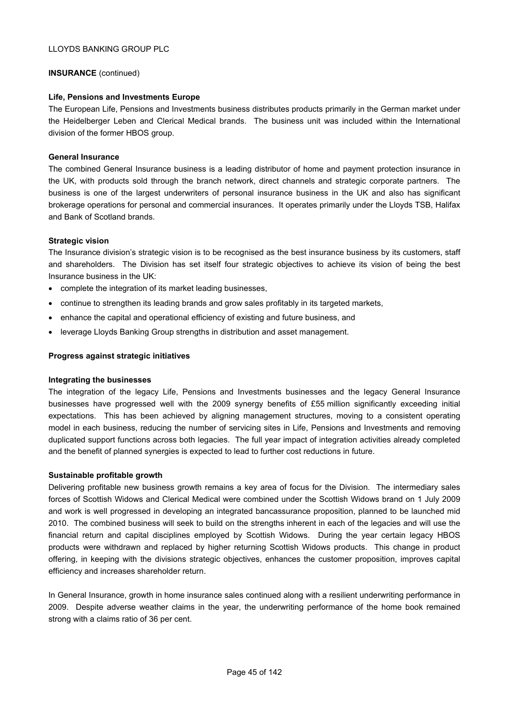# **INSURANCE** (continued)

# **Life, Pensions and Investments Europe**

The European Life, Pensions and Investments business distributes products primarily in the German market under the Heidelberger Leben and Clerical Medical brands. The business unit was included within the International division of the former HBOS group.

#### **General Insurance**

The combined General Insurance business is a leading distributor of home and payment protection insurance in the UK, with products sold through the branch network, direct channels and strategic corporate partners. The business is one of the largest underwriters of personal insurance business in the UK and also has significant brokerage operations for personal and commercial insurances. It operates primarily under the Lloyds TSB, Halifax and Bank of Scotland brands.

#### **Strategic vision**

The Insurance division's strategic vision is to be recognised as the best insurance business by its customers, staff and shareholders. The Division has set itself four strategic objectives to achieve its vision of being the best Insurance business in the UK:

- complete the integration of its market leading businesses,
- continue to strengthen its leading brands and grow sales profitably in its targeted markets,
- enhance the capital and operational efficiency of existing and future business, and
- leverage Lloyds Banking Group strengths in distribution and asset management.

#### **Progress against strategic initiatives**

#### **Integrating the businesses**

The integration of the legacy Life, Pensions and Investments businesses and the legacy General Insurance businesses have progressed well with the 2009 synergy benefits of £55 million significantly exceeding initial expectations. This has been achieved by aligning management structures, moving to a consistent operating model in each business, reducing the number of servicing sites in Life, Pensions and Investments and removing duplicated support functions across both legacies. The full year impact of integration activities already completed and the benefit of planned synergies is expected to lead to further cost reductions in future.

#### **Sustainable profitable growth**

Delivering profitable new business growth remains a key area of focus for the Division. The intermediary sales forces of Scottish Widows and Clerical Medical were combined under the Scottish Widows brand on 1 July 2009 and work is well progressed in developing an integrated bancassurance proposition, planned to be launched mid 2010. The combined business will seek to build on the strengths inherent in each of the legacies and will use the financial return and capital disciplines employed by Scottish Widows. During the year certain legacy HBOS products were withdrawn and replaced by higher returning Scottish Widows products. This change in product offering, in keeping with the divisions strategic objectives, enhances the customer proposition, improves capital efficiency and increases shareholder return.

In General Insurance, growth in home insurance sales continued along with a resilient underwriting performance in 2009. Despite adverse weather claims in the year, the underwriting performance of the home book remained strong with a claims ratio of 36 per cent.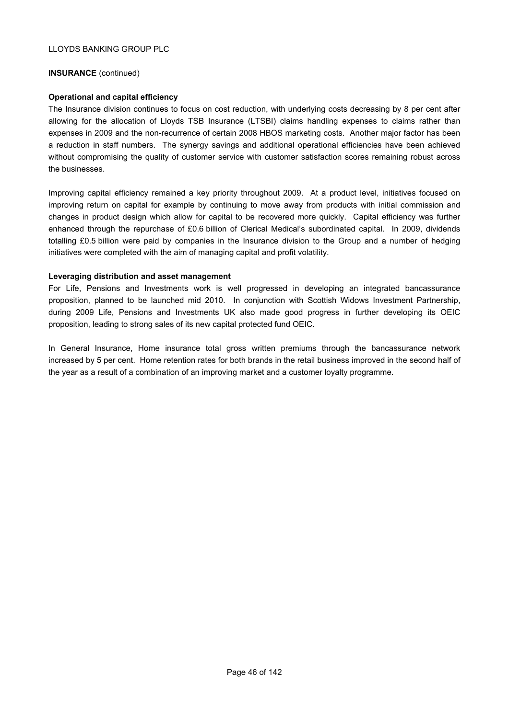## **INSURANCE** (continued)

# **Operational and capital efficiency**

The Insurance division continues to focus on cost reduction, with underlying costs decreasing by 8 per cent after allowing for the allocation of Lloyds TSB Insurance (LTSBI) claims handling expenses to claims rather than expenses in 2009 and the non-recurrence of certain 2008 HBOS marketing costs. Another major factor has been a reduction in staff numbers. The synergy savings and additional operational efficiencies have been achieved without compromising the quality of customer service with customer satisfaction scores remaining robust across the businesses.

Improving capital efficiency remained a key priority throughout 2009. At a product level, initiatives focused on improving return on capital for example by continuing to move away from products with initial commission and changes in product design which allow for capital to be recovered more quickly. Capital efficiency was further enhanced through the repurchase of £0.6 billion of Clerical Medical's subordinated capital. In 2009, dividends totalling £0.5 billion were paid by companies in the Insurance division to the Group and a number of hedging initiatives were completed with the aim of managing capital and profit volatility.

# **Leveraging distribution and asset management**

For Life, Pensions and Investments work is well progressed in developing an integrated bancassurance proposition, planned to be launched mid 2010. In conjunction with Scottish Widows Investment Partnership, during 2009 Life, Pensions and Investments UK also made good progress in further developing its OEIC proposition, leading to strong sales of its new capital protected fund OEIC.

In General Insurance, Home insurance total gross written premiums through the bancassurance network increased by 5 per cent. Home retention rates for both brands in the retail business improved in the second half of the year as a result of a combination of an improving market and a customer loyalty programme.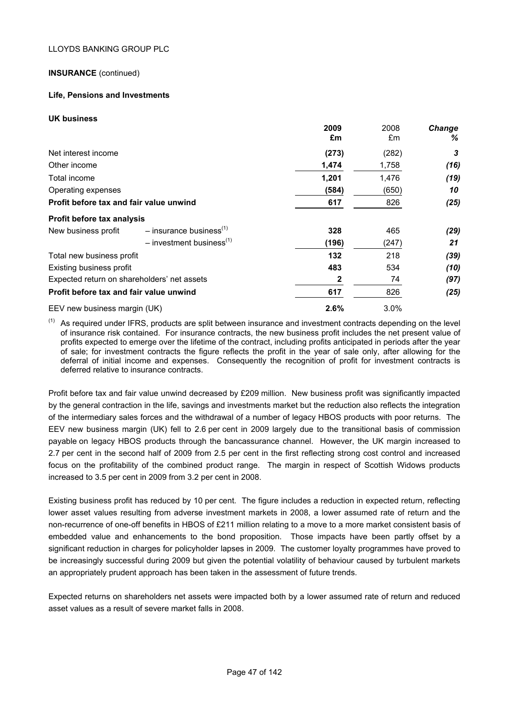# **INSURANCE** (continued)

# **Life, Pensions and Investments**

**UK business**

|                                             |                                        | 2009  | 2008  | Change |
|---------------------------------------------|----------------------------------------|-------|-------|--------|
|                                             |                                        | £m    | £m    | ℅      |
| Net interest income                         |                                        | (273) | (282) | 3      |
| Other income                                |                                        | 1,474 | 1,758 | (16)   |
| Total income                                |                                        | 1,201 | 1,476 | (19)   |
| Operating expenses                          |                                        | (584) | (650) | 10     |
| Profit before tax and fair value unwind     |                                        | 617   | 826   | (25)   |
| Profit before tax analysis                  |                                        |       |       |        |
| New business profit                         | $-$ insurance business <sup>(1)</sup>  | 328   | 465   | (29)   |
|                                             | $-$ investment business <sup>(1)</sup> | (196) | (247) | 21     |
| Total new business profit                   |                                        | 132   | 218   | (39)   |
| Existing business profit                    |                                        | 483   | 534   | (10)   |
| Expected return on shareholders' net assets |                                        | 2     | 74    | (97)   |
| Profit before tax and fair value unwind     |                                        | 617   | 826   | (25)   |
| EEV new business margin (UK)                |                                        | 2.6%  | 3.0%  |        |

 $(1)$  As required under IFRS, products are split between insurance and investment contracts depending on the level of insurance risk contained. For insurance contracts, the new business profit includes the net present value of profits expected to emerge over the lifetime of the contract, including profits anticipated in periods after the year of sale; for investment contracts the figure reflects the profit in the year of sale only, after allowing for the deferral of initial income and expenses. Consequently the recognition of profit for investment contracts is deferred relative to insurance contracts.

Profit before tax and fair value unwind decreased by £209 million. New business profit was significantly impacted by the general contraction in the life, savings and investments market but the reduction also reflects the integration of the intermediary sales forces and the withdrawal of a number of legacy HBOS products with poor returns. The EEV new business margin (UK) fell to 2.6 per cent in 2009 largely due to the transitional basis of commission payable on legacy HBOS products through the bancassurance channel. However, the UK margin increased to 2.7 per cent in the second half of 2009 from 2.5 per cent in the first reflecting strong cost control and increased focus on the profitability of the combined product range. The margin in respect of Scottish Widows products increased to 3.5 per cent in 2009 from 3.2 per cent in 2008.

Existing business profit has reduced by 10 per cent. The figure includes a reduction in expected return, reflecting lower asset values resulting from adverse investment markets in 2008, a lower assumed rate of return and the non-recurrence of one-off benefits in HBOS of £211 million relating to a move to a more market consistent basis of embedded value and enhancements to the bond proposition. Those impacts have been partly offset by a significant reduction in charges for policyholder lapses in 2009. The customer loyalty programmes have proved to be increasingly successful during 2009 but given the potential volatility of behaviour caused by turbulent markets an appropriately prudent approach has been taken in the assessment of future trends.

Expected returns on shareholders net assets were impacted both by a lower assumed rate of return and reduced asset values as a result of severe market falls in 2008.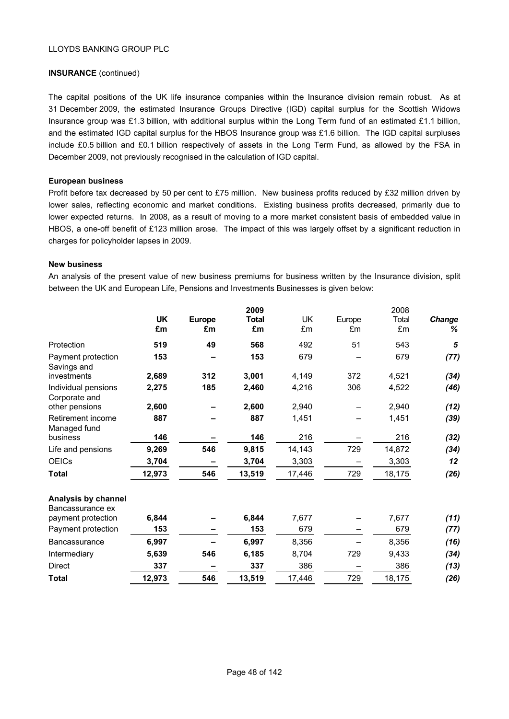# **INSURANCE** (continued)

The capital positions of the UK life insurance companies within the Insurance division remain robust. As at 31 December 2009, the estimated Insurance Groups Directive (IGD) capital surplus for the Scottish Widows Insurance group was £1.3 billion, with additional surplus within the Long Term fund of an estimated £1.1 billion, and the estimated IGD capital surplus for the HBOS Insurance group was £1.6 billion. The IGD capital surpluses include £0.5 billion and £0.1 billion respectively of assets in the Long Term Fund, as allowed by the FSA in December 2009, not previously recognised in the calculation of IGD capital.

#### **European business**

Profit before tax decreased by 50 per cent to £75 million. New business profits reduced by £32 million driven by lower sales, reflecting economic and market conditions. Existing business profits decreased, primarily due to lower expected returns. In 2008, as a result of moving to a more market consistent basis of embedded value in HBOS, a one-off benefit of £123 million arose. The impact of this was largely offset by a significant reduction in charges for policyholder lapses in 2009.

#### **New business**

An analysis of the present value of new business premiums for business written by the Insurance division, split between the UK and European Life, Pensions and Investments Businesses is given below:

|                                         | <b>UK</b><br>£m | <b>Europe</b><br>£m | 2009<br><b>Total</b><br>£m | <b>UK</b><br>£m | Europe<br>£m | 2008<br>Total<br>£m | Change<br>% |
|-----------------------------------------|-----------------|---------------------|----------------------------|-----------------|--------------|---------------------|-------------|
| Protection                              | 519             | 49                  | 568                        | 492             | 51           | 543                 | 5           |
| Payment protection<br>Savings and       | 153             |                     | 153                        | 679             |              | 679                 | (77)        |
| investments                             | 2,689           | 312                 | 3,001                      | 4,149           | 372          | 4,521               | (34)        |
| Individual pensions<br>Corporate and    | 2,275           | 185                 | 2,460                      | 4,216           | 306          | 4,522               | (46)        |
| other pensions                          | 2,600           |                     | 2,600                      | 2,940           |              | 2,940               | (12)        |
| Retirement income<br>Managed fund       | 887             |                     | 887                        | 1,451           |              | 1,451               | (39)        |
| business                                | 146             |                     | 146                        | 216             |              | 216                 | (32)        |
| Life and pensions                       | 9,269           | 546                 | 9,815                      | 14,143          | 729          | 14,872              | (34)        |
| <b>OEICs</b>                            | 3,704           |                     | 3,704                      | 3,303           |              | 3,303               | 12          |
| <b>Total</b>                            | 12,973          | 546                 | 13,519                     | 17,446          | 729          | 18,175              | (26)        |
| Analysis by channel<br>Bancassurance ex |                 |                     |                            |                 |              |                     |             |
| payment protection                      | 6,844           |                     | 6,844                      | 7,677           |              | 7,677               | (11)        |
| Payment protection                      | 153             |                     | 153                        | 679             |              | 679                 | (77)        |
| <b>Bancassurance</b>                    | 6,997           |                     | 6,997                      | 8,356           |              | 8,356               | (16)        |
| Intermediary                            | 5,639           | 546                 | 6,185                      | 8,704           | 729          | 9,433               | (34)        |
| <b>Direct</b>                           | 337             |                     | 337                        | 386             |              | 386                 | (13)        |

**Total 12,973 546 13,519** 17,446 729 18,175 *(26)*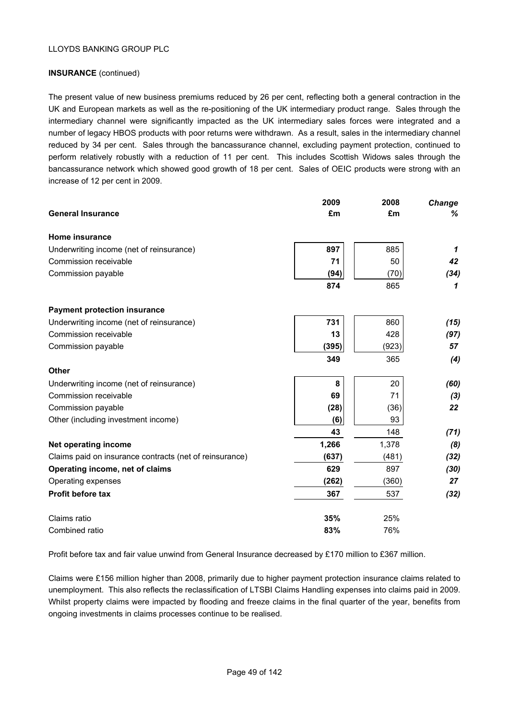# **INSURANCE** (continued)

The present value of new business premiums reduced by 26 per cent, reflecting both a general contraction in the UK and European markets as well as the re-positioning of the UK intermediary product range. Sales through the intermediary channel were significantly impacted as the UK intermediary sales forces were integrated and a number of legacy HBOS products with poor returns were withdrawn. As a result, sales in the intermediary channel reduced by 34 per cent. Sales through the bancassurance channel, excluding payment protection, continued to perform relatively robustly with a reduction of 11 per cent. This includes Scottish Widows sales through the bancassurance network which showed good growth of 18 per cent. Sales of OEIC products were strong with an increase of 12 per cent in 2009.

|                                                         | 2009  | 2008  | <b>Change</b> |
|---------------------------------------------------------|-------|-------|---------------|
| <b>General Insurance</b>                                | £m    | £m    | %             |
| Home insurance                                          |       |       |               |
| Underwriting income (net of reinsurance)                | 897   | 885   | 1             |
| Commission receivable                                   | 71    | 50    | 42            |
| Commission payable                                      | (94)  | (70)  | (34)          |
|                                                         | 874   | 865   | 1             |
| <b>Payment protection insurance</b>                     |       |       |               |
| Underwriting income (net of reinsurance)                | 731   | 860   | (15)          |
| Commission receivable                                   | 13    | 428   | (97)          |
| Commission payable                                      | (395) | (923) | 57            |
|                                                         | 349   | 365   | (4)           |
| Other                                                   |       |       |               |
| Underwriting income (net of reinsurance)                | 8     | 20    | (60)          |
| Commission receivable                                   | 69    | 71    | $(3)$         |
| Commission payable                                      | (28)  | (36)  | 22            |
| Other (including investment income)                     | (6)   | 93    |               |
|                                                         | 43    | 148   | (71)          |
| Net operating income                                    | 1,266 | 1,378 | (8)           |
| Claims paid on insurance contracts (net of reinsurance) | (637) | (481) | (32)          |
| Operating income, net of claims                         | 629   | 897   | (30)          |
| Operating expenses                                      | (262) | (360) | 27            |
| <b>Profit before tax</b>                                | 367   | 537   | (32)          |
| Claims ratio                                            | 35%   | 25%   |               |
| Combined ratio                                          | 83%   | 76%   |               |

Profit before tax and fair value unwind from General Insurance decreased by £170 million to £367 million.

Claims were £156 million higher than 2008, primarily due to higher payment protection insurance claims related to unemployment. This also reflects the reclassification of LTSBI Claims Handling expenses into claims paid in 2009. Whilst property claims were impacted by flooding and freeze claims in the final quarter of the year, benefits from ongoing investments in claims processes continue to be realised.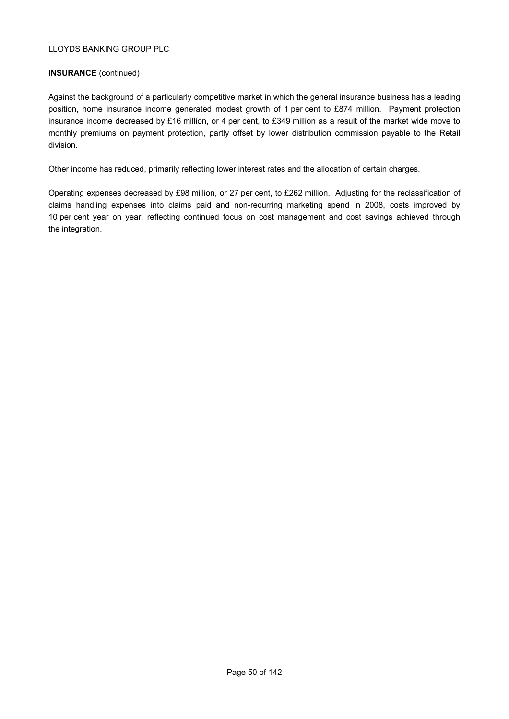# **INSURANCE** (continued)

Against the background of a particularly competitive market in which the general insurance business has a leading position, home insurance income generated modest growth of 1 per cent to £874 million. Payment protection insurance income decreased by £16 million, or 4 per cent, to £349 million as a result of the market wide move to monthly premiums on payment protection, partly offset by lower distribution commission payable to the Retail division.

Other income has reduced, primarily reflecting lower interest rates and the allocation of certain charges.

Operating expenses decreased by £98 million, or 27 per cent, to £262 million. Adjusting for the reclassification of claims handling expenses into claims paid and non-recurring marketing spend in 2008, costs improved by 10 per cent year on year, reflecting continued focus on cost management and cost savings achieved through the integration.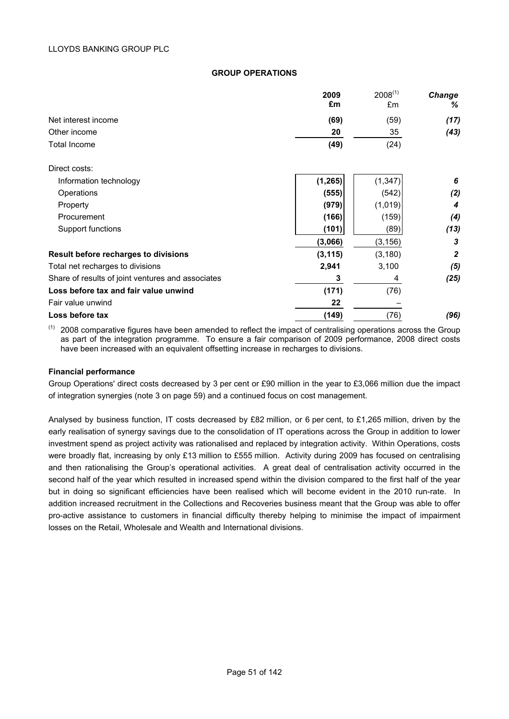### **GROUP OPERATIONS**

|                                                   | 2009     | $2008^{(1)}$ | <b>Change</b>  |
|---------------------------------------------------|----------|--------------|----------------|
|                                                   | £m       | £m           | %              |
| Net interest income                               | (69)     | (59)         | (17)           |
| Other income                                      | 20       | 35           | (43)           |
| <b>Total Income</b>                               | (49)     | (24)         |                |
| Direct costs:                                     |          |              |                |
| Information technology                            | (1, 265) | (1, 347)     | 6              |
| Operations                                        | (555)    | (542)        | (2)            |
| Property                                          | (979)    | (1,019)      | 4              |
| Procurement                                       | (166)    | (159)        | (4)            |
| Support functions                                 | (101)    | (89)         | (13)           |
|                                                   | (3,066)  | (3, 156)     | 3              |
| Result before recharges to divisions              | (3, 115) | (3, 180)     | $\overline{2}$ |
| Total net recharges to divisions                  | 2,941    | 3,100        | (5)            |
| Share of results of joint ventures and associates | 3        | 4            | (25)           |
| Loss before tax and fair value unwind             | (171)    | (76)         |                |
| Fair value unwind                                 | 22       |              |                |
| Loss before tax                                   | (149)    | (76)         | (96)           |

 $(1)$  2008 comparative figures have been amended to reflect the impact of centralising operations across the Group as part of the integration programme. To ensure a fair comparison of 2009 performance, 2008 direct costs have been increased with an equivalent offsetting increase in recharges to divisions.

#### **Financial performance**

Group Operations' direct costs decreased by 3 per cent or £90 million in the year to £3,066 million due the impact of integration synergies (note 3 on page 59) and a continued focus on cost management.

Analysed by business function, IT costs decreased by £82 million, or 6 per cent, to £1,265 million, driven by the early realisation of synergy savings due to the consolidation of IT operations across the Group in addition to lower investment spend as project activity was rationalised and replaced by integration activity. Within Operations, costs were broadly flat, increasing by only £13 million to £555 million. Activity during 2009 has focused on centralising and then rationalising the Group's operational activities. A great deal of centralisation activity occurred in the second half of the year which resulted in increased spend within the division compared to the first half of the year but in doing so significant efficiencies have been realised which will become evident in the 2010 run-rate. In addition increased recruitment in the Collections and Recoveries business meant that the Group was able to offer pro-active assistance to customers in financial difficulty thereby helping to minimise the impact of impairment losses on the Retail, Wholesale and Wealth and International divisions.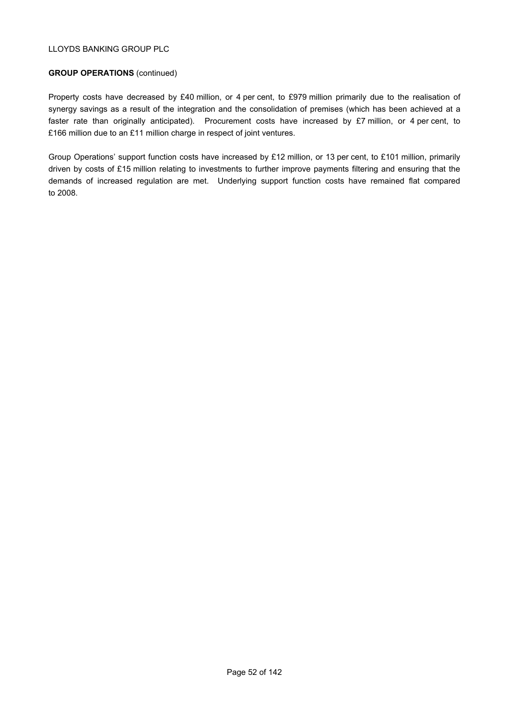# **GROUP OPERATIONS** (continued)

Property costs have decreased by £40 million, or 4 per cent, to £979 million primarily due to the realisation of synergy savings as a result of the integration and the consolidation of premises (which has been achieved at a faster rate than originally anticipated). Procurement costs have increased by £7 million, or 4 per cent, to £166 million due to an £11 million charge in respect of joint ventures.

Group Operations' support function costs have increased by £12 million, or 13 per cent, to £101 million, primarily driven by costs of £15 million relating to investments to further improve payments filtering and ensuring that the demands of increased regulation are met. Underlying support function costs have remained flat compared to 2008.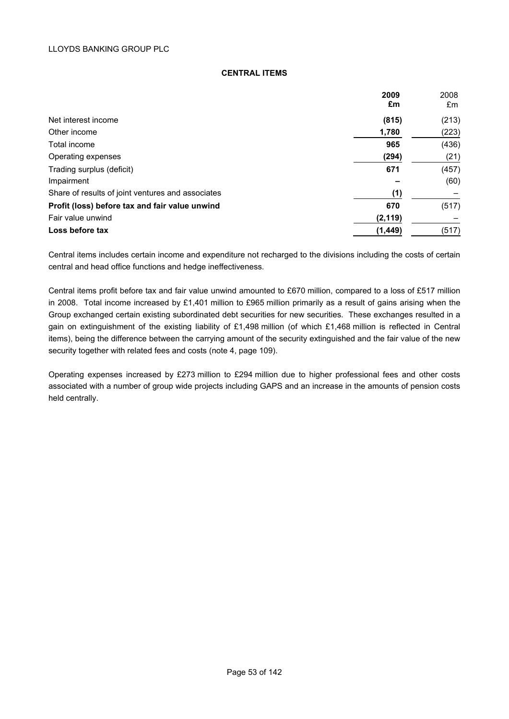#### **CENTRAL ITEMS**

|                                                   | 2009     | 2008  |
|---------------------------------------------------|----------|-------|
|                                                   | £m       | £m    |
| Net interest income                               | (815)    | (213) |
| Other income                                      | 1,780    | (223) |
| Total income                                      | 965      | (436) |
| Operating expenses                                | (294)    | (21)  |
| Trading surplus (deficit)                         | 671      | (457) |
| Impairment                                        |          | (60)  |
| Share of results of joint ventures and associates | (1)      |       |
| Profit (loss) before tax and fair value unwind    | 670      | (517) |
| Fair value unwind                                 | (2, 119) |       |
| Loss before tax                                   | (1, 449) | (517) |

Central items includes certain income and expenditure not recharged to the divisions including the costs of certain central and head office functions and hedge ineffectiveness.

Central items profit before tax and fair value unwind amounted to £670 million, compared to a loss of £517 million in 2008. Total income increased by £1,401 million to £965 million primarily as a result of gains arising when the Group exchanged certain existing subordinated debt securities for new securities. These exchanges resulted in a gain on extinguishment of the existing liability of £1,498 million (of which £1,468 million is reflected in Central items), being the difference between the carrying amount of the security extinguished and the fair value of the new security together with related fees and costs (note 4, page 109).

Operating expenses increased by £273 million to £294 million due to higher professional fees and other costs associated with a number of group wide projects including GAPS and an increase in the amounts of pension costs held centrally.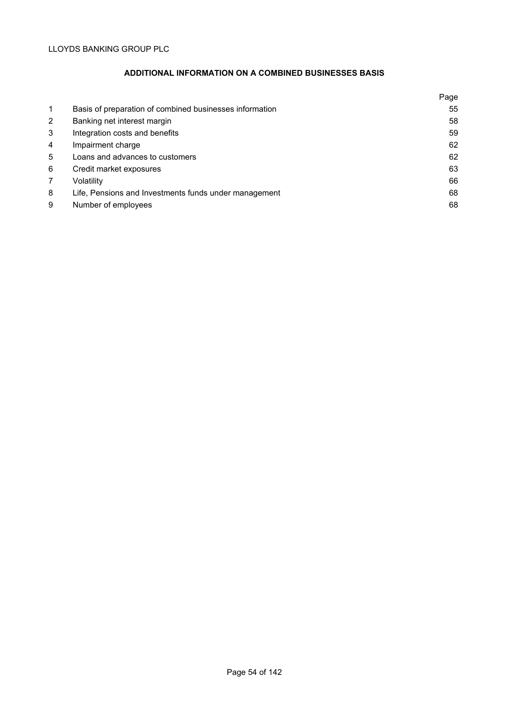# **ADDITIONAL INFORMATION ON A COMBINED BUSINESSES BASIS**

|              |                                                         | Page |
|--------------|---------------------------------------------------------|------|
| $\mathbf{1}$ | Basis of preparation of combined businesses information | 55   |
| 2            | Banking net interest margin                             | 58   |
| 3            | Integration costs and benefits                          | 59   |
| 4            | Impairment charge                                       | 62   |
| 5            | Loans and advances to customers                         | 62   |
| 6            | Credit market exposures                                 | 63   |
| 7            | Volatility                                              | 66   |
| 8            | Life, Pensions and Investments funds under management   | 68   |
| 9            | Number of employees                                     | 68   |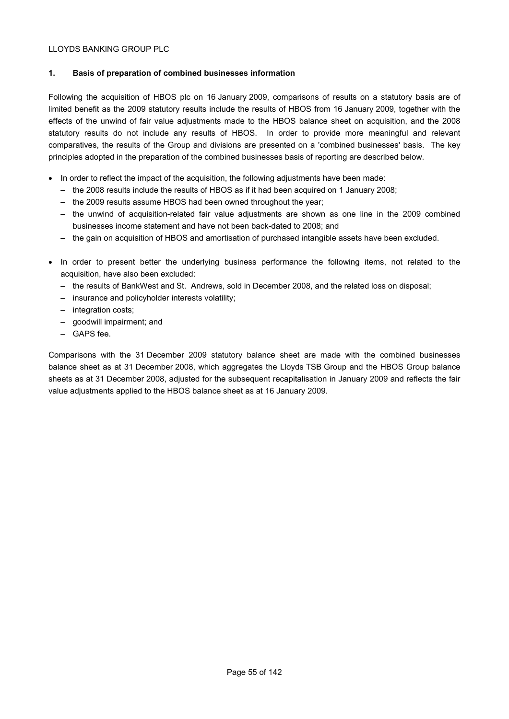# **1. Basis of preparation of combined businesses information**

Following the acquisition of HBOS plc on 16 January 2009, comparisons of results on a statutory basis are of limited benefit as the 2009 statutory results include the results of HBOS from 16 January 2009, together with the effects of the unwind of fair value adjustments made to the HBOS balance sheet on acquisition, and the 2008 statutory results do not include any results of HBOS. In order to provide more meaningful and relevant comparatives, the results of the Group and divisions are presented on a 'combined businesses' basis. The key principles adopted in the preparation of the combined businesses basis of reporting are described below.

- In order to reflect the impact of the acquisition, the following adjustments have been made:
	- the 2008 results include the results of HBOS as if it had been acquired on 1 January 2008;
	- the 2009 results assume HBOS had been owned throughout the year;
	- the unwind of acquisition-related fair value adjustments are shown as one line in the 2009 combined businesses income statement and have not been back-dated to 2008; and
	- the gain on acquisition of HBOS and amortisation of purchased intangible assets have been excluded.
- In order to present better the underlying business performance the following items, not related to the acquisition, have also been excluded:
	- the results of BankWest and St. Andrews, sold in December 2008, and the related loss on disposal;
	- insurance and policyholder interests volatility;
	- integration costs;
	- goodwill impairment; and
	- GAPS fee.

Comparisons with the 31 December 2009 statutory balance sheet are made with the combined businesses balance sheet as at 31 December 2008, which aggregates the Lloyds TSB Group and the HBOS Group balance sheets as at 31 December 2008, adjusted for the subsequent recapitalisation in January 2009 and reflects the fair value adjustments applied to the HBOS balance sheet as at 16 January 2009.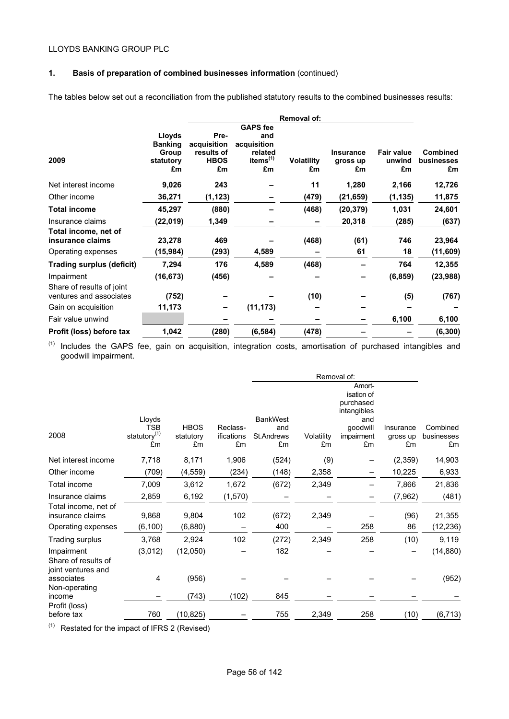# **1. Basis of preparation of combined businesses information** (continued)

The tables below set out a reconciliation from the published statutory results to the combined businesses results:

|                                                      |                          |                                 |                                       | Removal of:             |                                    |                                   |                                     |
|------------------------------------------------------|--------------------------|---------------------------------|---------------------------------------|-------------------------|------------------------------------|-----------------------------------|-------------------------------------|
|                                                      | Lloyds                   | Pre-                            | <b>GAPS</b> fee<br>and                |                         |                                    |                                   |                                     |
|                                                      | <b>Banking</b>           | acquisition                     | acquisition                           |                         |                                    |                                   |                                     |
| 2009                                                 | Group<br>statutory<br>£m | results of<br><b>HBOS</b><br>£m | related<br>items <sup>(1)</sup><br>£m | <b>Volatility</b><br>£m | <b>Insurance</b><br>gross up<br>£m | <b>Fair value</b><br>unwind<br>£m | <b>Combined</b><br>businesses<br>£m |
| Net interest income                                  | 9,026                    | 243                             |                                       | 11                      | 1,280                              | 2,166                             | 12,726                              |
| Other income                                         | 36,271                   | (1, 123)                        |                                       | (479)                   | (21, 659)                          | (1, 135)                          | 11,875                              |
| <b>Total income</b>                                  | 45,297                   | (880)                           |                                       | (468)                   | (20, 379)                          | 1,031                             | 24,601                              |
| Insurance claims                                     | (22,019)                 | 1,349                           |                                       |                         | 20,318                             | (285)                             | (637)                               |
| Total income, net of<br>insurance claims             | 23,278                   | 469                             |                                       | (468)                   | (61)                               | 746                               | 23,964                              |
| Operating expenses                                   | (15,984)                 | (293)                           | 4,589                                 |                         | 61                                 | 18                                | (11, 609)                           |
| <b>Trading surplus (deficit)</b>                     | 7,294                    | 176                             | 4,589                                 | (468)                   |                                    | 764                               | 12,355                              |
| Impairment                                           | (16, 673)                | (456)                           |                                       |                         |                                    | (6, 859)                          | (23, 988)                           |
| Share of results of joint<br>ventures and associates | (752)                    |                                 |                                       | (10)                    |                                    | (5)                               | (767)                               |
| Gain on acquisition                                  | 11,173                   |                                 | (11, 173)                             |                         |                                    |                                   |                                     |
| Fair value unwind                                    |                          |                                 |                                       |                         |                                    | 6,100                             | 6,100                               |
| Profit (loss) before tax                             | 1,042                    | (280)                           | (6, 584)                              | (478)                   |                                    |                                   | (6, 300)                            |
|                                                      |                          |                                 |                                       |                         |                                    |                                   |                                     |

(1) Includes the GAPS fee, gain on acquisition, integration costs, amortisation of purchased intangibles and goodwill impairment.

|                                                         |                                        |                          |                        |                   | Removal of: |                                                  |                       |                        |
|---------------------------------------------------------|----------------------------------------|--------------------------|------------------------|-------------------|-------------|--------------------------------------------------|-----------------------|------------------------|
|                                                         |                                        |                          |                        |                   |             | Amort-<br>isation of<br>purchased<br>intangibles |                       |                        |
|                                                         | Lloyds                                 |                          |                        | <b>BankWest</b>   |             | and                                              |                       |                        |
| 2008                                                    | <b>TSB</b><br>statutory <sup>(1)</sup> | <b>HBOS</b><br>statutory | Reclass-<br>ifications | and<br>St.Andrews | Volatility  | goodwill<br>impairment                           | Insurance<br>gross up | Combined<br>businesses |
|                                                         | £m                                     | £m                       | £m                     | £m                | £m          | £m                                               | £m                    | £m                     |
| Net interest income                                     | 7,718                                  | 8,171                    | 1,906                  | (524)             | (9)         |                                                  | (2,359)               | 14,903                 |
| Other income                                            | (709)                                  | (4, 559)                 | (234)                  | (148)             | 2,358       |                                                  | 10,225                | 6,933                  |
| Total income                                            | 7,009                                  | 3,612                    | 1,672                  | (672)             | 2,349       |                                                  | 7,866                 | 21,836                 |
| Insurance claims                                        | 2,859                                  | 6,192                    | (1,570)                |                   |             |                                                  | (7, 962)              | (481)                  |
| Total income, net of<br>insurance claims                | 9,868                                  | 9,804                    | 102                    | (672)             | 2,349       |                                                  | (96)                  | 21,355                 |
| Operating expenses                                      | (6, 100)                               | (6,880)                  |                        | 400               |             | 258                                              | 86                    | (12, 236)              |
| Trading surplus                                         | 3,768                                  | 2,924                    | 102                    | (272)             | 2,349       | 258                                              | (10)                  | 9,119                  |
| Impairment<br>Share of results of<br>joint ventures and | (3,012)                                | (12,050)                 |                        | 182               |             |                                                  |                       | (14, 880)              |
| associates<br>Non-operating                             | 4                                      | (956)                    |                        |                   |             |                                                  |                       | (952)                  |
| income                                                  |                                        | (743)                    | (102)                  | 845               |             |                                                  |                       |                        |
| Profit (loss)<br>before tax                             | 760                                    | (10, 825)                |                        | 755               | 2,349       | 258                                              | (10)                  | (6, 713)               |

(1) Restated for the impact of IFRS 2 (Revised)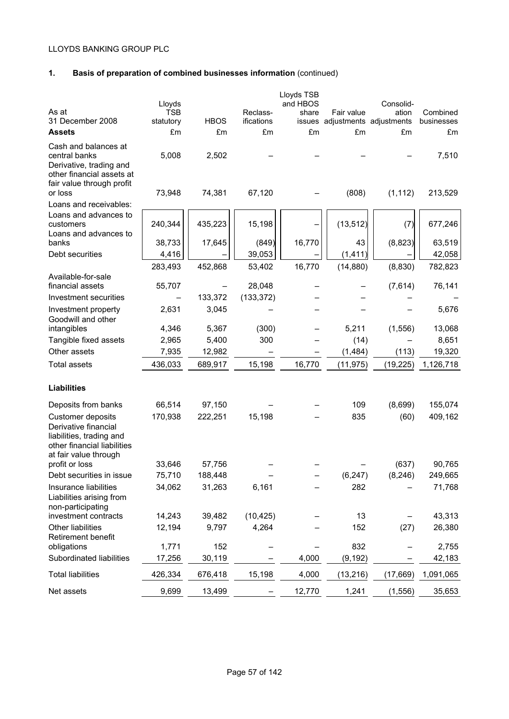# **1. Basis of preparation of combined businesses information** (continued)

| As at<br>31 December 2008<br><b>Assets</b>                                                                                    | Lloyds<br><b>TSB</b><br>statutory<br>£m | <b>HBOS</b><br>£m | Reclass-<br>ifications<br>£m | Lloyds TSB<br>and HBOS<br>share<br>£m | Fair value<br>issues adjustments adjustments<br>£m | Consolid-<br>ation<br>£m | Combined<br>businesses<br>£m |
|-------------------------------------------------------------------------------------------------------------------------------|-----------------------------------------|-------------------|------------------------------|---------------------------------------|----------------------------------------------------|--------------------------|------------------------------|
| Cash and balances at<br>central banks<br>Derivative, trading and<br>other financial assets at                                 | 5,008                                   | 2,502             |                              |                                       |                                                    |                          | 7,510                        |
| fair value through profit<br>or loss<br>Loans and receivables:                                                                | 73,948                                  | 74,381            | 67,120                       |                                       | (808)                                              | (1, 112)                 | 213,529                      |
| Loans and advances to<br>customers<br>Loans and advances to                                                                   | 240,344                                 | 435,223           | 15,198                       |                                       | (13, 512)                                          | (7)                      | 677,246                      |
| banks                                                                                                                         | 38,733                                  | 17,645            | (849)                        | 16,770                                | 43                                                 | (8, 823)                 | 63,519                       |
| Debt securities                                                                                                               | 4,416                                   |                   | 39,053                       |                                       | (1, 411)                                           |                          | 42,058                       |
|                                                                                                                               | 283,493                                 | 452,868           | 53,402                       | 16,770                                | (14, 880)                                          | (8,830)                  | 782,823                      |
| Available-for-sale<br>financial assets                                                                                        | 55,707                                  |                   | 28,048                       |                                       |                                                    | (7,614)                  | 76,141                       |
| Investment securities                                                                                                         |                                         | 133,372           | (133, 372)                   |                                       |                                                    |                          |                              |
| Investment property<br>Goodwill and other                                                                                     | 2,631                                   | 3,045             |                              |                                       |                                                    |                          | 5,676                        |
| intangibles                                                                                                                   | 4,346                                   | 5,367             | (300)                        |                                       | 5,211                                              | (1, 556)                 | 13,068                       |
| Tangible fixed assets                                                                                                         | 2,965                                   | 5,400             | 300                          |                                       | (14)                                               |                          | 8,651                        |
| Other assets                                                                                                                  | 7,935                                   | 12,982            |                              |                                       | (1,484)                                            | (113)                    | 19,320                       |
| <b>Total assets</b>                                                                                                           | 436,033                                 | 689,917           | 15,198                       | 16,770                                | (11, 975)                                          | (19, 225)                | 1,126,718                    |
| <b>Liabilities</b>                                                                                                            |                                         |                   |                              |                                       |                                                    |                          |                              |
| Deposits from banks                                                                                                           | 66,514                                  | 97,150            |                              |                                       | 109                                                | (8,699)                  | 155,074                      |
| Customer deposits<br>Derivative financial<br>liabilities, trading and<br>other financial liabilities<br>at fair value through | 170,938                                 | 222,251           | 15,198                       |                                       | 835                                                | (60)                     | 409,162                      |
| profit or loss                                                                                                                | 33,646                                  | 57,756            |                              |                                       |                                                    | (637)                    | 90,765                       |
| Debt securities in issue                                                                                                      | 75,710                                  | 188,448           |                              |                                       | (6, 247)                                           | (8, 246)                 | 249,665                      |
| Insurance liabilities<br>Liabilities arising from<br>non-participating                                                        | 34,062                                  | 31,263            | 6,161                        |                                       | 282                                                |                          | 71,768                       |
| investment contracts                                                                                                          | 14,243                                  | 39,482            | (10, 425)                    |                                       | 13                                                 |                          | 43,313                       |
| Other liabilities<br>Retirement benefit                                                                                       | 12,194                                  | 9,797             | 4,264                        |                                       | 152                                                | (27)                     | 26,380                       |
| obligations                                                                                                                   | 1,771                                   | 152               |                              |                                       | 832                                                |                          | 2,755                        |
| Subordinated liabilities                                                                                                      | 17,256                                  | 30,119            |                              | 4,000                                 | (9, 192)                                           |                          | 42,183                       |
| <b>Total liabilities</b>                                                                                                      | 426,334                                 | 676,418           | 15,198                       | 4,000                                 | (13, 216)                                          | (17, 669)                | 1,091,065                    |
| Net assets                                                                                                                    | 9,699                                   | 13,499            |                              | 12,770                                | 1,241                                              | (1, 556)                 | 35,653                       |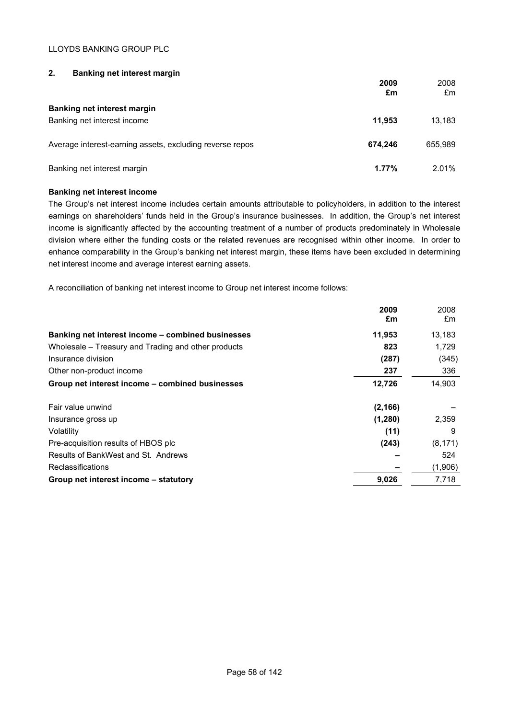# **2. Banking net interest margin**

|                                                          | 2009<br>£m | 2008<br>£m |
|----------------------------------------------------------|------------|------------|
| <b>Banking net interest margin</b>                       |            |            |
| Banking net interest income                              | 11.953     | 13,183     |
|                                                          |            |            |
| Average interest-earning assets, excluding reverse repos | 674.246    | 655,989    |
| Banking net interest margin                              | 1.77%      | 2.01%      |

# **Banking net interest income**

The Group's net interest income includes certain amounts attributable to policyholders, in addition to the interest earnings on shareholders' funds held in the Group's insurance businesses. In addition, the Group's net interest income is significantly affected by the accounting treatment of a number of products predominately in Wholesale division where either the funding costs or the related revenues are recognised within other income. In order to enhance comparability in the Group's banking net interest margin, these items have been excluded in determining net interest income and average interest earning assets.

A reconciliation of banking net interest income to Group net interest income follows:

|                                                     | 2009<br>£m | 2008     |
|-----------------------------------------------------|------------|----------|
|                                                     |            | £m       |
| Banking net interest income – combined businesses   | 11,953     | 13,183   |
| Wholesale – Treasury and Trading and other products | 823        | 1,729    |
| Insurance division                                  | (287)      | (345)    |
| Other non-product income                            | 237        | 336      |
| Group net interest income - combined businesses     | 12,726     | 14,903   |
| Fair value unwind                                   | (2, 166)   |          |
| Insurance gross up                                  | (1,280)    | 2,359    |
| Volatility                                          | (11)       | 9        |
| Pre-acquisition results of HBOS plc                 | (243)      | (8, 171) |
| Results of BankWest and St. Andrews                 |            | 524      |
| Reclassifications                                   |            | (1,906)  |
| Group net interest income – statutory               | 9,026      | 7,718    |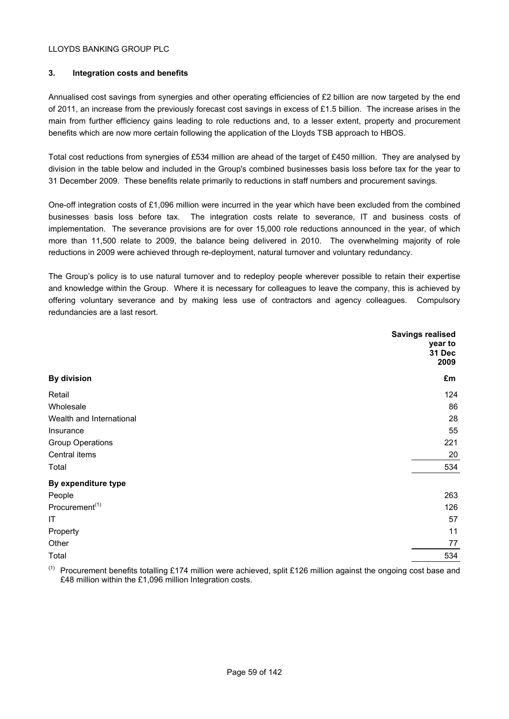# **3. Integration costs and benefits**

Annualised cost savings from synergies and other operating efficiencies of £2 billion are now targeted by the end of 2011, an increase from the previously forecast cost savings in excess of £1.5 billion. The increase arises in the main from further efficiency gains leading to role reductions and, to a lesser extent, property and procurement benefits which are now more certain following the application of the Lloyds TSB approach to HBOS.

Total cost reductions from synergies of £534 million are ahead of the target of £450 million. They are analysed by division in the table below and included in the Group's combined businesses basis loss before tax for the year to 31 December 2009. These benefits relate primarily to reductions in staff numbers and procurement savings.

One-off integration costs of £1,096 million were incurred in the year which have been excluded from the combined businesses basis loss before tax. The integration costs relate to severance, IT and business costs of implementation. The severance provisions are for over 15,000 role reductions announced in the year, of which more than 11,500 relate to 2009, the balance being delivered in 2010. The overwhelming majority of role reductions in 2009 were achieved through re-deployment, natural turnover and voluntary redundancy.

The Group's policy is to use natural turnover and to redeploy people wherever possible to retain their expertise and knowledge within the Group. Where it is necessary for colleagues to leave the company, this is achieved by offering voluntary severance and by making less use of contractors and agency colleagues. Compulsory redundancies are a last resort.

|                            | <b>Savings realised</b><br>year to<br>31 Dec<br>2009 |
|----------------------------|------------------------------------------------------|
| <b>By division</b>         | £m                                                   |
| Retail                     | 124                                                  |
| Wholesale                  | 86                                                   |
| Wealth and International   | 28                                                   |
| Insurance                  | 55                                                   |
| <b>Group Operations</b>    | 221                                                  |
| Central items              | 20                                                   |
| Total                      | 534                                                  |
| By expenditure type        |                                                      |
| People                     | 263                                                  |
| Procurement <sup>(1)</sup> | 126                                                  |
| IT                         | 57                                                   |
| Property                   | 11                                                   |
| Other                      | 77                                                   |
| Total                      | 534                                                  |

 $(1)$  Procurement benefits totalling £174 million were achieved, split £126 million against the ongoing cost base and £48 million within the £1,096 million Integration costs.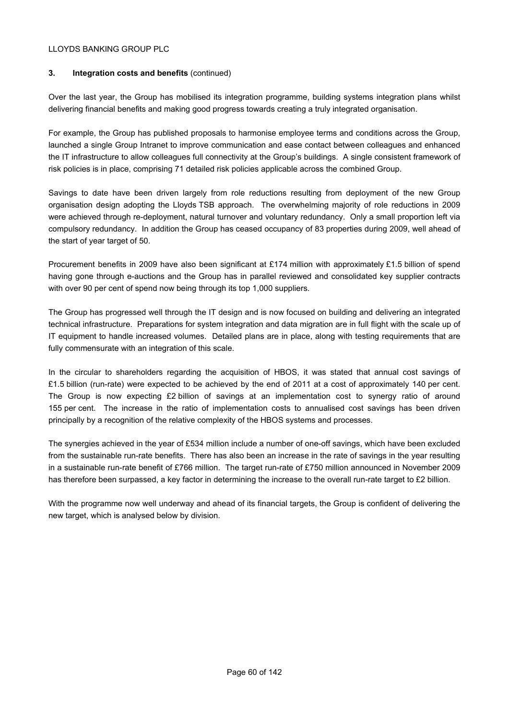# **3. Integration costs and benefits** (continued)

Over the last year, the Group has mobilised its integration programme, building systems integration plans whilst delivering financial benefits and making good progress towards creating a truly integrated organisation.

For example, the Group has published proposals to harmonise employee terms and conditions across the Group, launched a single Group Intranet to improve communication and ease contact between colleagues and enhanced the IT infrastructure to allow colleagues full connectivity at the Group's buildings. A single consistent framework of risk policies is in place, comprising 71 detailed risk policies applicable across the combined Group.

Savings to date have been driven largely from role reductions resulting from deployment of the new Group organisation design adopting the Lloyds TSB approach. The overwhelming majority of role reductions in 2009 were achieved through re-deployment, natural turnover and voluntary redundancy. Only a small proportion left via compulsory redundancy. In addition the Group has ceased occupancy of 83 properties during 2009, well ahead of the start of year target of 50.

Procurement benefits in 2009 have also been significant at £174 million with approximately £1.5 billion of spend having gone through e-auctions and the Group has in parallel reviewed and consolidated key supplier contracts with over 90 per cent of spend now being through its top 1,000 suppliers.

The Group has progressed well through the IT design and is now focused on building and delivering an integrated technical infrastructure. Preparations for system integration and data migration are in full flight with the scale up of IT equipment to handle increased volumes. Detailed plans are in place, along with testing requirements that are fully commensurate with an integration of this scale.

In the circular to shareholders regarding the acquisition of HBOS, it was stated that annual cost savings of £1.5 billion (run-rate) were expected to be achieved by the end of 2011 at a cost of approximately 140 per cent. The Group is now expecting £2 billion of savings at an implementation cost to synergy ratio of around 155 per cent. The increase in the ratio of implementation costs to annualised cost savings has been driven principally by a recognition of the relative complexity of the HBOS systems and processes.

The synergies achieved in the year of £534 million include a number of one-off savings, which have been excluded from the sustainable run-rate benefits. There has also been an increase in the rate of savings in the year resulting in a sustainable run-rate benefit of £766 million. The target run-rate of £750 million announced in November 2009 has therefore been surpassed, a key factor in determining the increase to the overall run-rate target to £2 billion.

With the programme now well underway and ahead of its financial targets, the Group is confident of delivering the new target, which is analysed below by division.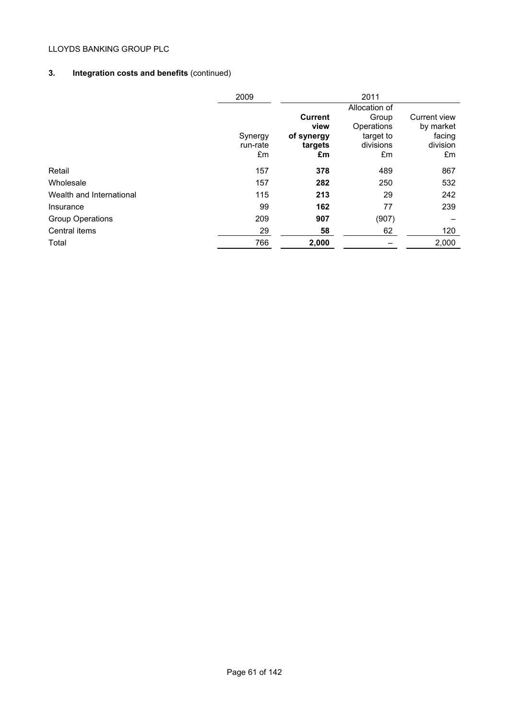# **3. Integration costs and benefits** (continued)

|                          | 2009     |                | 2011          |              |
|--------------------------|----------|----------------|---------------|--------------|
|                          |          |                | Allocation of |              |
|                          |          | <b>Current</b> | Group         | Current view |
|                          |          | view           | Operations    | by market    |
|                          | Synergy  | of synergy     | target to     | facing       |
|                          | run-rate | targets        | divisions     | division     |
|                          | £m       | £m             | £m            | £m           |
| Retail                   | 157      | 378            | 489           | 867          |
| Wholesale                | 157      | 282            | 250           | 532          |
| Wealth and International | 115      | 213            | 29            | 242          |
| Insurance                | 99       | 162            | 77            | 239          |
| <b>Group Operations</b>  | 209      | 907            | (907)         |              |
| Central items            | 29       | 58             | 62            | 120          |
| Total                    | 766      | 2,000          |               | 2,000        |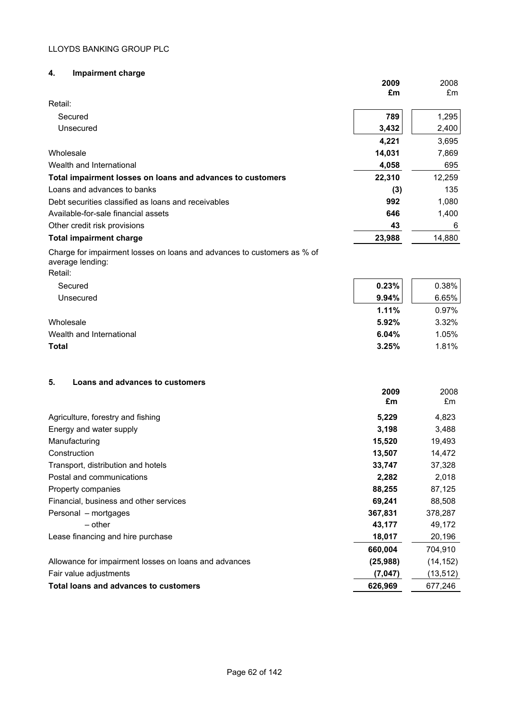# **4. Impairment charge**

|                                                                                                        | 2009   | 2008   |
|--------------------------------------------------------------------------------------------------------|--------|--------|
|                                                                                                        | £m     | Em     |
| Retail:                                                                                                |        |        |
| Secured                                                                                                | 789    | 1,295  |
| Unsecured                                                                                              | 3,432  | 2,400  |
|                                                                                                        | 4,221  | 3,695  |
| Wholesale                                                                                              | 14,031 | 7,869  |
| Wealth and International                                                                               | 4,058  | 695    |
| Total impairment losses on loans and advances to customers                                             | 22,310 | 12,259 |
| Loans and advances to banks                                                                            | (3)    | 135    |
| Debt securities classified as loans and receivables                                                    | 992    | 1,080  |
| Available-for-sale financial assets                                                                    | 646    | 1,400  |
| Other credit risk provisions                                                                           | 43     | 6      |
| <b>Total impairment charge</b>                                                                         | 23,988 | 14,880 |
| Charge for impairment losses on loans and advances to customers as % of<br>average lending:<br>Retail: |        |        |
| Secured                                                                                                | 0.23%  | 0.38%  |
| Unsecured                                                                                              | 9.94%  | 6.65%  |
|                                                                                                        | 1.11%  | 0.97%  |
| Wholesale                                                                                              | 5.92%  | 3.32%  |
| Wealth and International                                                                               | 6.04%  | 1.05%  |
| <b>Total</b>                                                                                           | 3.25%  | 1.81%  |
| Loans and advances to customers<br>5.                                                                  | 2009   | 2008   |

|                                                       | ZUUJ<br>£m | ∠∪∪o<br>£m |
|-------------------------------------------------------|------------|------------|
| Agriculture, forestry and fishing                     | 5,229      | 4,823      |
| Energy and water supply                               | 3,198      | 3,488      |
| Manufacturing                                         | 15,520     | 19,493     |
| Construction                                          | 13,507     | 14,472     |
| Transport, distribution and hotels                    | 33,747     | 37,328     |
| Postal and communications                             | 2,282      | 2,018      |
| Property companies                                    | 88,255     | 87,125     |
| Financial, business and other services                | 69,241     | 88,508     |
| Personal – mortgages                                  | 367,831    | 378,287    |
| - other                                               | 43,177     | 49,172     |
| Lease financing and hire purchase                     | 18,017     | 20,196     |
|                                                       | 660,004    | 704,910    |
| Allowance for impairment losses on loans and advances | (25,988)   | (14, 152)  |
| Fair value adjustments                                | (7,047)    | (13, 512)  |
| Total loans and advances to customers                 | 626,969    | 677,246    |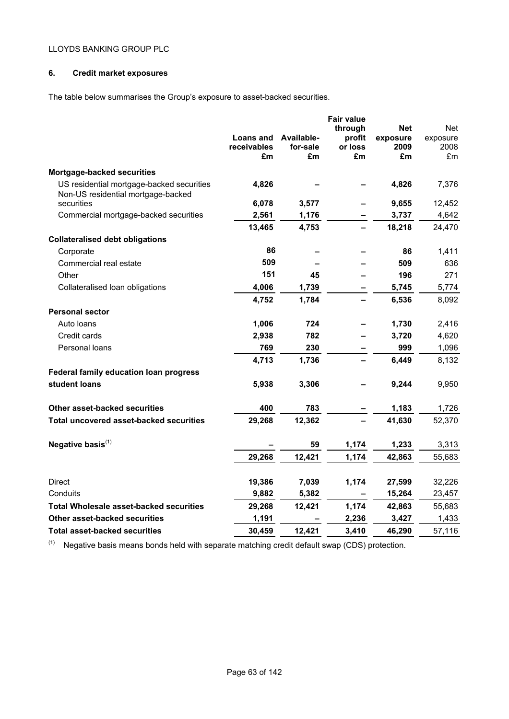# **6. Credit market exposures**

The table below summarises the Group's exposure to asset-backed securities.

|                                                                                 |                          |                | <b>Fair value</b> |            |            |
|---------------------------------------------------------------------------------|--------------------------|----------------|-------------------|------------|------------|
|                                                                                 |                          |                | through           | <b>Net</b> | <b>Net</b> |
|                                                                                 | Loans and                | Available-     | profit            | exposure   | exposure   |
|                                                                                 | <b>receivables</b><br>£m | for-sale<br>£m | or loss<br>£m     | 2009<br>£m | 2008<br>£m |
|                                                                                 |                          |                |                   |            |            |
| Mortgage-backed securities                                                      |                          |                |                   |            |            |
| US residential mortgage-backed securities<br>Non-US residential mortgage-backed | 4,826                    |                |                   | 4,826      | 7,376      |
| securities                                                                      | 6,078                    | 3,577          |                   | 9,655      | 12,452     |
| Commercial mortgage-backed securities                                           | 2,561                    | 1,176          |                   | 3,737      | 4,642      |
|                                                                                 | 13,465                   | 4,753          |                   | 18,218     | 24,470     |
| <b>Collateralised debt obligations</b>                                          |                          |                |                   |            |            |
| Corporate                                                                       | 86                       |                |                   | 86         | 1,411      |
| Commercial real estate                                                          | 509                      |                |                   | 509        | 636        |
| Other                                                                           | 151                      | 45             |                   | 196        | 271        |
| Collateralised loan obligations                                                 | 4,006                    | 1,739          |                   | 5,745      | 5,774      |
|                                                                                 | 4,752                    | 1,784          |                   | 6,536      | 8,092      |
| <b>Personal sector</b>                                                          |                          |                |                   |            |            |
| Auto Ioans                                                                      | 1,006                    | 724            |                   | 1,730      | 2,416      |
| Credit cards                                                                    | 2,938                    | 782            |                   | 3,720      | 4,620      |
| Personal loans                                                                  | 769                      | 230            |                   | 999        | 1,096      |
|                                                                                 | 4,713                    | 1,736          |                   | 6,449      | 8,132      |
| <b>Federal family education loan progress</b>                                   |                          |                |                   |            |            |
| student loans                                                                   | 5,938                    | 3,306          |                   | 9,244      | 9,950      |
|                                                                                 |                          |                |                   |            |            |
| Other asset-backed securities                                                   | 400                      | 783            |                   | 1,183      | 1,726      |
| Total uncovered asset-backed securities                                         | 29,268                   | 12,362         |                   | 41,630     | 52,370     |
|                                                                                 |                          |                |                   |            |            |
| Negative basis <sup>(1)</sup>                                                   |                          | 59             | 1,174             | 1,233      | 3,313      |
|                                                                                 | 29,268                   | 12,421         | 1,174             | 42,863     | 55,683     |
|                                                                                 |                          |                |                   |            |            |
| Direct                                                                          | 19,386                   | 7,039          | 1,174             | 27,599     | 32,226     |
| Conduits                                                                        | 9,882                    | 5,382          |                   | 15,264     | 23,457     |
| <b>Total Wholesale asset-backed securities</b>                                  | 29,268                   | 12,421         | 1,174             | 42,863     | 55,683     |
| Other asset-backed securities                                                   | 1,191                    |                | 2,236             | 3,427      | 1,433      |
| <b>Total asset-backed securities</b>                                            | 30,459                   | 12,421         | 3,410             | 46,290     | 57,116     |

 $(1)$  Negative basis means bonds held with separate matching credit default swap (CDS) protection.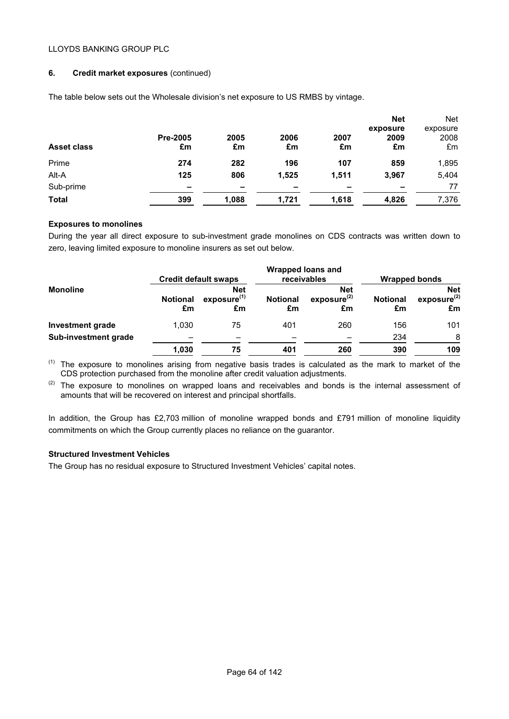# **6. Credit market exposures** (continued)

| <b>Asset class</b> | <b>Pre-2005</b><br>£m | 2005<br>£m | 2006<br>£m | 2007<br>£m | <b>Net</b><br>exposure<br>2009<br>£m | <b>Net</b><br>exposure<br>2008<br>£m |
|--------------------|-----------------------|------------|------------|------------|--------------------------------------|--------------------------------------|
| Prime              | 274                   | 282        | 196        | 107        | 859                                  | 1,895                                |
| Alt-A              | 125                   | 806        | 1,525      | 1,511      | 3,967                                | 5,404                                |
| Sub-prime          | -                     | -          | -          | -          | -                                    | 77                                   |
| Total              | 399                   | 1,088      | 1,721      | 1,618      | 4,826                                | 7,376                                |

The table below sets out the Wholesale division's net exposure to US RMBS by vintage.

# **Exposures to monolines**

During the year all direct exposure to sub-investment grade monolines on CDS contracts was written down to zero, leaving limited exposure to monoline insurers as set out below.

|                      |                       | <b>Credit default swaps</b>                 |                       | <b>Wrapped loans and</b><br>receivables     | <b>Wrapped bonds</b>  |                                             |
|----------------------|-----------------------|---------------------------------------------|-----------------------|---------------------------------------------|-----------------------|---------------------------------------------|
| <b>Monoline</b>      | <b>Notional</b><br>£m | <b>Net</b><br>exposure <sup>(1)</sup><br>£m | <b>Notional</b><br>£m | <b>Net</b><br>exposure <sup>(2)</sup><br>£m | <b>Notional</b><br>£m | <b>Net</b><br>exposure <sup>(2)</sup><br>£m |
| Investment grade     | 1.030                 | 75                                          | 401                   | 260                                         | 156                   | 101                                         |
| Sub-investment grade |                       |                                             |                       |                                             | 234                   | 8                                           |
|                      | 1,030                 | 75                                          | 401                   | 260                                         | 390                   | 109                                         |

(1) The exposure to monolines arising from negative basis trades is calculated as the mark to market of the CDS protection purchased from the monoline after credit valuation adjustments.

 $(2)$  The exposure to monolines on wrapped loans and receivables and bonds is the internal assessment of amounts that will be recovered on interest and principal shortfalls.

In addition, the Group has £2,703 million of monoline wrapped bonds and £791 million of monoline liquidity commitments on which the Group currently places no reliance on the guarantor.

#### **Structured Investment Vehicles**

The Group has no residual exposure to Structured Investment Vehicles' capital notes.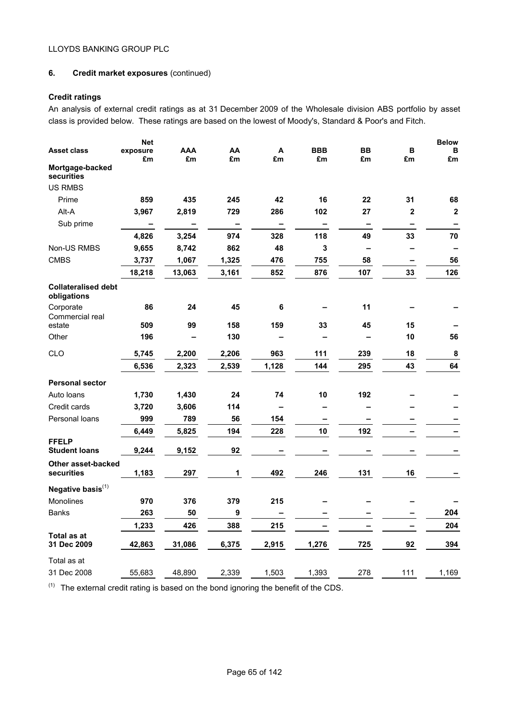# **6. Credit market exposures** (continued)

# **Credit ratings**

An analysis of external credit ratings as at 31 December 2009 of the Wholesale division ABS portfolio by asset class is provided below. These ratings are based on the lowest of Moody's, Standard & Poor's and Fitch.

|                                           | <b>Net</b>               |                          |                          |                          |                          |                 |                | <b>Below</b> |
|-------------------------------------------|--------------------------|--------------------------|--------------------------|--------------------------|--------------------------|-----------------|----------------|--------------|
| <b>Asset class</b>                        | exposure<br>£m           | AAA<br>£m                | AA<br>£m                 | A<br>£m                  | <b>BBB</b><br>£m         | <b>BB</b><br>£m | в<br>£m        | в<br>£m      |
| Mortgage-backed<br>securities             |                          |                          |                          |                          |                          |                 |                |              |
| <b>US RMBS</b>                            |                          |                          |                          |                          |                          |                 |                |              |
| Prime                                     | 859                      | 435                      | 245                      | 42                       | 16                       | 22              | 31             | 68           |
| Alt-A                                     | 3,967                    | 2,819                    | 729                      | 286                      | 102                      | 27              | $\overline{2}$ | $\mathbf{2}$ |
| Sub prime                                 | $\overline{\phantom{0}}$ | $\overline{\phantom{0}}$ | $\overline{\phantom{0}}$ | $\overline{\phantom{a}}$ | -                        | -               | ۰              |              |
|                                           | 4,826                    | 3,254                    | 974                      | 328                      | 118                      | 49              | 33             | 70           |
| Non-US RMBS                               | 9,655                    | 8,742                    | 862                      | 48                       | 3                        | -               |                |              |
| <b>CMBS</b>                               | 3,737                    | 1,067                    | 1,325                    | 476                      | 755                      | 58              | -              | 56           |
|                                           | 18,218                   | 13,063                   | 3,161                    | 852                      | 876                      | 107             | 33             | 126          |
| <b>Collateralised debt</b><br>obligations |                          |                          |                          |                          |                          |                 |                |              |
| Corporate<br>Commercial real              | 86                       | 24                       | 45                       | 6                        |                          | 11              |                |              |
| estate                                    | 509                      | 99                       | 158                      | 159                      | 33                       | 45              | 15             |              |
| Other                                     | 196                      |                          | 130                      |                          |                          |                 | 10             | 56           |
| CLO                                       | 5,745                    | 2,200                    | 2,206                    | 963                      | 111                      | 239             | 18             | $\bf8$       |
|                                           | 6,536                    | 2,323                    | 2,539                    | 1,128                    | 144                      | 295             | 43             | 64           |
| <b>Personal sector</b>                    |                          |                          |                          |                          |                          |                 |                |              |
| Auto Ioans                                | 1,730                    | 1,430                    | 24                       | 74                       | 10                       | 192             |                |              |
| Credit cards                              | 3,720                    | 3,606                    | 114                      | -                        | $\overline{\phantom{0}}$ |                 |                |              |
| Personal loans                            | 999                      | 789                      | 56                       | 154                      | -                        | -               |                |              |
|                                           | 6,449                    | 5,825                    | 194                      | 228                      | 10                       | 192             |                |              |
| <b>FFELP</b><br><b>Student loans</b>      | 9,244                    | 9,152                    | 92                       |                          |                          |                 |                |              |
| Other asset-backed<br>securities          | 1,183                    | 297                      | 1                        | 492                      | 246                      | 131             | 16             |              |
| Negative basis $(1)$                      |                          |                          |                          |                          |                          |                 |                |              |
| <b>Monolines</b>                          | 970                      | 376                      | 379                      | 215                      |                          |                 |                |              |
| <b>Banks</b>                              | 263                      | 50                       | 9                        |                          |                          |                 |                | 204          |
|                                           | 1,233                    | 426                      | 388                      | 215                      |                          |                 |                | 204          |
| Total as at<br>31 Dec 2009                | 42,863                   | 31,086                   | 6,375                    | 2,915                    | 1,276                    | 725             | 92             | 394          |
| Total as at                               |                          |                          |                          |                          |                          |                 |                |              |
| 31 Dec 2008                               | 55,683                   | 48,890                   | 2,339                    | 1,503                    | 1,393                    | 278             | 111            | 1,169        |

 $(1)$  The external credit rating is based on the bond ignoring the benefit of the CDS.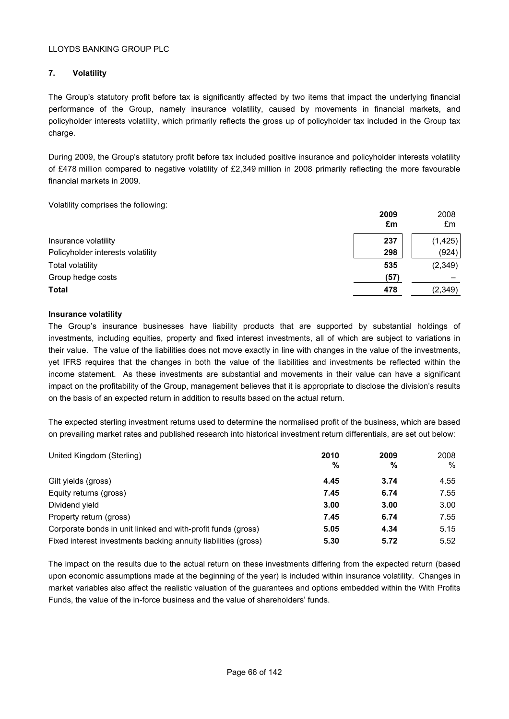# **7. Volatility**

The Group's statutory profit before tax is significantly affected by two items that impact the underlying financial performance of the Group, namely insurance volatility, caused by movements in financial markets, and policyholder interests volatility, which primarily reflects the gross up of policyholder tax included in the Group tax charge.

During 2009, the Group's statutory profit before tax included positive insurance and policyholder interests volatility of £478 million compared to negative volatility of £2,349 million in 2008 primarily reflecting the more favourable financial markets in 2009.

Volatility comprises the following:

|                                   | 2009<br>£m | 2008<br>£m |
|-----------------------------------|------------|------------|
| Insurance volatility              | 237        | (1, 425)   |
| Policyholder interests volatility | 298        | (924)      |
| <b>Total volatility</b>           | 535        | (2,349)    |
| Group hedge costs                 | (57)       |            |
| <b>Total</b>                      | 478        | (2, 349)   |

# **Insurance volatility**

The Group's insurance businesses have liability products that are supported by substantial holdings of investments, including equities, property and fixed interest investments, all of which are subject to variations in their value. The value of the liabilities does not move exactly in line with changes in the value of the investments, yet IFRS requires that the changes in both the value of the liabilities and investments be reflected within the income statement. As these investments are substantial and movements in their value can have a significant impact on the profitability of the Group, management believes that it is appropriate to disclose the division's results on the basis of an expected return in addition to results based on the actual return.

The expected sterling investment returns used to determine the normalised profit of the business, which are based on prevailing market rates and published research into historical investment return differentials, are set out below:

| United Kingdom (Sterling)                                      | 2010<br>% | 2009<br>% | 2008<br>$\%$ |
|----------------------------------------------------------------|-----------|-----------|--------------|
| Gilt yields (gross)                                            | 4.45      | 3.74      | 4.55         |
| Equity returns (gross)                                         | 7.45      | 6.74      | 7.55         |
| Dividend yield                                                 | 3.00      | 3.00      | 3.00         |
| Property return (gross)                                        | 7.45      | 6.74      | 7.55         |
| Corporate bonds in unit linked and with-profit funds (gross)   | 5.05      | 4.34      | 5.15         |
| Fixed interest investments backing annuity liabilities (gross) | 5.30      | 5.72      | 5.52         |

The impact on the results due to the actual return on these investments differing from the expected return (based upon economic assumptions made at the beginning of the year) is included within insurance volatility. Changes in market variables also affect the realistic valuation of the guarantees and options embedded within the With Profits Funds, the value of the in-force business and the value of shareholders' funds.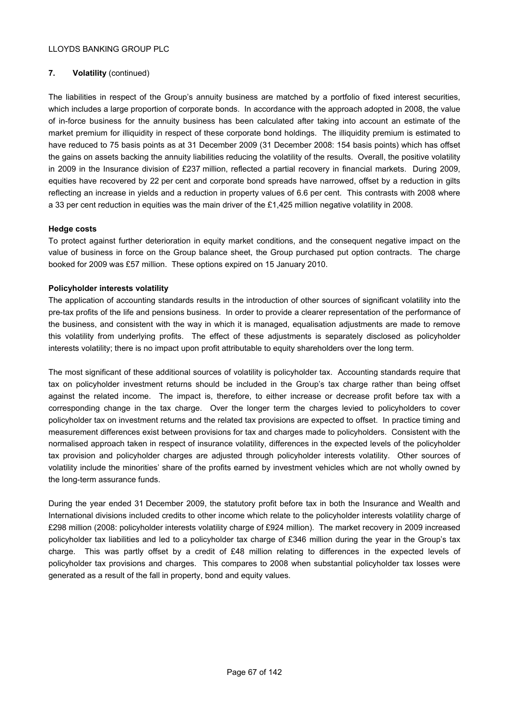# **7. Volatility** (continued)

The liabilities in respect of the Group's annuity business are matched by a portfolio of fixed interest securities, which includes a large proportion of corporate bonds. In accordance with the approach adopted in 2008, the value of in-force business for the annuity business has been calculated after taking into account an estimate of the market premium for illiquidity in respect of these corporate bond holdings. The illiquidity premium is estimated to have reduced to 75 basis points as at 31 December 2009 (31 December 2008: 154 basis points) which has offset the gains on assets backing the annuity liabilities reducing the volatility of the results. Overall, the positive volatility in 2009 in the Insurance division of £237 million, reflected a partial recovery in financial markets. During 2009, equities have recovered by 22 per cent and corporate bond spreads have narrowed, offset by a reduction in gilts reflecting an increase in yields and a reduction in property values of 6.6 per cent. This contrasts with 2008 where a 33 per cent reduction in equities was the main driver of the £1,425 million negative volatility in 2008.

#### **Hedge costs**

To protect against further deterioration in equity market conditions, and the consequent negative impact on the value of business in force on the Group balance sheet, the Group purchased put option contracts. The charge booked for 2009 was £57 million. These options expired on 15 January 2010.

# **Policyholder interests volatility**

The application of accounting standards results in the introduction of other sources of significant volatility into the pre-tax profits of the life and pensions business. In order to provide a clearer representation of the performance of the business, and consistent with the way in which it is managed, equalisation adjustments are made to remove this volatility from underlying profits. The effect of these adjustments is separately disclosed as policyholder interests volatility; there is no impact upon profit attributable to equity shareholders over the long term.

The most significant of these additional sources of volatility is policyholder tax. Accounting standards require that tax on policyholder investment returns should be included in the Group's tax charge rather than being offset against the related income. The impact is, therefore, to either increase or decrease profit before tax with a corresponding change in the tax charge. Over the longer term the charges levied to policyholders to cover policyholder tax on investment returns and the related tax provisions are expected to offset. In practice timing and measurement differences exist between provisions for tax and charges made to policyholders. Consistent with the normalised approach taken in respect of insurance volatility, differences in the expected levels of the policyholder tax provision and policyholder charges are adjusted through policyholder interests volatility. Other sources of volatility include the minorities' share of the profits earned by investment vehicles which are not wholly owned by the long-term assurance funds.

During the year ended 31 December 2009, the statutory profit before tax in both the Insurance and Wealth and International divisions included credits to other income which relate to the policyholder interests volatility charge of £298 million (2008: policyholder interests volatility charge of £924 million). The market recovery in 2009 increased policyholder tax liabilities and led to a policyholder tax charge of £346 million during the year in the Group's tax charge. This was partly offset by a credit of £48 million relating to differences in the expected levels of policyholder tax provisions and charges. This compares to 2008 when substantial policyholder tax losses were generated as a result of the fall in property, bond and equity values.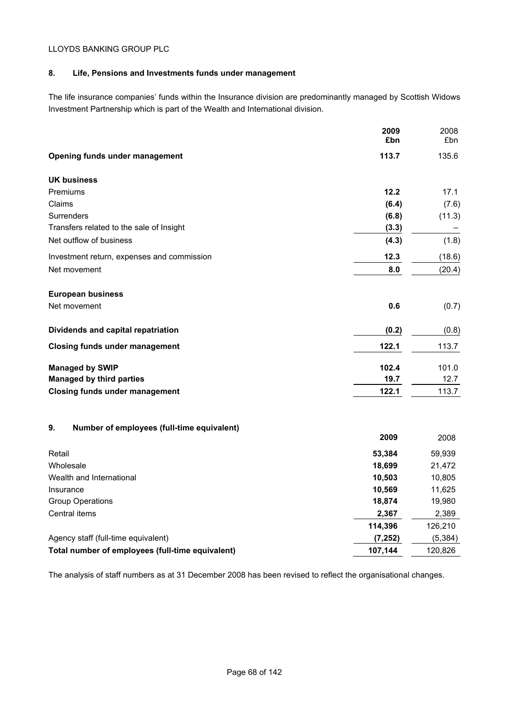# **8. Life, Pensions and Investments funds under management**

The life insurance companies' funds within the Insurance division are predominantly managed by Scottish Widows Investment Partnership which is part of the Wealth and International division.

|                                                  | 2009<br>£bn | 2008<br>£bn |
|--------------------------------------------------|-------------|-------------|
| Opening funds under management                   | 113.7       | 135.6       |
| <b>UK business</b>                               |             |             |
| Premiums                                         | 12.2        | 17.1        |
| Claims                                           | (6.4)       | (7.6)       |
| Surrenders                                       | (6.8)       | (11.3)      |
| Transfers related to the sale of Insight         | (3.3)       |             |
| Net outflow of business                          | (4.3)       | (1.8)       |
| Investment return, expenses and commission       | 12.3        | (18.6)      |
| Net movement                                     | 8.0         | (20.4)      |
| <b>European business</b>                         |             |             |
| Net movement                                     | 0.6         | (0.7)       |
| Dividends and capital repatriation               | (0.2)       | (0.8)       |
| <b>Closing funds under management</b>            | 122.1       | 113.7       |
| <b>Managed by SWIP</b>                           | 102.4       | 101.0       |
| <b>Managed by third parties</b>                  | 19.7        | 12.7        |
| <b>Closing funds under management</b>            | 122.1       | 113.7       |
| 9.<br>Number of employees (full-time equivalent) |             |             |
|                                                  | 2009        | 2008        |
| Retail                                           | 53,384      | 59,939      |
| Wholesale                                        | 18,699      | 21,472      |
| Wealth and International                         | 10,503      | 10,805      |
| Insurance                                        | 10,569      | 11,625      |
| <b>Group Operations</b>                          | 18,874      | 19,980      |
| Central items                                    | 2,367       | 2,389       |
|                                                  | 114,396     | 126,210     |
| Agency staff (full-time equivalent)              | (7, 252)    | (5, 384)    |
| Total number of employees (full-time equivalent) | 107,144     | 120,826     |

The analysis of staff numbers as at 31 December 2008 has been revised to reflect the organisational changes.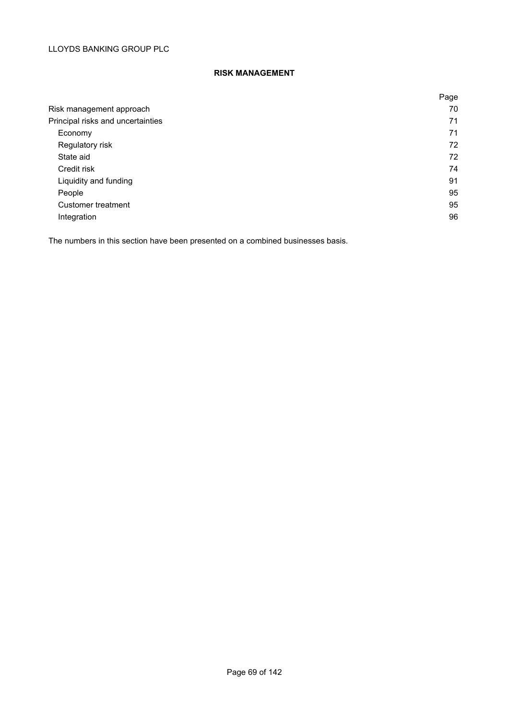# **RISK MANAGEMENT**

|                                   | Page |
|-----------------------------------|------|
| Risk management approach          | 70   |
| Principal risks and uncertainties | 71   |
| Economy                           | 71   |
| Regulatory risk                   | 72   |
| State aid                         | 72   |
| Credit risk                       | 74   |
| Liquidity and funding             | 91   |
| People                            | 95   |
| Customer treatment                | 95   |
| Integration                       | 96   |

The numbers in this section have been presented on a combined businesses basis.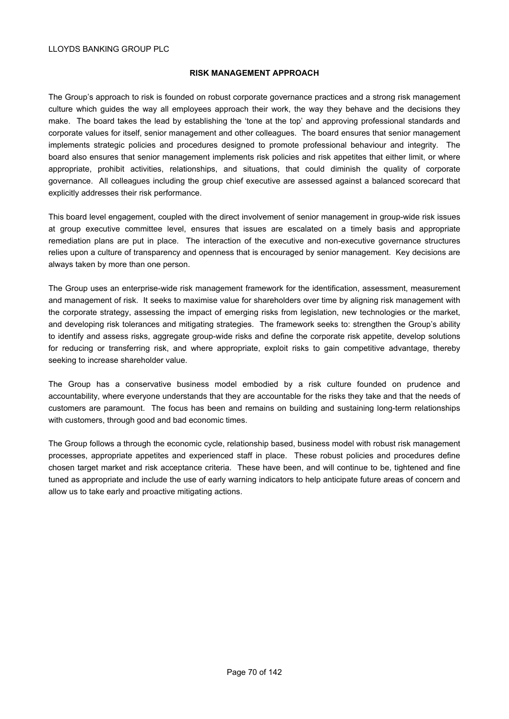#### **RISK MANAGEMENT APPROACH**

The Group's approach to risk is founded on robust corporate governance practices and a strong risk management culture which guides the way all employees approach their work, the way they behave and the decisions they make. The board takes the lead by establishing the 'tone at the top' and approving professional standards and corporate values for itself, senior management and other colleagues. The board ensures that senior management implements strategic policies and procedures designed to promote professional behaviour and integrity. The board also ensures that senior management implements risk policies and risk appetites that either limit, or where appropriate, prohibit activities, relationships, and situations, that could diminish the quality of corporate governance. All colleagues including the group chief executive are assessed against a balanced scorecard that explicitly addresses their risk performance.

This board level engagement, coupled with the direct involvement of senior management in group-wide risk issues at group executive committee level, ensures that issues are escalated on a timely basis and appropriate remediation plans are put in place. The interaction of the executive and non-executive governance structures relies upon a culture of transparency and openness that is encouraged by senior management. Key decisions are always taken by more than one person.

The Group uses an enterprise-wide risk management framework for the identification, assessment, measurement and management of risk. It seeks to maximise value for shareholders over time by aligning risk management with the corporate strategy, assessing the impact of emerging risks from legislation, new technologies or the market, and developing risk tolerances and mitigating strategies. The framework seeks to: strengthen the Group's ability to identify and assess risks, aggregate group-wide risks and define the corporate risk appetite, develop solutions for reducing or transferring risk, and where appropriate, exploit risks to gain competitive advantage, thereby seeking to increase shareholder value.

The Group has a conservative business model embodied by a risk culture founded on prudence and accountability, where everyone understands that they are accountable for the risks they take and that the needs of customers are paramount. The focus has been and remains on building and sustaining long-term relationships with customers, through good and bad economic times.

The Group follows a through the economic cycle, relationship based, business model with robust risk management processes, appropriate appetites and experienced staff in place. These robust policies and procedures define chosen target market and risk acceptance criteria. These have been, and will continue to be, tightened and fine tuned as appropriate and include the use of early warning indicators to help anticipate future areas of concern and allow us to take early and proactive mitigating actions.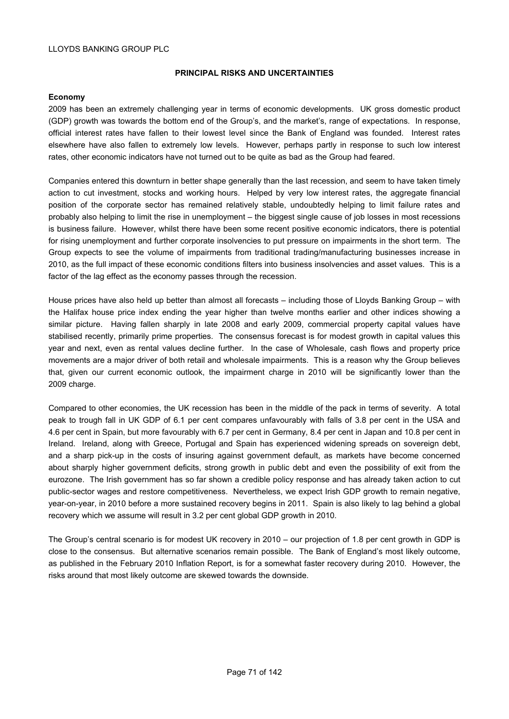#### **PRINCIPAL RISKS AND UNCERTAINTIES**

#### **Economy**

2009 has been an extremely challenging year in terms of economic developments. UK gross domestic product (GDP) growth was towards the bottom end of the Group's, and the market's, range of expectations. In response, official interest rates have fallen to their lowest level since the Bank of England was founded. Interest rates elsewhere have also fallen to extremely low levels. However, perhaps partly in response to such low interest rates, other economic indicators have not turned out to be quite as bad as the Group had feared.

Companies entered this downturn in better shape generally than the last recession, and seem to have taken timely action to cut investment, stocks and working hours. Helped by very low interest rates, the aggregate financial position of the corporate sector has remained relatively stable, undoubtedly helping to limit failure rates and probably also helping to limit the rise in unemployment – the biggest single cause of job losses in most recessions is business failure. However, whilst there have been some recent positive economic indicators, there is potential for rising unemployment and further corporate insolvencies to put pressure on impairments in the short term. The Group expects to see the volume of impairments from traditional trading/manufacturing businesses increase in 2010, as the full impact of these economic conditions filters into business insolvencies and asset values. This is a factor of the lag effect as the economy passes through the recession.

House prices have also held up better than almost all forecasts – including those of Lloyds Banking Group – with the Halifax house price index ending the year higher than twelve months earlier and other indices showing a similar picture. Having fallen sharply in late 2008 and early 2009, commercial property capital values have stabilised recently, primarily prime properties. The consensus forecast is for modest growth in capital values this year and next, even as rental values decline further. In the case of Wholesale, cash flows and property price movements are a major driver of both retail and wholesale impairments. This is a reason why the Group believes that, given our current economic outlook, the impairment charge in 2010 will be significantly lower than the 2009 charge.

Compared to other economies, the UK recession has been in the middle of the pack in terms of severity. A total peak to trough fall in UK GDP of 6.1 per cent compares unfavourably with falls of 3.8 per cent in the USA and 4.6 per cent in Spain, but more favourably with 6.7 per cent in Germany, 8.4 per cent in Japan and 10.8 per cent in Ireland. Ireland, along with Greece, Portugal and Spain has experienced widening spreads on sovereign debt, and a sharp pick-up in the costs of insuring against government default, as markets have become concerned about sharply higher government deficits, strong growth in public debt and even the possibility of exit from the eurozone. The Irish government has so far shown a credible policy response and has already taken action to cut public-sector wages and restore competitiveness. Nevertheless, we expect Irish GDP growth to remain negative, year-on-year, in 2010 before a more sustained recovery begins in 2011. Spain is also likely to lag behind a global recovery which we assume will result in 3.2 per cent global GDP growth in 2010.

The Group's central scenario is for modest UK recovery in 2010 – our projection of 1.8 per cent growth in GDP is close to the consensus. But alternative scenarios remain possible. The Bank of England's most likely outcome, as published in the February 2010 Inflation Report, is for a somewhat faster recovery during 2010. However, the risks around that most likely outcome are skewed towards the downside.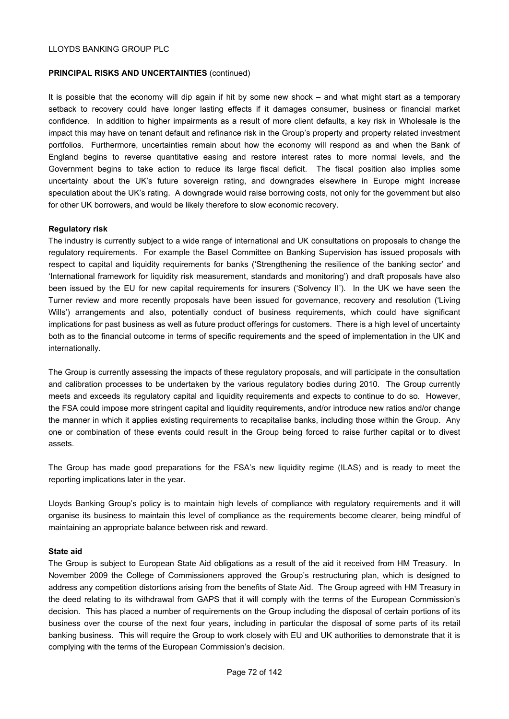#### **PRINCIPAL RISKS AND UNCERTAINTIES** (continued)

It is possible that the economy will dip again if hit by some new shock – and what might start as a temporary setback to recovery could have longer lasting effects if it damages consumer, business or financial market confidence. In addition to higher impairments as a result of more client defaults, a key risk in Wholesale is the impact this may have on tenant default and refinance risk in the Group's property and property related investment portfolios. Furthermore, uncertainties remain about how the economy will respond as and when the Bank of England begins to reverse quantitative easing and restore interest rates to more normal levels, and the Government begins to take action to reduce its large fiscal deficit. The fiscal position also implies some uncertainty about the UK's future sovereign rating, and downgrades elsewhere in Europe might increase speculation about the UK's rating. A downgrade would raise borrowing costs, not only for the government but also for other UK borrowers, and would be likely therefore to slow economic recovery.

#### **Regulatory risk**

The industry is currently subject to a wide range of international and UK consultations on proposals to change the regulatory requirements. For example the Basel Committee on Banking Supervision has issued proposals with respect to capital and liquidity requirements for banks ('Strengthening the resilience of the banking sector' and 'International framework for liquidity risk measurement, standards and monitoring') and draft proposals have also been issued by the EU for new capital requirements for insurers ('Solvency II'). In the UK we have seen the Turner review and more recently proposals have been issued for governance, recovery and resolution ('Living Wills') arrangements and also, potentially conduct of business requirements, which could have significant implications for past business as well as future product offerings for customers. There is a high level of uncertainty both as to the financial outcome in terms of specific requirements and the speed of implementation in the UK and internationally.

The Group is currently assessing the impacts of these regulatory proposals, and will participate in the consultation and calibration processes to be undertaken by the various regulatory bodies during 2010. The Group currently meets and exceeds its regulatory capital and liquidity requirements and expects to continue to do so. However, the FSA could impose more stringent capital and liquidity requirements, and/or introduce new ratios and/or change the manner in which it applies existing requirements to recapitalise banks, including those within the Group. Any one or combination of these events could result in the Group being forced to raise further capital or to divest assets.

The Group has made good preparations for the FSA's new liquidity regime (ILAS) and is ready to meet the reporting implications later in the year.

Lloyds Banking Group's policy is to maintain high levels of compliance with regulatory requirements and it will organise its business to maintain this level of compliance as the requirements become clearer, being mindful of maintaining an appropriate balance between risk and reward.

#### **State aid**

The Group is subject to European State Aid obligations as a result of the aid it received from HM Treasury. In November 2009 the College of Commissioners approved the Group's restructuring plan, which is designed to address any competition distortions arising from the benefits of State Aid. The Group agreed with HM Treasury in the deed relating to its withdrawal from GAPS that it will comply with the terms of the European Commission's decision. This has placed a number of requirements on the Group including the disposal of certain portions of its business over the course of the next four years, including in particular the disposal of some parts of its retail banking business. This will require the Group to work closely with EU and UK authorities to demonstrate that it is complying with the terms of the European Commission's decision.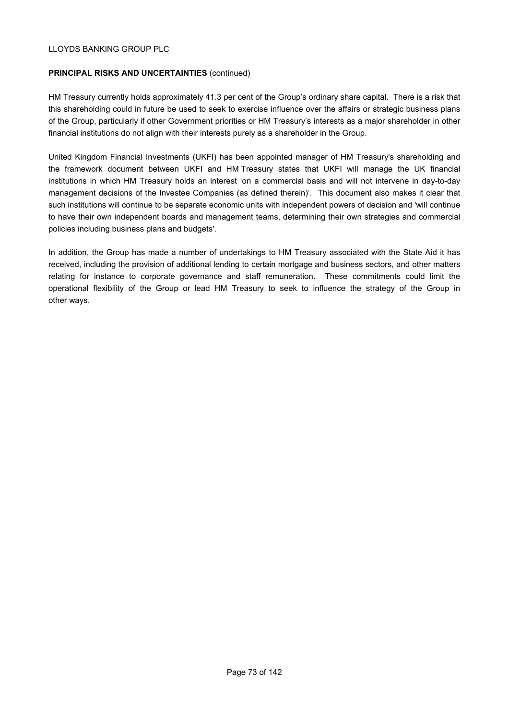### **PRINCIPAL RISKS AND UNCERTAINTIES** (continued)

HM Treasury currently holds approximately 41.3 per cent of the Group's ordinary share capital. There is a risk that this shareholding could in future be used to seek to exercise influence over the affairs or strategic business plans of the Group, particularly if other Government priorities or HM Treasury's interests as a major shareholder in other financial institutions do not align with their interests purely as a shareholder in the Group.

United Kingdom Financial Investments (UKFI) has been appointed manager of HM Treasury's shareholding and the framework document between UKFI and HM Treasury states that UKFI will manage the UK financial institutions in which HM Treasury holds an interest 'on a commercial basis and will not intervene in day-to-day management decisions of the Investee Companies (as defined therein)'. This document also makes it clear that such institutions will continue to be separate economic units with independent powers of decision and 'will continue to have their own independent boards and management teams, determining their own strategies and commercial policies including business plans and budgets'.

In addition, the Group has made a number of undertakings to HM Treasury associated with the State Aid it has received, including the provision of additional lending to certain mortgage and business sectors, and other matters relating for instance to corporate governance and staff remuneration. These commitments could limit the operational flexibility of the Group or lead HM Treasury to seek to influence the strategy of the Group in other ways.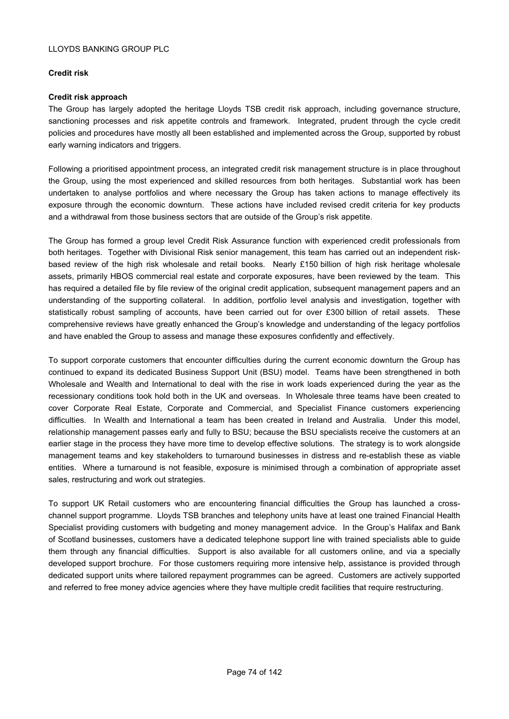## **Credit risk**

#### **Credit risk approach**

The Group has largely adopted the heritage Lloyds TSB credit risk approach, including governance structure, sanctioning processes and risk appetite controls and framework. Integrated, prudent through the cycle credit policies and procedures have mostly all been established and implemented across the Group, supported by robust early warning indicators and triggers.

Following a prioritised appointment process, an integrated credit risk management structure is in place throughout the Group, using the most experienced and skilled resources from both heritages. Substantial work has been undertaken to analyse portfolios and where necessary the Group has taken actions to manage effectively its exposure through the economic downturn. These actions have included revised credit criteria for key products and a withdrawal from those business sectors that are outside of the Group's risk appetite.

The Group has formed a group level Credit Risk Assurance function with experienced credit professionals from both heritages. Together with Divisional Risk senior management, this team has carried out an independent riskbased review of the high risk wholesale and retail books. Nearly £150 billion of high risk heritage wholesale assets, primarily HBOS commercial real estate and corporate exposures, have been reviewed by the team. This has required a detailed file by file review of the original credit application, subsequent management papers and an understanding of the supporting collateral. In addition, portfolio level analysis and investigation, together with statistically robust sampling of accounts, have been carried out for over £300 billion of retail assets. These comprehensive reviews have greatly enhanced the Group's knowledge and understanding of the legacy portfolios and have enabled the Group to assess and manage these exposures confidently and effectively.

To support corporate customers that encounter difficulties during the current economic downturn the Group has continued to expand its dedicated Business Support Unit (BSU) model. Teams have been strengthened in both Wholesale and Wealth and International to deal with the rise in work loads experienced during the year as the recessionary conditions took hold both in the UK and overseas. In Wholesale three teams have been created to cover Corporate Real Estate, Corporate and Commercial, and Specialist Finance customers experiencing difficulties. In Wealth and International a team has been created in Ireland and Australia. Under this model, relationship management passes early and fully to BSU; because the BSU specialists receive the customers at an earlier stage in the process they have more time to develop effective solutions. The strategy is to work alongside management teams and key stakeholders to turnaround businesses in distress and re-establish these as viable entities. Where a turnaround is not feasible, exposure is minimised through a combination of appropriate asset sales, restructuring and work out strategies.

To support UK Retail customers who are encountering financial difficulties the Group has launched a crosschannel support programme. Lloyds TSB branches and telephony units have at least one trained Financial Health Specialist providing customers with budgeting and money management advice. In the Group's Halifax and Bank of Scotland businesses, customers have a dedicated telephone support line with trained specialists able to guide them through any financial difficulties. Support is also available for all customers online, and via a specially developed support brochure. For those customers requiring more intensive help, assistance is provided through dedicated support units where tailored repayment programmes can be agreed. Customers are actively supported and referred to free money advice agencies where they have multiple credit facilities that require restructuring.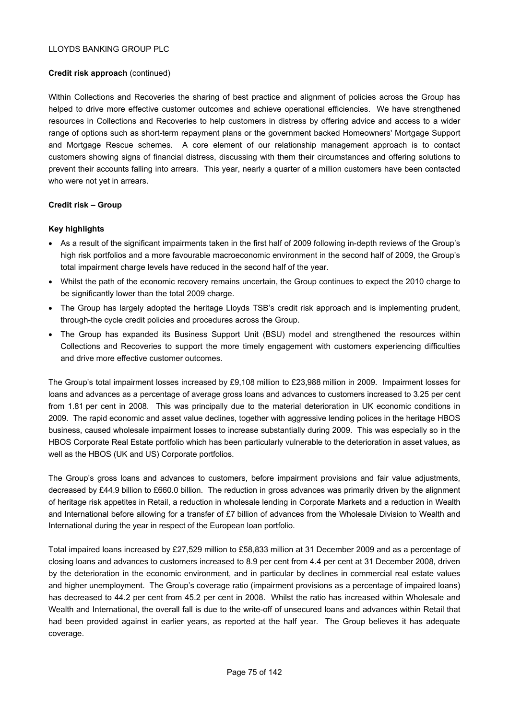## **Credit risk approach** (continued)

Within Collections and Recoveries the sharing of best practice and alignment of policies across the Group has helped to drive more effective customer outcomes and achieve operational efficiencies. We have strengthened resources in Collections and Recoveries to help customers in distress by offering advice and access to a wider range of options such as short-term repayment plans or the government backed Homeowners' Mortgage Support and Mortgage Rescue schemes. A core element of our relationship management approach is to contact customers showing signs of financial distress, discussing with them their circumstances and offering solutions to prevent their accounts falling into arrears. This year, nearly a quarter of a million customers have been contacted who were not yet in arrears.

#### **Credit risk – Group**

#### **Key highlights**

- As a result of the significant impairments taken in the first half of 2009 following in-depth reviews of the Group's high risk portfolios and a more favourable macroeconomic environment in the second half of 2009, the Group's total impairment charge levels have reduced in the second half of the year.
- Whilst the path of the economic recovery remains uncertain, the Group continues to expect the 2010 charge to be significantly lower than the total 2009 charge.
- The Group has largely adopted the heritage Lloyds TSB's credit risk approach and is implementing prudent, through-the cycle credit policies and procedures across the Group.
- The Group has expanded its Business Support Unit (BSU) model and strengthened the resources within Collections and Recoveries to support the more timely engagement with customers experiencing difficulties and drive more effective customer outcomes.

The Group's total impairment losses increased by £9,108 million to £23,988 million in 2009. Impairment losses for loans and advances as a percentage of average gross loans and advances to customers increased to 3.25 per cent from 1.81 per cent in 2008. This was principally due to the material deterioration in UK economic conditions in 2009. The rapid economic and asset value declines, together with aggressive lending polices in the heritage HBOS business, caused wholesale impairment losses to increase substantially during 2009. This was especially so in the HBOS Corporate Real Estate portfolio which has been particularly vulnerable to the deterioration in asset values, as well as the HBOS (UK and US) Corporate portfolios.

The Group's gross loans and advances to customers, before impairment provisions and fair value adjustments, decreased by £44.9 billion to £660.0 billion. The reduction in gross advances was primarily driven by the alignment of heritage risk appetites in Retail, a reduction in wholesale lending in Corporate Markets and a reduction in Wealth and International before allowing for a transfer of £7 billion of advances from the Wholesale Division to Wealth and International during the year in respect of the European loan portfolio.

Total impaired loans increased by £27,529 million to £58,833 million at 31 December 2009 and as a percentage of closing loans and advances to customers increased to 8.9 per cent from 4.4 per cent at 31 December 2008, driven by the deterioration in the economic environment, and in particular by declines in commercial real estate values and higher unemployment. The Group's coverage ratio (impairment provisions as a percentage of impaired loans) has decreased to 44.2 per cent from 45.2 per cent in 2008. Whilst the ratio has increased within Wholesale and Wealth and International, the overall fall is due to the write-off of unsecured loans and advances within Retail that had been provided against in earlier years, as reported at the half year. The Group believes it has adequate coverage.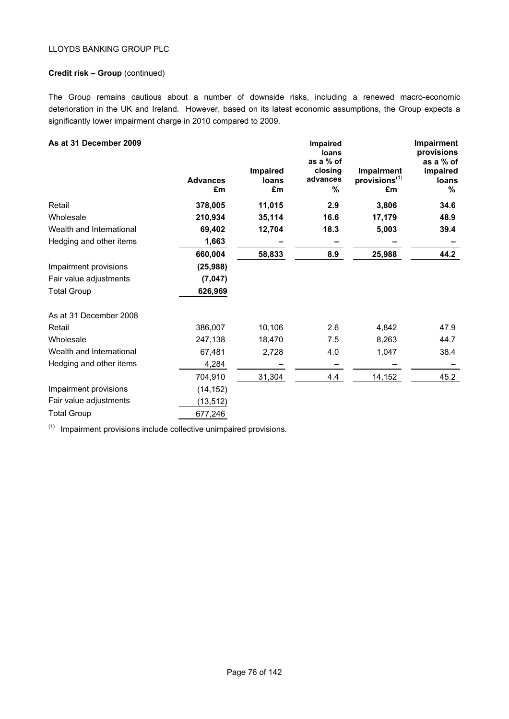### **Credit risk – Group** (continued)

The Group remains cautious about a number of downside risks, including a renewed macro-economic deterioration in the UK and Ireland. However, based on its latest economic assumptions, the Group expects a significantly lower impairment charge in 2010 compared to 2009.

| As at 31 December 2009   | <b>Advances</b><br>£m | Impaired<br>loans<br>£m | Impaired<br>loans<br>as a % of<br>closing<br>advances<br>% | Impairment<br>$provisions$ <sup><math>(1)</math></sup><br>£m | Impairment<br>provisions<br>as a % of<br>impaired<br>loans<br>% |
|--------------------------|-----------------------|-------------------------|------------------------------------------------------------|--------------------------------------------------------------|-----------------------------------------------------------------|
| Retail                   | 378,005               | 11,015                  | 2.9                                                        | 3,806                                                        | 34.6                                                            |
| Wholesale                | 210,934               | 35,114                  | 16.6                                                       | 17,179                                                       | 48.9                                                            |
| Wealth and International | 69,402                | 12,704                  | 18.3                                                       | 5,003                                                        | 39.4                                                            |
| Hedging and other items  | 1,663                 |                         |                                                            |                                                              |                                                                 |
|                          | 660,004               | 58,833                  | 8.9                                                        | 25,988                                                       | 44.2                                                            |
| Impairment provisions    | (25, 988)             |                         |                                                            |                                                              |                                                                 |
| Fair value adjustments   | (7,047)               |                         |                                                            |                                                              |                                                                 |
| <b>Total Group</b>       | 626,969               |                         |                                                            |                                                              |                                                                 |
| As at 31 December 2008   |                       |                         |                                                            |                                                              |                                                                 |
| Retail                   | 386,007               | 10,106                  | 2.6                                                        | 4,842                                                        | 47.9                                                            |
| Wholesale                | 247,138               | 18,470                  | 7.5                                                        | 8,263                                                        | 44.7                                                            |
| Wealth and International | 67,481                | 2,728                   | 4.0                                                        | 1,047                                                        | 38.4                                                            |
| Hedging and other items  | 4,284                 |                         |                                                            |                                                              |                                                                 |
|                          | 704,910               | 31,304                  | 4.4                                                        | 14,152                                                       | 45.2                                                            |
| Impairment provisions    | (14, 152)             |                         |                                                            |                                                              |                                                                 |
| Fair value adjustments   | (13, 512)             |                         |                                                            |                                                              |                                                                 |
| <b>Total Group</b>       | 677,246               |                         |                                                            |                                                              |                                                                 |

 $(1)$  Impairment provisions include collective unimpaired provisions.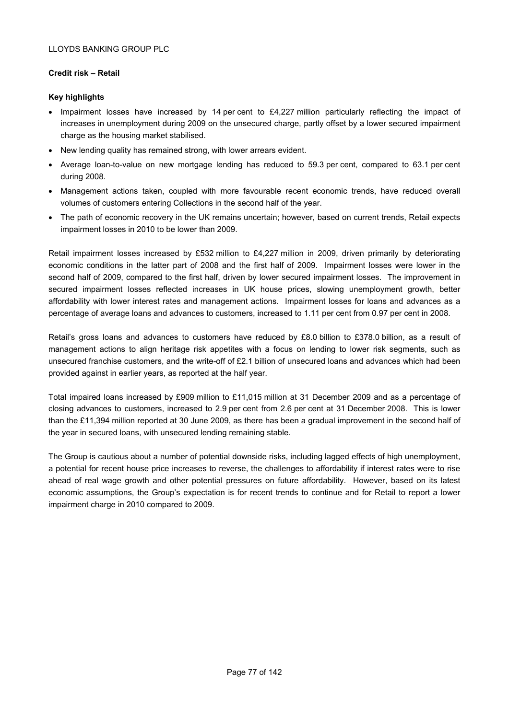## **Credit risk – Retail**

## **Key highlights**

- Impairment losses have increased by 14 per cent to £4,227 million particularly reflecting the impact of increases in unemployment during 2009 on the unsecured charge, partly offset by a lower secured impairment charge as the housing market stabilised.
- New lending quality has remained strong, with lower arrears evident.
- Average loan-to-value on new mortgage lending has reduced to 59.3 per cent, compared to 63.1 per cent during 2008.
- Management actions taken, coupled with more favourable recent economic trends, have reduced overall volumes of customers entering Collections in the second half of the year.
- The path of economic recovery in the UK remains uncertain; however, based on current trends, Retail expects impairment losses in 2010 to be lower than 2009.

Retail impairment losses increased by £532 million to £4,227 million in 2009, driven primarily by deteriorating economic conditions in the latter part of 2008 and the first half of 2009. Impairment losses were lower in the second half of 2009, compared to the first half, driven by lower secured impairment losses. The improvement in secured impairment losses reflected increases in UK house prices, slowing unemployment growth, better affordability with lower interest rates and management actions. Impairment losses for loans and advances as a percentage of average loans and advances to customers, increased to 1.11 per cent from 0.97 per cent in 2008.

Retail's gross loans and advances to customers have reduced by £8.0 billion to £378.0 billion, as a result of management actions to align heritage risk appetites with a focus on lending to lower risk segments, such as unsecured franchise customers, and the write-off of £2.1 billion of unsecured loans and advances which had been provided against in earlier years, as reported at the half year.

Total impaired loans increased by £909 million to £11,015 million at 31 December 2009 and as a percentage of closing advances to customers, increased to 2.9 per cent from 2.6 per cent at 31 December 2008. This is lower than the £11,394 million reported at 30 June 2009, as there has been a gradual improvement in the second half of the year in secured loans, with unsecured lending remaining stable.

The Group is cautious about a number of potential downside risks, including lagged effects of high unemployment, a potential for recent house price increases to reverse, the challenges to affordability if interest rates were to rise ahead of real wage growth and other potential pressures on future affordability. However, based on its latest economic assumptions, the Group's expectation is for recent trends to continue and for Retail to report a lower impairment charge in 2010 compared to 2009.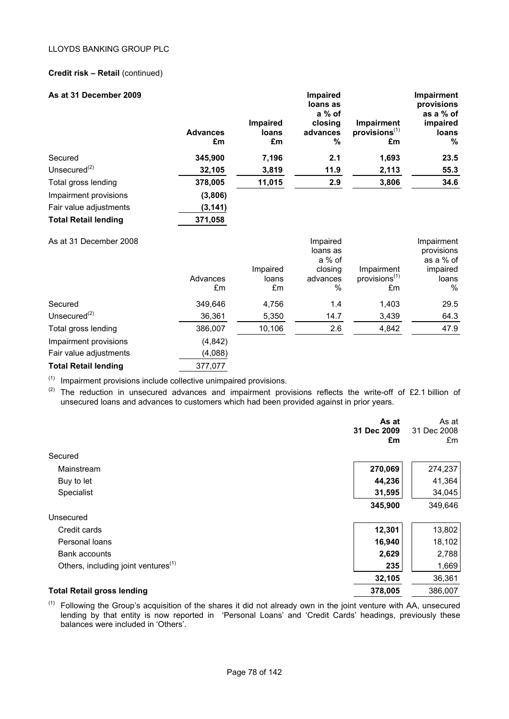## **Credit risk – Retail** (continued)

| As at 31 December 2009      | <b>Advances</b><br>£m | Impaired<br>loans<br>£m | Impaired<br>loans as<br>$a\%$ of<br>closing<br>advances<br>%  | Impairment<br>provisions <sup>(1)</sup><br>£m | <b>Impairment</b><br>provisions<br>as a % of<br>impaired<br>loans<br>% |
|-----------------------------|-----------------------|-------------------------|---------------------------------------------------------------|-----------------------------------------------|------------------------------------------------------------------------|
| Secured                     | 345,900               | 7,196                   | 2.1                                                           | 1,693                                         | 23.5                                                                   |
| Unsecured $(2)$             | 32,105                | 3,819                   | 11.9                                                          | 2,113                                         | 55.3                                                                   |
| Total gross lending         | 378,005               | 11,015                  | 2.9                                                           | 3,806                                         | 34.6                                                                   |
| Impairment provisions       | (3,806)               |                         |                                                               |                                               |                                                                        |
| Fair value adjustments      | (3, 141)              |                         |                                                               |                                               |                                                                        |
| <b>Total Retail lending</b> | 371,058               |                         |                                                               |                                               |                                                                        |
| As at 31 December 2008      | Advances<br>£m        | Impaired<br>loans<br>£m | Impaired<br>loans as<br>a % of<br>closing<br>advances<br>$\%$ | Impairment<br>provisions <sup>(1)</sup><br>£m | Impairment<br>provisions<br>as a % of<br>impaired<br>loans<br>%        |
| Secured                     | 349,646               | 4,756                   | 1.4                                                           | 1,403                                         | 29.5                                                                   |
| Unsecured $(2)$             | 36,361                | 5,350                   | 14.7                                                          | 3,439                                         | 64.3                                                                   |
| Total gross lending         | 386,007               | 10,106                  | 2.6                                                           | 4,842                                         | 47.9                                                                   |
| Impairment provisions       | (4, 842)              |                         |                                                               |                                               |                                                                        |
| Fair value adjustments      | (4,088)               |                         |                                                               |                                               |                                                                        |
| <b>Total Retail lending</b> | 377,077               |                         |                                                               |                                               |                                                                        |

 $(1)$  Impairment provisions include collective unimpaired provisions.

(2) The reduction in unsecured advances and impairment provisions reflects the write-off of £2.1 billion of unsecured loans and advances to customers which had been provided against in prior years.

|                                                 | As at<br>31 Dec 2009<br>£m | As at<br>31 Dec 2008<br>£m |
|-------------------------------------------------|----------------------------|----------------------------|
| Secured                                         |                            |                            |
| Mainstream                                      | 270,069                    | 274,237                    |
| Buy to let                                      | 44,236                     | 41,364                     |
| Specialist                                      | 31,595                     | 34,045                     |
|                                                 | 345,900                    | 349,646                    |
| Unsecured                                       |                            |                            |
| Credit cards                                    | 12,301                     | 13,802                     |
| Personal loans                                  | 16,940                     | 18,102                     |
| Bank accounts                                   | 2,629                      | 2,788                      |
| Others, including joint ventures <sup>(1)</sup> | 235                        | 1,669                      |
|                                                 | 32,105                     | 36,361                     |
| <b>Total Retail gross lending</b>               | 378,005                    | 386,007                    |

 $(1)$  Following the Group's acquisition of the shares it did not already own in the joint venture with AA, unsecured lending by that entity is now reported in 'Personal Loans' and 'Credit Cards' headings, previously these balances were included in 'Others'.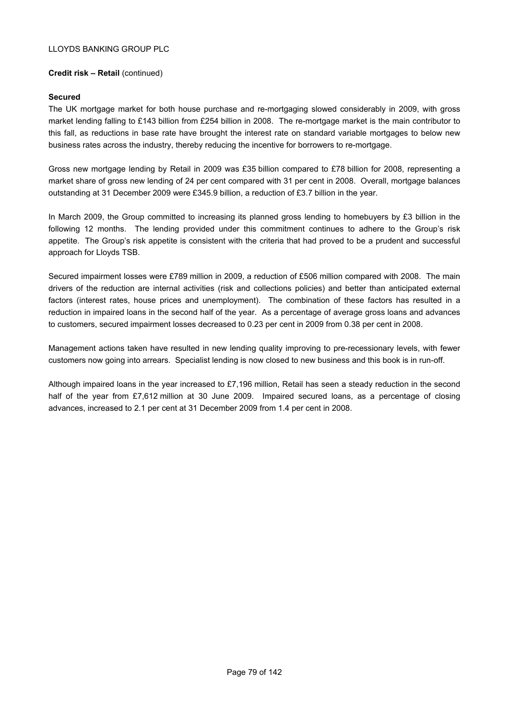## **Credit risk – Retail** (continued)

#### **Secured**

The UK mortgage market for both house purchase and re-mortgaging slowed considerably in 2009, with gross market lending falling to £143 billion from £254 billion in 2008. The re-mortgage market is the main contributor to this fall, as reductions in base rate have brought the interest rate on standard variable mortgages to below new business rates across the industry, thereby reducing the incentive for borrowers to re-mortgage.

Gross new mortgage lending by Retail in 2009 was £35 billion compared to £78 billion for 2008, representing a market share of gross new lending of 24 per cent compared with 31 per cent in 2008. Overall, mortgage balances outstanding at 31 December 2009 were £345.9 billion, a reduction of £3.7 billion in the year.

In March 2009, the Group committed to increasing its planned gross lending to homebuyers by £3 billion in the following 12 months. The lending provided under this commitment continues to adhere to the Group's risk appetite. The Group's risk appetite is consistent with the criteria that had proved to be a prudent and successful approach for Lloyds TSB.

Secured impairment losses were £789 million in 2009, a reduction of £506 million compared with 2008. The main drivers of the reduction are internal activities (risk and collections policies) and better than anticipated external factors (interest rates, house prices and unemployment). The combination of these factors has resulted in a reduction in impaired loans in the second half of the year. As a percentage of average gross loans and advances to customers, secured impairment losses decreased to 0.23 per cent in 2009 from 0.38 per cent in 2008.

Management actions taken have resulted in new lending quality improving to pre-recessionary levels, with fewer customers now going into arrears. Specialist lending is now closed to new business and this book is in run-off.

Although impaired loans in the year increased to £7,196 million, Retail has seen a steady reduction in the second half of the year from £7,612 million at 30 June 2009. Impaired secured loans, as a percentage of closing advances, increased to 2.1 per cent at 31 December 2009 from 1.4 per cent in 2008.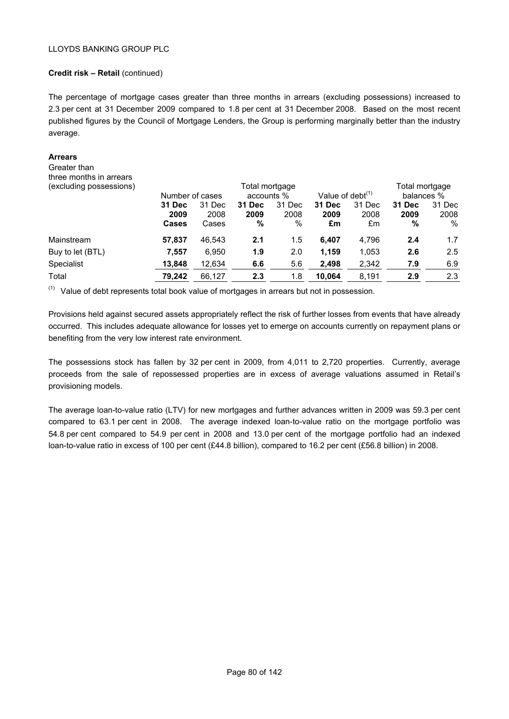## **Credit risk – Retail** (continued)

The percentage of mortgage cases greater than three months in arrears (excluding possessions) increased to 2.3 per cent at 31 December 2009 compared to 1.8 per cent at 31 December 2008. Based on the most recent published figures by the Council of Mortgage Lenders, the Group is performing marginally better than the industry average.

#### **Arrears**

Greater than three months in arrears

|              |        |                 |        |                |                     | Total mortgage |            |  |
|--------------|--------|-----------------|--------|----------------|---------------------|----------------|------------|--|
|              |        | accounts %      |        |                | Value of debt $(1)$ |                | balances % |  |
| 31 Dec       | 31 Dec | 31 Dec          | 31 Dec | <b>31 Dec</b>  | 31 Dec              | <b>31 Dec</b>  | 31 Dec     |  |
| 2009         | 2008   | 2009            | 2008   | 2009           | 2008                | 2009           | 2008       |  |
| <b>Cases</b> | Cases  | %               | $\%$   | £m             | £m                  | %              | %          |  |
| 57.837       | 46,543 | 2.1             | 1.5    | 6.407          | 4,796               | 2.4            | 1.7        |  |
| 7,557        | 6,950  | 1.9             | 2.0    | 1.159          | 1,053               | 2.6            | 2.5        |  |
| 13,848       | 12,634 | 6.6             | 5.6    | 2,498          | 2,342               | 7.9            | 6.9        |  |
| 79,242       | 66,127 | 2.3             | 1.8    | 10,064         | 8,191               | 2.9            | 2.3        |  |
|              |        | Number of cases |        | Total mortgage |                     |                |            |  |

 $(1)$  Value of debt represents total book value of mortgages in arrears but not in possession.

Provisions held against secured assets appropriately reflect the risk of further losses from events that have already occurred. This includes adequate allowance for losses yet to emerge on accounts currently on repayment plans or benefiting from the very low interest rate environment.

The possessions stock has fallen by 32 per cent in 2009, from 4,011 to 2,720 properties. Currently, average proceeds from the sale of repossessed properties are in excess of average valuations assumed in Retail's provisioning models.

The average loan-to-value ratio (LTV) for new mortgages and further advances written in 2009 was 59.3 per cent compared to 63.1 per cent in 2008. The average indexed loan-to-value ratio on the mortgage portfolio was 54.8 per cent compared to 54.9 per cent in 2008 and 13.0 per cent of the mortgage portfolio had an indexed loan-to-value ratio in excess of 100 per cent (£44.8 billion), compared to 16.2 per cent (£56.8 billion) in 2008.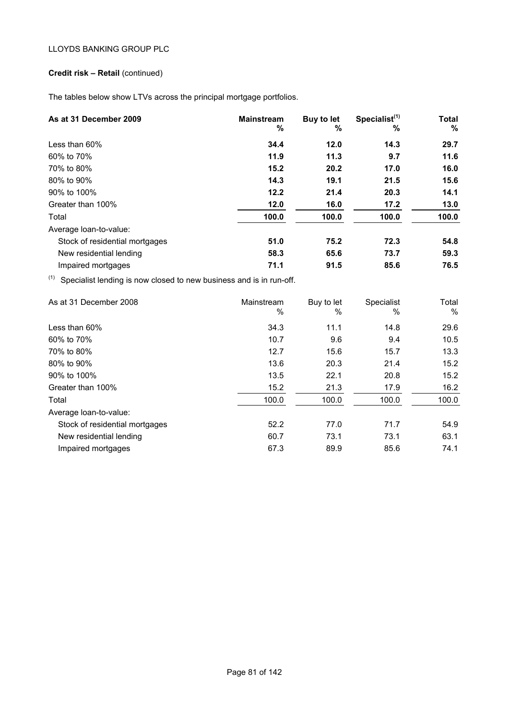# **Credit risk – Retail** (continued)

The tables below show LTVs across the principal mortgage portfolios.

| As at 31 December 2009                                                     | <b>Mainstream</b><br>% | Buy to let<br>% | Specialist <sup>(1)</sup><br>% | <b>Total</b><br>%      |
|----------------------------------------------------------------------------|------------------------|-----------------|--------------------------------|------------------------|
| Less than 60%                                                              | 34.4                   | 12.0            | 14.3                           | 29.7                   |
| 60% to 70%                                                                 | 11.9                   | 11.3            | 9.7                            | 11.6                   |
| 70% to 80%                                                                 | 15.2                   | 20.2            | 17.0                           | 16.0                   |
| 80% to 90%                                                                 | 14.3                   | 19.1            | 21.5                           | 15.6                   |
| 90% to 100%                                                                | 12.2                   | 21.4            | 20.3                           | 14.1                   |
| Greater than 100%                                                          | 12.0                   | 16.0            | 17.2                           | 13.0                   |
| Total                                                                      | 100.0                  | 100.0           | 100.0                          | 100.0                  |
| Average loan-to-value:                                                     |                        |                 |                                |                        |
| Stock of residential mortgages                                             | 51.0                   | 75.2            | 72.3                           | 54.8                   |
| New residential lending                                                    | 58.3                   | 65.6            | 73.7                           | 59.3                   |
| Impaired mortgages                                                         | 71.1                   | 91.5            | 85.6                           | 76.5                   |
| (1)<br>Specialist lending is now closed to new business and is in run-off. |                        |                 |                                |                        |
| As at 31 December 2008                                                     | Mainstream             | Buy to let      | Specialist                     | Total<br>$\mathsf{A}'$ |

|                                | $\%$  | %     | $\%$  | %     |
|--------------------------------|-------|-------|-------|-------|
| Less than $60\%$               | 34.3  | 11.1  | 14.8  | 29.6  |
| 60% to 70%                     | 10.7  | 9.6   | 9.4   | 10.5  |
| 70% to 80%                     | 12.7  | 15.6  | 15.7  | 13.3  |
| 80% to 90%                     | 13.6  | 20.3  | 21.4  | 15.2  |
| 90% to 100%                    | 13.5  | 22.1  | 20.8  | 15.2  |
| Greater than 100%              | 15.2  | 21.3  | 17.9  | 16.2  |
| Total                          | 100.0 | 100.0 | 100.0 | 100.0 |
| Average loan-to-value:         |       |       |       |       |
| Stock of residential mortgages | 52.2  | 77.0  | 71.7  | 54.9  |
| New residential lending        | 60.7  | 73.1  | 73.1  | 63.1  |
| Impaired mortgages             | 67.3  | 89.9  | 85.6  | 74.1  |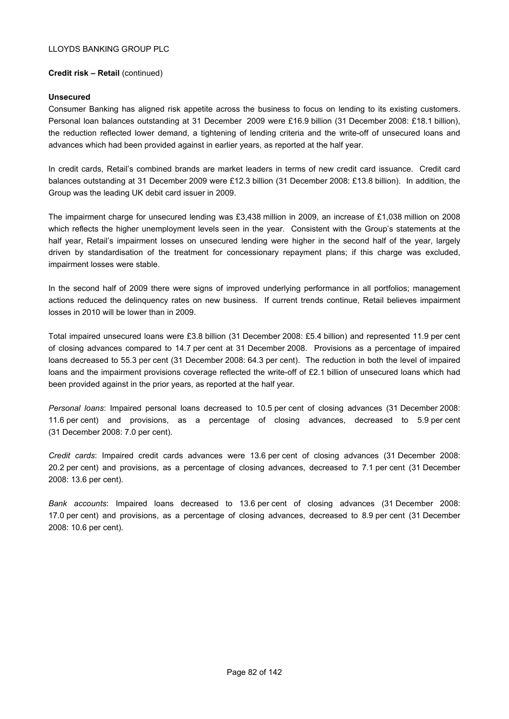## **Credit risk – Retail** (continued)

#### **Unsecured**

Consumer Banking has aligned risk appetite across the business to focus on lending to its existing customers. Personal loan balances outstanding at 31 December 2009 were £16.9 billion (31 December 2008: £18.1 billion), the reduction reflected lower demand, a tightening of lending criteria and the write-off of unsecured loans and advances which had been provided against in earlier years, as reported at the half year.

In credit cards, Retail's combined brands are market leaders in terms of new credit card issuance. Credit card balances outstanding at 31 December 2009 were £12.3 billion (31 December 2008: £13.8 billion). In addition, the Group was the leading UK debit card issuer in 2009.

The impairment charge for unsecured lending was £3,438 million in 2009, an increase of £1,038 million on 2008 which reflects the higher unemployment levels seen in the year. Consistent with the Group's statements at the half year, Retail's impairment losses on unsecured lending were higher in the second half of the year, largely driven by standardisation of the treatment for concessionary repayment plans; if this charge was excluded, impairment losses were stable.

In the second half of 2009 there were signs of improved underlying performance in all portfolios; management actions reduced the delinquency rates on new business. If current trends continue, Retail believes impairment losses in 2010 will be lower than in 2009.

Total impaired unsecured loans were £3.8 billion (31 December 2008: £5.4 billion) and represented 11.9 per cent of closing advances compared to 14.7 per cent at 31 December 2008. Provisions as a percentage of impaired loans decreased to 55.3 per cent (31 December 2008: 64.3 per cent). The reduction in both the level of impaired loans and the impairment provisions coverage reflected the write-off of £2.1 billion of unsecured loans which had been provided against in the prior years, as reported at the half year.

*Personal loans*: Impaired personal loans decreased to 10.5 per cent of closing advances (31 December 2008: 11.6 per cent) and provisions, as a percentage of closing advances, decreased to 5.9 per cent (31 December 2008: 7.0 per cent).

*Credit cards*: Impaired credit cards advances were 13.6 per cent of closing advances (31 December 2008: 20.2 per cent) and provisions, as a percentage of closing advances, decreased to 7.1 per cent (31 December 2008: 13.6 per cent).

*Bank accounts*: Impaired loans decreased to 13.6 per cent of closing advances (31 December 2008: 17.0 per cent) and provisions, as a percentage of closing advances, decreased to 8.9 per cent (31 December 2008: 10.6 per cent).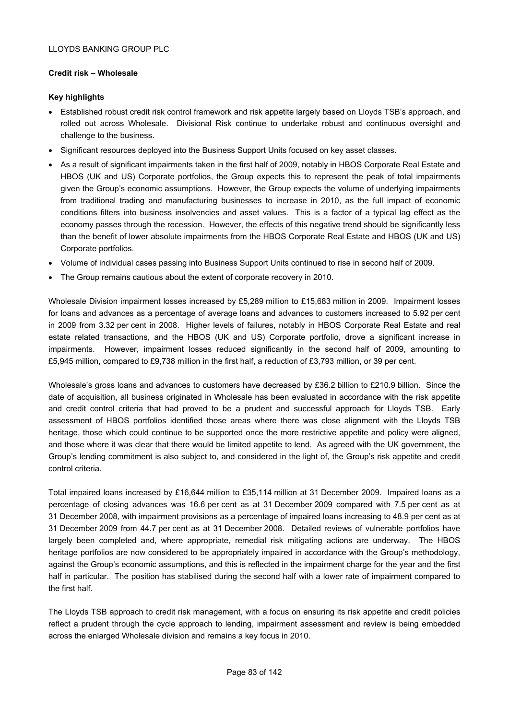## **Credit risk – Wholesale**

## **Key highlights**

- Established robust credit risk control framework and risk appetite largely based on Lloyds TSB's approach, and rolled out across Wholesale. Divisional Risk continue to undertake robust and continuous oversight and challenge to the business.
- Significant resources deployed into the Business Support Units focused on key asset classes.
- As a result of significant impairments taken in the first half of 2009, notably in HBOS Corporate Real Estate and HBOS (UK and US) Corporate portfolios, the Group expects this to represent the peak of total impairments given the Group's economic assumptions. However, the Group expects the volume of underlying impairments from traditional trading and manufacturing businesses to increase in 2010, as the full impact of economic conditions filters into business insolvencies and asset values. This is a factor of a typical lag effect as the economy passes through the recession. However, the effects of this negative trend should be significantly less than the benefit of lower absolute impairments from the HBOS Corporate Real Estate and HBOS (UK and US) Corporate portfolios.
- Volume of individual cases passing into Business Support Units continued to rise in second half of 2009.
- The Group remains cautious about the extent of corporate recovery in 2010.

Wholesale Division impairment losses increased by £5,289 million to £15,683 million in 2009. Impairment losses for loans and advances as a percentage of average loans and advances to customers increased to 5.92 per cent in 2009 from 3.32 per cent in 2008. Higher levels of failures, notably in HBOS Corporate Real Estate and real estate related transactions, and the HBOS (UK and US) Corporate portfolio, drove a significant increase in impairments. However, impairment losses reduced significantly in the second half of 2009, amounting to £5,945 million, compared to £9,738 million in the first half, a reduction of £3,793 million, or 39 per cent.

Wholesale's gross loans and advances to customers have decreased by £36.2 billion to £210.9 billion. Since the date of acquisition, all business originated in Wholesale has been evaluated in accordance with the risk appetite and credit control criteria that had proved to be a prudent and successful approach for Lloyds TSB. Early assessment of HBOS portfolios identified those areas where there was close alignment with the Lloyds TSB heritage, those which could continue to be supported once the more restrictive appetite and policy were aligned, and those where it was clear that there would be limited appetite to lend. As agreed with the UK government, the Group's lending commitment is also subject to, and considered in the light of, the Group's risk appetite and credit control criteria.

Total impaired loans increased by £16,644 million to £35,114 million at 31 December 2009. Impaired loans as a percentage of closing advances was 16.6 per cent as at 31 December 2009 compared with 7.5 per cent as at 31 December 2008, with impairment provisions as a percentage of impaired loans increasing to 48.9 per cent as at 31 December 2009 from 44.7 per cent as at 31 December 2008. Detailed reviews of vulnerable portfolios have largely been completed and, where appropriate, remedial risk mitigating actions are underway. The HBOS heritage portfolios are now considered to be appropriately impaired in accordance with the Group's methodology, against the Group's economic assumptions, and this is reflected in the impairment charge for the year and the first half in particular. The position has stabilised during the second half with a lower rate of impairment compared to the first half.

The Lloyds TSB approach to credit risk management, with a focus on ensuring its risk appetite and credit policies reflect a prudent through the cycle approach to lending, impairment assessment and review is being embedded across the enlarged Wholesale division and remains a key focus in 2010.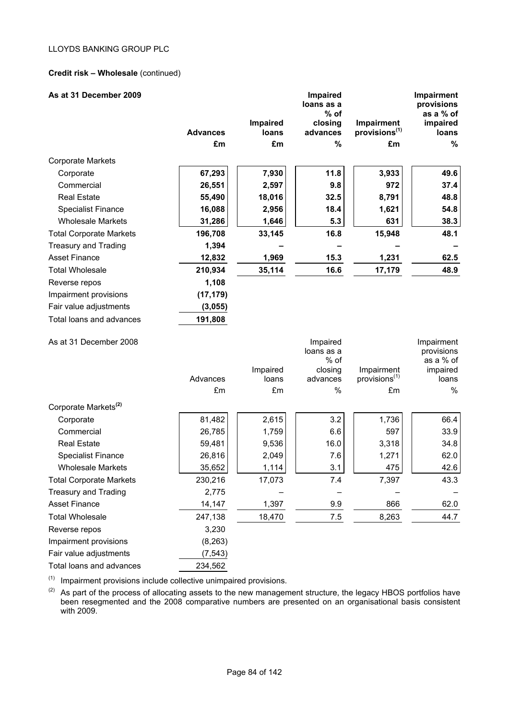## **Credit risk – Wholesale** (continued)

| As at 31 December 2009           | <b>Advances</b><br>£m | Impaired<br>loans<br>£m | <b>Impaired</b><br>loans as a<br>$%$ of<br>closing<br>advances<br>% | Impairment<br>provisions <sup>(1)</sup><br>£m | Impairment<br>provisions<br>as a % of<br>impaired<br><b>loans</b><br>% |
|----------------------------------|-----------------------|-------------------------|---------------------------------------------------------------------|-----------------------------------------------|------------------------------------------------------------------------|
| <b>Corporate Markets</b>         |                       |                         |                                                                     |                                               |                                                                        |
| Corporate                        | 67,293                | 7,930                   | 11.8                                                                | 3,933                                         | 49.6                                                                   |
| Commercial                       | 26,551                | 2,597                   | 9.8                                                                 | 972                                           | 37.4                                                                   |
| <b>Real Estate</b>               | 55,490                | 18,016                  | 32.5                                                                | 8,791                                         | 48.8                                                                   |
| <b>Specialist Finance</b>        | 16,088                | 2,956                   | 18.4                                                                | 1,621                                         | 54.8                                                                   |
| <b>Wholesale Markets</b>         | 31,286                | 1,646                   | 5.3                                                                 | 631                                           | 38.3                                                                   |
| <b>Total Corporate Markets</b>   | 196,708               | 33,145                  | 16.8                                                                | 15,948                                        | 48.1                                                                   |
| <b>Treasury and Trading</b>      | 1,394                 |                         |                                                                     |                                               |                                                                        |
| <b>Asset Finance</b>             | 12,832                | 1,969                   | 15.3                                                                | 1,231                                         | 62.5                                                                   |
| <b>Total Wholesale</b>           | 210,934               | 35,114                  | 16.6                                                                | 17,179                                        | 48.9                                                                   |
| Reverse repos                    | 1,108                 |                         |                                                                     |                                               |                                                                        |
| Impairment provisions            | (17, 179)             |                         |                                                                     |                                               |                                                                        |
| Fair value adjustments           | (3,055)               |                         |                                                                     |                                               |                                                                        |
| Total loans and advances         | 191,808               |                         |                                                                     |                                               |                                                                        |
| As at 31 December 2008           | Advances              | Impaired<br>loans       | Impaired<br>loans as a<br>% of<br>closing<br>advances               | Impairment<br>provisions <sup>(1)</sup>       | Impairment<br>provisions<br>as a % of<br>impaired<br>loans             |
|                                  | £m                    | £m                      | $\%$                                                                | £m                                            | $\%$                                                                   |
| Corporate Markets <sup>(2)</sup> |                       |                         |                                                                     |                                               |                                                                        |
| Corporate                        | 81,482                | 2,615                   | 3.2                                                                 | 1,736                                         | 66.4                                                                   |
| Commercial                       | 26,785                | 1,759                   | 6.6                                                                 | 597                                           | 33.9                                                                   |
| <b>Real Estate</b>               | 59,481                | 9,536                   | 16.0                                                                | 3,318                                         | 34.8                                                                   |
| <b>Specialist Finance</b>        | 26,816                | 2,049                   | 7.6                                                                 | 1,271                                         | 62.0                                                                   |
| <b>Wholesale Markets</b>         | 35,652                | 1,114                   | 3.1                                                                 | 475                                           | 42.6                                                                   |
| <b>Total Corporate Markets</b>   | 230,216               | 17,073                  | 7.4                                                                 | 7,397                                         | 43.3                                                                   |
| <b>Treasury and Trading</b>      | 2,775                 |                         |                                                                     |                                               |                                                                        |
| <b>Asset Finance</b>             | 14,147                | 1,397                   | 9.9                                                                 | 866                                           | 62.0                                                                   |
| <b>Total Wholesale</b>           | 247,138               | 18,470                  | 7.5                                                                 | 8,263                                         | 44.7                                                                   |
| Reverse repos                    | 3,230                 |                         |                                                                     |                                               |                                                                        |
| Impairment provisions            |                       |                         |                                                                     |                                               |                                                                        |
|                                  | (8, 263)              |                         |                                                                     |                                               |                                                                        |
| Fair value adjustments           | (7, 543)              |                         |                                                                     |                                               |                                                                        |

 $(1)$  Impairment provisions include collective unimpaired provisions.

 $(2)$  As part of the process of allocating assets to the new management structure, the legacy HBOS portfolios have been resegmented and the 2008 comparative numbers are presented on an organisational basis consistent with 2009.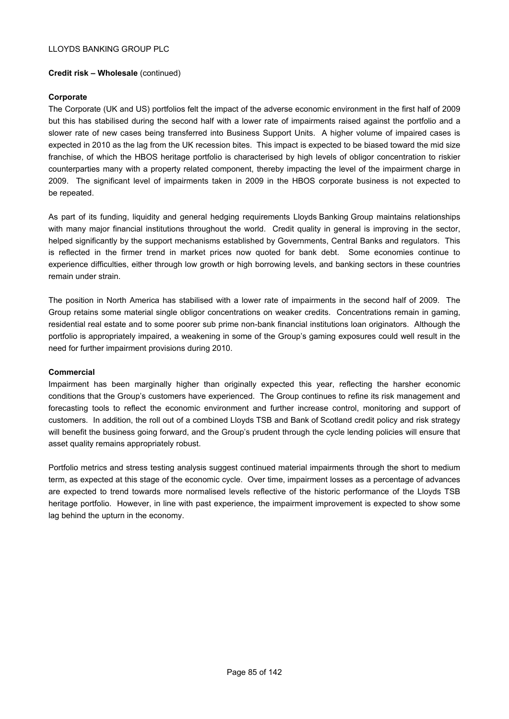### **Credit risk – Wholesale** (continued)

## **Corporate**

The Corporate (UK and US) portfolios felt the impact of the adverse economic environment in the first half of 2009 but this has stabilised during the second half with a lower rate of impairments raised against the portfolio and a slower rate of new cases being transferred into Business Support Units. A higher volume of impaired cases is expected in 2010 as the lag from the UK recession bites. This impact is expected to be biased toward the mid size franchise, of which the HBOS heritage portfolio is characterised by high levels of obligor concentration to riskier counterparties many with a property related component, thereby impacting the level of the impairment charge in 2009. The significant level of impairments taken in 2009 in the HBOS corporate business is not expected to be repeated.

As part of its funding, liquidity and general hedging requirements Lloyds Banking Group maintains relationships with many major financial institutions throughout the world. Credit quality in general is improving in the sector, helped significantly by the support mechanisms established by Governments, Central Banks and regulators. This is reflected in the firmer trend in market prices now quoted for bank debt. Some economies continue to experience difficulties, either through low growth or high borrowing levels, and banking sectors in these countries remain under strain.

The position in North America has stabilised with a lower rate of impairments in the second half of 2009. The Group retains some material single obligor concentrations on weaker credits. Concentrations remain in gaming, residential real estate and to some poorer sub prime non-bank financial institutions loan originators. Although the portfolio is appropriately impaired, a weakening in some of the Group's gaming exposures could well result in the need for further impairment provisions during 2010.

#### **Commercial**

Impairment has been marginally higher than originally expected this year, reflecting the harsher economic conditions that the Group's customers have experienced. The Group continues to refine its risk management and forecasting tools to reflect the economic environment and further increase control, monitoring and support of customers. In addition, the roll out of a combined Lloyds TSB and Bank of Scotland credit policy and risk strategy will benefit the business going forward, and the Group's prudent through the cycle lending policies will ensure that asset quality remains appropriately robust.

Portfolio metrics and stress testing analysis suggest continued material impairments through the short to medium term, as expected at this stage of the economic cycle. Over time, impairment losses as a percentage of advances are expected to trend towards more normalised levels reflective of the historic performance of the Lloyds TSB heritage portfolio. However, in line with past experience, the impairment improvement is expected to show some lag behind the upturn in the economy.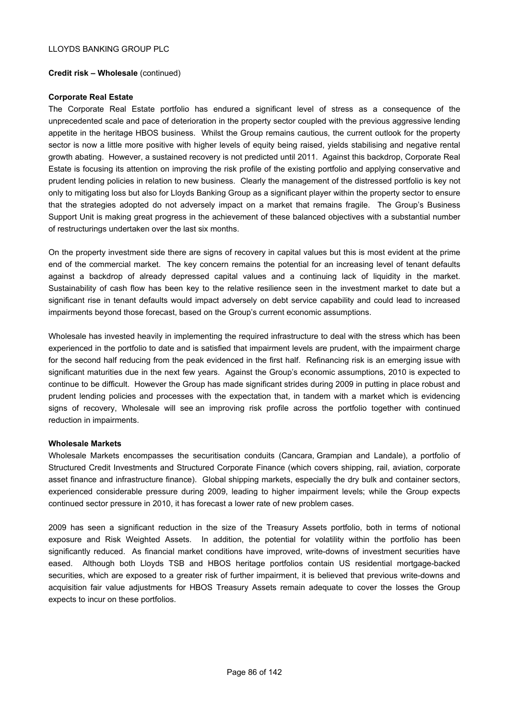#### **Credit risk – Wholesale** (continued)

#### **Corporate Real Estate**

The Corporate Real Estate portfolio has endured a significant level of stress as a consequence of the unprecedented scale and pace of deterioration in the property sector coupled with the previous aggressive lending appetite in the heritage HBOS business. Whilst the Group remains cautious, the current outlook for the property sector is now a little more positive with higher levels of equity being raised, yields stabilising and negative rental growth abating. However, a sustained recovery is not predicted until 2011. Against this backdrop, Corporate Real Estate is focusing its attention on improving the risk profile of the existing portfolio and applying conservative and prudent lending policies in relation to new business. Clearly the management of the distressed portfolio is key not only to mitigating loss but also for Lloyds Banking Group as a significant player within the property sector to ensure that the strategies adopted do not adversely impact on a market that remains fragile. The Group's Business Support Unit is making great progress in the achievement of these balanced objectives with a substantial number of restructurings undertaken over the last six months.

On the property investment side there are signs of recovery in capital values but this is most evident at the prime end of the commercial market. The key concern remains the potential for an increasing level of tenant defaults against a backdrop of already depressed capital values and a continuing lack of liquidity in the market. Sustainability of cash flow has been key to the relative resilience seen in the investment market to date but a significant rise in tenant defaults would impact adversely on debt service capability and could lead to increased impairments beyond those forecast, based on the Group's current economic assumptions.

Wholesale has invested heavily in implementing the required infrastructure to deal with the stress which has been experienced in the portfolio to date and is satisfied that impairment levels are prudent, with the impairment charge for the second half reducing from the peak evidenced in the first half. Refinancing risk is an emerging issue with significant maturities due in the next few years. Against the Group's economic assumptions, 2010 is expected to continue to be difficult. However the Group has made significant strides during 2009 in putting in place robust and prudent lending policies and processes with the expectation that, in tandem with a market which is evidencing signs of recovery, Wholesale will see an improving risk profile across the portfolio together with continued reduction in impairments.

#### **Wholesale Markets**

Wholesale Markets encompasses the securitisation conduits (Cancara, Grampian and Landale), a portfolio of Structured Credit Investments and Structured Corporate Finance (which covers shipping, rail, aviation, corporate asset finance and infrastructure finance). Global shipping markets, especially the dry bulk and container sectors, experienced considerable pressure during 2009, leading to higher impairment levels; while the Group expects continued sector pressure in 2010, it has forecast a lower rate of new problem cases.

2009 has seen a significant reduction in the size of the Treasury Assets portfolio, both in terms of notional exposure and Risk Weighted Assets. In addition, the potential for volatility within the portfolio has been significantly reduced. As financial market conditions have improved, write-downs of investment securities have eased. Although both Lloyds TSB and HBOS heritage portfolios contain US residential mortgage-backed securities, which are exposed to a greater risk of further impairment, it is believed that previous write-downs and acquisition fair value adjustments for HBOS Treasury Assets remain adequate to cover the losses the Group expects to incur on these portfolios.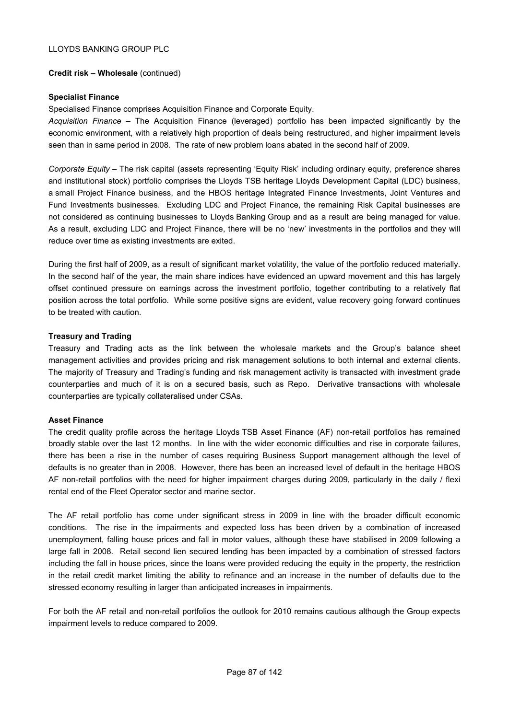#### **Credit risk – Wholesale** (continued)

#### **Specialist Finance**

Specialised Finance comprises Acquisition Finance and Corporate Equity.

*Acquisition Finance* – The Acquisition Finance (leveraged) portfolio has been impacted significantly by the economic environment, with a relatively high proportion of deals being restructured, and higher impairment levels seen than in same period in 2008. The rate of new problem loans abated in the second half of 2009.

*Corporate Equity* – The risk capital (assets representing 'Equity Risk' including ordinary equity, preference shares and institutional stock) portfolio comprises the Lloyds TSB heritage Lloyds Development Capital (LDC) business, a small Project Finance business, and the HBOS heritage Integrated Finance Investments, Joint Ventures and Fund Investments businesses. Excluding LDC and Project Finance, the remaining Risk Capital businesses are not considered as continuing businesses to Lloyds Banking Group and as a result are being managed for value. As a result, excluding LDC and Project Finance, there will be no 'new' investments in the portfolios and they will reduce over time as existing investments are exited.

During the first half of 2009, as a result of significant market volatility, the value of the portfolio reduced materially. In the second half of the year, the main share indices have evidenced an upward movement and this has largely offset continued pressure on earnings across the investment portfolio, together contributing to a relatively flat position across the total portfolio. While some positive signs are evident, value recovery going forward continues to be treated with caution.

#### **Treasury and Trading**

Treasury and Trading acts as the link between the wholesale markets and the Group's balance sheet management activities and provides pricing and risk management solutions to both internal and external clients. The majority of Treasury and Trading's funding and risk management activity is transacted with investment grade counterparties and much of it is on a secured basis, such as Repo. Derivative transactions with wholesale counterparties are typically collateralised under CSAs.

#### **Asset Finance**

The credit quality profile across the heritage Lloyds TSB Asset Finance (AF) non-retail portfolios has remained broadly stable over the last 12 months. In line with the wider economic difficulties and rise in corporate failures, there has been a rise in the number of cases requiring Business Support management although the level of defaults is no greater than in 2008. However, there has been an increased level of default in the heritage HBOS AF non-retail portfolios with the need for higher impairment charges during 2009, particularly in the daily / flexi rental end of the Fleet Operator sector and marine sector.

The AF retail portfolio has come under significant stress in 2009 in line with the broader difficult economic conditions. The rise in the impairments and expected loss has been driven by a combination of increased unemployment, falling house prices and fall in motor values, although these have stabilised in 2009 following a large fall in 2008. Retail second lien secured lending has been impacted by a combination of stressed factors including the fall in house prices, since the loans were provided reducing the equity in the property, the restriction in the retail credit market limiting the ability to refinance and an increase in the number of defaults due to the stressed economy resulting in larger than anticipated increases in impairments.

For both the AF retail and non-retail portfolios the outlook for 2010 remains cautious although the Group expects impairment levels to reduce compared to 2009.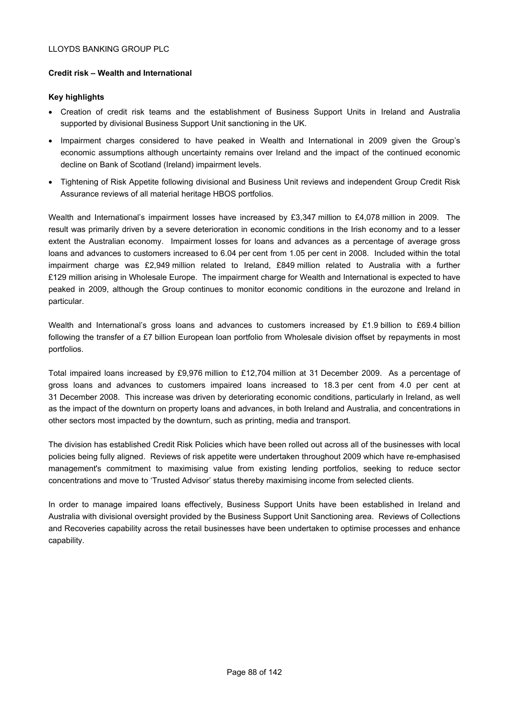## **Credit risk – Wealth and International**

## **Key highlights**

- Creation of credit risk teams and the establishment of Business Support Units in Ireland and Australia supported by divisional Business Support Unit sanctioning in the UK.
- Impairment charges considered to have peaked in Wealth and International in 2009 given the Group's economic assumptions although uncertainty remains over Ireland and the impact of the continued economic decline on Bank of Scotland (Ireland) impairment levels.
- Tightening of Risk Appetite following divisional and Business Unit reviews and independent Group Credit Risk Assurance reviews of all material heritage HBOS portfolios.

Wealth and International's impairment losses have increased by £3,347 million to £4,078 million in 2009. The result was primarily driven by a severe deterioration in economic conditions in the Irish economy and to a lesser extent the Australian economy. Impairment losses for loans and advances as a percentage of average gross loans and advances to customers increased to 6.04 per cent from 1.05 per cent in 2008. Included within the total impairment charge was £2,949 million related to Ireland, £849 million related to Australia with a further £129 million arising in Wholesale Europe. The impairment charge for Wealth and International is expected to have peaked in 2009, although the Group continues to monitor economic conditions in the eurozone and Ireland in particular.

Wealth and International's gross loans and advances to customers increased by £1.9 billion to £69.4 billion following the transfer of a £7 billion European loan portfolio from Wholesale division offset by repayments in most portfolios.

Total impaired loans increased by £9,976 million to £12,704 million at 31 December 2009. As a percentage of gross loans and advances to customers impaired loans increased to 18.3 per cent from 4.0 per cent at 31 December 2008. This increase was driven by deteriorating economic conditions, particularly in Ireland, as well as the impact of the downturn on property loans and advances, in both Ireland and Australia, and concentrations in other sectors most impacted by the downturn, such as printing, media and transport.

The division has established Credit Risk Policies which have been rolled out across all of the businesses with local policies being fully aligned. Reviews of risk appetite were undertaken throughout 2009 which have re-emphasised management's commitment to maximising value from existing lending portfolios, seeking to reduce sector concentrations and move to 'Trusted Advisor' status thereby maximising income from selected clients.

In order to manage impaired loans effectively, Business Support Units have been established in Ireland and Australia with divisional oversight provided by the Business Support Unit Sanctioning area. Reviews of Collections and Recoveries capability across the retail businesses have been undertaken to optimise processes and enhance capability.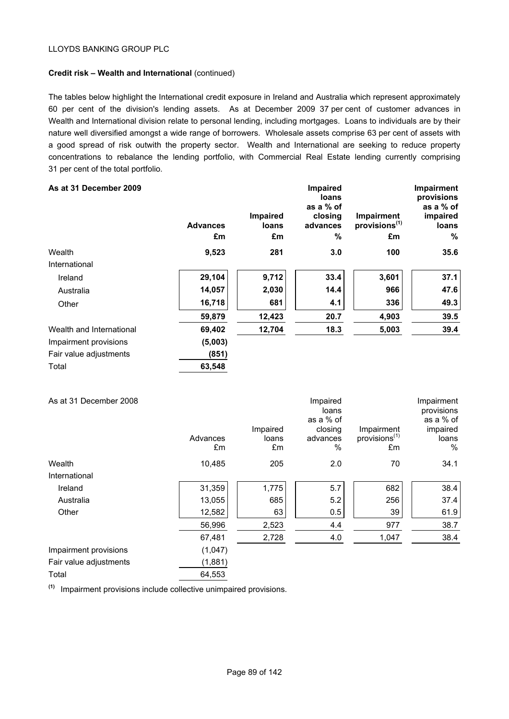## **Credit risk – Wealth and International** (continued)

The tables below highlight the International credit exposure in Ireland and Australia which represent approximately 60 per cent of the division's lending assets. As at December 2009 37 per cent of customer advances in Wealth and International division relate to personal lending, including mortgages. Loans to individuals are by their nature well diversified amongst a wide range of borrowers. Wholesale assets comprise 63 per cent of assets with a good spread of risk outwith the property sector. Wealth and International are seeking to reduce property concentrations to rebalance the lending portfolio, with Commercial Real Estate lending currently comprising 31 per cent of the total portfolio.

| As at 31 December 2009   | <b>Advances</b><br>£m | Impaired<br>loans<br>£m | Impaired<br>loans<br>as a % of<br>closing<br>advances<br>% | Impairment<br>provisions <sup>(1)</sup><br>£m | Impairment<br>provisions<br>as a % of<br>impaired<br>loans<br>% |
|--------------------------|-----------------------|-------------------------|------------------------------------------------------------|-----------------------------------------------|-----------------------------------------------------------------|
| Wealth                   | 9,523                 | 281                     | 3.0                                                        | 100                                           | 35.6                                                            |
| International            |                       |                         |                                                            |                                               |                                                                 |
| Ireland                  | 29,104                | 9,712                   | 33.4                                                       | 3,601                                         | 37.1                                                            |
| Australia                | 14,057                | 2,030                   | 14.4                                                       | 966                                           | 47.6                                                            |
| Other                    | 16,718                | 681                     | 4.1                                                        | 336                                           | 49.3                                                            |
|                          | 59,879                | 12,423                  | 20.7                                                       | 4,903                                         | 39.5                                                            |
| Wealth and International | 69,402                | 12,704                  | 18.3                                                       | 5,003                                         | 39.4                                                            |
| Impairment provisions    | (5,003)               |                         |                                                            |                                               |                                                                 |
| Fair value adjustments   | (851)                 |                         |                                                            |                                               |                                                                 |
| Total                    | 63,548                |                         |                                                            |                                               |                                                                 |

| As at 31 December 2008 | Advances<br>£m | Impaired<br>loans<br>£m | Impaired<br>loans<br>as a % of<br>closing<br>advances<br>% | Impairment<br>provisions <sup>(1)</sup><br>£m | Impairment<br>provisions<br>as a % of<br>impaired<br>loans<br>$\%$ |
|------------------------|----------------|-------------------------|------------------------------------------------------------|-----------------------------------------------|--------------------------------------------------------------------|
| Wealth                 | 10,485         | 205                     | 2.0                                                        | 70                                            | 34.1                                                               |
| International          |                |                         |                                                            |                                               |                                                                    |
| Ireland                | 31,359         | 1,775                   | 5.7                                                        | 682                                           | 38.4                                                               |
| Australia              | 13,055         | 685                     | 5.2                                                        | 256                                           | 37.4                                                               |
| Other                  | 12,582         | 63                      | 0.5                                                        | 39                                            | 61.9                                                               |
|                        | 56,996         | 2,523                   | 4.4                                                        | 977                                           | 38.7                                                               |
|                        | 67,481         | 2,728                   | 4.0                                                        | 1,047                                         | 38.4                                                               |
| Impairment provisions  | (1,047)        |                         |                                                            |                                               |                                                                    |
| Fair value adjustments | (1,881)        |                         |                                                            |                                               |                                                                    |
| Total                  | 64,553         |                         |                                                            |                                               |                                                                    |

**(1)** Impairment provisions include collective unimpaired provisions.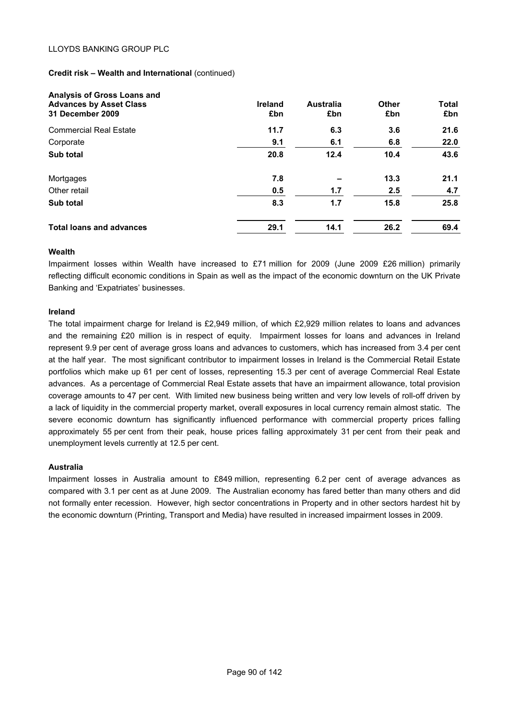#### **Credit risk – Wealth and International** (continued)

| Analysis of Gross Loans and<br><b>Advances by Asset Class</b><br>31 December 2009 | <b>Ireland</b><br>£bn | <b>Australia</b><br>£bn | Other<br>£bn | <b>Total</b><br>£bn |
|-----------------------------------------------------------------------------------|-----------------------|-------------------------|--------------|---------------------|
| <b>Commercial Real Estate</b>                                                     | 11.7                  | 6.3                     | 3.6          | 21.6                |
| Corporate                                                                         | 9.1                   | 6.1                     | 6.8          | 22.0                |
| Sub total                                                                         | 20.8                  | 12.4                    | 10.4         | 43.6                |
| Mortgages                                                                         | 7.8                   |                         | 13.3         | 21.1                |
| Other retail                                                                      | 0.5                   | 1.7                     | 2.5          | 4.7                 |
| Sub total                                                                         | 8.3                   | 1.7                     | 15.8         | 25.8                |
| <b>Total loans and advances</b>                                                   | 29.1                  | 14.1                    | 26.2         | 69.4                |

#### **Wealth**

Impairment losses within Wealth have increased to £71 million for 2009 (June 2009 £26 million) primarily reflecting difficult economic conditions in Spain as well as the impact of the economic downturn on the UK Private Banking and 'Expatriates' businesses.

#### **Ireland**

The total impairment charge for Ireland is £2,949 million, of which £2,929 million relates to loans and advances and the remaining £20 million is in respect of equity. Impairment losses for loans and advances in Ireland represent 9.9 per cent of average gross loans and advances to customers, which has increased from 3.4 per cent at the half year. The most significant contributor to impairment losses in Ireland is the Commercial Retail Estate portfolios which make up 61 per cent of losses, representing 15.3 per cent of average Commercial Real Estate advances. As a percentage of Commercial Real Estate assets that have an impairment allowance, total provision coverage amounts to 47 per cent. With limited new business being written and very low levels of roll-off driven by a lack of liquidity in the commercial property market, overall exposures in local currency remain almost static. The severe economic downturn has significantly influenced performance with commercial property prices falling approximately 55 per cent from their peak, house prices falling approximately 31 per cent from their peak and unemployment levels currently at 12.5 per cent.

## **Australia**

Impairment losses in Australia amount to £849 million, representing 6.2 per cent of average advances as compared with 3.1 per cent as at June 2009. The Australian economy has fared better than many others and did not formally enter recession. However, high sector concentrations in Property and in other sectors hardest hit by the economic downturn (Printing, Transport and Media) have resulted in increased impairment losses in 2009.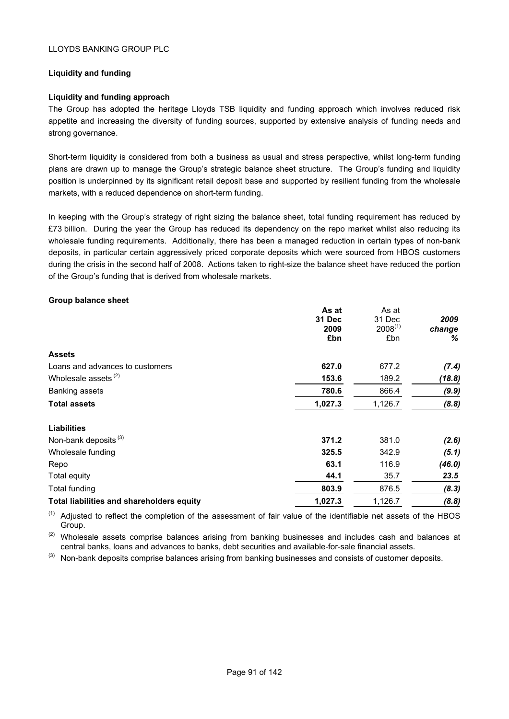## **Liquidity and funding**

## **Liquidity and funding approach**

The Group has adopted the heritage Lloyds TSB liquidity and funding approach which involves reduced risk appetite and increasing the diversity of funding sources, supported by extensive analysis of funding needs and strong governance.

Short-term liquidity is considered from both a business as usual and stress perspective, whilst long-term funding plans are drawn up to manage the Group's strategic balance sheet structure. The Group's funding and liquidity position is underpinned by its significant retail deposit base and supported by resilient funding from the wholesale markets, with a reduced dependence on short-term funding.

In keeping with the Group's strategy of right sizing the balance sheet, total funding requirement has reduced by £73 billion. During the year the Group has reduced its dependency on the repo market whilst also reducing its wholesale funding requirements. Additionally, there has been a managed reduction in certain types of non-bank deposits, in particular certain aggressively priced corporate deposits which were sourced from HBOS customers during the crisis in the second half of 2008. Actions taken to right-size the balance sheet have reduced the portion of the Group's funding that is derived from wholesale markets.

**As at** 

As at

#### **Group balance sheet**

|                                           | As at   | as at        |        |
|-------------------------------------------|---------|--------------|--------|
|                                           | 31 Dec  | 31 Dec       | 2009   |
|                                           | 2009    | $2008^{(1)}$ | change |
|                                           | £bn     | £bn          | ℅      |
| <b>Assets</b>                             |         |              |        |
| Loans and advances to customers           | 627.0   | 677.2        | (7.4)  |
| Wholesale assets <sup>(2)</sup>           | 153.6   | 189.2        | (18.8) |
| <b>Banking assets</b>                     | 780.6   | 866.4        | (9.9)  |
| <b>Total assets</b>                       | 1,027.3 | 1,126.7      | (8.8)  |
| <b>Liabilities</b>                        |         |              |        |
| Non-bank deposits <sup>(3)</sup>          | 371.2   | 381.0        | (2.6)  |
| Wholesale funding                         | 325.5   | 342.9        | (5.1)  |
| Repo                                      | 63.1    | 116.9        | (46.0) |
| <b>Total equity</b>                       | 44.1    | 35.7         | 23.5   |
| Total funding                             | 803.9   | 876.5        | (8.3)  |
| Total liabilities and shareholders equity | 1,027.3 | 1,126.7      | (8.8)  |
|                                           |         |              |        |

 $(1)$  Adjusted to reflect the completion of the assessment of fair value of the identifiable net assets of the HBOS Group.

(2) Wholesale assets comprise balances arising from banking businesses and includes cash and balances at central banks, loans and advances to banks, debt securities and available-for-sale financial assets.

(3) Non-bank deposits comprise balances arising from banking businesses and consists of customer deposits.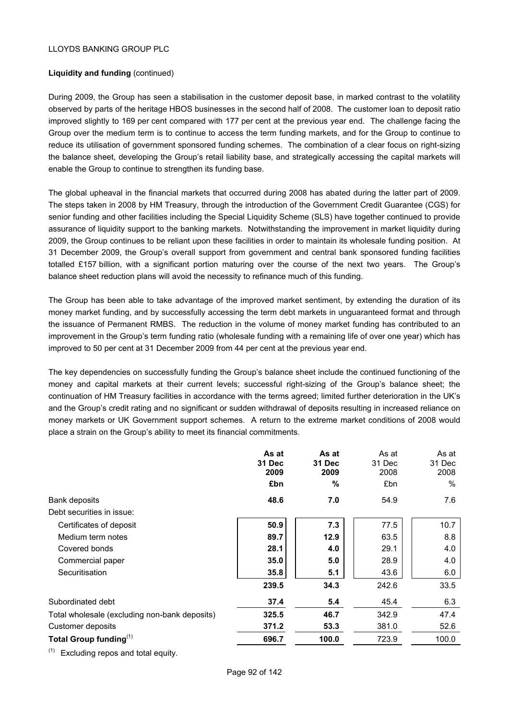## **Liquidity and funding** (continued)

During 2009, the Group has seen a stabilisation in the customer deposit base, in marked contrast to the volatility observed by parts of the heritage HBOS businesses in the second half of 2008. The customer loan to deposit ratio improved slightly to 169 per cent compared with 177 per cent at the previous year end. The challenge facing the Group over the medium term is to continue to access the term funding markets, and for the Group to continue to reduce its utilisation of government sponsored funding schemes. The combination of a clear focus on right-sizing the balance sheet, developing the Group's retail liability base, and strategically accessing the capital markets will enable the Group to continue to strengthen its funding base.

The global upheaval in the financial markets that occurred during 2008 has abated during the latter part of 2009. The steps taken in 2008 by HM Treasury, through the introduction of the Government Credit Guarantee (CGS) for senior funding and other facilities including the Special Liquidity Scheme (SLS) have together continued to provide assurance of liquidity support to the banking markets. Notwithstanding the improvement in market liquidity during 2009, the Group continues to be reliant upon these facilities in order to maintain its wholesale funding position. At 31 December 2009, the Group's overall support from government and central bank sponsored funding facilities totalled £157 billion, with a significant portion maturing over the course of the next two years. The Group's balance sheet reduction plans will avoid the necessity to refinance much of this funding.

The Group has been able to take advantage of the improved market sentiment, by extending the duration of its money market funding, and by successfully accessing the term debt markets in unguaranteed format and through the issuance of Permanent RMBS. The reduction in the volume of money market funding has contributed to an improvement in the Group's term funding ratio (wholesale funding with a remaining life of over one year) which has improved to 50 per cent at 31 December 2009 from 44 per cent at the previous year end.

The key dependencies on successfully funding the Group's balance sheet include the continued functioning of the money and capital markets at their current levels; successful right-sizing of the Group's balance sheet; the continuation of HM Treasury facilities in accordance with the terms agreed; limited further deterioration in the UK's and the Group's credit rating and no significant or sudden withdrawal of deposits resulting in increased reliance on money markets or UK Government support schemes. A return to the extreme market conditions of 2008 would place a strain on the Group's ability to meet its financial commitments.

|                                               | As at<br><b>31 Dec</b><br>2009 | As at<br><b>31 Dec</b><br>2009 | As at<br>31 Dec<br>2008 | As at<br>31 Dec<br>2008 |
|-----------------------------------------------|--------------------------------|--------------------------------|-------------------------|-------------------------|
|                                               | £bn                            | $\%$                           | £bn                     | $\%$                    |
| <b>Bank deposits</b>                          | 48.6                           | 7.0                            | 54.9                    | 7.6                     |
| Debt securities in issue:                     |                                |                                |                         |                         |
| Certificates of deposit                       | 50.9                           | 7.3                            | 77.5                    | 10.7                    |
| Medium term notes                             | 89.7                           | 12.9                           | 63.5                    | 8.8                     |
| Covered bonds                                 | 28.1                           | 4.0                            | 29.1                    | 4.0                     |
| Commercial paper                              | 35.0                           | 5.0                            | 28.9                    | 4.0                     |
| Securitisation                                | 35.8                           | 5.1                            | 43.6                    | 6.0                     |
|                                               | 239.5                          | 34.3                           | 242.6                   | 33.5                    |
| Subordinated debt                             | 37.4                           | 5.4                            | 45.4                    | 6.3                     |
| Total wholesale (excluding non-bank deposits) | 325.5                          | 46.7                           | 342.9                   | 47.4                    |
| Customer deposits                             | 371.2                          | 53.3                           | 381.0                   | 52.6                    |
| Total Group funding $(1)$                     | 696.7                          | 100.0                          | 723.9                   | 100.0                   |
| $(4)$ $-$<br>______                           |                                |                                |                         |                         |

(1) Excluding repos and total equity.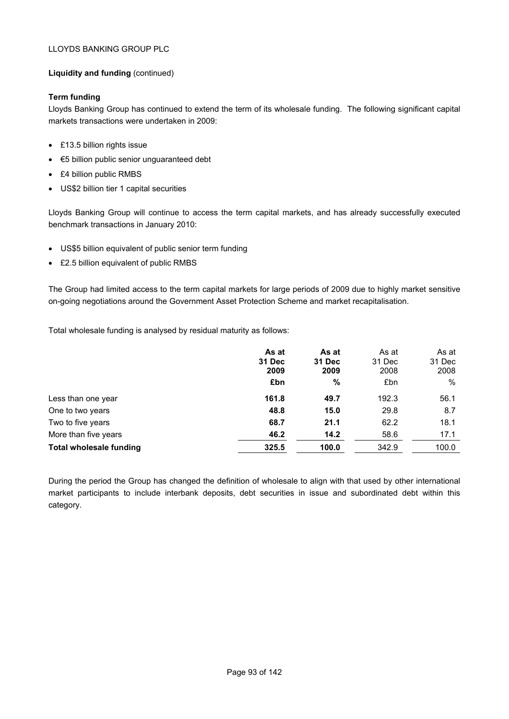## **Liquidity and funding** (continued)

## **Term funding**

Lloyds Banking Group has continued to extend the term of its wholesale funding. The following significant capital markets transactions were undertaken in 2009:

- £13.5 billion rights issue
- €5 billion public senior unguaranteed debt
- £4 billion public RMBS
- US\$2 billion tier 1 capital securities

Lloyds Banking Group will continue to access the term capital markets, and has already successfully executed benchmark transactions in January 2010:

- US\$5 billion equivalent of public senior term funding
- £2.5 billion equivalent of public RMBS

The Group had limited access to the term capital markets for large periods of 2009 due to highly market sensitive on-going negotiations around the Government Asset Protection Scheme and market recapitalisation.

Total wholesale funding is analysed by residual maturity as follows:

|                                | As at<br><b>31 Dec</b><br>2009 | As at<br>31 Dec<br>2009 | As at<br>31 Dec<br>2008 | As at<br>31 Dec<br>2008 |
|--------------------------------|--------------------------------|-------------------------|-------------------------|-------------------------|
|                                | £bn                            | $\%$                    | £bn                     | $\%$                    |
| Less than one year             | 161.8                          | 49.7                    | 192.3                   | 56.1                    |
| One to two years               | 48.8                           | 15.0                    | 29.8                    | 8.7                     |
| Two to five years              | 68.7                           | 21.1                    | 62.2                    | 18.1                    |
| More than five years           | 46.2                           | 14.2                    | 58.6                    | 17.1                    |
| <b>Total wholesale funding</b> | 325.5                          | 100.0                   | 342.9                   | 100.0                   |

During the period the Group has changed the definition of wholesale to align with that used by other international market participants to include interbank deposits, debt securities in issue and subordinated debt within this category.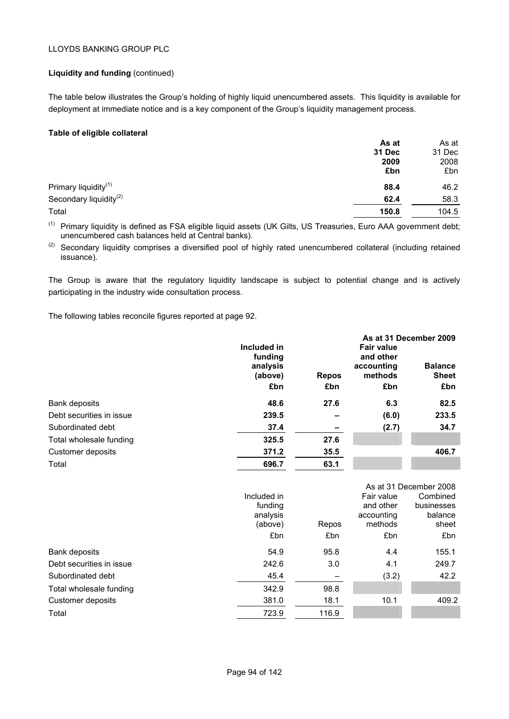### **Liquidity and funding** (continued)

The table below illustrates the Group's holding of highly liquid unencumbered assets. This liquidity is available for deployment at immediate notice and is a key component of the Group's liquidity management process.

### **Table of eligible collateral**

| As at  | As at  |
|--------|--------|
| 31 Dec | 31 Dec |
| 2009   | 2008   |
| £bn    | £bn    |
| 88.4   | 46.2   |
| 62.4   | 58.3   |
| 150.8  | 104.5  |
|        |        |

<sup>(1)</sup> Primary liquidity is defined as FSA eligible liquid assets (UK Gilts, US Treasuries, Euro AAA government debt; unencumbered cash balances held at Central banks).

<sup>(2)</sup> Secondary liquidity comprises a diversified pool of highly rated unencumbered collateral (including retained issuance).

The Group is aware that the regulatory liquidity landscape is subject to potential change and is actively participating in the industry wide consultation process.

The following tables reconcile figures reported at page 92.

|                          |                                               |                          | As at 31 December 2009                                  |                                |  |  |  |
|--------------------------|-----------------------------------------------|--------------------------|---------------------------------------------------------|--------------------------------|--|--|--|
|                          | Included in<br>funding<br>analysis<br>(above) | <b>Repos</b>             | <b>Fair value</b><br>and other<br>accounting<br>methods | <b>Balance</b><br><b>Sheet</b> |  |  |  |
|                          | £bn                                           | £bn                      | £bn                                                     | £bn                            |  |  |  |
| Bank deposits            | 48.6                                          | 27.6                     | 6.3                                                     | 82.5                           |  |  |  |
| Debt securities in issue | 239.5                                         | -                        | (6.0)                                                   | 233.5                          |  |  |  |
| Subordinated debt        | 37.4                                          | $\overline{\phantom{a}}$ | (2.7)                                                   | 34.7                           |  |  |  |
| Total wholesale funding  | 325.5                                         | 27.6                     |                                                         |                                |  |  |  |
| Customer deposits        | 371.2                                         | 35.5                     |                                                         | 406.7                          |  |  |  |
| Total                    | 696.7                                         | 63.1                     |                                                         |                                |  |  |  |

|                          |             |       | As at 31 December 2008 |            |  |
|--------------------------|-------------|-------|------------------------|------------|--|
|                          | Included in |       | Fair value             | Combined   |  |
|                          | funding     |       | and other              | businesses |  |
|                          | analysis    |       | accounting             | balance    |  |
|                          | (above)     | Repos | methods                | sheet      |  |
|                          | £bn         | £bn   | £bn                    | £bn        |  |
| Bank deposits            | 54.9        | 95.8  | 4.4                    | 155.1      |  |
| Debt securities in issue | 242.6       | 3.0   | 4.1                    | 249.7      |  |
| Subordinated debt        | 45.4        |       | (3.2)                  | 42.2       |  |
| Total wholesale funding  | 342.9       | 98.8  |                        |            |  |
| Customer deposits        | 381.0       | 18.1  | 10.1                   | 409.2      |  |
| Total                    | 723.9       | 116.9 |                        |            |  |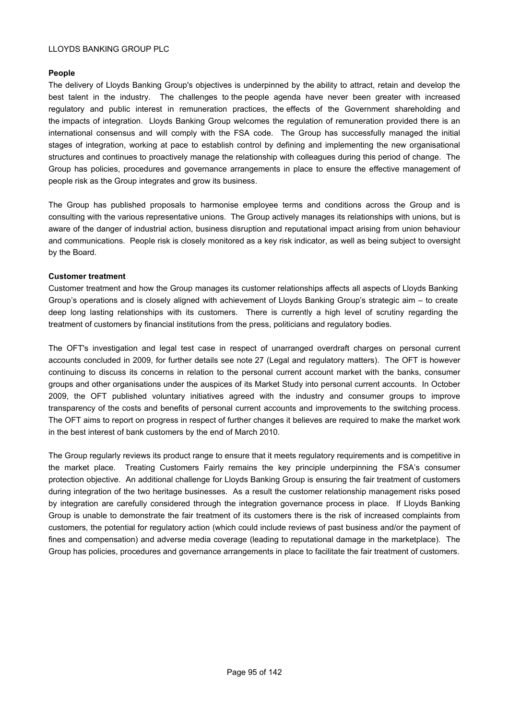## **People**

The delivery of Lloyds Banking Group's objectives is underpinned by the ability to attract, retain and develop the best talent in the industry. The challenges to the people agenda have never been greater with increased regulatory and public interest in remuneration practices, the effects of the Government shareholding and the impacts of integration. Lloyds Banking Group welcomes the regulation of remuneration provided there is an international consensus and will comply with the FSA code. The Group has successfully managed the initial stages of integration, working at pace to establish control by defining and implementing the new organisational structures and continues to proactively manage the relationship with colleagues during this period of change. The Group has policies, procedures and governance arrangements in place to ensure the effective management of people risk as the Group integrates and grow its business.

The Group has published proposals to harmonise employee terms and conditions across the Group and is consulting with the various representative unions. The Group actively manages its relationships with unions, but is aware of the danger of industrial action, business disruption and reputational impact arising from union behaviour and communications. People risk is closely monitored as a key risk indicator, as well as being subject to oversight by the Board.

## **Customer treatment**

Customer treatment and how the Group manages its customer relationships affects all aspects of Lloyds Banking Group's operations and is closely aligned with achievement of Lloyds Banking Group's strategic aim – to create deep long lasting relationships with its customers. There is currently a high level of scrutiny regarding the treatment of customers by financial institutions from the press, politicians and regulatory bodies.

The OFT's investigation and legal test case in respect of unarranged overdraft charges on personal current accounts concluded in 2009, for further details see note 27 (Legal and regulatory matters). The OFT is however continuing to discuss its concerns in relation to the personal current account market with the banks, consumer groups and other organisations under the auspices of its Market Study into personal current accounts. In October 2009, the OFT published voluntary initiatives agreed with the industry and consumer groups to improve transparency of the costs and benefits of personal current accounts and improvements to the switching process. The OFT aims to report on progress in respect of further changes it believes are required to make the market work in the best interest of bank customers by the end of March 2010.

The Group regularly reviews its product range to ensure that it meets regulatory requirements and is competitive in the market place. Treating Customers Fairly remains the key principle underpinning the FSA's consumer protection objective. An additional challenge for Lloyds Banking Group is ensuring the fair treatment of customers during integration of the two heritage businesses. As a result the customer relationship management risks posed by integration are carefully considered through the integration governance process in place. If Lloyds Banking Group is unable to demonstrate the fair treatment of its customers there is the risk of increased complaints from customers, the potential for regulatory action (which could include reviews of past business and/or the payment of fines and compensation) and adverse media coverage (leading to reputational damage in the marketplace). The Group has policies, procedures and governance arrangements in place to facilitate the fair treatment of customers.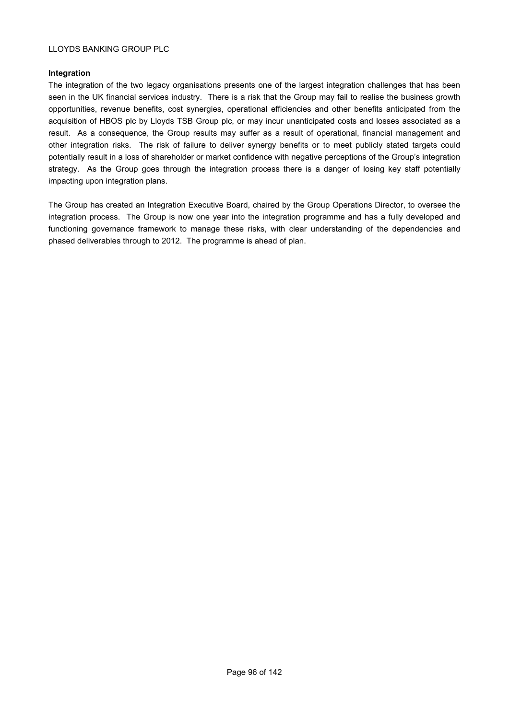## **Integration**

The integration of the two legacy organisations presents one of the largest integration challenges that has been seen in the UK financial services industry. There is a risk that the Group may fail to realise the business growth opportunities, revenue benefits, cost synergies, operational efficiencies and other benefits anticipated from the acquisition of HBOS plc by Lloyds TSB Group plc, or may incur unanticipated costs and losses associated as a result. As a consequence, the Group results may suffer as a result of operational, financial management and other integration risks. The risk of failure to deliver synergy benefits or to meet publicly stated targets could potentially result in a loss of shareholder or market confidence with negative perceptions of the Group's integration strategy. As the Group goes through the integration process there is a danger of losing key staff potentially impacting upon integration plans.

The Group has created an Integration Executive Board, chaired by the Group Operations Director, to oversee the integration process. The Group is now one year into the integration programme and has a fully developed and functioning governance framework to manage these risks, with clear understanding of the dependencies and phased deliverables through to 2012. The programme is ahead of plan.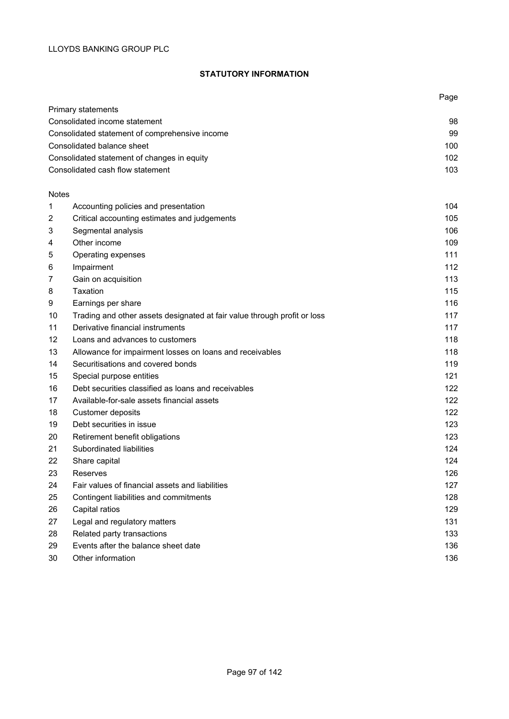## **STATUTORY INFORMATION**

|              |                                                                          | Page |
|--------------|--------------------------------------------------------------------------|------|
|              | Primary statements                                                       |      |
|              | Consolidated income statement                                            | 98   |
|              | Consolidated statement of comprehensive income                           | 99   |
|              | Consolidated balance sheet                                               | 100  |
|              | Consolidated statement of changes in equity                              | 102  |
|              | Consolidated cash flow statement                                         | 103  |
| <b>Notes</b> |                                                                          |      |
| 1            | Accounting policies and presentation                                     | 104  |
| 2            | Critical accounting estimates and judgements                             | 105  |
| 3            | Segmental analysis                                                       | 106  |
| 4            | Other income                                                             | 109  |
| 5            | Operating expenses                                                       | 111  |
| 6            | Impairment                                                               | 112  |
| 7            | Gain on acquisition                                                      | 113  |
| 8            | Taxation                                                                 | 115  |
| 9            | Earnings per share                                                       | 116  |
| 10           | Trading and other assets designated at fair value through profit or loss | 117  |
| 11           | Derivative financial instruments                                         | 117  |
| 12           | Loans and advances to customers                                          | 118  |
| 13           | Allowance for impairment losses on loans and receivables                 | 118  |
| 14           | Securitisations and covered bonds                                        | 119  |
| 15           | Special purpose entities                                                 | 121  |
| 16           | Debt securities classified as loans and receivables                      | 122  |
| 17           | Available-for-sale assets financial assets                               | 122  |
| 18           | Customer deposits                                                        | 122  |
| 19           | Debt securities in issue                                                 | 123  |
| 20           | Retirement benefit obligations                                           | 123  |
| 21           | Subordinated liabilities                                                 | 124  |
| 22           | Share capital                                                            | 124  |
| 23           | Reserves                                                                 | 126  |
| 24           | Fair values of financial assets and liabilities                          | 127  |
| 25           | Contingent liabilities and commitments                                   | 128  |
| 26           | Capital ratios                                                           | 129  |
| 27           | Legal and regulatory matters                                             | 131  |
| 28           | Related party transactions                                               | 133  |
| 29           | Events after the balance sheet date                                      | 136  |
| 30           | Other information                                                        | 136  |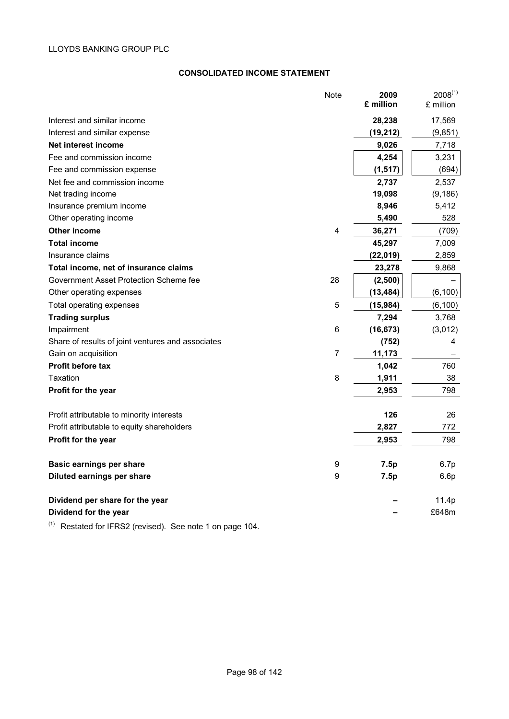## **CONSOLIDATED INCOME STATEMENT**

|                                                   | <b>Note</b>    | 2009<br>£ million | $2008^{(1)}$<br>£ million |
|---------------------------------------------------|----------------|-------------------|---------------------------|
| Interest and similar income                       |                | 28,238            | 17,569                    |
| Interest and similar expense                      |                | (19, 212)         | (9, 851)                  |
| Net interest income                               |                | 9,026             | 7,718                     |
| Fee and commission income                         |                | 4,254             | 3,231                     |
| Fee and commission expense                        |                | (1, 517)          | (694)                     |
| Net fee and commission income                     |                | 2,737             | 2,537                     |
| Net trading income                                |                | 19,098            | (9, 186)                  |
| Insurance premium income                          |                | 8,946             | 5,412                     |
| Other operating income                            |                | 5,490             | 528                       |
| <b>Other income</b>                               | 4              | 36,271            | (709)                     |
| <b>Total income</b>                               |                | 45,297            | 7,009                     |
| Insurance claims                                  |                | (22, 019)         | 2,859                     |
| Total income, net of insurance claims             |                | 23,278            | 9,868                     |
| Government Asset Protection Scheme fee            | 28             | (2,500)           |                           |
| Other operating expenses                          |                | (13, 484)         | (6, 100)                  |
| Total operating expenses                          | 5              | (15,984)          | (6, 100)                  |
| <b>Trading surplus</b>                            |                | 7,294             | 3,768                     |
| Impairment                                        | $\,6$          | (16, 673)         | (3,012)                   |
| Share of results of joint ventures and associates |                | (752)             | 4                         |
| Gain on acquisition                               | $\overline{7}$ | 11,173            |                           |
| <b>Profit before tax</b>                          |                | 1,042             | 760                       |
| Taxation                                          | 8              | 1,911             | 38                        |
| Profit for the year                               |                | 2,953             | 798                       |
| Profit attributable to minority interests         |                | 126               | 26                        |
| Profit attributable to equity shareholders        |                | 2,827             | 772                       |
| Profit for the year                               |                | 2,953             | 798                       |
| <b>Basic earnings per share</b>                   | 9              | 7.5p              | 6.7p                      |
| Diluted earnings per share                        | 9              | 7.5p              | 6.6p                      |
| Dividend per share for the year                   |                |                   | 11.4p                     |
| Dividend for the year                             |                |                   | £648m                     |

 $(1)$  Restated for IFRS2 (revised). See note 1 on page 104.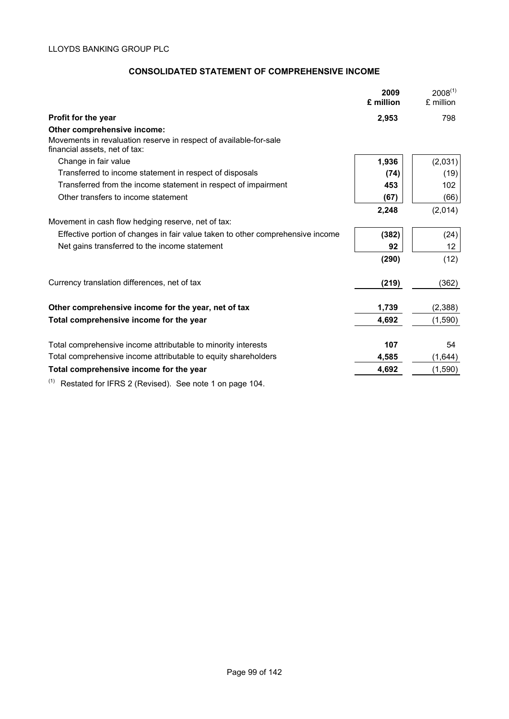# **CONSOLIDATED STATEMENT OF COMPREHENSIVE INCOME**

|                                                                                                    | 2009<br>£ million | $2008^{(1)}$<br>£ million |
|----------------------------------------------------------------------------------------------------|-------------------|---------------------------|
| Profit for the year                                                                                | 2,953             | 798                       |
| Other comprehensive income:                                                                        |                   |                           |
| Movements in revaluation reserve in respect of available-for-sale<br>financial assets, net of tax: |                   |                           |
| Change in fair value                                                                               | 1,936             | (2,031)                   |
| Transferred to income statement in respect of disposals                                            | (74)              | (19)                      |
| Transferred from the income statement in respect of impairment                                     | 453               | 102                       |
| Other transfers to income statement                                                                | (67)              | (66)                      |
|                                                                                                    | 2,248             | (2,014)                   |
| Movement in cash flow hedging reserve, net of tax:                                                 |                   |                           |
| Effective portion of changes in fair value taken to other comprehensive income                     | (382)             | (24)                      |
| Net gains transferred to the income statement                                                      | 92                | 12                        |
|                                                                                                    | (290)             | (12)                      |
| Currency translation differences, net of tax                                                       | (219)             | (362)                     |
| Other comprehensive income for the year, net of tax                                                | 1,739             | (2,388)                   |
| Total comprehensive income for the year                                                            | 4,692             | (1,590)                   |
| Total comprehensive income attributable to minority interests                                      | 107               | 54                        |
| Total comprehensive income attributable to equity shareholders                                     | 4,585             | (1,644)                   |
| Total comprehensive income for the year                                                            | 4,692             | (1,590)                   |

 $(1)$  Restated for IFRS 2 (Revised). See note 1 on page 104.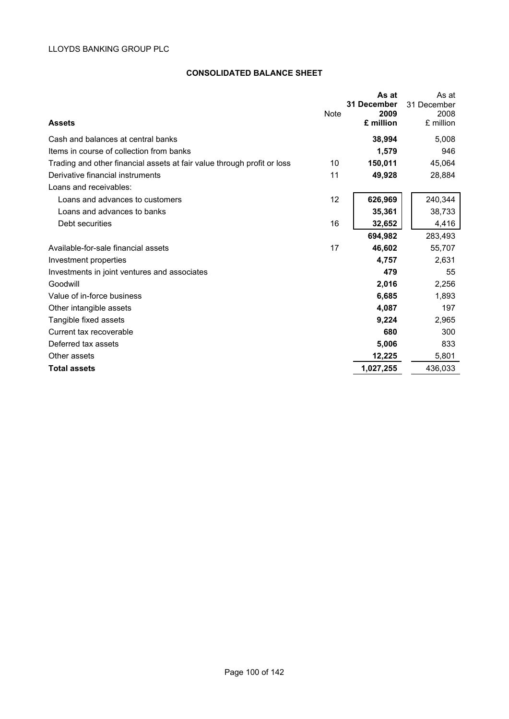## **CONSOLIDATED BALANCE SHEET**

| <b>Assets</b>                                                           | <b>Note</b> | As at<br>31 December<br>2009<br>£ million | As at<br>31 December<br>2008<br>£ million |
|-------------------------------------------------------------------------|-------------|-------------------------------------------|-------------------------------------------|
| Cash and balances at central banks                                      |             | 38,994                                    | 5,008                                     |
| Items in course of collection from banks                                |             | 1,579                                     | 946                                       |
| Trading and other financial assets at fair value through profit or loss | 10          | 150,011                                   | 45,064                                    |
| Derivative financial instruments                                        | 11          | 49,928                                    | 28,884                                    |
| Loans and receivables:                                                  |             |                                           |                                           |
| Loans and advances to customers                                         | 12          | 626,969                                   | 240,344                                   |
| Loans and advances to banks                                             |             | 35,361                                    | 38,733                                    |
| Debt securities                                                         | 16          | 32,652                                    | 4,416                                     |
|                                                                         |             | 694.982                                   | 283,493                                   |
| Available-for-sale financial assets                                     | 17          | 46,602                                    | 55,707                                    |
| Investment properties                                                   |             | 4,757                                     | 2,631                                     |
| Investments in joint ventures and associates                            |             | 479                                       | 55                                        |
| Goodwill                                                                |             | 2,016                                     | 2,256                                     |
| Value of in-force business                                              |             | 6,685                                     | 1,893                                     |
| Other intangible assets                                                 |             | 4,087                                     | 197                                       |
| Tangible fixed assets                                                   |             | 9,224                                     | 2,965                                     |
| Current tax recoverable                                                 |             | 680                                       | 300                                       |
| Deferred tax assets                                                     |             | 5,006                                     | 833                                       |
| Other assets                                                            |             | 12,225                                    | 5,801                                     |
| <b>Total assets</b>                                                     |             | 1,027,255                                 | 436,033                                   |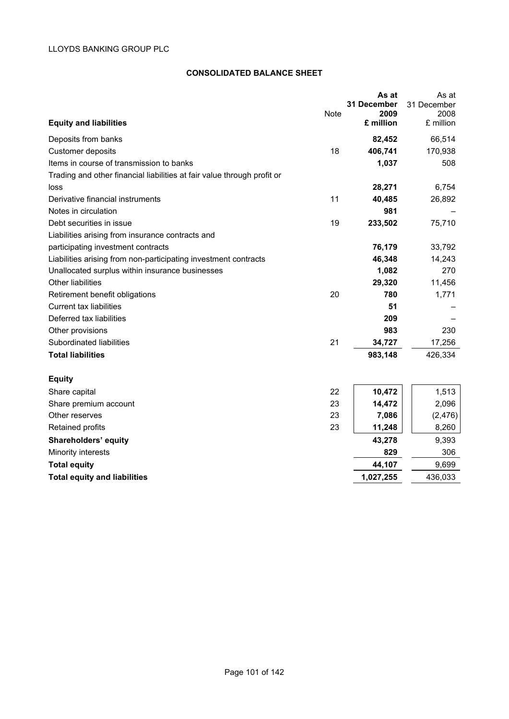## **CONSOLIDATED BALANCE SHEET**

| <b>Equity and liabilities</b>                                           | <b>Note</b> | As at<br>31 December<br>2009<br>£ million | As at<br>31 December<br>2008<br>£ million |
|-------------------------------------------------------------------------|-------------|-------------------------------------------|-------------------------------------------|
| Deposits from banks                                                     |             | 82,452                                    | 66,514                                    |
| <b>Customer deposits</b>                                                | 18          | 406,741                                   | 170,938                                   |
| Items in course of transmission to banks                                |             | 1,037                                     | 508                                       |
| Trading and other financial liabilities at fair value through profit or |             |                                           |                                           |
| loss                                                                    |             | 28,271                                    | 6,754                                     |
| Derivative financial instruments                                        | 11          | 40,485                                    | 26,892                                    |
| Notes in circulation                                                    |             | 981                                       |                                           |
| Debt securities in issue                                                | 19          | 233,502                                   | 75,710                                    |
| Liabilities arising from insurance contracts and                        |             |                                           |                                           |
| participating investment contracts                                      |             | 76,179                                    | 33,792                                    |
| Liabilities arising from non-participating investment contracts         |             | 46,348                                    | 14,243                                    |
| Unallocated surplus within insurance businesses                         |             | 1,082                                     | 270                                       |
| <b>Other liabilities</b>                                                |             | 29,320                                    | 11,456                                    |
| Retirement benefit obligations                                          | 20          | 780                                       | 1,771                                     |
| Current tax liabilities                                                 |             | 51                                        |                                           |
| Deferred tax liabilities                                                |             | 209                                       |                                           |
| Other provisions                                                        |             | 983                                       | 230                                       |
| Subordinated liabilities                                                | 21          | 34,727                                    | 17,256                                    |
| <b>Total liabilities</b>                                                |             | 983,148                                   | 426,334                                   |
| <b>Equity</b>                                                           |             |                                           |                                           |
| Share capital                                                           | 22          | 10,472                                    | 1,513                                     |
| Share premium account                                                   | 23          | 14,472                                    | 2,096                                     |
| Other reserves                                                          | 23          | 7,086                                     | (2, 476)                                  |
| Retained profits                                                        | 23          | 11,248                                    | 8,260                                     |
| Shareholders' equity                                                    |             | 43,278                                    | 9,393                                     |
| Minority interests                                                      |             | 829                                       | 306                                       |
| <b>Total equity</b>                                                     |             | 44,107                                    | 9,699                                     |
| <b>Total equity and liabilities</b>                                     |             | 1,027,255                                 | 436,033                                   |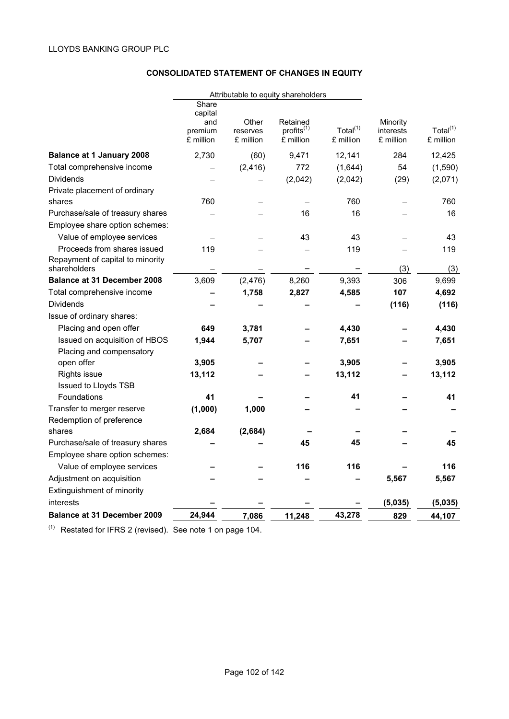# **CONSOLIDATED STATEMENT OF CHANGES IN EQUITY**

|                                    | Attributable to equity shareholders |           |                 |             |           |             |
|------------------------------------|-------------------------------------|-----------|-----------------|-------------|-----------|-------------|
|                                    | Share                               |           |                 |             |           |             |
|                                    | capital<br>and                      | Other     | Retained        |             | Minority  |             |
|                                    | premium                             | reserves  | $profits^{(1)}$ | Total $(1)$ | interests | Total $(1)$ |
|                                    | £ million                           | £ million | £ million       | £ million   | £ million | £ million   |
| <b>Balance at 1 January 2008</b>   | 2,730                               | (60)      | 9,471           | 12,141      | 284       | 12,425      |
| Total comprehensive income         |                                     | (2, 416)  | 772             | (1,644)     | 54        | (1,590)     |
| <b>Dividends</b>                   |                                     |           | (2,042)         | (2,042)     | (29)      | (2,071)     |
| Private placement of ordinary      |                                     |           |                 |             |           |             |
| shares                             | 760                                 |           |                 | 760         |           | 760         |
| Purchase/sale of treasury shares   |                                     |           | 16              | 16          |           | 16          |
| Employee share option schemes:     |                                     |           |                 |             |           |             |
| Value of employee services         |                                     |           | 43              | 43          |           | 43          |
| Proceeds from shares issued        | 119                                 |           |                 | 119         |           | 119         |
| Repayment of capital to minority   |                                     |           |                 |             |           |             |
| shareholders                       |                                     |           |                 |             | (3)       | (3)         |
| <b>Balance at 31 December 2008</b> | 3,609                               | (2, 476)  | 8,260           | 9,393       | 306       | 9,699       |
| Total comprehensive income         |                                     | 1,758     | 2,827           | 4,585       | 107       | 4,692       |
| <b>Dividends</b>                   |                                     |           |                 |             | (116)     | (116)       |
| Issue of ordinary shares:          |                                     |           |                 |             |           |             |
| Placing and open offer             | 649                                 | 3,781     |                 | 4,430       |           | 4,430       |
| Issued on acquisition of HBOS      | 1,944                               | 5,707     |                 | 7,651       |           | 7,651       |
| Placing and compensatory           |                                     |           |                 |             |           |             |
| open offer                         | 3,905                               |           |                 | 3,905       |           | 3,905       |
| Rights issue                       | 13,112                              |           |                 | 13,112      |           | 13,112      |
| <b>Issued to Lloyds TSB</b>        |                                     |           |                 |             |           |             |
| Foundations                        | 41                                  |           |                 | 41          |           | 41          |
| Transfer to merger reserve         | (1,000)                             | 1,000     |                 |             |           |             |
| Redemption of preference           |                                     |           |                 |             |           |             |
| shares                             | 2,684                               | (2,684)   |                 |             |           |             |
| Purchase/sale of treasury shares   |                                     |           | 45              | 45          |           | 45          |
| Employee share option schemes:     |                                     |           |                 |             |           |             |
| Value of employee services         |                                     |           | 116             | 116         |           | 116         |
| Adjustment on acquisition          |                                     |           |                 |             | 5,567     | 5,567       |
| Extinguishment of minority         |                                     |           |                 |             |           |             |
| interests                          |                                     |           |                 |             | (5,035)   | (5,035)     |
| <b>Balance at 31 December 2009</b> | 24,944                              | 7,086     | 11,248          | 43,278      | 829       | 44,107      |

 $(1)$  Restated for IFRS 2 (revised). See note 1 on page 104.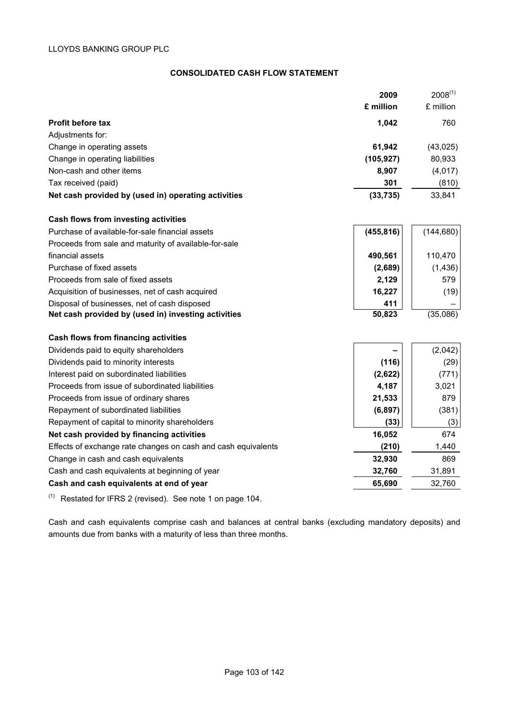## **CONSOLIDATED CASH FLOW STATEMENT**

|                                                               | 2009       | $2008^{(1)}$ |
|---------------------------------------------------------------|------------|--------------|
|                                                               | £ million  | £ million    |
| <b>Profit before tax</b>                                      | 1,042      | 760          |
| Adjustments for:                                              |            |              |
| Change in operating assets                                    | 61,942     | (43, 025)    |
| Change in operating liabilities                               | (105, 927) | 80,933       |
| Non-cash and other items                                      | 8,907      | (4,017)      |
| Tax received (paid)                                           | 301        | (810)        |
| Net cash provided by (used in) operating activities           | (33, 735)  | 33,841       |
| Cash flows from investing activities                          |            |              |
| Purchase of available-for-sale financial assets               | (455, 816) | (144, 680)   |
| Proceeds from sale and maturity of available-for-sale         |            |              |
| financial assets                                              | 490,561    | 110,470      |
| Purchase of fixed assets                                      | (2,689)    | (1, 436)     |
| Proceeds from sale of fixed assets                            | 2,129      | 579          |
| Acquisition of businesses, net of cash acquired               | 16,227     | (19)         |
| Disposal of businesses, net of cash disposed                  | 411        |              |
| Net cash provided by (used in) investing activities           | 50,823     | (35,086)     |
| <b>Cash flows from financing activities</b>                   |            |              |
| Dividends paid to equity shareholders                         |            | (2,042)      |
| Dividends paid to minority interests                          | (116)      | (29)         |
| Interest paid on subordinated liabilities                     | (2,622)    | (771)        |
| Proceeds from issue of subordinated liabilities               | 4,187      | 3,021        |
| Proceeds from issue of ordinary shares                        | 21,533     | 879          |
| Repayment of subordinated liabilities                         | (6, 897)   | (381)        |
| Repayment of capital to minority shareholders                 | (33)       | (3)          |
| Net cash provided by financing activities                     | 16,052     | 674          |
| Effects of exchange rate changes on cash and cash equivalents | (210)      | 1,440        |
| Change in cash and cash equivalents                           | 32,930     | 869          |
| Cash and cash equivalents at beginning of year                | 32,760     | 31,891       |
| Cash and cash equivalents at end of year                      | 65,690     | 32,760       |
|                                                               |            |              |

 $(1)$  Restated for IFRS 2 (revised). See note 1 on page 104.

Cash and cash equivalents comprise cash and balances at central banks (excluding mandatory deposits) and amounts due from banks with a maturity of less than three months.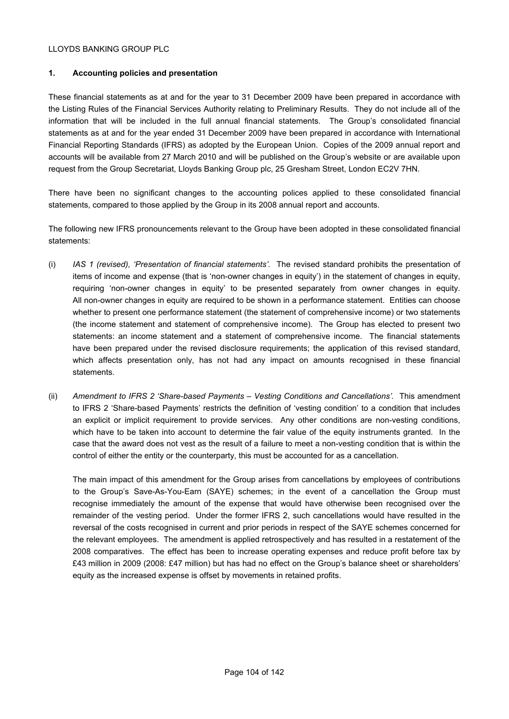## **1. Accounting policies and presentation**

These financial statements as at and for the year to 31 December 2009 have been prepared in accordance with the Listing Rules of the Financial Services Authority relating to Preliminary Results. They do not include all of the information that will be included in the full annual financial statements. The Group's consolidated financial statements as at and for the year ended 31 December 2009 have been prepared in accordance with International Financial Reporting Standards (IFRS) as adopted by the European Union. Copies of the 2009 annual report and accounts will be available from 27 March 2010 and will be published on the Group's website or are available upon request from the Group Secretariat, Lloyds Banking Group plc, 25 Gresham Street, London EC2V 7HN.

There have been no significant changes to the accounting polices applied to these consolidated financial statements, compared to those applied by the Group in its 2008 annual report and accounts.

The following new IFRS pronouncements relevant to the Group have been adopted in these consolidated financial statements:

- (i) *IAS 1 (revised), 'Presentation of financial statements'.* The revised standard prohibits the presentation of items of income and expense (that is 'non-owner changes in equity') in the statement of changes in equity, requiring 'non-owner changes in equity' to be presented separately from owner changes in equity. All non-owner changes in equity are required to be shown in a performance statement. Entities can choose whether to present one performance statement (the statement of comprehensive income) or two statements (the income statement and statement of comprehensive income). The Group has elected to present two statements: an income statement and a statement of comprehensive income. The financial statements have been prepared under the revised disclosure requirements; the application of this revised standard, which affects presentation only, has not had any impact on amounts recognised in these financial statements.
- (ii) *Amendment to IFRS 2 'Share-based Payments Vesting Conditions and Cancellations'.* This amendment to IFRS 2 'Share-based Payments' restricts the definition of 'vesting condition' to a condition that includes an explicit or implicit requirement to provide services. Any other conditions are non-vesting conditions, which have to be taken into account to determine the fair value of the equity instruments granted. In the case that the award does not vest as the result of a failure to meet a non-vesting condition that is within the control of either the entity or the counterparty, this must be accounted for as a cancellation.

The main impact of this amendment for the Group arises from cancellations by employees of contributions to the Group's Save-As-You-Earn (SAYE) schemes; in the event of a cancellation the Group must recognise immediately the amount of the expense that would have otherwise been recognised over the remainder of the vesting period. Under the former IFRS 2, such cancellations would have resulted in the reversal of the costs recognised in current and prior periods in respect of the SAYE schemes concerned for the relevant employees. The amendment is applied retrospectively and has resulted in a restatement of the 2008 comparatives. The effect has been to increase operating expenses and reduce profit before tax by £43 million in 2009 (2008: £47 million) but has had no effect on the Group's balance sheet or shareholders' equity as the increased expense is offset by movements in retained profits.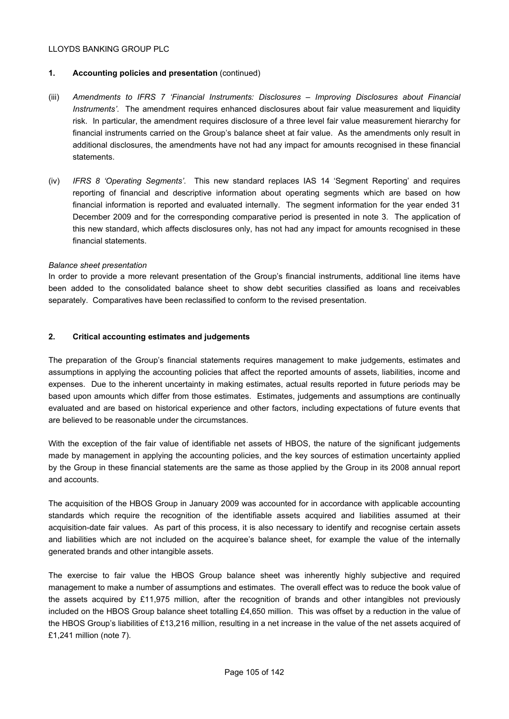## **1. Accounting policies and presentation** (continued)

- (iii) *Amendments to IFRS 7 'Financial Instruments: Disclosures Improving Disclosures about Financial Instruments'*. The amendment requires enhanced disclosures about fair value measurement and liquidity risk. In particular, the amendment requires disclosure of a three level fair value measurement hierarchy for financial instruments carried on the Group's balance sheet at fair value. As the amendments only result in additional disclosures, the amendments have not had any impact for amounts recognised in these financial statements.
- (iv) *IFRS 8 'Operating Segments'*. This new standard replaces IAS 14 'Segment Reporting' and requires reporting of financial and descriptive information about operating segments which are based on how financial information is reported and evaluated internally. The segment information for the year ended 31 December 2009 and for the corresponding comparative period is presented in note 3. The application of this new standard, which affects disclosures only, has not had any impact for amounts recognised in these financial statements.

#### *Balance sheet presentation*

In order to provide a more relevant presentation of the Group's financial instruments, additional line items have been added to the consolidated balance sheet to show debt securities classified as loans and receivables separately. Comparatives have been reclassified to conform to the revised presentation.

#### **2. Critical accounting estimates and judgements**

The preparation of the Group's financial statements requires management to make judgements, estimates and assumptions in applying the accounting policies that affect the reported amounts of assets, liabilities, income and expenses. Due to the inherent uncertainty in making estimates, actual results reported in future periods may be based upon amounts which differ from those estimates. Estimates, judgements and assumptions are continually evaluated and are based on historical experience and other factors, including expectations of future events that are believed to be reasonable under the circumstances.

With the exception of the fair value of identifiable net assets of HBOS, the nature of the significant judgements made by management in applying the accounting policies, and the key sources of estimation uncertainty applied by the Group in these financial statements are the same as those applied by the Group in its 2008 annual report and accounts.

The acquisition of the HBOS Group in January 2009 was accounted for in accordance with applicable accounting standards which require the recognition of the identifiable assets acquired and liabilities assumed at their acquisition-date fair values. As part of this process, it is also necessary to identify and recognise certain assets and liabilities which are not included on the acquiree's balance sheet, for example the value of the internally generated brands and other intangible assets.

The exercise to fair value the HBOS Group balance sheet was inherently highly subjective and required management to make a number of assumptions and estimates. The overall effect was to reduce the book value of the assets acquired by £11,975 million, after the recognition of brands and other intangibles not previously included on the HBOS Group balance sheet totalling £4,650 million. This was offset by a reduction in the value of the HBOS Group's liabilities of £13,216 million, resulting in a net increase in the value of the net assets acquired of £1,241 million (note 7).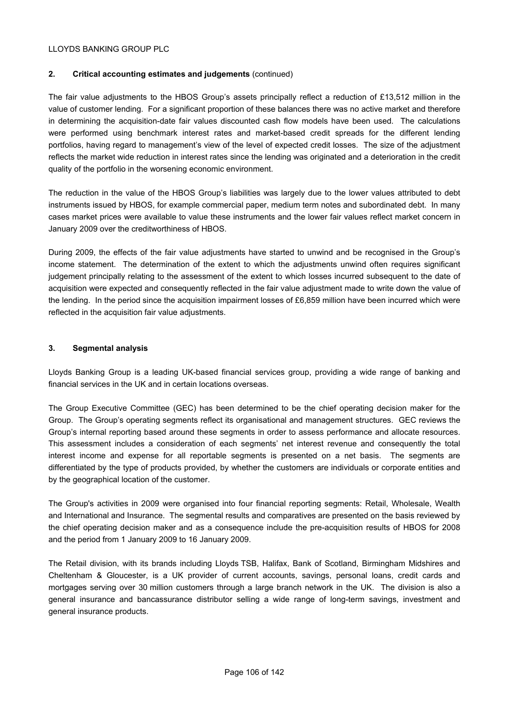## **2. Critical accounting estimates and judgements** (continued)

The fair value adjustments to the HBOS Group's assets principally reflect a reduction of £13,512 million in the value of customer lending. For a significant proportion of these balances there was no active market and therefore in determining the acquisition-date fair values discounted cash flow models have been used. The calculations were performed using benchmark interest rates and market-based credit spreads for the different lending portfolios, having regard to management's view of the level of expected credit losses. The size of the adjustment reflects the market wide reduction in interest rates since the lending was originated and a deterioration in the credit quality of the portfolio in the worsening economic environment.

The reduction in the value of the HBOS Group's liabilities was largely due to the lower values attributed to debt instruments issued by HBOS, for example commercial paper, medium term notes and subordinated debt. In many cases market prices were available to value these instruments and the lower fair values reflect market concern in January 2009 over the creditworthiness of HBOS.

During 2009, the effects of the fair value adjustments have started to unwind and be recognised in the Group's income statement. The determination of the extent to which the adjustments unwind often requires significant judgement principally relating to the assessment of the extent to which losses incurred subsequent to the date of acquisition were expected and consequently reflected in the fair value adjustment made to write down the value of the lending. In the period since the acquisition impairment losses of £6,859 million have been incurred which were reflected in the acquisition fair value adjustments.

## **3. Segmental analysis**

Lloyds Banking Group is a leading UK-based financial services group, providing a wide range of banking and financial services in the UK and in certain locations overseas.

The Group Executive Committee (GEC) has been determined to be the chief operating decision maker for the Group. The Group's operating segments reflect its organisational and management structures. GEC reviews the Group's internal reporting based around these segments in order to assess performance and allocate resources. This assessment includes a consideration of each segments' net interest revenue and consequently the total interest income and expense for all reportable segments is presented on a net basis. The segments are differentiated by the type of products provided, by whether the customers are individuals or corporate entities and by the geographical location of the customer.

The Group's activities in 2009 were organised into four financial reporting segments: Retail, Wholesale, Wealth and International and Insurance. The segmental results and comparatives are presented on the basis reviewed by the chief operating decision maker and as a consequence include the pre-acquisition results of HBOS for 2008 and the period from 1 January 2009 to 16 January 2009.

The Retail division, with its brands including Lloyds TSB, Halifax, Bank of Scotland, Birmingham Midshires and Cheltenham & Gloucester, is a UK provider of current accounts, savings, personal loans, credit cards and mortgages serving over 30 million customers through a large branch network in the UK. The division is also a general insurance and bancassurance distributor selling a wide range of long-term savings, investment and general insurance products.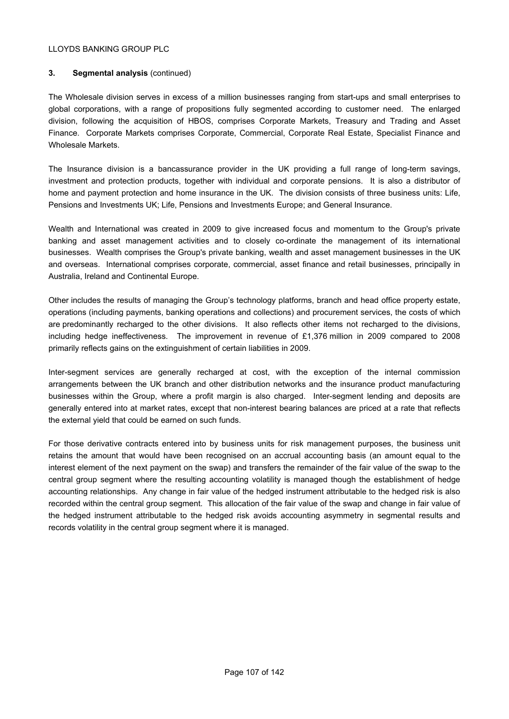# **3. Segmental analysis** (continued)

The Wholesale division serves in excess of a million businesses ranging from start-ups and small enterprises to global corporations, with a range of propositions fully segmented according to customer need. The enlarged division, following the acquisition of HBOS, comprises Corporate Markets, Treasury and Trading and Asset Finance. Corporate Markets comprises Corporate, Commercial, Corporate Real Estate, Specialist Finance and Wholesale Markets.

The Insurance division is a bancassurance provider in the UK providing a full range of long-term savings, investment and protection products, together with individual and corporate pensions. It is also a distributor of home and payment protection and home insurance in the UK. The division consists of three business units: Life, Pensions and Investments UK; Life, Pensions and Investments Europe; and General Insurance.

Wealth and International was created in 2009 to give increased focus and momentum to the Group's private banking and asset management activities and to closely co-ordinate the management of its international businesses. Wealth comprises the Group's private banking, wealth and asset management businesses in the UK and overseas. International comprises corporate, commercial, asset finance and retail businesses, principally in Australia, Ireland and Continental Europe.

Other includes the results of managing the Group's technology platforms, branch and head office property estate, operations (including payments, banking operations and collections) and procurement services, the costs of which are predominantly recharged to the other divisions. It also reflects other items not recharged to the divisions, including hedge ineffectiveness. The improvement in revenue of £1,376 million in 2009 compared to 2008 primarily reflects gains on the extinguishment of certain liabilities in 2009.

Inter-segment services are generally recharged at cost, with the exception of the internal commission arrangements between the UK branch and other distribution networks and the insurance product manufacturing businesses within the Group, where a profit margin is also charged. Inter-segment lending and deposits are generally entered into at market rates, except that non-interest bearing balances are priced at a rate that reflects the external yield that could be earned on such funds.

For those derivative contracts entered into by business units for risk management purposes, the business unit retains the amount that would have been recognised on an accrual accounting basis (an amount equal to the interest element of the next payment on the swap) and transfers the remainder of the fair value of the swap to the central group segment where the resulting accounting volatility is managed though the establishment of hedge accounting relationships. Any change in fair value of the hedged instrument attributable to the hedged risk is also recorded within the central group segment. This allocation of the fair value of the swap and change in fair value of the hedged instrument attributable to the hedged risk avoids accounting asymmetry in segmental results and records volatility in the central group segment where it is managed.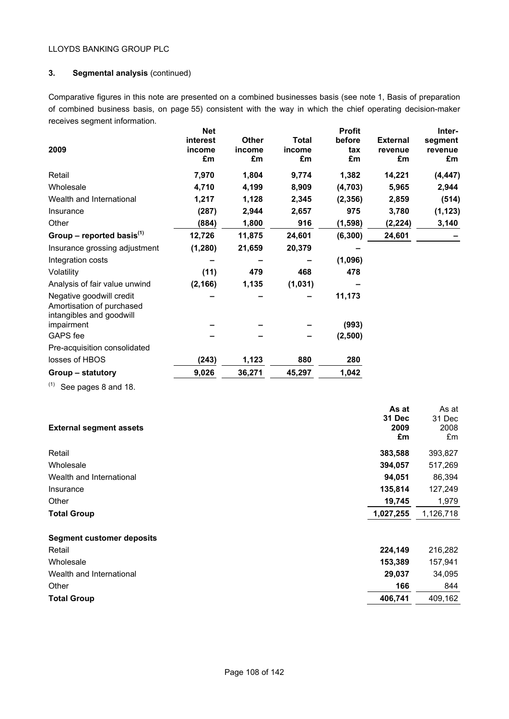# **3. Segmental analysis** (continued)

Comparative figures in this note are presented on a combined businesses basis (see note 1, Basis of preparation of combined business basis, on page 55) consistent with the way in which the chief operating decision-maker receives segment information.

|                                        | <b>Net</b> |              |              | <b>Profit</b> |                 | Inter-   |
|----------------------------------------|------------|--------------|--------------|---------------|-----------------|----------|
|                                        | interest   | <b>Other</b> | <b>Total</b> | before        | <b>External</b> | segment  |
| 2009                                   | income     | income       | income       | tax           | revenue         | revenue  |
|                                        | £m         | £m           | £m           | £m            | £m              | £m       |
| Retail                                 | 7,970      | 1,804        | 9,774        | 1,382         | 14,221          | (4, 447) |
| Wholesale                              | 4,710      | 4,199        | 8,909        | (4, 703)      | 5,965           | 2,944    |
| Wealth and International               | 1,217      | 1,128        | 2,345        | (2, 356)      | 2,859           | (514)    |
| Insurance                              | (287)      | 2,944        | 2,657        | 975           | 3,780           | (1, 123) |
| Other                                  | (884)      | 1,800        | 916          | (1, 598)      | (2, 224)        | 3,140    |
| Group – reported basis $(1)$           | 12,726     | 11,875       | 24,601       | (6, 300)      | 24,601          |          |
| Insurance grossing adjustment          | (1, 280)   | 21,659       | 20,379       |               |                 |          |
| Integration costs                      |            |              |              | (1,096)       |                 |          |
| Volatility                             | (11)       | 479          | 468          | 478           |                 |          |
| Analysis of fair value unwind          | (2, 166)   | 1,135        | (1,031)      |               |                 |          |
| Negative goodwill credit               |            |              |              | 11,173        |                 |          |
| Amortisation of purchased              |            |              |              |               |                 |          |
| intangibles and goodwill<br>impairment |            |              |              | (993)         |                 |          |
|                                        |            |              |              |               |                 |          |
| GAPS fee                               |            |              |              | (2,500)       |                 |          |
| Pre-acquisition consolidated           |            |              |              |               |                 |          |
| losses of HBOS                         | (243)      | 1,123        | 880          | 280           |                 |          |
| Group – statutory                      | 9,026      | 36,271       | 45,297       | 1,042         |                 |          |
|                                        |            |              |              |               |                 |          |

 $(1)$  See pages 8 and 18.

| <b>External segment assets</b>   | As at<br><b>31 Dec</b><br>2009 | As at<br>31 Dec<br>2008 |
|----------------------------------|--------------------------------|-------------------------|
|                                  | £m                             | £m                      |
| Retail                           | 383,588                        | 393,827                 |
| Wholesale                        | 394,057                        | 517,269                 |
| Wealth and International         | 94,051                         | 86,394                  |
| Insurance                        | 135,814                        | 127,249                 |
| Other                            | 19,745                         | 1,979                   |
| <b>Total Group</b>               | 1,027,255                      | 1,126,718               |
| <b>Segment customer deposits</b> |                                |                         |
| Retail                           | 224,149                        | 216,282                 |
| Wholesale                        | 153,389                        | 157,941                 |
| Wealth and International         | 29,037                         | 34,095                  |
| Other                            | 166                            | 844                     |
| <b>Total Group</b>               | 406,741                        | 409,162                 |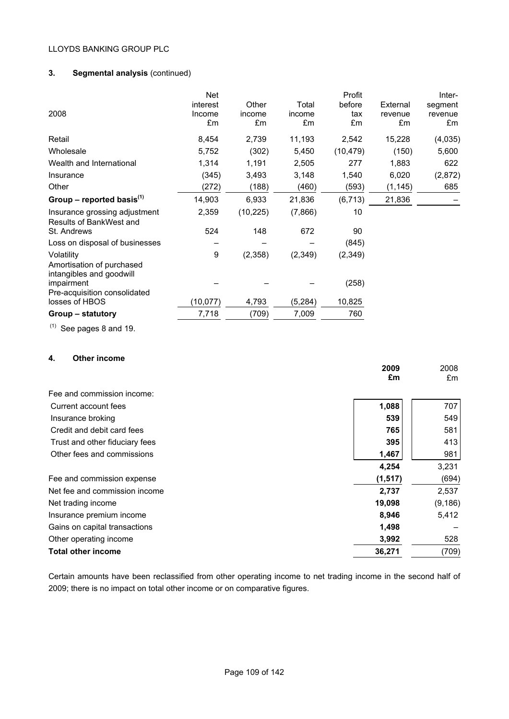# **3. Segmental analysis** (continued)

|                                                | Net       |           |          | Profit    |          | Inter-  |
|------------------------------------------------|-----------|-----------|----------|-----------|----------|---------|
|                                                | interest  | Other     | Total    | before    | External | segment |
| 2008                                           | Income    | income    | income   | tax       | revenue  | revenue |
|                                                | £m        | £m        | £m       | £m        | £m       | £m      |
| Retail                                         | 8,454     | 2,739     | 11,193   | 2,542     | 15,228   | (4,035) |
| Wholesale                                      | 5,752     | (302)     | 5,450    | (10, 479) | (150)    | 5,600   |
| Wealth and International                       | 1,314     | 1,191     | 2,505    | 277       | 1,883    | 622     |
| Insurance                                      | (345)     | 3,493     | 3,148    | 1,540     | 6,020    | (2,872) |
| Other                                          | (272)     | (188)     | (460)    | (593)     | (1, 145) | 685     |
| Group – reported basis $^{(1)}$                | 14,903    | 6,933     | 21,836   | (6, 713)  | 21,836   |         |
| Insurance grossing adjustment                  | 2,359     | (10, 225) | (7,866)  | 10        |          |         |
| Results of BankWest and                        |           |           |          |           |          |         |
| St. Andrews                                    | 524       | 148       | 672      | 90        |          |         |
| Loss on disposal of businesses                 |           |           |          | (845)     |          |         |
| Volatility                                     | 9         | (2,358)   | (2,349)  | (2,349)   |          |         |
| Amortisation of purchased                      |           |           |          |           |          |         |
| intangibles and goodwill                       |           |           |          |           |          |         |
| impairment                                     |           |           |          | (258)     |          |         |
| Pre-acquisition consolidated<br>losses of HBOS | (10, 077) | 4,793     | (5, 284) | 10,825    |          |         |
|                                                |           |           |          |           |          |         |
| Group – statutory                              | 7,718     | (709)     | 7,009    | 760       |          |         |

 $(1)$  See pages 8 and 19.

# **4. Other income**

|                                | 2009     | 2008     |
|--------------------------------|----------|----------|
|                                | £m       | £m       |
| Fee and commission income:     |          |          |
| Current account fees           | 1,088    | 707      |
| Insurance broking              | 539      | 549      |
| Credit and debit card fees     | 765      | 581      |
| Trust and other fiduciary fees | 395      | 413      |
| Other fees and commissions     | 1,467    | 981      |
|                                | 4,254    | 3,231    |
| Fee and commission expense     | (1, 517) | (694)    |
| Net fee and commission income  | 2,737    | 2,537    |
| Net trading income             | 19,098   | (9, 186) |
| Insurance premium income       | 8,946    | 5,412    |
| Gains on capital transactions  | 1,498    |          |
| Other operating income         | 3,992    | 528      |
| <b>Total other income</b>      | 36,271   | (709)    |

Certain amounts have been reclassified from other operating income to net trading income in the second half of 2009; there is no impact on total other income or on comparative figures.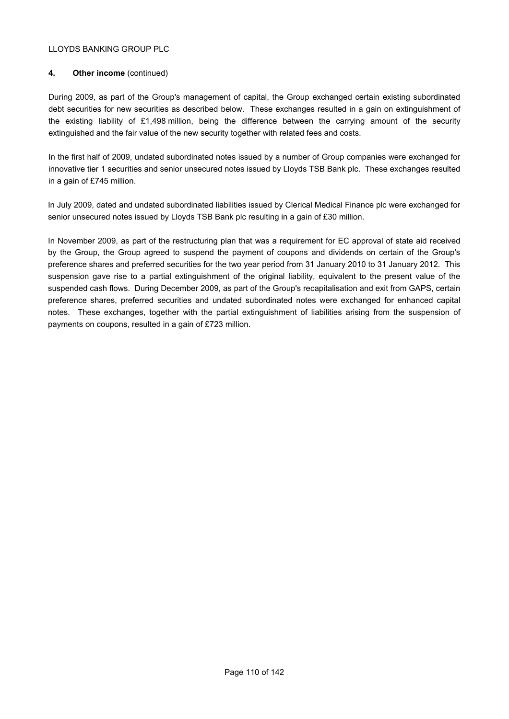## **4. Other income** (continued)

During 2009, as part of the Group's management of capital, the Group exchanged certain existing subordinated debt securities for new securities as described below. These exchanges resulted in a gain on extinguishment of the existing liability of £1,498 million, being the difference between the carrying amount of the security extinguished and the fair value of the new security together with related fees and costs.

In the first half of 2009, undated subordinated notes issued by a number of Group companies were exchanged for innovative tier 1 securities and senior unsecured notes issued by Lloyds TSB Bank plc. These exchanges resulted in a gain of £745 million.

In July 2009, dated and undated subordinated liabilities issued by Clerical Medical Finance plc were exchanged for senior unsecured notes issued by Lloyds TSB Bank plc resulting in a gain of £30 million.

In November 2009, as part of the restructuring plan that was a requirement for EC approval of state aid received by the Group, the Group agreed to suspend the payment of coupons and dividends on certain of the Group's preference shares and preferred securities for the two year period from 31 January 2010 to 31 January 2012. This suspension gave rise to a partial extinguishment of the original liability, equivalent to the present value of the suspended cash flows. During December 2009, as part of the Group's recapitalisation and exit from GAPS, certain preference shares, preferred securities and undated subordinated notes were exchanged for enhanced capital notes. These exchanges, together with the partial extinguishment of liabilities arising from the suspension of payments on coupons, resulted in a gain of £723 million.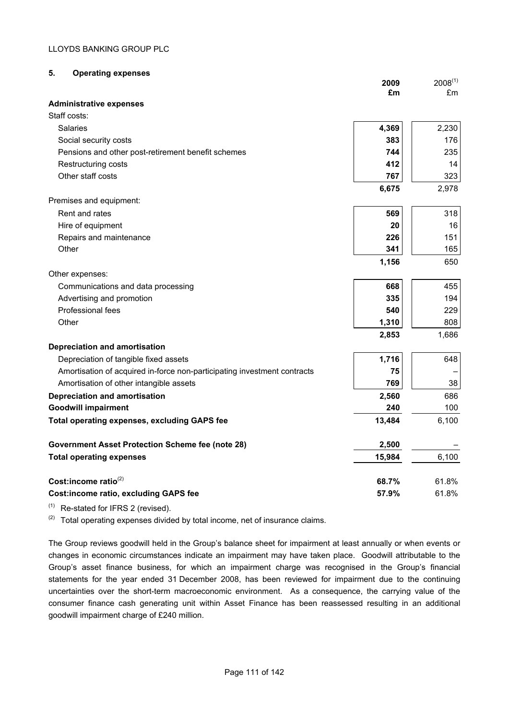# **5. Operating expenses**

|                                                                          | 2009<br>£m | $2008^{(1)}$<br>£m |
|--------------------------------------------------------------------------|------------|--------------------|
| <b>Administrative expenses</b>                                           |            |                    |
| Staff costs:                                                             |            |                    |
| Salaries                                                                 | 4,369      | 2,230              |
| Social security costs                                                    | 383        | 176                |
| Pensions and other post-retirement benefit schemes                       | 744        | 235                |
| Restructuring costs                                                      | 412        | 14                 |
| Other staff costs                                                        | 767        | 323                |
|                                                                          | 6,675      | 2,978              |
| Premises and equipment:                                                  |            |                    |
| Rent and rates                                                           | 569        | 318                |
| Hire of equipment                                                        | 20         | 16                 |
| Repairs and maintenance                                                  | 226        | 151                |
| Other                                                                    | 341        | 165                |
|                                                                          | 1,156      | 650                |
| Other expenses:                                                          |            |                    |
| Communications and data processing                                       | 668        | 455                |
| Advertising and promotion                                                | 335        | 194                |
| Professional fees                                                        | 540        | 229                |
| Other                                                                    | 1,310      | 808                |
|                                                                          | 2,853      | 1,686              |
| <b>Depreciation and amortisation</b>                                     |            |                    |
| Depreciation of tangible fixed assets                                    | 1,716      | 648                |
| Amortisation of acquired in-force non-participating investment contracts | 75         |                    |
| Amortisation of other intangible assets                                  | 769        | 38                 |
| <b>Depreciation and amortisation</b>                                     | 2,560      | 686                |
| <b>Goodwill impairment</b>                                               | 240        | 100                |
| <b>Total operating expenses, excluding GAPS fee</b>                      | 13,484     | 6,100              |
| <b>Government Asset Protection Scheme fee (note 28)</b>                  | 2,500      |                    |
| <b>Total operating expenses</b>                                          | 15,984     | 6,100              |
|                                                                          |            |                    |
| Cost:income ratio <sup>(2)</sup>                                         | 68.7%      | 61.8%              |
| <b>Cost:income ratio, excluding GAPS fee</b>                             | 57.9%      | 61.8%              |

 $(1)$  Re-stated for IFRS 2 (revised).

 $(2)$  Total operating expenses divided by total income, net of insurance claims.

The Group reviews goodwill held in the Group's balance sheet for impairment at least annually or when events or changes in economic circumstances indicate an impairment may have taken place. Goodwill attributable to the Group's asset finance business, for which an impairment charge was recognised in the Group's financial statements for the year ended 31 December 2008, has been reviewed for impairment due to the continuing uncertainties over the short-term macroeconomic environment. As a consequence, the carrying value of the consumer finance cash generating unit within Asset Finance has been reassessed resulting in an additional goodwill impairment charge of £240 million.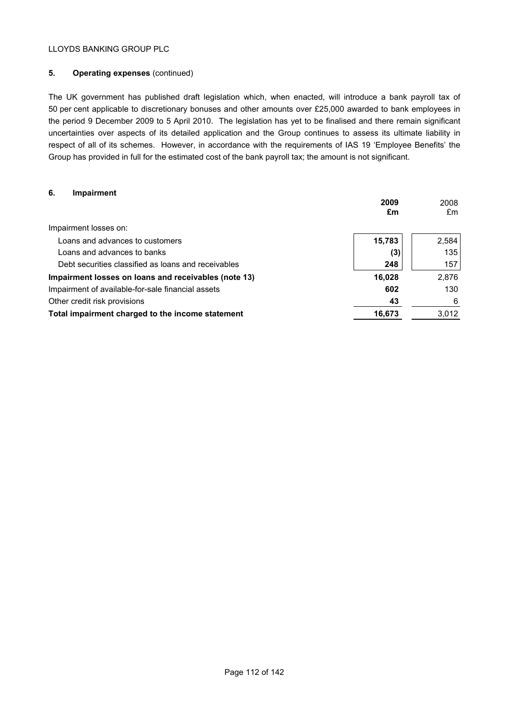# **5. Operating expenses** (continued)

The UK government has published draft legislation which, when enacted, will introduce a bank payroll tax of 50 per cent applicable to discretionary bonuses and other amounts over £25,000 awarded to bank employees in the period 9 December 2009 to 5 April 2010. The legislation has yet to be finalised and there remain significant uncertainties over aspects of its detailed application and the Group continues to assess its ultimate liability in respect of all of its schemes. However, in accordance with the requirements of IAS 19 'Employee Benefits' the Group has provided in full for the estimated cost of the bank payroll tax; the amount is not significant.

# **6. Impairment**

|                                                      | 2009<br>£m | 2008<br>£m |
|------------------------------------------------------|------------|------------|
| Impairment losses on:                                |            |            |
| Loans and advances to customers                      | 15,783     | 2,584      |
| Loans and advances to banks                          | (3)        | 135        |
| Debt securities classified as loans and receivables  | 248        | 157        |
| Impairment losses on loans and receivables (note 13) | 16,028     | 2,876      |
| Impairment of available-for-sale financial assets    | 602        | 130        |
| Other credit risk provisions                         | 43         | 6          |
| Total impairment charged to the income statement     | 16,673     | 3,012      |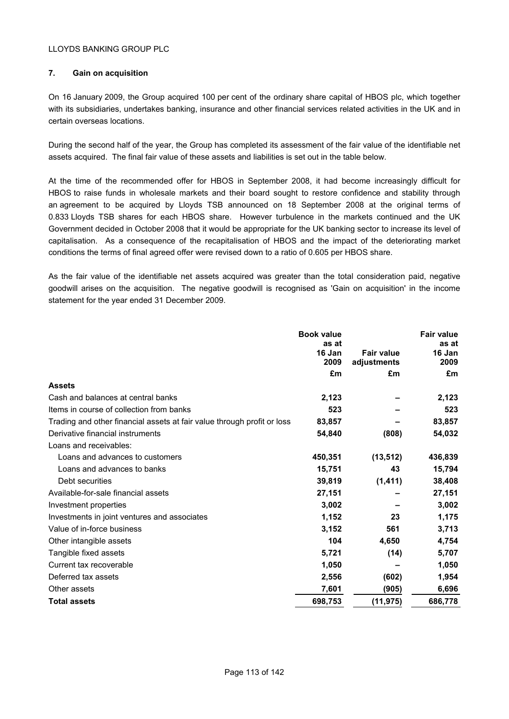## **7. Gain on acquisition**

On 16 January 2009, the Group acquired 100 per cent of the ordinary share capital of HBOS plc, which together with its subsidiaries, undertakes banking, insurance and other financial services related activities in the UK and in certain overseas locations.

During the second half of the year, the Group has completed its assessment of the fair value of the identifiable net assets acquired. The final fair value of these assets and liabilities is set out in the table below.

At the time of the recommended offer for HBOS in September 2008, it had become increasingly difficult for HBOS to raise funds in wholesale markets and their board sought to restore confidence and stability through an agreement to be acquired by Lloyds TSB announced on 18 September 2008 at the original terms of 0.833 Lloyds TSB shares for each HBOS share. However turbulence in the markets continued and the UK Government decided in October 2008 that it would be appropriate for the UK banking sector to increase its level of capitalisation. As a consequence of the recapitalisation of HBOS and the impact of the deteriorating market conditions the terms of final agreed offer were revised down to a ratio of 0.605 per HBOS share.

As the fair value of the identifiable net assets acquired was greater than the total consideration paid, negative goodwill arises on the acquisition. The negative goodwill is recognised as 'Gain on acquisition' in the income statement for the year ended 31 December 2009.

|                                                                         | <b>Book value</b> |                                  | <b>Fair value</b> |
|-------------------------------------------------------------------------|-------------------|----------------------------------|-------------------|
|                                                                         | as at<br>16 Jan   |                                  | as at             |
|                                                                         | 2009              | <b>Fair value</b><br>adjustments | 16 Jan<br>2009    |
|                                                                         | £m                | £m                               | £m                |
|                                                                         |                   |                                  |                   |
| <b>Assets</b>                                                           |                   |                                  |                   |
| Cash and balances at central banks                                      | 2,123             |                                  | 2,123             |
| Items in course of collection from banks                                | 523               |                                  | 523               |
| Trading and other financial assets at fair value through profit or loss | 83,857            |                                  | 83,857            |
| Derivative financial instruments                                        | 54,840            | (808)                            | 54,032            |
| Loans and receivables:                                                  |                   |                                  |                   |
| Loans and advances to customers                                         | 450,351           | (13, 512)                        | 436,839           |
| Loans and advances to banks                                             | 15,751            | 43                               | 15,794            |
| Debt securities                                                         | 39,819            | (1, 411)                         | 38,408            |
| Available-for-sale financial assets                                     | 27,151            |                                  | 27,151            |
| Investment properties                                                   | 3,002             |                                  | 3,002             |
| Investments in joint ventures and associates                            | 1,152             | 23                               | 1,175             |
| Value of in-force business                                              | 3,152             | 561                              | 3,713             |
| Other intangible assets                                                 | 104               | 4,650                            | 4,754             |
| Tangible fixed assets                                                   | 5,721             | (14)                             | 5,707             |
| Current tax recoverable                                                 | 1,050             |                                  | 1,050             |
| Deferred tax assets                                                     | 2,556             | (602)                            | 1,954             |
| Other assets                                                            | 7,601             | (905)                            | 6,696             |
| <b>Total assets</b>                                                     | 698,753           | (11, 975)                        | 686,778           |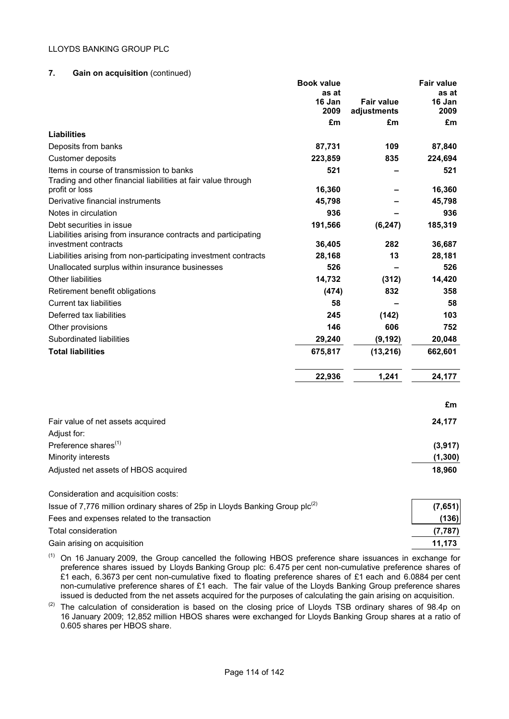## **7. Gain on acquisition** (continued)

|                                                                                          | <b>Book value</b> |                   | <b>Fair value</b> |
|------------------------------------------------------------------------------------------|-------------------|-------------------|-------------------|
|                                                                                          | as at             |                   | as at             |
|                                                                                          | 16 Jan<br>2009    | <b>Fair value</b> | 16 Jan<br>2009    |
|                                                                                          | £m                | adjustments<br>£m | £m                |
| <b>Liabilities</b>                                                                       |                   |                   |                   |
| Deposits from banks                                                                      | 87,731            | 109               | 87,840            |
| Customer deposits                                                                        | 223,859           | 835               | 224,694           |
| Items in course of transmission to banks                                                 | 521               |                   | 521               |
| Trading and other financial liabilities at fair value through<br>profit or loss          | 16,360            |                   | 16,360            |
| Derivative financial instruments                                                         | 45,798            |                   | 45,798            |
| Notes in circulation                                                                     | 936               |                   | 936               |
| Debt securities in issue                                                                 | 191,566           | (6, 247)          | 185,319           |
| Liabilities arising from insurance contracts and participating                           |                   |                   |                   |
| investment contracts                                                                     | 36,405            | 282               | 36,687            |
| Liabilities arising from non-participating investment contracts                          | 28,168            | 13                | 28,181            |
| Unallocated surplus within insurance businesses                                          | 526               |                   | 526               |
| Other liabilities                                                                        | 14,732            | (312)             | 14,420            |
| Retirement benefit obligations                                                           | (474)             | 832               | 358               |
| Current tax liabilities                                                                  | 58                |                   | 58                |
| Deferred tax liabilities                                                                 | 245               | (142)             | 103               |
| Other provisions                                                                         | 146               | 606               | 752               |
| Subordinated liabilities                                                                 | 29,240            | (9, 192)          | 20,048            |
| <b>Total liabilities</b>                                                                 | 675,817           | (13, 216)         | 662,601           |
|                                                                                          | 22,936            | 1,241             | 24,177            |
|                                                                                          |                   |                   |                   |
|                                                                                          |                   |                   | £m                |
| Fair value of net assets acquired                                                        |                   |                   | 24,177            |
| Adjust for:                                                                              |                   |                   |                   |
| Preference shares <sup>(1)</sup>                                                         |                   |                   | (3, 917)          |
| Minority interests                                                                       |                   |                   | (1, 300)          |
| Adjusted net assets of HBOS acquired                                                     |                   |                   | 18,960            |
| Consideration and acquisition costs:                                                     |                   |                   |                   |
| Issue of 7,776 million ordinary shares of 25p in Lloyds Banking Group plc <sup>(2)</sup> |                   |                   | (7,651)           |
| Fees and expenses related to the transaction                                             |                   |                   | (136)             |
| Total consideration                                                                      |                   |                   | (7, 787)          |

Gain arising on acquisition **11,173 11,173** 

 $(1)$  On 16 January 2009, the Group cancelled the following HBOS preference share issuances in exchange for preference shares issued by Lloyds Banking Group plc: 6.475 per cent non-cumulative preference shares of £1 each, 6.3673 per cent non-cumulative fixed to floating preference shares of £1 each and 6.0884 per cent non-cumulative preference shares of £1 each. The fair value of the Lloyds Banking Group preference shares issued is deducted from the net assets acquired for the purposes of calculating the gain arising on acquisition.

(2) The calculation of consideration is based on the closing price of Lloyds TSB ordinary shares of 98.4p on 16 January 2009; 12,852 million HBOS shares were exchanged for Lloyds Banking Group shares at a ratio of 0.605 shares per HBOS share.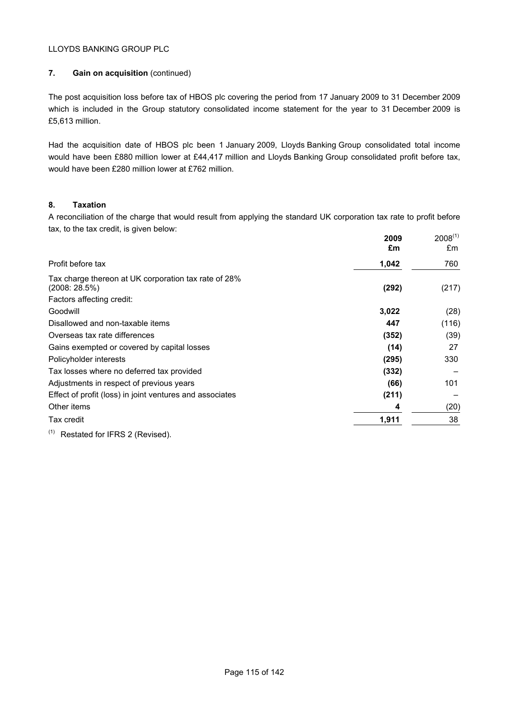# **7. Gain on acquisition** (continued)

The post acquisition loss before tax of HBOS plc covering the period from 17 January 2009 to 31 December 2009 which is included in the Group statutory consolidated income statement for the year to 31 December 2009 is £5,613 million.

Had the acquisition date of HBOS plc been 1 January 2009, Lloyds Banking Group consolidated total income would have been £880 million lower at £44,417 million and Lloyds Banking Group consolidated profit before tax, would have been £280 million lower at £762 million.

# **8. Taxation**

A reconciliation of the charge that would result from applying the standard UK corporation tax rate to profit before tax, to the tax credit, is given below:

|                                                                                                   | 2009<br>£m | $2008^{(1)}$<br>£m |
|---------------------------------------------------------------------------------------------------|------------|--------------------|
| Profit before tax                                                                                 | 1,042      | 760                |
| Tax charge thereon at UK corporation tax rate of 28%<br>(2008:28.5%)<br>Factors affecting credit: | (292)      | (217)              |
| Goodwill                                                                                          | 3,022      | (28)               |
| Disallowed and non-taxable items                                                                  | 447        | (116)              |
| Overseas tax rate differences                                                                     | (352)      | (39)               |
| Gains exempted or covered by capital losses                                                       | (14)       | 27                 |
| Policyholder interests                                                                            | (295)      | 330                |
| Tax losses where no deferred tax provided                                                         | (332)      |                    |
| Adjustments in respect of previous years                                                          | (66)       | 101                |
| Effect of profit (loss) in joint ventures and associates                                          | (211)      |                    |
| Other items                                                                                       | 4          | (20)               |
| Tax credit<br>$\lambda$                                                                           | 1,911      | 38                 |

 $(1)$  Restated for IFRS 2 (Revised).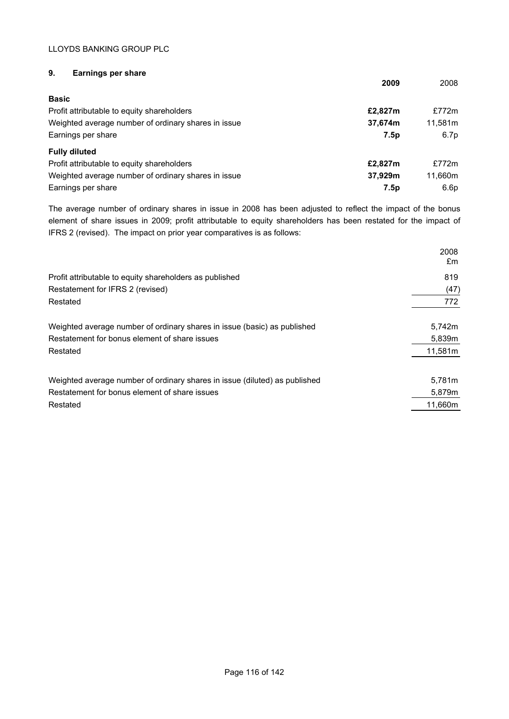# **9. Earnings per share**

|                                                     | 2009    | 2008    |
|-----------------------------------------------------|---------|---------|
| <b>Basic</b>                                        |         |         |
| Profit attributable to equity shareholders          | £2,827m | £772m   |
| Weighted average number of ordinary shares in issue | 37,674m | 11.581m |
| Earnings per share                                  | 7.5p    | 6.7p    |
| <b>Fully diluted</b>                                |         |         |
| Profit attributable to equity shareholders          | £2,827m | £772m   |
| Weighted average number of ordinary shares in issue | 37.929m | 11.660m |
| Earnings per share                                  | 7.5p    | 6.6p    |

The average number of ordinary shares in issue in 2008 has been adjusted to reflect the impact of the bonus element of share issues in 2009; profit attributable to equity shareholders has been restated for the impact of IFRS 2 (revised). The impact on prior year comparatives is as follows:

|                                                                            | 2008<br>£m |
|----------------------------------------------------------------------------|------------|
| Profit attributable to equity shareholders as published                    | 819        |
| Restatement for IFRS 2 (revised)                                           | (47)       |
| Restated                                                                   | 772        |
| Weighted average number of ordinary shares in issue (basic) as published   | 5,742m     |
| Restatement for bonus element of share issues                              | 5,839m     |
| Restated                                                                   | 11,581m    |
| Weighted average number of ordinary shares in issue (diluted) as published | 5.781m     |
| Restatement for bonus element of share issues                              | 5,879m     |
| Restated                                                                   | 11,660m    |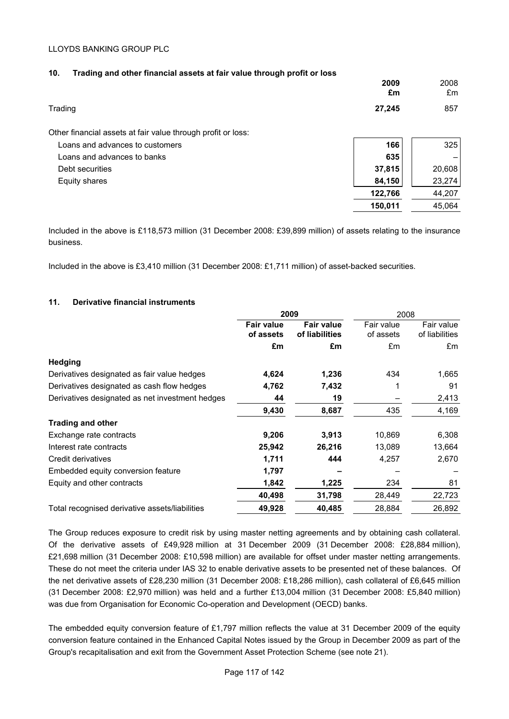| 10.<br>Trading and other financial assets at fair value through profit or loss |            |            |
|--------------------------------------------------------------------------------|------------|------------|
|                                                                                | 2009<br>£m | 2008<br>£m |
| Trading                                                                        | 27,245     | 857        |
| Other financial assets at fair value through profit or loss:                   |            |            |
| Loans and advances to customers                                                | 166        | 325        |
| Loans and advances to banks                                                    | 635        |            |
| Debt securities                                                                | 37,815     | 20,608     |
| Equity shares                                                                  | 84,150     | 23,274     |
|                                                                                | 122,766    | 44,207     |
|                                                                                | 150,011    | 45,064     |
|                                                                                |            |            |

Included in the above is £118,573 million (31 December 2008: £39,899 million) of assets relating to the insurance business.

Included in the above is £3,410 million (31 December 2008: £1,711 million) of asset-backed securities.

## **11. Derivative financial instruments**

| 2009                           |                                     | 2008                    |                              |
|--------------------------------|-------------------------------------|-------------------------|------------------------------|
| <b>Fair value</b><br>of assets | <b>Fair value</b><br>of liabilities | Fair value<br>of assets | Fair value<br>of liabilities |
| £m                             | £m                                  | £m                      | £m                           |
|                                |                                     |                         |                              |
| 4,624                          | 1,236                               | 434                     | 1,665                        |
| 4,762                          | 7,432                               |                         | 91                           |
| 44                             | 19                                  |                         | 2,413                        |
| 9,430                          | 8,687                               | 435                     | 4,169                        |
|                                |                                     |                         |                              |
| 9,206                          | 3,913                               | 10,869                  | 6,308                        |
| 25,942                         | 26,216                              | 13,089                  | 13,664                       |
| 1,711                          | 444                                 | 4,257                   | 2,670                        |
| 1,797                          |                                     |                         |                              |
| 1,842                          | 1,225                               | 234                     | 81                           |
| 40,498                         | 31,798                              | 28,449                  | 22,723                       |
| 49,928                         | 40,485                              | 28,884                  | 26,892                       |
|                                |                                     |                         |                              |

The Group reduces exposure to credit risk by using master netting agreements and by obtaining cash collateral. Of the derivative assets of £49,928 million at 31 December 2009 (31 December 2008: £28,884 million), £21,698 million (31 December 2008: £10,598 million) are available for offset under master netting arrangements. These do not meet the criteria under IAS 32 to enable derivative assets to be presented net of these balances. Of the net derivative assets of £28,230 million (31 December 2008: £18,286 million), cash collateral of £6,645 million (31 December 2008: £2,970 million) was held and a further £13,004 million (31 December 2008: £5,840 million) was due from Organisation for Economic Co-operation and Development (OECD) banks.

The embedded equity conversion feature of £1,797 million reflects the value at 31 December 2009 of the equity conversion feature contained in the Enhanced Capital Notes issued by the Group in December 2009 as part of the Group's recapitalisation and exit from the Government Asset Protection Scheme (see note 21).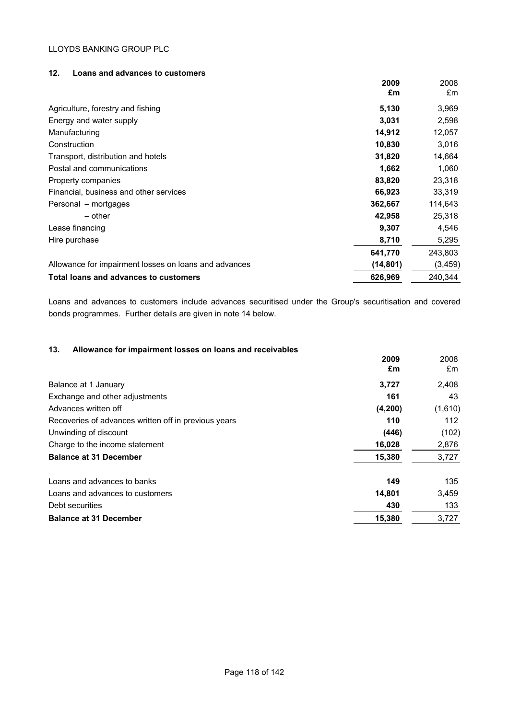# **12. Loans and advances to customers**

|                                                       | 2009<br>£m | 2008<br>£m |
|-------------------------------------------------------|------------|------------|
| Agriculture, forestry and fishing                     | 5,130      | 3,969      |
| Energy and water supply                               | 3,031      | 2,598      |
| Manufacturing                                         | 14,912     | 12,057     |
| Construction                                          | 10,830     | 3,016      |
| Transport, distribution and hotels                    | 31,820     | 14,664     |
| Postal and communications                             | 1,662      | 1,060      |
| Property companies                                    | 83,820     | 23,318     |
| Financial, business and other services                | 66,923     | 33,319     |
| Personal – mortgages                                  | 362,667    | 114,643    |
| $-$ other                                             | 42,958     | 25,318     |
| Lease financing                                       | 9,307      | 4,546      |
| Hire purchase                                         | 8,710      | 5,295      |
|                                                       | 641,770    | 243,803    |
| Allowance for impairment losses on loans and advances | (14, 801)  | (3, 459)   |
| Total loans and advances to customers                 | 626,969    | 240,344    |

Loans and advances to customers include advances securitised under the Group's securitisation and covered bonds programmes. Further details are given in note 14 below.

## **13. Allowance for impairment losses on loans and receivables**

|                                                      | 2009<br>£m | 2008<br>£m |
|------------------------------------------------------|------------|------------|
| Balance at 1 January                                 | 3,727      | 2,408      |
| Exchange and other adjustments                       | 161        | 43         |
| Advances written off                                 | (4, 200)   | (1,610)    |
| Recoveries of advances written off in previous years | 110        | 112        |
| Unwinding of discount                                | (446)      | (102)      |
| Charge to the income statement                       | 16,028     | 2,876      |
| <b>Balance at 31 December</b>                        | 15,380     | 3,727      |
| Loans and advances to banks                          | 149        | 135        |
| Loans and advances to customers                      | 14,801     | 3,459      |
| Debt securities                                      | 430        | 133        |
| <b>Balance at 31 December</b>                        | 15,380     | 3,727      |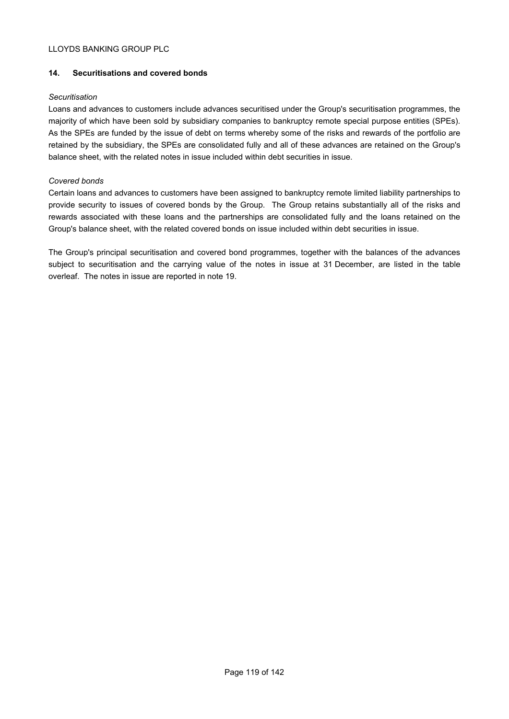## **14. Securitisations and covered bonds**

### *Securitisation*

Loans and advances to customers include advances securitised under the Group's securitisation programmes, the majority of which have been sold by subsidiary companies to bankruptcy remote special purpose entities (SPEs). As the SPEs are funded by the issue of debt on terms whereby some of the risks and rewards of the portfolio are retained by the subsidiary, the SPEs are consolidated fully and all of these advances are retained on the Group's balance sheet, with the related notes in issue included within debt securities in issue.

## *Covered bonds*

Certain loans and advances to customers have been assigned to bankruptcy remote limited liability partnerships to provide security to issues of covered bonds by the Group. The Group retains substantially all of the risks and rewards associated with these loans and the partnerships are consolidated fully and the loans retained on the Group's balance sheet, with the related covered bonds on issue included within debt securities in issue.

The Group's principal securitisation and covered bond programmes, together with the balances of the advances subject to securitisation and the carrying value of the notes in issue at 31 December, are listed in the table overleaf. The notes in issue are reported in note 19.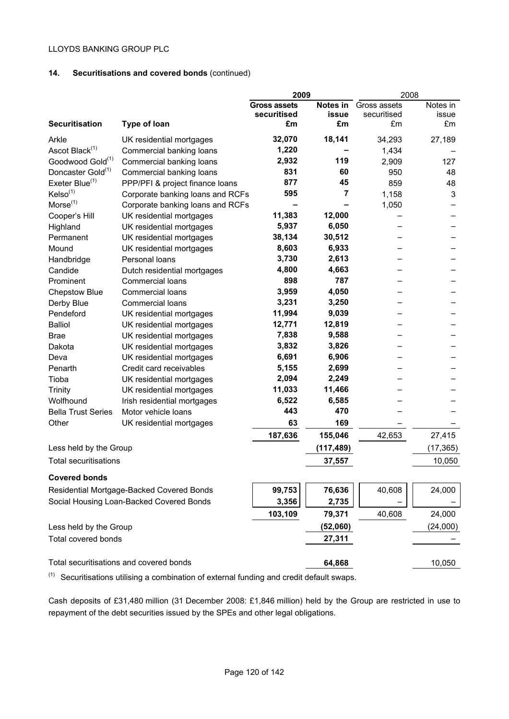# **14. Securitisations and covered bonds** (continued)

|                               |                                           | 2009                |              | 2008         |           |
|-------------------------------|-------------------------------------------|---------------------|--------------|--------------|-----------|
|                               |                                           | <b>Gross assets</b> | Notes in     | Gross assets | Notes in  |
|                               |                                           | securitised         | <b>issue</b> | securitised  | issue     |
| <b>Securitisation</b>         | Type of loan                              | £m                  | £m           | £m           | £m        |
| Arkle                         | UK residential mortgages                  | 32,070              | 18,141       | 34,293       | 27,189    |
| Ascot Black <sup>(1)</sup>    | Commercial banking loans                  | 1,220               |              | 1,434        |           |
| Goodwood Gold <sup>(1)</sup>  | Commercial banking loans                  | 2,932               | 119          | 2,909        | 127       |
| Doncaster Gold <sup>(1)</sup> | Commercial banking loans                  | 831                 | 60           | 950          | 48        |
| Exeter Blue <sup>(1)</sup>    | PPP/PFI & project finance loans           | 877                 | 45           | 859          | 48        |
| KeIso <sup>(1)</sup>          | Corporate banking loans and RCFs          | 595                 | 7            | 1,158        | 3         |
| $Morse^{(1)}$                 | Corporate banking loans and RCFs          |                     |              | 1,050        |           |
| Cooper's Hill                 | UK residential mortgages                  | 11,383              | 12,000       |              |           |
| Highland                      | UK residential mortgages                  | 5,937               | 6,050        |              |           |
| Permanent                     | UK residential mortgages                  | 38,134              | 30,512       |              |           |
| Mound                         | UK residential mortgages                  | 8,603               | 6,933        |              |           |
| Handbridge                    | Personal loans                            | 3,730               | 2,613        |              |           |
| Candide                       | Dutch residential mortgages               | 4,800               | 4,663        |              |           |
| Prominent                     | <b>Commercial loans</b>                   | 898                 | 787          |              |           |
| <b>Chepstow Blue</b>          | <b>Commercial loans</b>                   | 3,959               | 4,050        |              |           |
| Derby Blue                    | <b>Commercial loans</b>                   | 3,231               | 3,250        |              |           |
| Pendeford                     | UK residential mortgages                  | 11,994              | 9,039        |              |           |
| <b>Balliol</b>                | UK residential mortgages                  | 12,771              | 12,819       |              |           |
| <b>Brae</b>                   | UK residential mortgages                  | 7,838               | 9,588        |              |           |
| Dakota                        | UK residential mortgages                  | 3,832               | 3,826        |              |           |
| Deva                          | UK residential mortgages                  | 6,691               | 6,906        |              |           |
| Penarth                       | Credit card receivables                   | 5,155               | 2,699        |              |           |
| Tioba                         | UK residential mortgages                  | 2,094               | 2,249        |              |           |
| Trinity                       | UK residential mortgages                  | 11,033              | 11,466       |              |           |
| Wolfhound                     | Irish residential mortgages               | 6,522               | 6,585        |              |           |
| <b>Bella Trust Series</b>     | Motor vehicle loans                       | 443                 | 470          |              |           |
| Other                         | UK residential mortgages                  | 63                  | 169          |              |           |
|                               |                                           | 187,636             | 155,046      | 42,653       | 27,415    |
| Less held by the Group        |                                           |                     | (117, 489)   |              | (17, 365) |
| <b>Total securitisations</b>  |                                           |                     | 37,557       |              | 10,050    |
| <b>Covered bonds</b>          |                                           |                     |              |              |           |
|                               | Residential Mortgage-Backed Covered Bonds | 99,753              | 76,636       | 40,608       | 24,000    |
|                               | Social Housing Loan-Backed Covered Bonds  | 3,356               | 2,735        |              |           |
|                               |                                           | 103,109             | 79,371       | 40,608       | 24,000    |
| Less held by the Group        |                                           |                     | (52,060)     |              | (24,000)  |
| Total covered bonds           |                                           |                     | 27,311       |              |           |
|                               |                                           |                     |              |              |           |
|                               | Total securitisations and covered bonds   |                     | 64,868       |              | 10,050    |

 $(1)$  Securitisations utilising a combination of external funding and credit default swaps.

Cash deposits of £31,480 million (31 December 2008: £1,846 million) held by the Group are restricted in use to repayment of the debt securities issued by the SPEs and other legal obligations.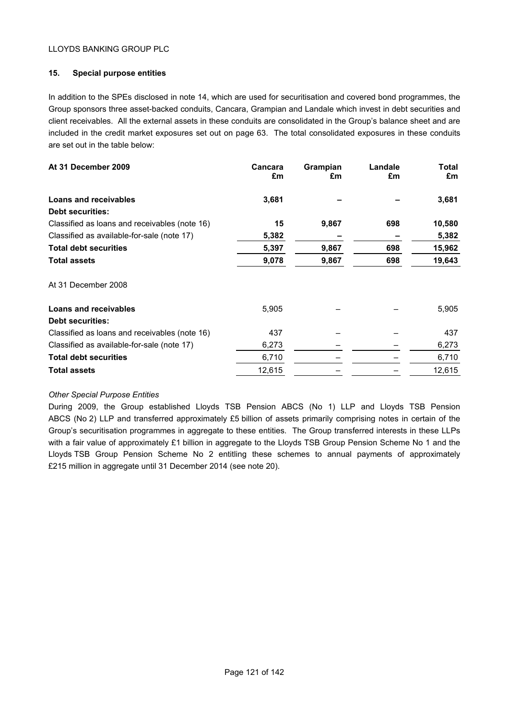# **15. Special purpose entities**

In addition to the SPEs disclosed in note 14, which are used for securitisation and covered bond programmes, the Group sponsors three asset-backed conduits, Cancara, Grampian and Landale which invest in debt securities and client receivables. All the external assets in these conduits are consolidated in the Group's balance sheet and are included in the credit market exposures set out on page 63. The total consolidated exposures in these conduits are set out in the table below:

| At 31 December 2009                           | Cancara<br>£m | Grampian<br>£m | Landale<br>£m | Total<br>£m |
|-----------------------------------------------|---------------|----------------|---------------|-------------|
| <b>Loans and receivables</b>                  | 3,681         |                |               | 3,681       |
| <b>Debt securities:</b>                       |               |                |               |             |
| Classified as loans and receivables (note 16) | 15            | 9,867          | 698           | 10,580      |
| Classified as available-for-sale (note 17)    | 5,382         |                |               | 5,382       |
| <b>Total debt securities</b>                  | 5,397         | 9,867          | 698           | 15,962      |
| <b>Total assets</b>                           | 9,078         | 9,867          | 698           | 19,643      |
| At 31 December 2008                           |               |                |               |             |
| Loans and receivables                         | 5,905         |                |               | 5,905       |
| <b>Debt securities:</b>                       |               |                |               |             |
| Classified as loans and receivables (note 16) | 437           |                |               | 437         |
| Classified as available-for-sale (note 17)    | 6,273         |                |               | 6,273       |
| <b>Total debt securities</b>                  | 6,710         |                |               | 6,710       |
| <b>Total assets</b>                           | 12,615        |                |               | 12,615      |

#### *Other Special Purpose Entities*

During 2009, the Group established Lloyds TSB Pension ABCS (No 1) LLP and Lloyds TSB Pension ABCS (No 2) LLP and transferred approximately £5 billion of assets primarily comprising notes in certain of the Group's securitisation programmes in aggregate to these entities. The Group transferred interests in these LLPs with a fair value of approximately £1 billion in aggregate to the Lloyds TSB Group Pension Scheme No 1 and the Lloyds TSB Group Pension Scheme No 2 entitling these schemes to annual payments of approximately £215 million in aggregate until 31 December 2014 (see note 20).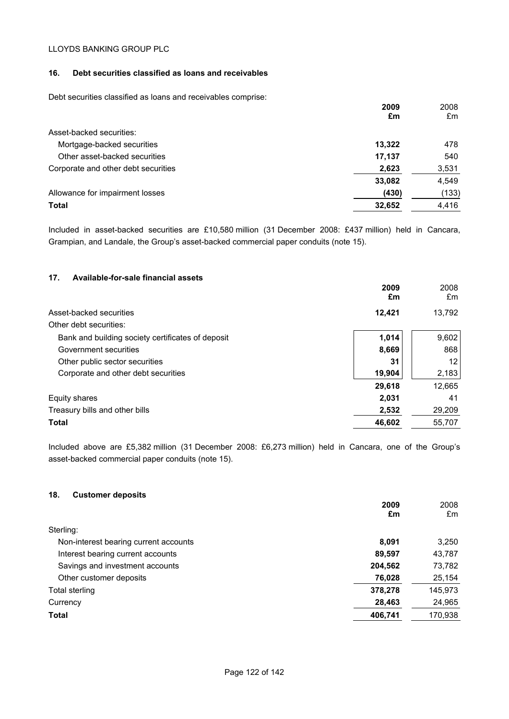## **16. Debt securities classified as loans and receivables**

Debt securities classified as loans and receivables comprise:

|                                     | 2009   | 2008  |
|-------------------------------------|--------|-------|
|                                     | £m     | £m    |
| Asset-backed securities:            |        |       |
| Mortgage-backed securities          | 13,322 | 478   |
| Other asset-backed securities       | 17,137 | 540   |
| Corporate and other debt securities | 2,623  | 3,531 |
|                                     | 33,082 | 4,549 |
| Allowance for impairment losses     | (430)  | (133) |
| <b>Total</b>                        | 32,652 | 4,416 |

Included in asset-backed securities are £10,580 million (31 December 2008: £437 million) held in Cancara, Grampian, and Landale, the Group's asset-backed commercial paper conduits (note 15).

# **17. Available-for-sale financial assets**

|                                                   | 2009<br>£m | 2008<br>£m |
|---------------------------------------------------|------------|------------|
| Asset-backed securities                           | 12,421     | 13,792     |
| Other debt securities:                            |            |            |
| Bank and building society certificates of deposit | 1,014      | 9,602      |
| Government securities                             | 8,669      | 868        |
| Other public sector securities                    | 31         | 12         |
| Corporate and other debt securities               | 19,904     | 2,183      |
|                                                   | 29,618     | 12,665     |
| Equity shares                                     | 2,031      | 41         |
| Treasury bills and other bills                    | 2,532      | 29,209     |
| <b>Total</b>                                      | 46,602     | 55,707     |

Included above are £5,382 million (31 December 2008: £6,273 million) held in Cancara, one of the Group's asset-backed commercial paper conduits (note 15).

# **18. Customer deposits**

| 2009<br>£m                                     | 2008<br>£m |
|------------------------------------------------|------------|
| Sterling:                                      |            |
| Non-interest bearing current accounts<br>8,091 | 3,250      |
| Interest bearing current accounts<br>89,597    | 43,787     |
| Savings and investment accounts<br>204,562     | 73,782     |
| 76,028<br>Other customer deposits              | 25,154     |
| 378,278<br>Total sterling                      | 145,973    |
| 28,463<br>Currency                             | 24,965     |
| <b>Total</b><br>406,741                        | 170,938    |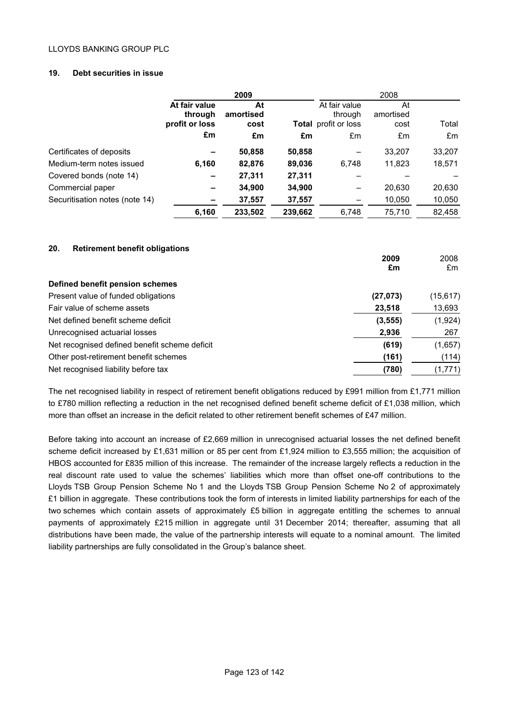# **19. Debt securities in issue**

|                                |                                            | 2009                    |         |                                                         | 2008                    |        |
|--------------------------------|--------------------------------------------|-------------------------|---------|---------------------------------------------------------|-------------------------|--------|
|                                | At fair value<br>through<br>profit or loss | At<br>amortised<br>cost |         | At fair value<br>through<br><b>Total</b> profit or loss | At<br>amortised<br>cost | Total  |
|                                | £m                                         | £m                      | £m      | £m                                                      | £m                      | £m     |
| Certificates of deposits       |                                            | 50,858                  | 50,858  |                                                         | 33,207                  | 33,207 |
| Medium-term notes issued       | 6,160                                      | 82,876                  | 89,036  | 6.748                                                   | 11,823                  | 18,571 |
| Covered bonds (note 14)        |                                            | 27,311                  | 27,311  |                                                         |                         |        |
| Commercial paper               | -                                          | 34,900                  | 34,900  | -                                                       | 20.630                  | 20,630 |
| Securitisation notes (note 14) |                                            | 37,557                  | 37,557  |                                                         | 10,050                  | 10,050 |
|                                | 6,160                                      | 233,502                 | 239,662 | 6.748                                                   | 75.710                  | 82,458 |

# **20. Retirement benefit obligations**

|                                               | 2009<br>£m | 2008<br>£m |
|-----------------------------------------------|------------|------------|
|                                               |            |            |
| Defined benefit pension schemes               |            |            |
| Present value of funded obligations           | (27, 073)  | (15, 617)  |
| Fair value of scheme assets                   | 23,518     | 13,693     |
| Net defined benefit scheme deficit            | (3, 555)   | (1,924)    |
| Unrecognised actuarial losses                 | 2,936      | 267        |
| Net recognised defined benefit scheme deficit | (619)      | (1,657)    |
| Other post-retirement benefit schemes         | (161)      | (114)      |
| Net recognised liability before tax           | (780)      | (1,771)    |

The net recognised liability in respect of retirement benefit obligations reduced by £991 million from £1,771 million to £780 million reflecting a reduction in the net recognised defined benefit scheme deficit of £1,038 million, which more than offset an increase in the deficit related to other retirement benefit schemes of £47 million.

Before taking into account an increase of £2,669 million in unrecognised actuarial losses the net defined benefit scheme deficit increased by £1,631 million or 85 per cent from £1,924 million to £3,555 million; the acquisition of HBOS accounted for £835 million of this increase. The remainder of the increase largely reflects a reduction in the real discount rate used to value the schemes' liabilities which more than offset one-off contributions to the Lloyds TSB Group Pension Scheme No 1 and the Lloyds TSB Group Pension Scheme No 2 of approximately £1 billion in aggregate. These contributions took the form of interests in limited liability partnerships for each of the two schemes which contain assets of approximately £5 billion in aggregate entitling the schemes to annual payments of approximately £215 million in aggregate until 31 December 2014; thereafter, assuming that all distributions have been made, the value of the partnership interests will equate to a nominal amount. The limited liability partnerships are fully consolidated in the Group's balance sheet.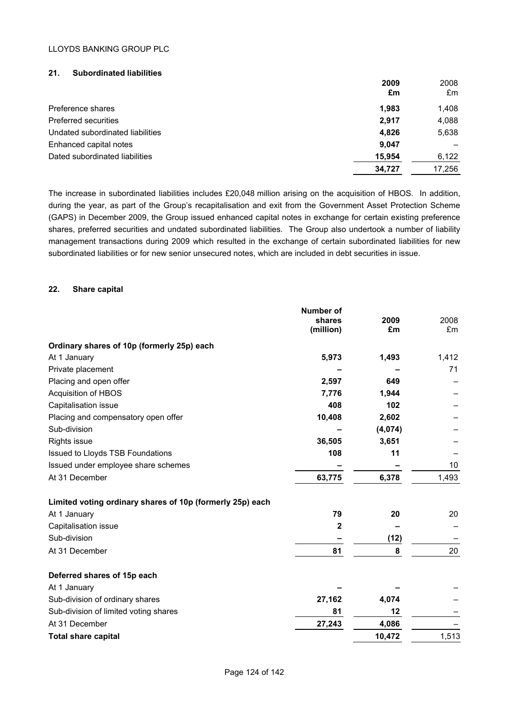## **21. Subordinated liabilities**

|                                  | 2009<br>£m | 2008<br>£m |
|----------------------------------|------------|------------|
| Preference shares                | 1.983      | 1.408      |
| <b>Preferred securities</b>      | 2,917      | 4,088      |
| Undated subordinated liabilities | 4.826      | 5,638      |
| Enhanced capital notes           | 9.047      |            |
| Dated subordinated liabilities   | 15,954     | 6,122      |
|                                  | 34.727     | 17.256     |

The increase in subordinated liabilities includes £20,048 million arising on the acquisition of HBOS. In addition, during the year, as part of the Group's recapitalisation and exit from the Government Asset Protection Scheme (GAPS) in December 2009, the Group issued enhanced capital notes in exchange for certain existing preference shares, preferred securities and undated subordinated liabilities. The Group also undertook a number of liability management transactions during 2009 which resulted in the exchange of certain subordinated liabilities for new subordinated liabilities or for new senior unsecured notes, which are included in debt securities in issue.

### **22. Share capital**

|                                                           | <b>Number of</b><br>shares<br>(million) | 2009<br>£m | 2008<br>£m |
|-----------------------------------------------------------|-----------------------------------------|------------|------------|
| Ordinary shares of 10p (formerly 25p) each                |                                         |            |            |
| At 1 January                                              | 5,973                                   | 1,493      | 1,412      |
| Private placement                                         |                                         |            | 71         |
| Placing and open offer                                    | 2,597                                   | 649        |            |
| Acquisition of HBOS                                       | 7,776                                   | 1,944      |            |
| Capitalisation issue                                      | 408                                     | 102        |            |
| Placing and compensatory open offer                       | 10,408                                  | 2,602      |            |
| Sub-division                                              |                                         | (4,074)    |            |
| <b>Rights issue</b>                                       | 36,505                                  | 3,651      |            |
| Issued to Lloyds TSB Foundations                          | 108                                     | 11         |            |
| Issued under employee share schemes                       |                                         |            | 10         |
| At 31 December                                            | 63,775                                  | 6,378      | 1,493      |
| Limited voting ordinary shares of 10p (formerly 25p) each |                                         |            |            |
| At 1 January                                              | 79                                      | 20         | 20         |
| Capitalisation issue                                      | $\mathbf{2}$                            |            |            |
| Sub-division                                              |                                         | (12)       |            |
| At 31 December                                            | 81                                      | 8          | 20         |
| Deferred shares of 15p each                               |                                         |            |            |
| At 1 January                                              |                                         |            |            |
| Sub-division of ordinary shares                           | 27,162                                  | 4,074      |            |
| Sub-division of limited voting shares                     | 81                                      | 12         |            |
| At 31 December                                            | 27,243                                  | 4,086      |            |
| <b>Total share capital</b>                                |                                         | 10,472     | 1,513      |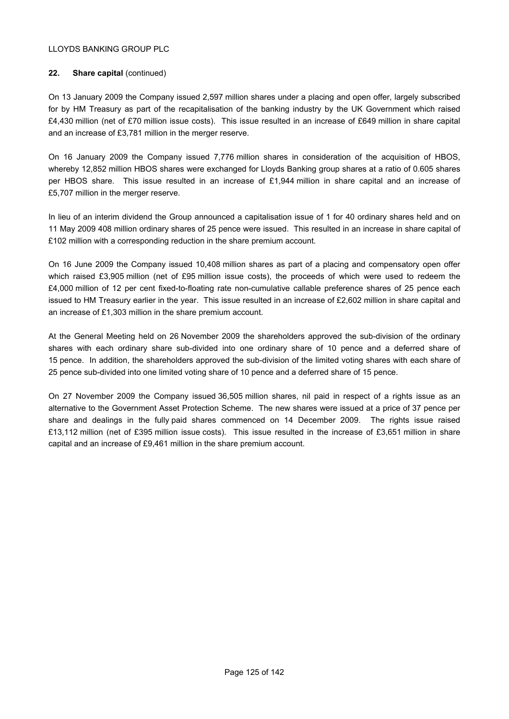# **22. Share capital** (continued)

On 13 January 2009 the Company issued 2,597 million shares under a placing and open offer, largely subscribed for by HM Treasury as part of the recapitalisation of the banking industry by the UK Government which raised £4,430 million (net of £70 million issue costs). This issue resulted in an increase of £649 million in share capital and an increase of £3,781 million in the merger reserve.

On 16 January 2009 the Company issued 7,776 million shares in consideration of the acquisition of HBOS, whereby 12,852 million HBOS shares were exchanged for Lloyds Banking group shares at a ratio of 0.605 shares per HBOS share. This issue resulted in an increase of £1,944 million in share capital and an increase of £5,707 million in the merger reserve.

In lieu of an interim dividend the Group announced a capitalisation issue of 1 for 40 ordinary shares held and on 11 May 2009 408 million ordinary shares of 25 pence were issued. This resulted in an increase in share capital of £102 million with a corresponding reduction in the share premium account.

On 16 June 2009 the Company issued 10,408 million shares as part of a placing and compensatory open offer which raised £3,905 million (net of £95 million issue costs), the proceeds of which were used to redeem the £4,000 million of 12 per cent fixed-to-floating rate non-cumulative callable preference shares of 25 pence each issued to HM Treasury earlier in the year. This issue resulted in an increase of £2,602 million in share capital and an increase of £1,303 million in the share premium account.

At the General Meeting held on 26 November 2009 the shareholders approved the sub-division of the ordinary shares with each ordinary share sub-divided into one ordinary share of 10 pence and a deferred share of 15 pence. In addition, the shareholders approved the sub-division of the limited voting shares with each share of 25 pence sub-divided into one limited voting share of 10 pence and a deferred share of 15 pence.

On 27 November 2009 the Company issued 36,505 million shares, nil paid in respect of a rights issue as an alternative to the Government Asset Protection Scheme. The new shares were issued at a price of 37 pence per share and dealings in the fully paid shares commenced on 14 December 2009. The rights issue raised £13,112 million (net of £395 million issue costs). This issue resulted in the increase of £3,651 million in share capital and an increase of £9,461 million in the share premium account.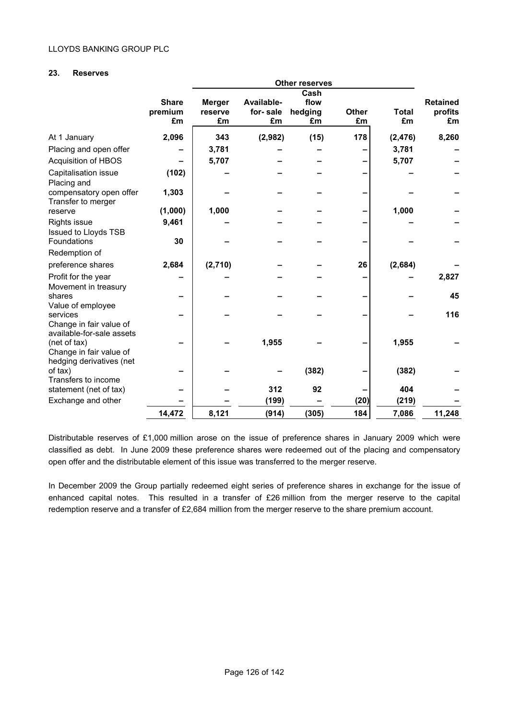## **23. Reserves**

|                                                                     |                               |                                |                              | <b>Other reserves</b>         |                    |                    |                                  |
|---------------------------------------------------------------------|-------------------------------|--------------------------------|------------------------------|-------------------------------|--------------------|--------------------|----------------------------------|
|                                                                     | <b>Share</b><br>premium<br>£m | <b>Merger</b><br>reserve<br>£m | Available-<br>for-sale<br>£m | Cash<br>flow<br>hedging<br>£m | <b>Other</b><br>£m | <b>Total</b><br>£m | <b>Retained</b><br>profits<br>£m |
| At 1 January                                                        | 2,096                         | 343                            | (2,982)                      | (15)                          | 178                | (2, 476)           | 8,260                            |
| Placing and open offer                                              |                               | 3,781                          |                              |                               |                    | 3,781              |                                  |
| <b>Acquisition of HBOS</b>                                          |                               | 5,707                          |                              |                               |                    | 5,707              |                                  |
| Capitalisation issue<br>Placing and                                 | (102)                         |                                |                              |                               |                    |                    |                                  |
| compensatory open offer<br>Transfer to merger                       | 1,303                         |                                |                              |                               |                    |                    |                                  |
| reserve                                                             | (1,000)                       | 1,000                          |                              |                               |                    | 1,000              |                                  |
| Rights issue<br>Issued to Lloyds TSB                                | 9,461                         |                                |                              |                               |                    |                    |                                  |
| <b>Foundations</b>                                                  | 30                            |                                |                              |                               |                    |                    |                                  |
| Redemption of                                                       |                               |                                |                              |                               |                    |                    |                                  |
| preference shares                                                   | 2,684                         | (2,710)                        |                              |                               | 26                 | (2,684)            |                                  |
| Profit for the year<br>Movement in treasury                         |                               |                                |                              |                               |                    |                    | 2,827                            |
| shares<br>Value of employee                                         |                               |                                |                              |                               |                    |                    | 45                               |
| services<br>Change in fair value of<br>available-for-sale assets    |                               |                                |                              |                               |                    |                    | 116                              |
| (net of tax)<br>Change in fair value of<br>hedging derivatives (net |                               |                                | 1,955                        |                               |                    | 1,955              |                                  |
| of tax)<br>Transfers to income                                      |                               |                                |                              | (382)                         |                    | (382)              |                                  |
| statement (net of tax)                                              |                               |                                | 312                          | 92                            |                    | 404                |                                  |
| Exchange and other                                                  |                               |                                | (199)                        |                               | (20)               | (219)              |                                  |
|                                                                     | 14,472                        | 8,121                          | (914)                        | (305)                         | 184                | 7,086              | 11,248                           |

Distributable reserves of £1,000 million arose on the issue of preference shares in January 2009 which were classified as debt. In June 2009 these preference shares were redeemed out of the placing and compensatory open offer and the distributable element of this issue was transferred to the merger reserve.

In December 2009 the Group partially redeemed eight series of preference shares in exchange for the issue of enhanced capital notes. This resulted in a transfer of £26 million from the merger reserve to the capital redemption reserve and a transfer of £2,684 million from the merger reserve to the share premium account.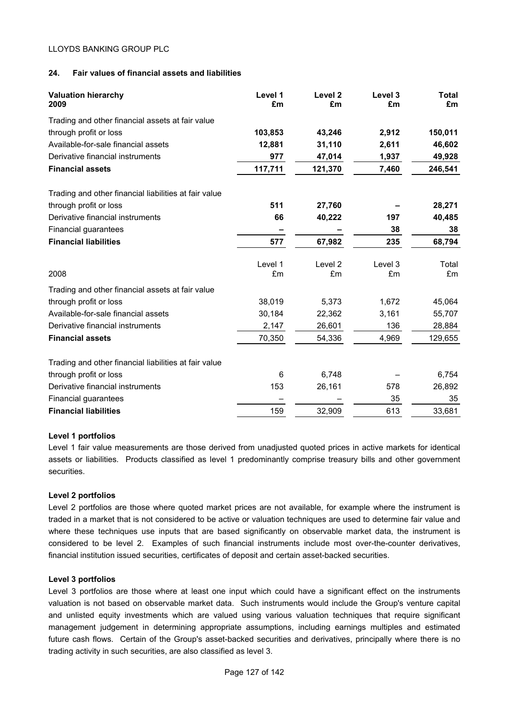## **24. Fair values of financial assets and liabilities**

| <b>Valuation hierarchy</b><br>2009                    | Level 1<br>£m | Level <sub>2</sub><br>£m | Level 3<br>£m | <b>Total</b><br>£m |
|-------------------------------------------------------|---------------|--------------------------|---------------|--------------------|
| Trading and other financial assets at fair value      |               |                          |               |                    |
| through profit or loss                                | 103,853       | 43,246                   | 2,912         | 150,011            |
| Available-for-sale financial assets                   | 12,881        | 31,110                   | 2,611         | 46,602             |
| Derivative financial instruments                      | 977           | 47,014                   | 1,937         | 49,928             |
| <b>Financial assets</b>                               | 117,711       | 121,370                  | 7,460         | 246,541            |
| Trading and other financial liabilities at fair value |               |                          |               |                    |
| through profit or loss                                | 511           | 27,760                   |               | 28,271             |
| Derivative financial instruments                      | 66            | 40,222                   | 197           | 40,485             |
| Financial guarantees                                  |               |                          | 38            | 38                 |
| <b>Financial liabilities</b>                          | 577           | 67,982                   | 235           | 68,794             |
|                                                       | Level 1       | Level 2                  | Level 3       | Total              |
| 2008                                                  | £m            | £m                       | £m            | £m                 |
| Trading and other financial assets at fair value      |               |                          |               |                    |
| through profit or loss                                | 38,019        | 5,373                    | 1,672         | 45,064             |
| Available-for-sale financial assets                   | 30,184        | 22,362                   | 3,161         | 55,707             |
| Derivative financial instruments                      | 2,147         | 26,601                   | 136           | 28,884             |
| <b>Financial assets</b>                               | 70,350        | 54,336                   | 4,969         | 129,655            |
| Trading and other financial liabilities at fair value |               |                          |               |                    |
| through profit or loss                                | 6             | 6,748                    |               | 6,754              |
| Derivative financial instruments                      | 153           | 26,161                   | 578           | 26,892             |
| Financial guarantees                                  |               |                          | 35            | 35                 |
| <b>Financial liabilities</b>                          | 159           | 32,909                   | 613           | 33,681             |

#### **Level 1 portfolios**

Level 1 fair value measurements are those derived from unadjusted quoted prices in active markets for identical assets or liabilities. Products classified as level 1 predominantly comprise treasury bills and other government securities.

#### **Level 2 portfolios**

Level 2 portfolios are those where quoted market prices are not available, for example where the instrument is traded in a market that is not considered to be active or valuation techniques are used to determine fair value and where these techniques use inputs that are based significantly on observable market data, the instrument is considered to be level 2. Examples of such financial instruments include most over-the-counter derivatives, financial institution issued securities, certificates of deposit and certain asset-backed securities.

#### **Level 3 portfolios**

Level 3 portfolios are those where at least one input which could have a significant effect on the instruments valuation is not based on observable market data. Such instruments would include the Group's venture capital and unlisted equity investments which are valued using various valuation techniques that require significant management judgement in determining appropriate assumptions, including earnings multiples and estimated future cash flows. Certain of the Group's asset-backed securities and derivatives, principally where there is no trading activity in such securities, are also classified as level 3.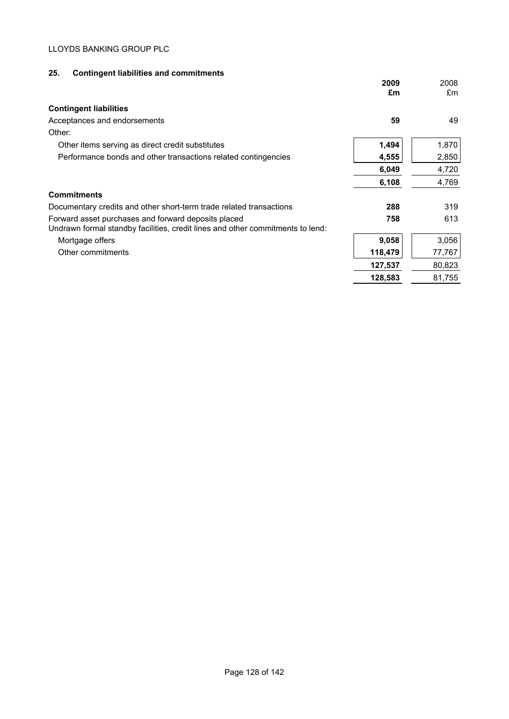# **25. Contingent liabilities and commitments**

|                                                                                                                                       | 2009<br>£m | 2008<br>£m |
|---------------------------------------------------------------------------------------------------------------------------------------|------------|------------|
| <b>Contingent liabilities</b>                                                                                                         |            |            |
| Acceptances and endorsements                                                                                                          | 59         | 49         |
| Other:                                                                                                                                |            |            |
| Other items serving as direct credit substitutes                                                                                      | 1,494      | 1,870      |
| Performance bonds and other transactions related contingencies                                                                        | 4,555      | 2,850      |
|                                                                                                                                       | 6,049      | 4,720      |
|                                                                                                                                       | 6,108      | 4,769      |
| <b>Commitments</b>                                                                                                                    |            |            |
| Documentary credits and other short-term trade related transactions                                                                   | 288        | 319        |
| Forward asset purchases and forward deposits placed<br>Undrawn formal standby facilities, credit lines and other commitments to lend: | 758        | 613        |
| Mortgage offers                                                                                                                       | 9,058      | 3,056      |
| Other commitments                                                                                                                     | 118,479    | 77,767     |
|                                                                                                                                       | 127,537    | 80,823     |
|                                                                                                                                       | 128,583    | 81,755     |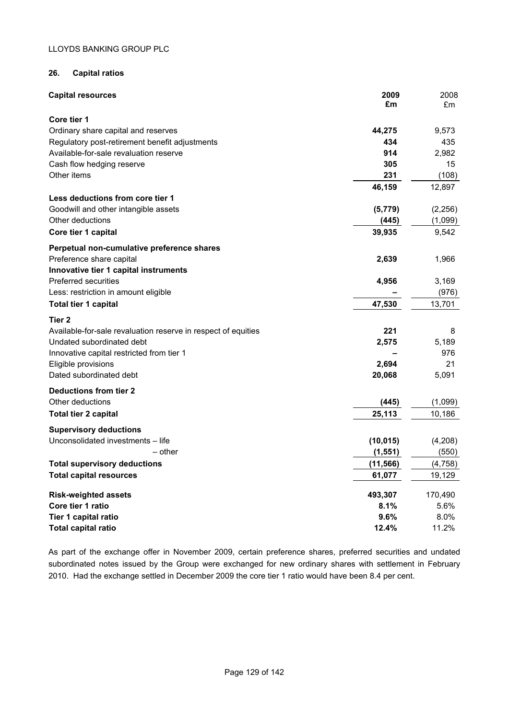# **26. Capital ratios**

| <b>Capital resources</b>                                      | 2009<br>£m | 2008<br>£m |
|---------------------------------------------------------------|------------|------------|
| Core tier 1                                                   |            |            |
| Ordinary share capital and reserves                           | 44,275     | 9,573      |
| Regulatory post-retirement benefit adjustments                | 434        | 435        |
| Available-for-sale revaluation reserve                        | 914        | 2,982      |
| Cash flow hedging reserve                                     | 305        | 15         |
| Other items                                                   | 231        | (108)      |
|                                                               | 46,159     | 12,897     |
| Less deductions from core tier 1                              |            |            |
| Goodwill and other intangible assets                          | (5, 779)   | (2, 256)   |
| Other deductions                                              | (445)      | (1,099)    |
| Core tier 1 capital                                           | 39,935     | 9,542      |
| Perpetual non-cumulative preference shares                    |            |            |
| Preference share capital                                      | 2,639      | 1,966      |
| Innovative tier 1 capital instruments                         |            |            |
| Preferred securities                                          | 4,956      | 3,169      |
| Less: restriction in amount eligible                          |            | (976)      |
| <b>Total tier 1 capital</b>                                   | 47,530     | 13,701     |
| Tier 2                                                        |            |            |
| Available-for-sale revaluation reserve in respect of equities | 221        | 8          |
| Undated subordinated debt                                     | 2,575      | 5,189      |
| Innovative capital restricted from tier 1                     |            | 976        |
| Eligible provisions                                           | 2,694      | 21         |
| Dated subordinated debt                                       | 20,068     | 5,091      |
| <b>Deductions from tier 2</b>                                 |            |            |
| Other deductions                                              | (445)      | (1,099)    |
| <b>Total tier 2 capital</b>                                   | 25,113     | 10,186     |
| <b>Supervisory deductions</b>                                 |            |            |
| Unconsolidated investments - life                             | (10, 015)  | (4,208)    |
| - other                                                       | (1, 551)   | (550)      |
| <b>Total supervisory deductions</b>                           | (11, 566)  | (4, 758)   |
| <b>Total capital resources</b>                                | 61,077     | 19,129     |
| <b>Risk-weighted assets</b>                                   | 493,307    | 170,490    |
| Core tier 1 ratio                                             | 8.1%       | 5.6%       |
| Tier 1 capital ratio                                          | 9.6%       | 8.0%       |
| Total capital ratio                                           | 12.4%      | 11.2%      |

As part of the exchange offer in November 2009, certain preference shares, preferred securities and undated subordinated notes issued by the Group were exchanged for new ordinary shares with settlement in February 2010. Had the exchange settled in December 2009 the core tier 1 ratio would have been 8.4 per cent.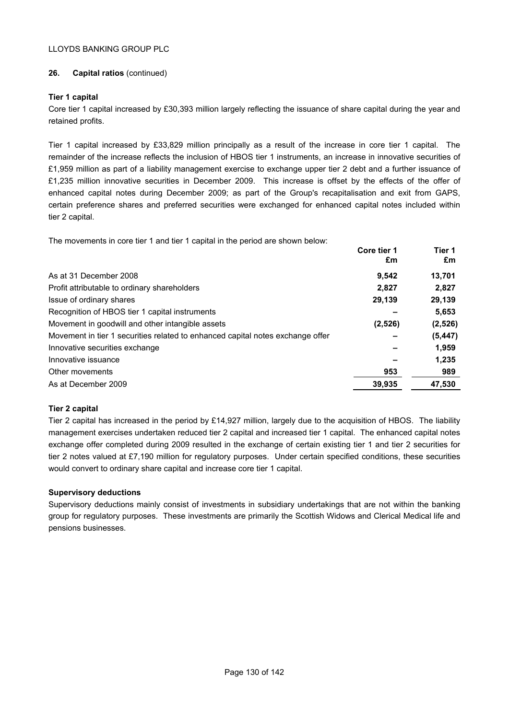# **26. Capital ratios** (continued)

# **Tier 1 capital**

Core tier 1 capital increased by £30,393 million largely reflecting the issuance of share capital during the year and retained profits.

Tier 1 capital increased by £33,829 million principally as a result of the increase in core tier 1 capital. The remainder of the increase reflects the inclusion of HBOS tier 1 instruments, an increase in innovative securities of £1,959 million as part of a liability management exercise to exchange upper tier 2 debt and a further issuance of £1,235 million innovative securities in December 2009. This increase is offset by the effects of the offer of enhanced capital notes during December 2009; as part of the Group's recapitalisation and exit from GAPS, certain preference shares and preferred securities were exchanged for enhanced capital notes included within tier 2 capital.

The movements in core tier 1 and tier 1 capital in the period are shown below:

|                                                                                | Core tier 1<br>£m | Tier 1<br>£m |
|--------------------------------------------------------------------------------|-------------------|--------------|
| As at 31 December 2008                                                         | 9.542             | 13,701       |
| Profit attributable to ordinary shareholders                                   | 2.827             | 2,827        |
| Issue of ordinary shares                                                       | 29,139            | 29,139       |
| Recognition of HBOS tier 1 capital instruments                                 |                   | 5,653        |
| Movement in goodwill and other intangible assets                               | (2,526)           | (2, 526)     |
| Movement in tier 1 securities related to enhanced capital notes exchange offer |                   | (5, 447)     |
| Innovative securities exchange                                                 |                   | 1,959        |
| Innovative issuance                                                            |                   | 1.235        |
| Other movements                                                                | 953               | 989          |
| As at December 2009                                                            | 39,935            | 47,530       |

# **Tier 2 capital**

Tier 2 capital has increased in the period by £14,927 million, largely due to the acquisition of HBOS. The liability management exercises undertaken reduced tier 2 capital and increased tier 1 capital. The enhanced capital notes exchange offer completed during 2009 resulted in the exchange of certain existing tier 1 and tier 2 securities for tier 2 notes valued at £7,190 million for regulatory purposes. Under certain specified conditions, these securities would convert to ordinary share capital and increase core tier 1 capital.

# **Supervisory deductions**

Supervisory deductions mainly consist of investments in subsidiary undertakings that are not within the banking group for regulatory purposes. These investments are primarily the Scottish Widows and Clerical Medical life and pensions businesses.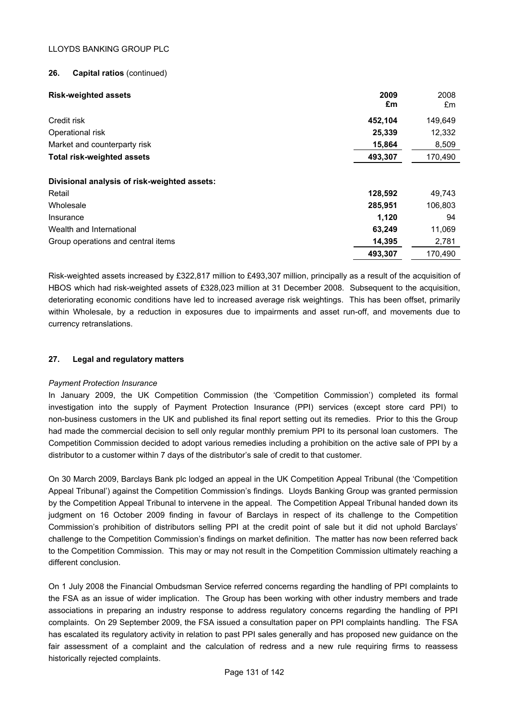## **26. Capital ratios** (continued)

| <b>Risk-weighted assets</b>                            | 2009<br>£m | 2008<br>£m |
|--------------------------------------------------------|------------|------------|
| Credit risk                                            | 452,104    | 149,649    |
| Operational risk                                       | 25,339     | 12,332     |
| Market and counterparty risk                           | 15,864     | 8,509      |
| <b>Total risk-weighted assets</b>                      | 493,307    | 170,490    |
| Divisional analysis of risk-weighted assets:<br>Retail | 128,592    | 49,743     |
| Wholesale                                              | 285,951    | 106,803    |
| Insurance                                              | 1,120      | 94         |
| Wealth and International                               | 63,249     | 11,069     |
| Group operations and central items                     | 14,395     | 2,781      |
|                                                        | 493,307    | 170.490    |

Risk-weighted assets increased by £322,817 million to £493,307 million, principally as a result of the acquisition of HBOS which had risk-weighted assets of £328,023 million at 31 December 2008. Subsequent to the acquisition, deteriorating economic conditions have led to increased average risk weightings. This has been offset, primarily within Wholesale, by a reduction in exposures due to impairments and asset run-off, and movements due to currency retranslations.

# **27. Legal and regulatory matters**

#### *Payment Protection Insurance*

In January 2009, the UK Competition Commission (the 'Competition Commission') completed its formal investigation into the supply of Payment Protection Insurance (PPI) services (except store card PPI) to non-business customers in the UK and published its final report setting out its remedies. Prior to this the Group had made the commercial decision to sell only regular monthly premium PPI to its personal loan customers. The Competition Commission decided to adopt various remedies including a prohibition on the active sale of PPI by a distributor to a customer within 7 days of the distributor's sale of credit to that customer.

On 30 March 2009, Barclays Bank plc lodged an appeal in the UK Competition Appeal Tribunal (the 'Competition Appeal Tribunal') against the Competition Commission's findings. Lloyds Banking Group was granted permission by the Competition Appeal Tribunal to intervene in the appeal. The Competition Appeal Tribunal handed down its judgment on 16 October 2009 finding in favour of Barclays in respect of its challenge to the Competition Commission's prohibition of distributors selling PPI at the credit point of sale but it did not uphold Barclays' challenge to the Competition Commission's findings on market definition. The matter has now been referred back to the Competition Commission. This may or may not result in the Competition Commission ultimately reaching a different conclusion.

On 1 July 2008 the Financial Ombudsman Service referred concerns regarding the handling of PPI complaints to the FSA as an issue of wider implication. The Group has been working with other industry members and trade associations in preparing an industry response to address regulatory concerns regarding the handling of PPI complaints. On 29 September 2009, the FSA issued a consultation paper on PPI complaints handling. The FSA has escalated its regulatory activity in relation to past PPI sales generally and has proposed new guidance on the fair assessment of a complaint and the calculation of redress and a new rule requiring firms to reassess historically rejected complaints.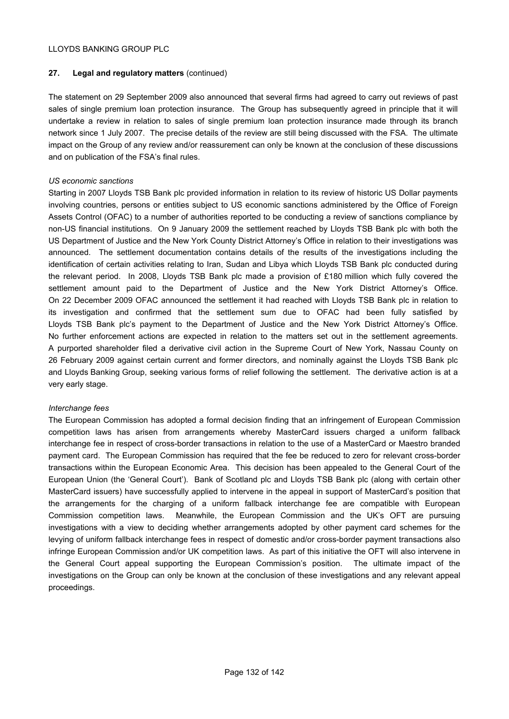# **27. Legal and regulatory matters** (continued)

The statement on 29 September 2009 also announced that several firms had agreed to carry out reviews of past sales of single premium loan protection insurance. The Group has subsequently agreed in principle that it will undertake a review in relation to sales of single premium loan protection insurance made through its branch network since 1 July 2007. The precise details of the review are still being discussed with the FSA. The ultimate impact on the Group of any review and/or reassurement can only be known at the conclusion of these discussions and on publication of the FSA's final rules.

## *US economic sanctions*

Starting in 2007 Lloyds TSB Bank plc provided information in relation to its review of historic US Dollar payments involving countries, persons or entities subject to US economic sanctions administered by the Office of Foreign Assets Control (OFAC) to a number of authorities reported to be conducting a review of sanctions compliance by non-US financial institutions. On 9 January 2009 the settlement reached by Lloyds TSB Bank plc with both the US Department of Justice and the New York County District Attorney's Office in relation to their investigations was announced. The settlement documentation contains details of the results of the investigations including the identification of certain activities relating to Iran, Sudan and Libya which Lloyds TSB Bank plc conducted during the relevant period. In 2008, Lloyds TSB Bank plc made a provision of £180 million which fully covered the settlement amount paid to the Department of Justice and the New York District Attorney's Office. On 22 December 2009 OFAC announced the settlement it had reached with Lloyds TSB Bank plc in relation to its investigation and confirmed that the settlement sum due to OFAC had been fully satisfied by Lloyds TSB Bank plc's payment to the Department of Justice and the New York District Attorney's Office. No further enforcement actions are expected in relation to the matters set out in the settlement agreements. A purported shareholder filed a derivative civil action in the Supreme Court of New York, Nassau County on 26 February 2009 against certain current and former directors, and nominally against the Lloyds TSB Bank plc and Lloyds Banking Group, seeking various forms of relief following the settlement. The derivative action is at a very early stage.

# *Interchange fees*

The European Commission has adopted a formal decision finding that an infringement of European Commission competition laws has arisen from arrangements whereby MasterCard issuers charged a uniform fallback interchange fee in respect of cross-border transactions in relation to the use of a MasterCard or Maestro branded payment card. The European Commission has required that the fee be reduced to zero for relevant cross-border transactions within the European Economic Area. This decision has been appealed to the General Court of the European Union (the 'General Court'). Bank of Scotland plc and Lloyds TSB Bank plc (along with certain other MasterCard issuers) have successfully applied to intervene in the appeal in support of MasterCard's position that the arrangements for the charging of a uniform fallback interchange fee are compatible with European Commission competition laws. Meanwhile, the European Commission and the UK's OFT are pursuing investigations with a view to deciding whether arrangements adopted by other payment card schemes for the levying of uniform fallback interchange fees in respect of domestic and/or cross-border payment transactions also infringe European Commission and/or UK competition laws. As part of this initiative the OFT will also intervene in the General Court appeal supporting the European Commission's position. The ultimate impact of the investigations on the Group can only be known at the conclusion of these investigations and any relevant appeal proceedings.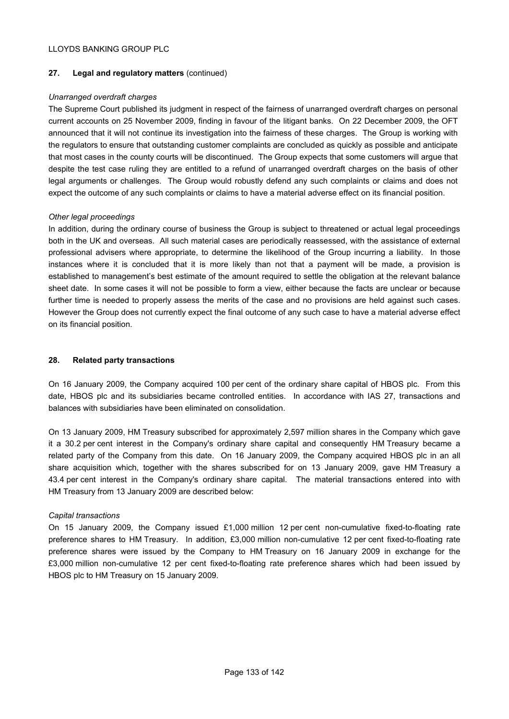## **27. Legal and regulatory matters** (continued)

## *Unarranged overdraft charges*

The Supreme Court published its judgment in respect of the fairness of unarranged overdraft charges on personal current accounts on 25 November 2009, finding in favour of the litigant banks. On 22 December 2009, the OFT announced that it will not continue its investigation into the fairness of these charges. The Group is working with the regulators to ensure that outstanding customer complaints are concluded as quickly as possible and anticipate that most cases in the county courts will be discontinued. The Group expects that some customers will argue that despite the test case ruling they are entitled to a refund of unarranged overdraft charges on the basis of other legal arguments or challenges. The Group would robustly defend any such complaints or claims and does not expect the outcome of any such complaints or claims to have a material adverse effect on its financial position.

## *Other legal proceedings*

In addition, during the ordinary course of business the Group is subject to threatened or actual legal proceedings both in the UK and overseas. All such material cases are periodically reassessed, with the assistance of external professional advisers where appropriate, to determine the likelihood of the Group incurring a liability. In those instances where it is concluded that it is more likely than not that a payment will be made, a provision is established to management's best estimate of the amount required to settle the obligation at the relevant balance sheet date. In some cases it will not be possible to form a view, either because the facts are unclear or because further time is needed to properly assess the merits of the case and no provisions are held against such cases. However the Group does not currently expect the final outcome of any such case to have a material adverse effect on its financial position.

## **28. Related party transactions**

On 16 January 2009, the Company acquired 100 per cent of the ordinary share capital of HBOS plc. From this date, HBOS plc and its subsidiaries became controlled entities. In accordance with IAS 27, transactions and balances with subsidiaries have been eliminated on consolidation.

On 13 January 2009, HM Treasury subscribed for approximately 2,597 million shares in the Company which gave it a 30.2 per cent interest in the Company's ordinary share capital and consequently HM Treasury became a related party of the Company from this date. On 16 January 2009, the Company acquired HBOS plc in an all share acquisition which, together with the shares subscribed for on 13 January 2009, gave HM Treasury a 43.4 per cent interest in the Company's ordinary share capital. The material transactions entered into with HM Treasury from 13 January 2009 are described below:

#### *Capital transactions*

On 15 January 2009, the Company issued £1,000 million 12 per cent non-cumulative fixed-to-floating rate preference shares to HM Treasury. In addition, £3,000 million non-cumulative 12 per cent fixed-to-floating rate preference shares were issued by the Company to HM Treasury on 16 January 2009 in exchange for the £3,000 million non-cumulative 12 per cent fixed-to-floating rate preference shares which had been issued by HBOS plc to HM Treasury on 15 January 2009.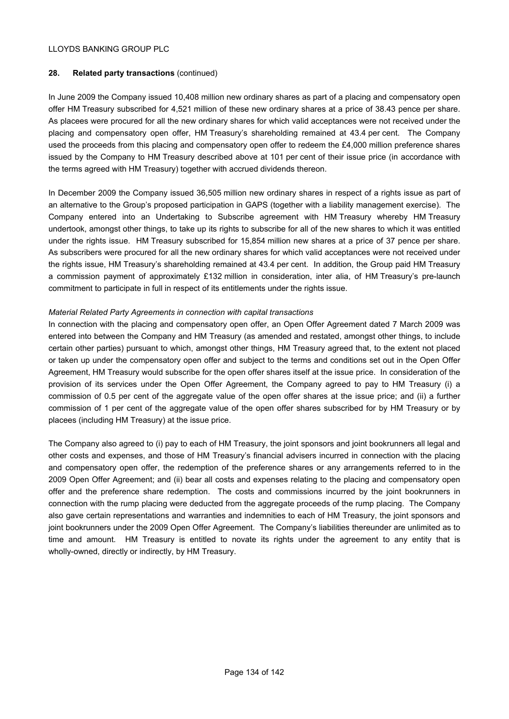# **28. Related party transactions** (continued)

In June 2009 the Company issued 10,408 million new ordinary shares as part of a placing and compensatory open offer HM Treasury subscribed for 4,521 million of these new ordinary shares at a price of 38.43 pence per share. As placees were procured for all the new ordinary shares for which valid acceptances were not received under the placing and compensatory open offer, HM Treasury's shareholding remained at 43.4 per cent. The Company used the proceeds from this placing and compensatory open offer to redeem the £4,000 million preference shares issued by the Company to HM Treasury described above at 101 per cent of their issue price (in accordance with the terms agreed with HM Treasury) together with accrued dividends thereon.

In December 2009 the Company issued 36,505 million new ordinary shares in respect of a rights issue as part of an alternative to the Group's proposed participation in GAPS (together with a liability management exercise). The Company entered into an Undertaking to Subscribe agreement with HM Treasury whereby HM Treasury undertook, amongst other things, to take up its rights to subscribe for all of the new shares to which it was entitled under the rights issue. HM Treasury subscribed for 15,854 million new shares at a price of 37 pence per share. As subscribers were procured for all the new ordinary shares for which valid acceptances were not received under the rights issue, HM Treasury's shareholding remained at 43.4 per cent. In addition, the Group paid HM Treasury a commission payment of approximately £132 million in consideration, inter alia, of HM Treasury's pre-launch commitment to participate in full in respect of its entitlements under the rights issue.

# *Material Related Party Agreements in connection with capital transactions*

In connection with the placing and compensatory open offer, an Open Offer Agreement dated 7 March 2009 was entered into between the Company and HM Treasury (as amended and restated, amongst other things, to include certain other parties) pursuant to which, amongst other things, HM Treasury agreed that, to the extent not placed or taken up under the compensatory open offer and subject to the terms and conditions set out in the Open Offer Agreement, HM Treasury would subscribe for the open offer shares itself at the issue price. In consideration of the provision of its services under the Open Offer Agreement, the Company agreed to pay to HM Treasury (i) a commission of 0.5 per cent of the aggregate value of the open offer shares at the issue price; and (ii) a further commission of 1 per cent of the aggregate value of the open offer shares subscribed for by HM Treasury or by placees (including HM Treasury) at the issue price.

The Company also agreed to (i) pay to each of HM Treasury, the joint sponsors and joint bookrunners all legal and other costs and expenses, and those of HM Treasury's financial advisers incurred in connection with the placing and compensatory open offer, the redemption of the preference shares or any arrangements referred to in the 2009 Open Offer Agreement; and (ii) bear all costs and expenses relating to the placing and compensatory open offer and the preference share redemption. The costs and commissions incurred by the joint bookrunners in connection with the rump placing were deducted from the aggregate proceeds of the rump placing. The Company also gave certain representations and warranties and indemnities to each of HM Treasury, the joint sponsors and joint bookrunners under the 2009 Open Offer Agreement. The Company's liabilities thereunder are unlimited as to time and amount. HM Treasury is entitled to novate its rights under the agreement to any entity that is wholly-owned, directly or indirectly, by HM Treasury.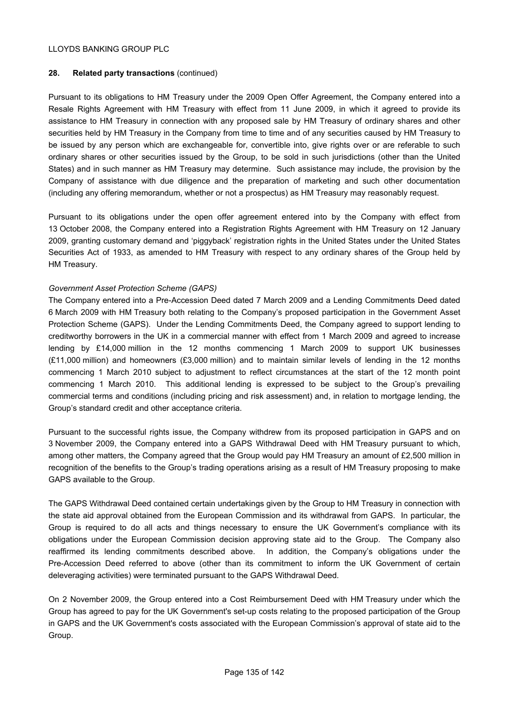# **28. Related party transactions** (continued)

Pursuant to its obligations to HM Treasury under the 2009 Open Offer Agreement, the Company entered into a Resale Rights Agreement with HM Treasury with effect from 11 June 2009, in which it agreed to provide its assistance to HM Treasury in connection with any proposed sale by HM Treasury of ordinary shares and other securities held by HM Treasury in the Company from time to time and of any securities caused by HM Treasury to be issued by any person which are exchangeable for, convertible into, give rights over or are referable to such ordinary shares or other securities issued by the Group, to be sold in such jurisdictions (other than the United States) and in such manner as HM Treasury may determine. Such assistance may include, the provision by the Company of assistance with due diligence and the preparation of marketing and such other documentation (including any offering memorandum, whether or not a prospectus) as HM Treasury may reasonably request.

Pursuant to its obligations under the open offer agreement entered into by the Company with effect from 13 October 2008, the Company entered into a Registration Rights Agreement with HM Treasury on 12 January 2009, granting customary demand and 'piggyback' registration rights in the United States under the United States Securities Act of 1933, as amended to HM Treasury with respect to any ordinary shares of the Group held by HM Treasury.

## *Government Asset Protection Scheme (GAPS)*

The Company entered into a Pre-Accession Deed dated 7 March 2009 and a Lending Commitments Deed dated 6 March 2009 with HM Treasury both relating to the Company's proposed participation in the Government Asset Protection Scheme (GAPS). Under the Lending Commitments Deed, the Company agreed to support lending to creditworthy borrowers in the UK in a commercial manner with effect from 1 March 2009 and agreed to increase lending by £14,000 million in the 12 months commencing 1 March 2009 to support UK businesses (£11,000 million) and homeowners (£3,000 million) and to maintain similar levels of lending in the 12 months commencing 1 March 2010 subject to adjustment to reflect circumstances at the start of the 12 month point commencing 1 March 2010. This additional lending is expressed to be subject to the Group's prevailing commercial terms and conditions (including pricing and risk assessment) and, in relation to mortgage lending, the Group's standard credit and other acceptance criteria.

Pursuant to the successful rights issue, the Company withdrew from its proposed participation in GAPS and on 3 November 2009, the Company entered into a GAPS Withdrawal Deed with HM Treasury pursuant to which, among other matters, the Company agreed that the Group would pay HM Treasury an amount of £2,500 million in recognition of the benefits to the Group's trading operations arising as a result of HM Treasury proposing to make GAPS available to the Group.

The GAPS Withdrawal Deed contained certain undertakings given by the Group to HM Treasury in connection with the state aid approval obtained from the European Commission and its withdrawal from GAPS. In particular, the Group is required to do all acts and things necessary to ensure the UK Government's compliance with its obligations under the European Commission decision approving state aid to the Group. The Company also reaffirmed its lending commitments described above. In addition, the Company's obligations under the Pre-Accession Deed referred to above (other than its commitment to inform the UK Government of certain deleveraging activities) were terminated pursuant to the GAPS Withdrawal Deed.

On 2 November 2009, the Group entered into a Cost Reimbursement Deed with HM Treasury under which the Group has agreed to pay for the UK Government's set-up costs relating to the proposed participation of the Group in GAPS and the UK Government's costs associated with the European Commission's approval of state aid to the Group.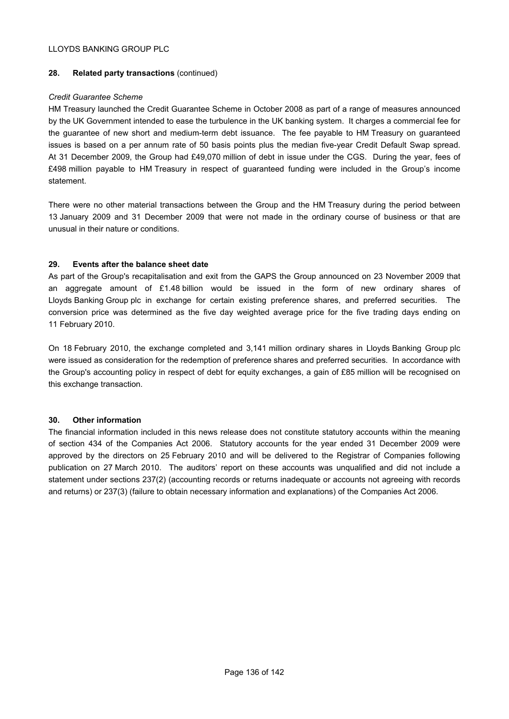## **28. Related party transactions** (continued)

## *Credit Guarantee Scheme*

HM Treasury launched the Credit Guarantee Scheme in October 2008 as part of a range of measures announced by the UK Government intended to ease the turbulence in the UK banking system. It charges a commercial fee for the guarantee of new short and medium-term debt issuance. The fee payable to HM Treasury on guaranteed issues is based on a per annum rate of 50 basis points plus the median five-year Credit Default Swap spread. At 31 December 2009, the Group had £49,070 million of debt in issue under the CGS. During the year, fees of £498 million payable to HM Treasury in respect of guaranteed funding were included in the Group's income statement.

There were no other material transactions between the Group and the HM Treasury during the period between 13 January 2009 and 31 December 2009 that were not made in the ordinary course of business or that are unusual in their nature or conditions.

## **29. Events after the balance sheet date**

As part of the Group's recapitalisation and exit from the GAPS the Group announced on 23 November 2009 that an aggregate amount of £1.48 billion would be issued in the form of new ordinary shares of Lloyds Banking Group plc in exchange for certain existing preference shares, and preferred securities. The conversion price was determined as the five day weighted average price for the five trading days ending on 11 February 2010.

On 18 February 2010, the exchange completed and 3,141 million ordinary shares in Lloyds Banking Group plc were issued as consideration for the redemption of preference shares and preferred securities. In accordance with the Group's accounting policy in respect of debt for equity exchanges, a gain of £85 million will be recognised on this exchange transaction.

# **30. Other information**

The financial information included in this news release does not constitute statutory accounts within the meaning of section 434 of the Companies Act 2006. Statutory accounts for the year ended 31 December 2009 were approved by the directors on 25 February 2010 and will be delivered to the Registrar of Companies following publication on 27 March 2010. The auditors' report on these accounts was unqualified and did not include a statement under sections 237(2) (accounting records or returns inadequate or accounts not agreeing with records and returns) or 237(3) (failure to obtain necessary information and explanations) of the Companies Act 2006.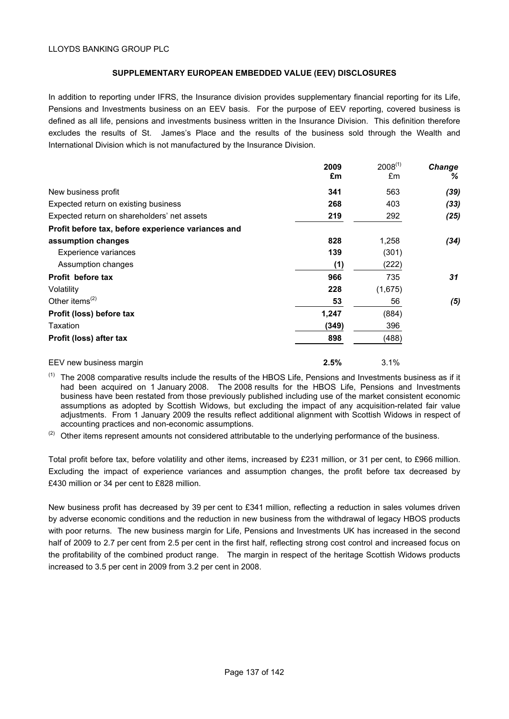## **SUPPLEMENTARY EUROPEAN EMBEDDED VALUE (EEV) DISCLOSURES**

In addition to reporting under IFRS, the Insurance division provides supplementary financial reporting for its Life, Pensions and Investments business on an EEV basis. For the purpose of EEV reporting, covered business is defined as all life, pensions and investments business written in the Insurance Division. This definition therefore excludes the results of St. James's Place and the results of the business sold through the Wealth and International Division which is not manufactured by the Insurance Division.

|                                                    | 2009  | $2008^{(1)}$ | Change |
|----------------------------------------------------|-------|--------------|--------|
|                                                    | £m    | £m           | %      |
| New business profit                                | 341   | 563          | (39)   |
| Expected return on existing business               | 268   | 403          | (33)   |
| Expected return on shareholders' net assets        | 219   | 292          | (25)   |
| Profit before tax, before experience variances and |       |              |        |
| assumption changes                                 | 828   | 1,258        | (34)   |
| Experience variances                               | 139   | (301)        |        |
| Assumption changes                                 | (1)   | (222)        |        |
| Profit before tax                                  | 966   | 735          | 31     |
| Volatility                                         | 228   | (1,675)      |        |
| Other items $(2)$                                  | 53    | 56           | (5)    |
| Profit (loss) before tax                           | 1,247 | (884)        |        |
| Taxation                                           | (349) | 396          |        |
| Profit (loss) after tax                            | 898   | (488)        |        |
| EEV new business margin                            | 2.5%  | 3.1%         |        |

 $(1)$  The 2008 comparative results include the results of the HBOS Life, Pensions and Investments business as if it had been acquired on 1 January 2008. The 2008 results for the HBOS Life, Pensions and Investments business have been restated from those previously published including use of the market consistent economic assumptions as adopted by Scottish Widows, but excluding the impact of any acquisition-related fair value adjustments. From 1 January 2009 the results reflect additional alignment with Scottish Widows in respect of accounting practices and non-economic assumptions.

(2) Other items represent amounts not considered attributable to the underlying performance of the business.

Total profit before tax, before volatility and other items, increased by £231 million, or 31 per cent, to £966 million. Excluding the impact of experience variances and assumption changes, the profit before tax decreased by £430 million or 34 per cent to £828 million.

New business profit has decreased by 39 per cent to £341 million, reflecting a reduction in sales volumes driven by adverse economic conditions and the reduction in new business from the withdrawal of legacy HBOS products with poor returns. The new business margin for Life, Pensions and Investments UK has increased in the second half of 2009 to 2.7 per cent from 2.5 per cent in the first half, reflecting strong cost control and increased focus on the profitability of the combined product range. The margin in respect of the heritage Scottish Widows products increased to 3.5 per cent in 2009 from 3.2 per cent in 2008.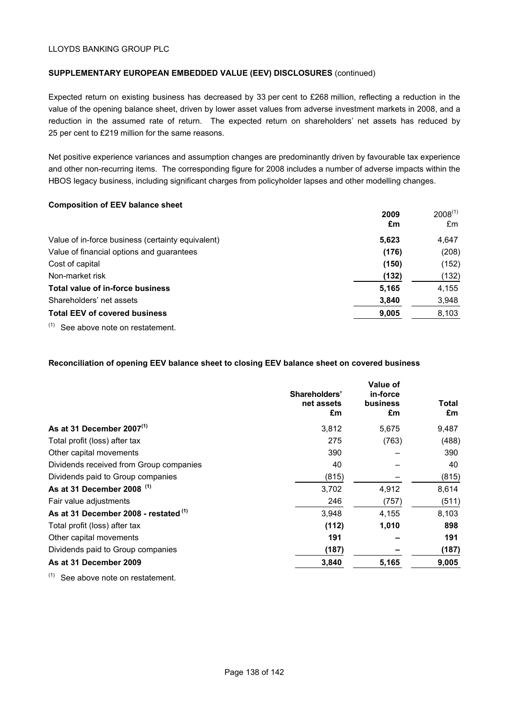## **SUPPLEMENTARY EUROPEAN EMBEDDED VALUE (EEV) DISCLOSURES** (continued)

Expected return on existing business has decreased by 33 per cent to £268 million, reflecting a reduction in the value of the opening balance sheet, driven by lower asset values from adverse investment markets in 2008, and a reduction in the assumed rate of return. The expected return on shareholders' net assets has reduced by 25 per cent to £219 million for the same reasons.

Net positive experience variances and assumption changes are predominantly driven by favourable tax experience and other non-recurring items. The corresponding figure for 2008 includes a number of adverse impacts within the HBOS legacy business, including significant charges from policyholder lapses and other modelling changes.

#### **Composition of EEV balance sheet**

|                                                   | 2009<br>£m | $2008^{(1)}$<br>£m |
|---------------------------------------------------|------------|--------------------|
| Value of in-force business (certainty equivalent) | 5,623      | 4.647              |
| Value of financial options and guarantees         | (176)      | (208)              |
| Cost of capital                                   | (150)      | (152)              |
| Non-market risk                                   | (132)      | (132)              |
| Total value of in-force business                  | 5,165      | 4,155              |
| Shareholders' net assets                          | 3,840      | 3,948              |
| <b>Total EEV of covered business</b>              | 9,005      | 8,103              |
| $(4)$ $\qquad$                                    |            |                    |

 $(1)$  See above note on restatement.

## **Reconciliation of opening EEV balance sheet to closing EEV balance sheet on covered business**

|                                         | Shareholders'<br>net assets<br>£m | Value of<br>in-force<br>business<br>£m | Total<br>£m |
|-----------------------------------------|-----------------------------------|----------------------------------------|-------------|
| As at 31 December 2007 $(1)$            | 3,812                             | 5,675                                  | 9,487       |
| Total profit (loss) after tax           | 275                               | (763)                                  | (488)       |
| Other capital movements                 | 390                               |                                        | 390         |
| Dividends received from Group companies | 40                                |                                        | 40          |
| Dividends paid to Group companies       | (815)                             |                                        | (815)       |
| As at 31 December 2008 (1)              | 3,702                             | 4,912                                  | 8,614       |
| Fair value adjustments                  | 246                               | (757)                                  | (511)       |
| As at 31 December 2008 - restated (1)   | 3.948                             | 4,155                                  | 8,103       |
| Total profit (loss) after tax           | (112)                             | 1,010                                  | 898         |
| Other capital movements                 | 191                               |                                        | 191         |
| Dividends paid to Group companies       | (187)                             |                                        | (187)       |
| As at 31 December 2009                  | 3,840                             | 5,165                                  | 9,005       |

(1) See above note on restatement.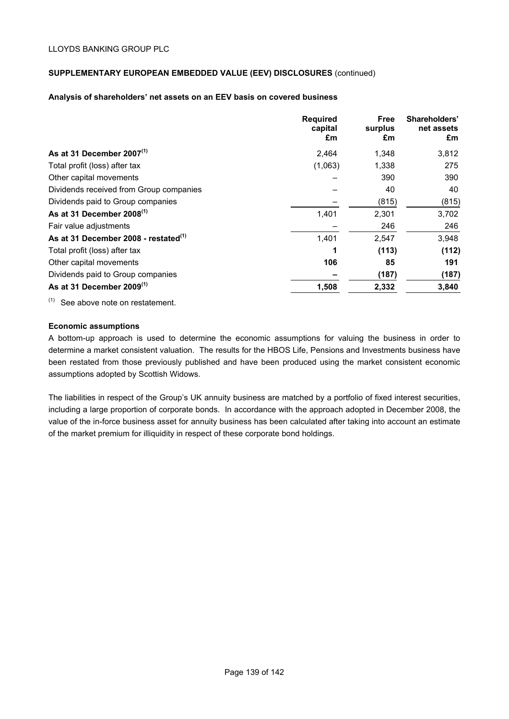# **SUPPLEMENTARY EUROPEAN EMBEDDED VALUE (EEV) DISCLOSURES** (continued)

### **Analysis of shareholders' net assets on an EEV basis on covered business**

|                                                  | <b>Required</b><br>capital<br>£m | Free<br>surplus<br>£m | Shareholders'<br>net assets<br>£m |
|--------------------------------------------------|----------------------------------|-----------------------|-----------------------------------|
| As at 31 December $2007^{(1)}$                   | 2,464                            | 1,348                 | 3,812                             |
| Total profit (loss) after tax                    | (1,063)                          | 1,338                 | 275                               |
| Other capital movements                          |                                  | 390                   | 390                               |
| Dividends received from Group companies          |                                  | 40                    | 40                                |
| Dividends paid to Group companies                |                                  | (815)                 | (815)                             |
| As at 31 December $2008^{(1)}$                   | 1,401                            | 2,301                 | 3,702                             |
| Fair value adjustments                           |                                  | 246                   | 246                               |
| As at 31 December 2008 - restated <sup>(1)</sup> | 1,401                            | 2,547                 | 3,948                             |
| Total profit (loss) after tax                    |                                  | (113)                 | (112)                             |
| Other capital movements                          | 106                              | 85                    | 191                               |
| Dividends paid to Group companies                |                                  | (187)                 | (187)                             |
| As at 31 December 2009 $^{(1)}$                  | 1,508                            | 2,332                 | 3,840                             |

(1) See above note on restatement.

## **Economic assumptions**

A bottom-up approach is used to determine the economic assumptions for valuing the business in order to determine a market consistent valuation. The results for the HBOS Life, Pensions and Investments business have been restated from those previously published and have been produced using the market consistent economic assumptions adopted by Scottish Widows.

The liabilities in respect of the Group's UK annuity business are matched by a portfolio of fixed interest securities, including a large proportion of corporate bonds. In accordance with the approach adopted in December 2008, the value of the in-force business asset for annuity business has been calculated after taking into account an estimate of the market premium for illiquidity in respect of these corporate bond holdings.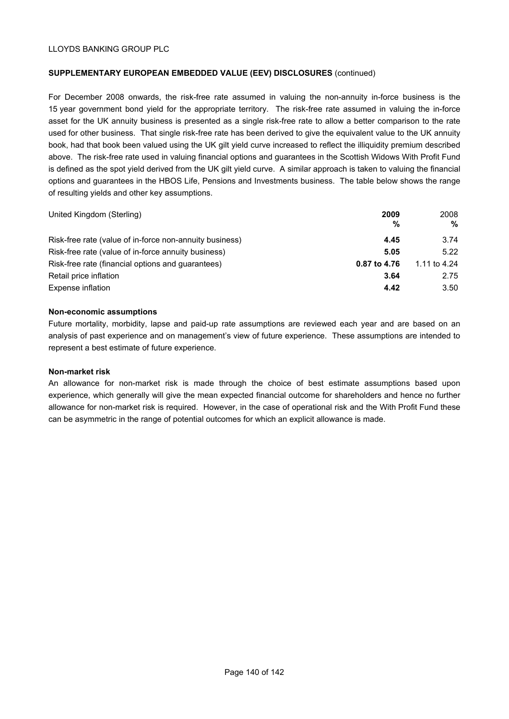# **SUPPLEMENTARY EUROPEAN EMBEDDED VALUE (EEV) DISCLOSURES** (continued)

For December 2008 onwards, the risk-free rate assumed in valuing the non-annuity in-force business is the 15 year government bond yield for the appropriate territory. The risk-free rate assumed in valuing the in-force asset for the UK annuity business is presented as a single risk-free rate to allow a better comparison to the rate used for other business. That single risk-free rate has been derived to give the equivalent value to the UK annuity book, had that book been valued using the UK gilt yield curve increased to reflect the illiquidity premium described above. The risk-free rate used in valuing financial options and guarantees in the Scottish Widows With Profit Fund is defined as the spot yield derived from the UK gilt yield curve. A similar approach is taken to valuing the financial options and guarantees in the HBOS Life, Pensions and Investments business. The table below shows the range of resulting yields and other key assumptions.

| United Kingdom (Sterling)                               | 2009<br>%    | 2008<br>%    |
|---------------------------------------------------------|--------------|--------------|
| Risk-free rate (value of in-force non-annuity business) | 4.45         | 3.74         |
| Risk-free rate (value of in-force annuity business)     | 5.05         | 5.22         |
| Risk-free rate (financial options and guarantees)       | 0.87 to 4.76 | 1.11 to 4.24 |
| Retail price inflation                                  | 3.64         | 2.75         |
| Expense inflation                                       | 4.42         | 3.50         |

#### **Non-economic assumptions**

Future mortality, morbidity, lapse and paid-up rate assumptions are reviewed each year and are based on an analysis of past experience and on management's view of future experience. These assumptions are intended to represent a best estimate of future experience.

#### **Non-market risk**

An allowance for non-market risk is made through the choice of best estimate assumptions based upon experience, which generally will give the mean expected financial outcome for shareholders and hence no further allowance for non-market risk is required. However, in the case of operational risk and the With Profit Fund these can be asymmetric in the range of potential outcomes for which an explicit allowance is made.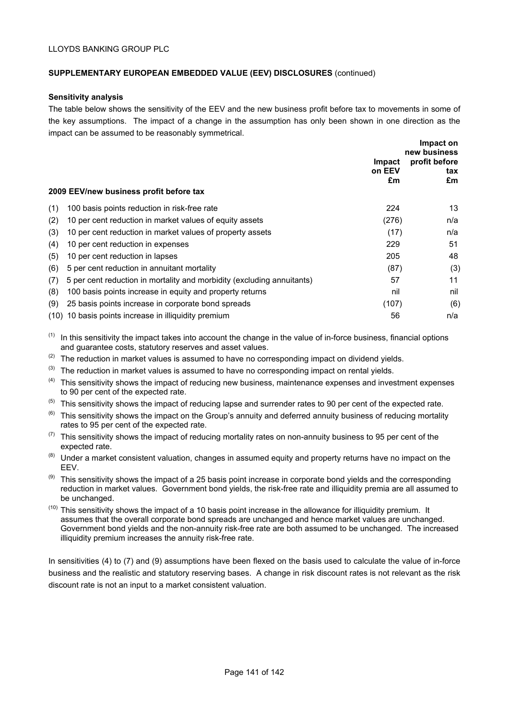# **SUPPLEMENTARY EUROPEAN EMBEDDED VALUE (EEV) DISCLOSURES** (continued)

### **Sensitivity analysis**

The table below shows the sensitivity of the EEV and the new business profit before tax to movements in some of the key assumptions. The impact of a change in the assumption has only been shown in one direction as the impact can be assumed to be reasonably symmetrical.

|     | 2009 EEV/new business profit before tax                                | Impact<br>on EEV<br>£m | Impact on<br>new business<br>profit before<br>tax<br>£m |
|-----|------------------------------------------------------------------------|------------------------|---------------------------------------------------------|
| (1) | 100 basis points reduction in risk-free rate                           | 224                    | 13                                                      |
| (2) | 10 per cent reduction in market values of equity assets                | (276)                  | n/a                                                     |
| (3) | 10 per cent reduction in market values of property assets              | (17)                   | n/a                                                     |
| (4) | 10 per cent reduction in expenses                                      | 229                    | 51                                                      |
| (5) | 10 per cent reduction in lapses                                        | 205                    | 48                                                      |
| (6) | 5 per cent reduction in annuitant mortality                            | (87)                   | (3)                                                     |
| (7) | 5 per cent reduction in mortality and morbidity (excluding annuitants) | 57                     | 11                                                      |
| (8) | 100 basis points increase in equity and property returns               | nil                    | nil                                                     |
| (9) | 25 basis points increase in corporate bond spreads                     | (107)                  | (6)                                                     |
|     | (10) 10 basis points increase in illiquidity premium                   | 56                     | n/a                                                     |

 $(1)$  In this sensitivity the impact takes into account the change in the value of in-force business, financial options and guarantee costs, statutory reserves and asset values.

- $(2)$  The reduction in market values is assumed to have no corresponding impact on dividend yields.
- $(3)$  The reduction in market values is assumed to have no corresponding impact on rental yields.
- (4) This sensitivity shows the impact of reducing new business, maintenance expenses and investment expenses to 90 per cent of the expected rate.
- $(5)$  This sensitivity shows the impact of reducing lapse and surrender rates to 90 per cent of the expected rate.
- $(6)$  This sensitivity shows the impact on the Group's annuity and deferred annuity business of reducing mortality rates to 95 per cent of the expected rate.
- $(7)$  This sensitivity shows the impact of reducing mortality rates on non-annuity business to 95 per cent of the expected rate.
- (8) Under a market consistent valuation, changes in assumed equity and property returns have no impact on the EEV.
- $(9)$  This sensitivity shows the impact of a 25 basis point increase in corporate bond yields and the corresponding reduction in market values. Government bond yields, the risk-free rate and illiquidity premia are all assumed to be unchanged.
- $(10)$  This sensitivity shows the impact of a 10 basis point increase in the allowance for illiquidity premium. It assumes that the overall corporate bond spreads are unchanged and hence market values are unchanged. Government bond yields and the non-annuity risk-free rate are both assumed to be unchanged. The increased illiquidity premium increases the annuity risk-free rate.

In sensitivities (4) to (7) and (9) assumptions have been flexed on the basis used to calculate the value of in-force business and the realistic and statutory reserving bases. A change in risk discount rates is not relevant as the risk discount rate is not an input to a market consistent valuation.